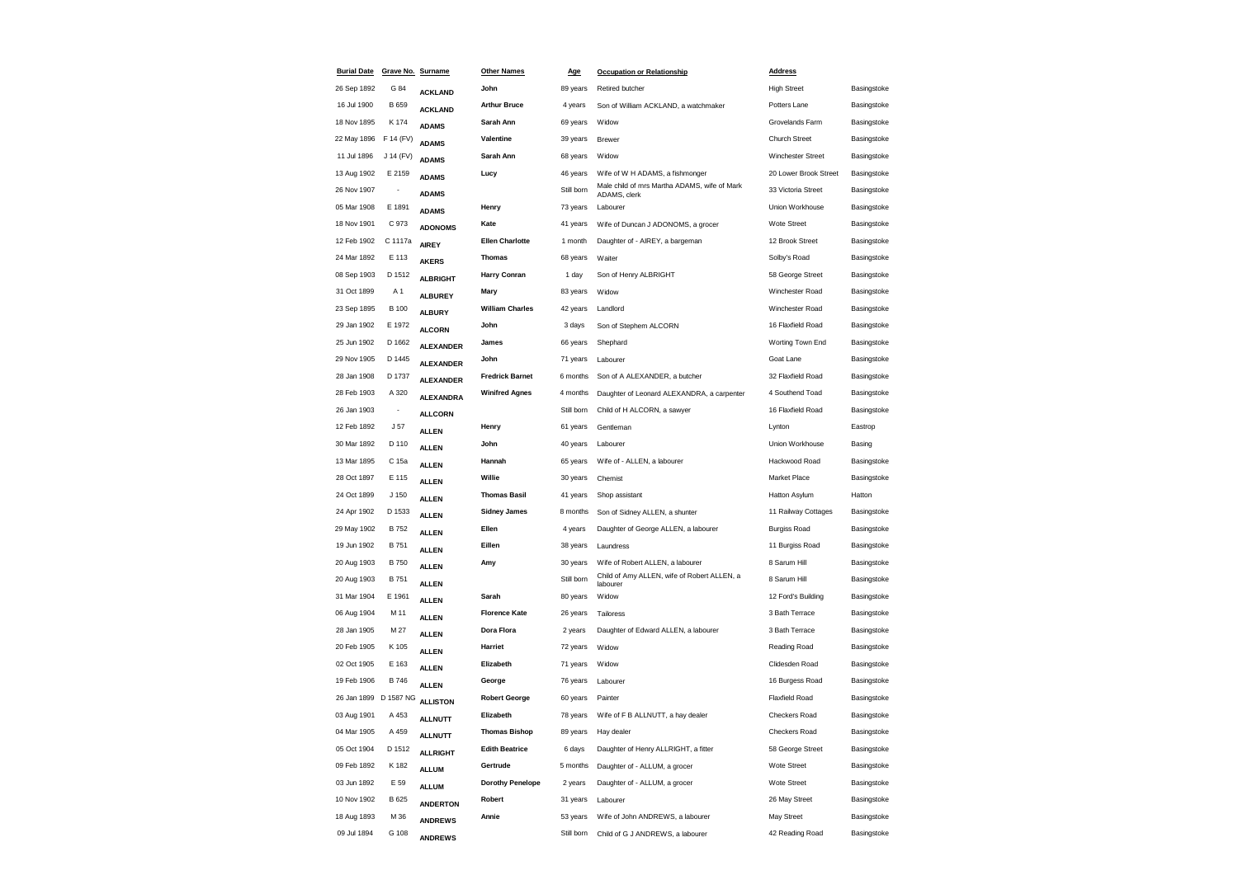| <b>Burial Date</b>    | Grave No. Surname        |                  | <b>Other Names</b>      | <u>Age</u> | <b>Occupation or Relationship</b>                            | <b>Address</b>           |             |
|-----------------------|--------------------------|------------------|-------------------------|------------|--------------------------------------------------------------|--------------------------|-------------|
| 26 Sep 1892           | G 84                     | <b>ACKLAND</b>   | John                    | 89 years   | Retired butcher                                              | <b>High Street</b>       | Basingstoke |
| 16 Jul 1900           | B 659                    | <b>ACKLAND</b>   | <b>Arthur Bruce</b>     | 4 years    | Son of William ACKLAND, a watchmaker                         | Potters Lane             | Basingstoke |
| 18 Nov 1895           | K 174                    | <b>ADAMS</b>     | Sarah Ann               | 69 years   | Widow                                                        | Grovelands Farm          | Basingstoke |
| 22 May 1896           | F 14 (FV)                | <b>ADAMS</b>     | Valentine               | 39 years   | <b>Brewer</b>                                                | Church Street            | Basingstoke |
| 11 Jul 1896           | J 14 (FV)                | <b>ADAMS</b>     | Sarah Ann               | 68 years   | Widow                                                        | <b>Winchester Street</b> | Basingstoke |
| 13 Aug 1902           | E 2159                   | <b>ADAMS</b>     | Lucy                    | 46 years   | Wife of W H ADAMS, a fishmonger                              | 20 Lower Brook Street    | Basingstoke |
| 26 Nov 1907           | $\overline{\phantom{a}}$ | <b>ADAMS</b>     |                         | Still born | Male child of mrs Martha ADAMS, wife of Mark<br>ADAMS, clerk | 33 Victoria Street       | Basingstoke |
| 05 Mar 1908           | E 1891                   | <b>ADAMS</b>     | Henry                   | 73 years   | Labourer                                                     | Union Workhouse          | Basingstoke |
| 18 Nov 1901           | C 973                    | <b>ADONOMS</b>   | Kate                    | 41 years   | Wife of Duncan J ADONOMS, a grocer                           | Wote Street              | Basingstoke |
| 12 Feb 1902           | C 1117a                  | <b>AIREY</b>     | <b>Ellen Charlotte</b>  | 1 month    | Daughter of - AIREY, a bargeman                              | 12 Brook Street          | Basingstoke |
| 24 Mar 1892           | E 113                    | <b>AKERS</b>     | <b>Thomas</b>           | 68 years   | Waiter                                                       | Solby's Road             | Basingstoke |
| 08 Sep 1903           | D 1512                   | <b>ALBRIGHT</b>  | <b>Harry Conran</b>     | 1 day      | Son of Henry ALBRIGHT                                        | 58 George Street         | Basingstoke |
| 31 Oct 1899           | A 1                      | <b>ALBUREY</b>   | Mary                    | 83 years   | Widow                                                        | Winchester Road          | Basingstoke |
| 23 Sep 1895           | <b>B</b> 100             | <b>ALBURY</b>    | <b>William Charles</b>  | 42 years   | Landlord                                                     | Winchester Road          | Basingstoke |
| 29 Jan 1902           | E 1972                   | <b>ALCORN</b>    | John                    | 3 days     | Son of Stephem ALCORN                                        | 16 Flaxfield Road        | Basingstoke |
| 25 Jun 1902           | D 1662                   | <b>ALEXANDER</b> | James                   | 66 years   | Shephard                                                     | Worting Town End         | Basingstoke |
| 29 Nov 1905           | D 1445                   | <b>ALEXANDER</b> | John                    | 71 years   | Labourer                                                     | Goat Lane                | Basingstoke |
| 28 Jan 1908           | D 1737                   | <b>ALEXANDER</b> | <b>Fredrick Barnet</b>  | 6 months   | Son of A ALEXANDER, a butcher                                | 32 Flaxfield Road        | Basingstoke |
| 28 Feb 1903           | A 320                    | <b>ALEXANDRA</b> | <b>Winifred Agnes</b>   | 4 months   | Daughter of Leonard ALEXANDRA, a carpenter                   | 4 Southend Toad          | Basingstoke |
| 26 Jan 1903           | $\overline{\phantom{a}}$ | <b>ALLCORN</b>   |                         | Still born | Child of H ALCORN, a sawyer                                  | 16 Flaxfield Road        | Basingstoke |
| 12 Feb 1892           | J 57                     | <b>ALLEN</b>     | Henry                   | 61 years   | Gentleman                                                    | Lynton                   | Eastrop     |
| 30 Mar 1892           | D 110                    | <b>ALLEN</b>     | John                    | 40 years   | Labourer                                                     | Union Workhouse          | Basing      |
| 13 Mar 1895           | C 15a                    | <b>ALLEN</b>     | Hannah                  | 65 years   | Wife of - ALLEN, a labourer                                  | Hackwood Road            | Basingstoke |
| 28 Oct 1897           | E 115                    | <b>ALLEN</b>     | Willie                  | 30 years   | Chemist                                                      | Market Place             | Basingstoke |
| 24 Oct 1899           | J 150                    | <b>ALLEN</b>     | <b>Thomas Basil</b>     | 41 years   | Shop assistant                                               | Hatton Asylum            | Hatton      |
| 24 Apr 1902           | D 1533                   | <b>ALLEN</b>     | <b>Sidney James</b>     | 8 months   | Son of Sidney ALLEN, a shunter                               | 11 Railway Cottages      | Basingstoke |
| 29 May 1902           | <b>B752</b>              | <b>ALLEN</b>     | Ellen                   | 4 years    | Daughter of George ALLEN, a labourer                         | <b>Burgiss Road</b>      | Basingstoke |
| 19 Jun 1902           | <b>B751</b>              | <b>ALLEN</b>     | Eillen                  | 38 years   | Laundress                                                    | 11 Burgiss Road          | Basingstoke |
| 20 Aug 1903           | <b>B750</b>              | <b>ALLEN</b>     | Amy                     | 30 years   | Wife of Robert ALLEN, a labourer                             | 8 Sarum Hill             | Basingstoke |
| 20 Aug 1903           | <b>B751</b>              | <b>ALLEN</b>     |                         | Still born | Child of Amy ALLEN, wife of Robert ALLEN, a<br>labourer      | 8 Sarum Hill             | Basingstoke |
| 31 Mar 1904           | E 1961                   | <b>ALLEN</b>     | Sarah                   | 80 years   | Widow                                                        | 12 Ford's Building       | Basingstoke |
| 06 Aug 1904           | M 11                     | <b>ALLEN</b>     | <b>Florence Kate</b>    | 26 years   | Tailoress                                                    | 3 Bath Terrace           | Basingstoke |
| 28 Jan 1905           | M 27                     | <b>ALLEN</b>     | Dora Flora              | 2 years    | Daughter of Edward ALLEN, a labourer                         | 3 Bath Terrace           | Basingstoke |
| 20 Feb 1905           | K 105                    | <b>ALLEN</b>     | Harriet                 | 72 years   | Widow                                                        | Reading Road             | Basingstoke |
| 02 Oct 1905           | E 163                    | <b>ALLEN</b>     | Elizabeth               | 71 years   | Widow                                                        | Clidesden Road           | Basingstoke |
| 19 Feb 1906           | <b>B746</b>              | <b>ALLEN</b>     | George                  | 76 years   | Labourer                                                     | 16 Burgess Road          | Basingstoke |
| 26 Jan 1899 D 1587 NG |                          | <b>ALLISTON</b>  | <b>Robert George</b>    | 60 years   | Painter                                                      | <b>Flaxfield Road</b>    | Basingstoke |
| 03 Aug 1901           | A 453                    | <b>ALLNUTT</b>   | Elizabeth               | 78 years   | Wife of F B ALLNUTT, a hay dealer                            | Checkers Road            | Basingstoke |
| 04 Mar 1905           | A 459                    | <b>ALLNUTT</b>   | Thomas Bishop           | 89 years   | Hay dealer                                                   | Checkers Road            | Basingstoke |
| 05 Oct 1904           | D 1512                   | <b>ALLRIGHT</b>  | <b>Edith Beatrice</b>   | 6 days     | Daughter of Henry ALLRIGHT, a fitter                         | 58 George Street         | Basingstoke |
| 09 Feb 1892           | K 182                    | <b>ALLUM</b>     | Gertrude                | 5 months   | Daughter of - ALLUM, a grocer                                | Wote Street              | Basingstoke |
| 03 Jun 1892           | E 59                     | <b>ALLUM</b>     | <b>Dorothy Penelope</b> | 2 years    | Daughter of - ALLUM, a grocer                                | Wote Street              | Basingstoke |
| 10 Nov 1902           | B 625                    | <b>ANDERTON</b>  | Robert                  | 31 years   | Labourer                                                     | 26 May Street            | Basingstoke |
| 18 Aug 1893           | M 36                     | <b>ANDREWS</b>   | Annie                   | 53 years   | Wife of John ANDREWS, a labourer                             | May Street               | Basingstoke |
| 09 Jul 1894           | G 108                    | <b>ANDREWS</b>   |                         | Still born | Child of G J ANDREWS, a labourer                             | 42 Reading Road          | Basingstoke |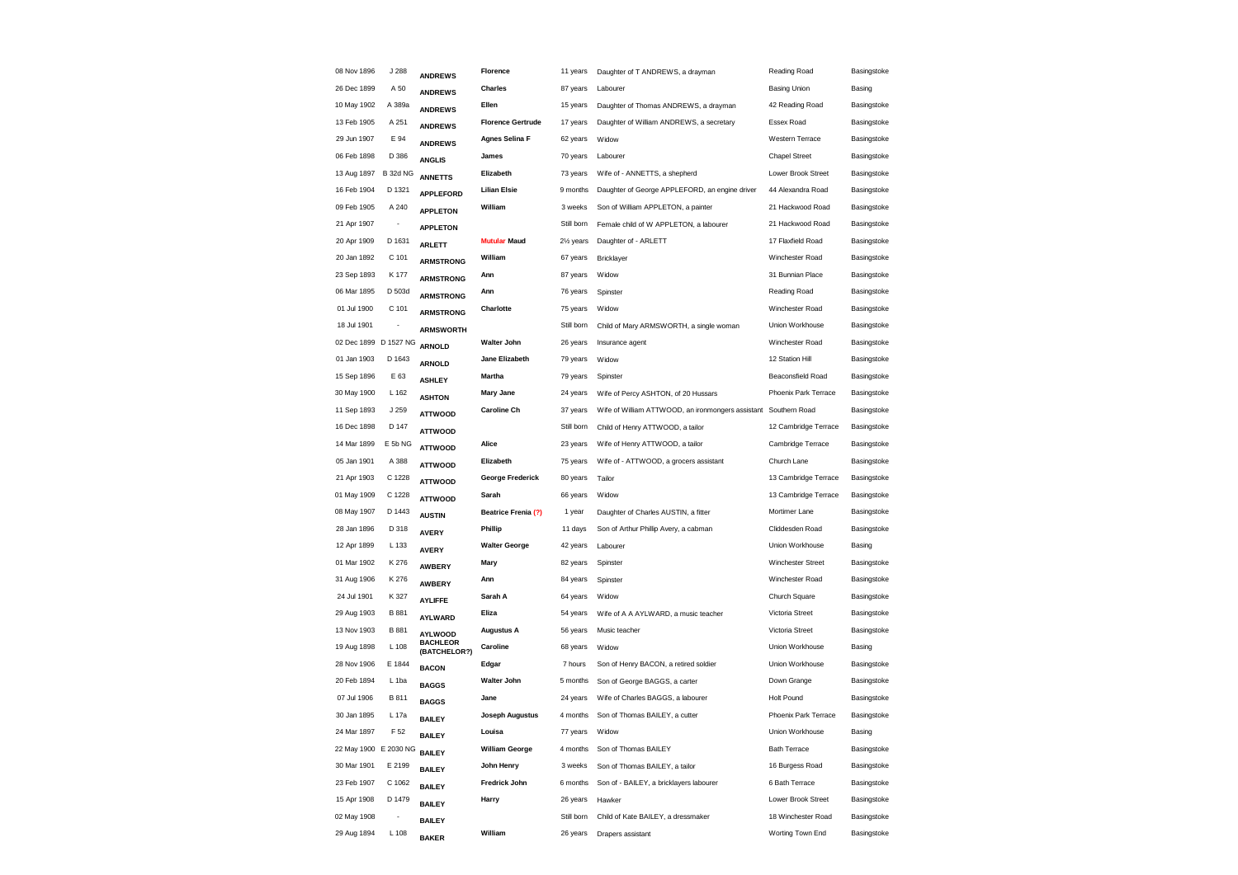| 08 Nov 1896           | J 288                    | <b>ANDREWS</b>                    | Florence                 | 11 years               | Daughter of T ANDREWS, a drayman                  | Reading Road         | Basingstoke |
|-----------------------|--------------------------|-----------------------------------|--------------------------|------------------------|---------------------------------------------------|----------------------|-------------|
| 26 Dec 1899           | A 50                     | <b>ANDREWS</b>                    | <b>Charles</b>           | 87 years               | Labourer                                          | <b>Basing Union</b>  | Basing      |
| 10 May 1902           | A 389a                   | <b>ANDREWS</b>                    | Ellen                    | 15 years               | Daughter of Thomas ANDREWS, a drayman             | 42 Reading Road      | Basingstoke |
| 13 Feb 1905           | A 251                    | <b>ANDREWS</b>                    | <b>Florence Gertrude</b> | 17 years               | Daughter of William ANDREWS, a secretary          | Essex Road           | Basingstoke |
| 29 Jun 1907           | E 94                     | <b>ANDREWS</b>                    | <b>Agnes Selina F</b>    | 62 years               | Widow                                             | Western Terrace      | Basingstoke |
| 06 Feb 1898           | D 386                    | <b>ANGLIS</b>                     | James                    | 70 years               | Labourer                                          | <b>Chapel Street</b> | Basingstoke |
| 13 Aug 1897           | <b>B 32d NG</b>          | <b>ANNETTS</b>                    | Elizabeth                | 73 years               | Wife of - ANNETTS, a shepherd                     | Lower Brook Street   | Basingstoke |
| 16 Feb 1904           | D 1321                   | <b>APPLEFORD</b>                  | <b>Lilian Elsie</b>      | 9 months               | Daughter of George APPLEFORD, an engine driver    | 44 Alexandra Road    | Basingstoke |
| 09 Feb 1905           | A 240                    | <b>APPLETON</b>                   | William                  | 3 weeks                | Son of William APPLETON, a painter                | 21 Hackwood Road     | Basingstoke |
| 21 Apr 1907           | $\overline{\phantom{a}}$ | <b>APPLETON</b>                   |                          | Still born             | Female child of W APPLETON, a labourer            | 21 Hackwood Road     | Basingstoke |
| 20 Apr 1909           | D 1631                   | <b>ARLETT</b>                     | <b>Mutular Maud</b>      | 21/ <sub>2</sub> years | Daughter of - ARLETT                              | 17 Flaxfield Road    | Basingstoke |
| 20 Jan 1892           | C 101                    | <b>ARMSTRONG</b>                  | William                  | 67 years               | Bricklayer                                        | Winchester Road      | Basingstoke |
| 23 Sep 1893           | K 177                    | <b>ARMSTRONG</b>                  | Ann                      | 87 years               | Widow                                             | 31 Bunnian Place     | Basingstoke |
| 06 Mar 1895           | D 503d                   | <b>ARMSTRONG</b>                  | Ann                      | 76 years               | Spinster                                          | Reading Road         | Basingstoke |
| 01 Jul 1900           | C 101                    | <b>ARMSTRONG</b>                  | Charlotte                | 75 years               | Widow                                             | Winchester Road      | Basingstoke |
| 18 Jul 1901           | $\overline{\phantom{a}}$ |                                   |                          | Still born             | Child of Mary ARMSWORTH, a single woman           | Union Workhouse      | Basingstoke |
| 02 Dec 1899 D 1527 NG |                          | <b>ARMSWORTH</b><br><b>ARNOLD</b> | <b>Walter John</b>       | 26 years               | Insurance agent                                   | Winchester Road      | Basingstoke |
| 01 Jan 1903           | D 1643                   | <b>ARNOLD</b>                     | Jane Elizabeth           | 79 years               | Widow                                             | 12 Station Hill      | Basingstoke |
| 15 Sep 1896           | E 63                     |                                   | <b>Martha</b>            | 79 years               | Spinster                                          | Beaconsfield Road    | Basingstoke |
| 30 May 1900           | L 162                    | <b>ASHLEY</b>                     | <b>Mary Jane</b>         | 24 years               | Wife of Percy ASHTON, of 20 Hussars               | Phoenix Park Terrace | Basingstoke |
| 11 Sep 1893           | J 259                    | <b>ASHTON</b>                     | <b>Caroline Ch</b>       | 37 years               | Wife of William ATTWOOD, an ironmongers assistant | Southern Road        | Basingstoke |
| 16 Dec 1898           | D 147                    | <b>ATTWOOD</b>                    |                          | Still born             | Child of Henry ATTWOOD, a tailor                  | 12 Cambridge Terrace | Basingstoke |
| 14 Mar 1899           | E 5b NG                  | <b>ATTWOOD</b>                    | Alice                    | 23 years               | Wife of Henry ATTWOOD, a tailor                   | Cambridge Terrace    | Basingstoke |
| 05 Jan 1901           | A 388                    | <b>ATTWOOD</b>                    | Elizabeth                | 75 years               | Wife of - ATTWOOD, a grocers assistant            | Church Lane          | Basingstoke |
| 21 Apr 1903           | C 1228                   | <b>ATTWOOD</b>                    | George Frederick         | 80 years               | Tailor                                            | 13 Cambridge Terrace | Basingstoke |
| 01 May 1909           | C 1228                   | <b>ATTWOOD</b>                    | Sarah                    | 66 years               | Widow                                             | 13 Cambridge Terrace | Basingstoke |
| 08 May 1907           | D 1443                   | <b>ATTWOOD</b>                    | Beatrice Frenia (?)      | 1 year                 | Daughter of Charles AUSTIN, a fitter              | Mortimer Lane        | Basingstoke |
| 28 Jan 1896           |                          | <b>AUSTIN</b>                     | Phillip                  |                        |                                                   | Cliddesden Road      |             |
|                       | D 318                    | <b>AVERY</b>                      |                          | 11 days                | Son of Arthur Phillip Avery, a cabman             |                      | Basingstoke |
| 12 Apr 1899           | L 133                    | <b>AVERY</b>                      | <b>Walter George</b>     | 42 years               | Labourer                                          | Union Workhouse      | Basing      |
| 01 Mar 1902           | K 276                    | <b>AWBERY</b>                     | Mary                     | 82 years               | Spinster                                          | Winchester Street    | Basingstoke |
| 31 Aug 1906           | K 276                    | <b>AWBERY</b>                     | Ann                      | 84 years               | Spinster                                          | Winchester Road      | Basingstoke |
| 24 Jul 1901           | K 327                    | <b>AYLIFFE</b>                    | Sarah A                  | 64 years               | Widow                                             | Church Square        | Basingstoke |
| 29 Aug 1903           | B 881                    | AYLWARD                           | Eliza                    | 54 years               | Wife of A A AYLWARD, a music teacher              | Victoria Street      | Basingstoke |
| 13 Nov 1903           | <b>B</b> 881             | <b>AYLWOOD</b><br><b>BACHLEOR</b> | <b>Augustus A</b>        | 56 years               | Music teacher                                     | Victoria Street      | Basingstoke |
| 19 Aug 1898           | L 108                    | (BATCHELOR?)                      | Caroline                 | 68 years               | Widow                                             | Union Workhouse      | Basing      |
| 28 Nov 1906           | E 1844                   | <b>BACON</b>                      | Edgar                    | 7 hours                | Son of Henry BACON, a retired soldier             | Union Workhouse      | Basingstoke |
| 20 Feb 1894           | L <sub>1ba</sub>         | <b>BAGGS</b>                      | Walter John              | 5 months               | Son of George BAGGS, a carter                     | Down Grange          | Basingstoke |
| 07 Jul 1906           | B 811                    | <b>BAGGS</b>                      | Jane                     | 24 years               | Wife of Charles BAGGS, a labourer                 | <b>Holt Pound</b>    | Basingstoke |
| 30 Jan 1895           | L 17a                    | <b>BAILEY</b>                     | <b>Joseph Augustus</b>   | 4 months               | Son of Thomas BAILEY, a cutter                    | Phoenix Park Terrace | Basingstoke |
| 24 Mar 1897           | F 52                     | <b>BAILEY</b>                     | Louisa                   | 77 years               | Widow                                             | Union Workhouse      | Basing      |
| 22 May 1900 E 2030 NG |                          | <b>BAILEY</b>                     | <b>William George</b>    | 4 months               | Son of Thomas BAILEY                              | <b>Bath Terrace</b>  | Basingstoke |
| 30 Mar 1901           | E 2199                   | <b>BAILEY</b>                     | John Henry               | 3 weeks                | Son of Thomas BAILEY, a tailor                    | 16 Burgess Road      | Basingstoke |
| 23 Feb 1907           | C 1062                   | <b>BAILEY</b>                     | Fredrick John            | 6 months               | Son of - BAILEY, a bricklayers labourer           | 6 Bath Terrace       | Basingstoke |
| 15 Apr 1908           | D 1479                   | <b>BAILEY</b>                     | Harry                    | 26 years               | Hawker                                            | Lower Brook Street   | Basingstoke |
| 02 May 1908           |                          | <b>BAILEY</b>                     |                          | Still born             | Child of Kate BAILEY, a dressmaker                | 18 Winchester Road   | Basingstoke |
| 29 Aug 1894           | L 108                    | <b>BAKER</b>                      | William                  | 26 years               | Drapers assistant                                 | Worting Town End     | Basingstoke |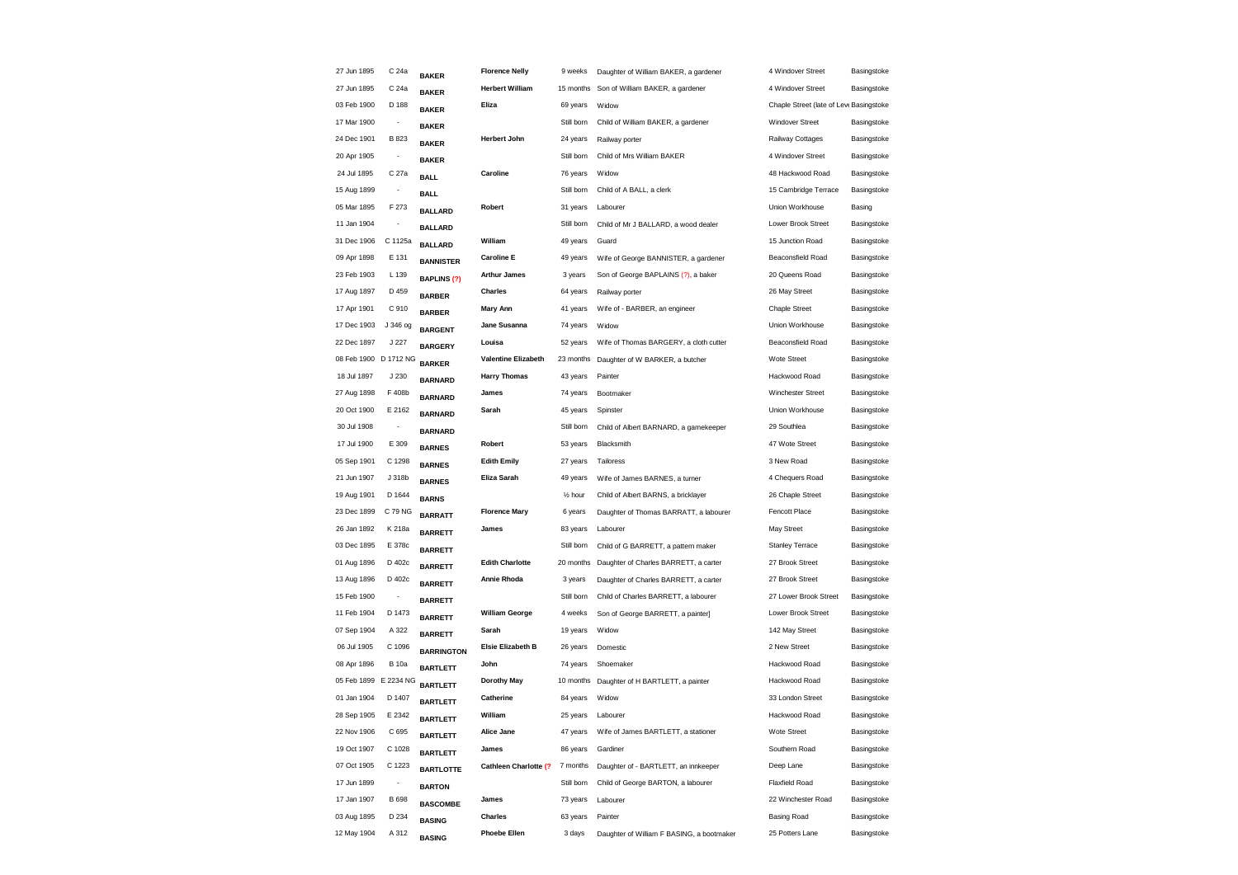| 27 Jun 1895           | C 24a                        | <b>BAKER</b>       | <b>Florence Nelly</b>      | 9 weeks              | Daughter of William BAKER, a gardener     | 4 Windover Street                       | Basingstoke |
|-----------------------|------------------------------|--------------------|----------------------------|----------------------|-------------------------------------------|-----------------------------------------|-------------|
| 27 Jun 1895           | C 24a                        | <b>BAKER</b>       | <b>Herbert William</b>     | 15 months            | Son of William BAKER, a gardener          | 4 Windover Street                       | Basingstoke |
| 03 Feb 1900           | D 188                        | <b>BAKER</b>       | Eliza                      | 69 years             | Widow                                     | Chaple Street (late of Leve Basingstoke |             |
| 17 Mar 1900           | $\overline{\phantom{a}}$     | <b>BAKER</b>       |                            | Still born           | Child of William BAKER, a gardener        | Windover Street                         | Basingstoke |
| 24 Dec 1901           | B 823                        | <b>BAKER</b>       | <b>Herbert John</b>        | 24 years             | Railway porter                            | Railway Cottages                        | Basingstoke |
| 20 Apr 1905           | -                            | <b>BAKER</b>       |                            | Still born           | Child of Mrs William BAKER                | 4 Windover Street                       | Basingstoke |
| 24 Jul 1895           | C 27a                        | <b>BALL</b>        | Caroline                   | 76 years             | Widow                                     | 48 Hackwood Road                        | Basingstoke |
| 15 Aug 1899           | $\frac{1}{2}$                | <b>BALL</b>        |                            | Still born           | Child of A BALL, a clerk                  | 15 Cambridge Terrace                    | Basingstoke |
| 05 Mar 1895           | F 273                        | <b>BALLARD</b>     | Robert                     | 31 years             | Labourer                                  | Union Workhouse                         | Basing      |
| 11 Jan 1904           |                              | <b>BALLARD</b>     |                            | Still born           | Child of Mr J BALLARD, a wood dealer      | Lower Brook Street                      | Basingstoke |
| 31 Dec 1906           | C 1125a                      | <b>BALLARD</b>     | William                    | 49 years             | Guard                                     | 15 Junction Road                        | Basingstoke |
| 09 Apr 1898           | E 131                        | <b>BANNISTER</b>   | <b>Caroline E</b>          | 49 years             | Wife of George BANNISTER, a gardener      | Beaconsfield Road                       | Basingstoke |
| 23 Feb 1903           | L 139                        | <b>BAPLINS (?)</b> | <b>Arthur James</b>        | 3 years              | Son of George BAPLAINS (?), a baker       | 20 Queens Road                          | Basingstoke |
| 17 Aug 1897           | D 459                        | <b>BARBER</b>      | <b>Charles</b>             | 64 years             | Railway porter                            | 26 May Street                           | Basingstoke |
| 17 Apr 1901           | C 910                        | <b>BARBER</b>      | <b>Mary Ann</b>            | 41 years             | Wife of - BARBER, an engineer             | <b>Chaple Street</b>                    | Basingstoke |
| 17 Dec 1903           | J 346 og                     | <b>BARGENT</b>     | Jane Susanna               | 74 years             | Widow                                     | Union Workhouse                         | Basingstoke |
| 22 Dec 1897           | J 227                        | <b>BARGERY</b>     | Louisa                     | 52 years             | Wife of Thomas BARGERY, a cloth cutter    | <b>Beaconsfield Road</b>                | Basingstoke |
| 08 Feb 1900 D 1712 NG |                              | <b>BARKER</b>      | <b>Valentine Elizabeth</b> | 23 months            | Daughter of W BARKER, a butcher           | Wote Street                             | Basingstoke |
| 18 Jul 1897           | J 230                        | <b>BARNARD</b>     | <b>Harry Thomas</b>        | 43 years             | Painter                                   | Hackwood Road                           | Basingstoke |
| 27 Aug 1898           | F 408b                       | <b>BARNARD</b>     | James                      | 74 years             | Bootmaker                                 | Winchester Street                       | Basingstoke |
| 20 Oct 1900           | E 2162                       | <b>BARNARD</b>     | Sarah                      | 45 years             | Spinster                                  | Union Workhouse                         | Basingstoke |
| 30 Jul 1908           | $\overline{\phantom{a}}$     | <b>BARNARD</b>     |                            | Still born           | Child of Albert BARNARD, a gamekeeper     | 29 Southlea                             | Basingstoke |
| 17 Jul 1900           | E 309                        | <b>BARNES</b>      | Robert                     | 53 years             | Blacksmith                                | 47 Wote Street                          | Basingstoke |
| 05 Sep 1901           | C 1298                       | <b>BARNES</b>      | <b>Edith Emily</b>         | 27 years             | Tailoress                                 | 3 New Road                              | Basingstoke |
| 21 Jun 1907           | J 318b                       | <b>BARNES</b>      | Eliza Sarah                | 49 years             | Wife of James BARNES, a turner            | 4 Chequers Road                         | Basingstoke |
| 19 Aug 1901           | D 1644                       | <b>BARNS</b>       |                            | 1/ <sub>2</sub> hour | Child of Albert BARNS, a bricklayer       | 26 Chaple Street                        | Basingstoke |
| 23 Dec 1899           | C 79 NG                      | <b>BARRATT</b>     | <b>Florence Mary</b>       | 6 years              | Daughter of Thomas BARRATT, a labourer    | Fencott Place                           | Basingstoke |
| 26 Jan 1892           | K 218a                       | <b>BARRETT</b>     | James                      | 83 years             | Labourer                                  | May Street                              | Basingstoke |
| 03 Dec 1895           | E 378c                       | <b>BARRETT</b>     |                            | Still born           | Child of G BARRETT, a pattern maker       | Stanley Terrace                         | Basingstoke |
| 01 Aug 1896           | D 402c                       | <b>BARRETT</b>     | <b>Edith Charlotte</b>     | 20 months            | Daughter of Charles BARRETT, a carter     | 27 Brook Street                         | Basingstoke |
| 13 Aug 1896           | D 402c                       | <b>BARRETT</b>     | Annie Rhoda                | 3 years              | Daughter of Charles BARRETT, a carter     | 27 Brook Street                         | Basingstoke |
| 15 Feb 1900           |                              | <b>BARRETT</b>     |                            | Still born           | Child of Charles BARRETT, a labourer      | 27 Lower Brook Street                   | Basingstoke |
| 11 Feb 1904           | D 1473                       | <b>BARRETT</b>     | <b>William George</b>      | 4 weeks              | Son of George BARRETT, a painter]         | Lower Brook Street                      | Basingstoke |
| 07 Sep 1904           | A 322                        | <b>BARRETT</b>     | Sarah                      | 19 years             | Widow                                     | 142 May Street                          | Basingstoke |
| 06 Jul 1905           | C 1096                       | <b>BARRINGTON</b>  | Elsie Elizabeth B          | 26 years             | Domestic                                  | 2 New Street                            | Basingstoke |
| 08 Apr 1896           | <b>B</b> 10a                 | <b>BARTLETT</b>    | John                       | 74 years             | Shoemaker                                 | Hackwood Road                           | Basingstoke |
| 05 Feb 1899           | E 2234 NG                    | <b>BARTLETT</b>    | <b>Dorothy May</b>         | 10 months            | Daughter of H BARTLETT, a painter         | Hackwood Road                           | Basingstoke |
| 01 Jan 1904           | D 1407                       | <b>BARTLETT</b>    | Catherine                  | 84 years             | Widow                                     | 33 London Street                        | Basingstoke |
| 28 Sep 1905           | E 2342                       | <b>BARTLETT</b>    | William                    | 25 years             | Labourer                                  | Hackwood Road                           | Basingstoke |
| 22 Nov 1906           | C 695                        | <b>BARTLETT</b>    | Alice Jane                 | 47 years             | Wife of James BARTLETT, a stationer       | Wote Street                             | Basingstoke |
| 19 Oct 1907           | C 1028                       | <b>BARTLETT</b>    | James                      | 86 years             | Gardiner                                  | Southern Road                           | Basingstoke |
| 07 Oct 1905           | C 1223                       | <b>BARTLOTTE</b>   | Cathleen Charlotte (?)     | 7 months             | Daughter of - BARTLETT, an innkeeper      | Deep Lane                               | Basingstoke |
| 17 Jun 1899           | $\qquad \qquad \blacksquare$ | <b>BARTON</b>      |                            | Still born           | Child of George BARTON, a labourer        | <b>Flaxfield Road</b>                   | Basingstoke |
| 17 Jan 1907           | B 698                        | <b>BASCOMBE</b>    | James                      | 73 years             | Labourer                                  | 22 Winchester Road                      | Basingstoke |
| 03 Aug 1895           | D 234                        | <b>BASING</b>      | <b>Charles</b>             | 63 years             | Painter                                   | <b>Basing Road</b>                      | Basingstoke |
| 12 May 1904           | A 312                        | <b>BASING</b>      | <b>Phoebe Ellen</b>        | 3 days               | Daughter of William F BASING, a bootmaker | 25 Potters Lane                         | Basingstoke |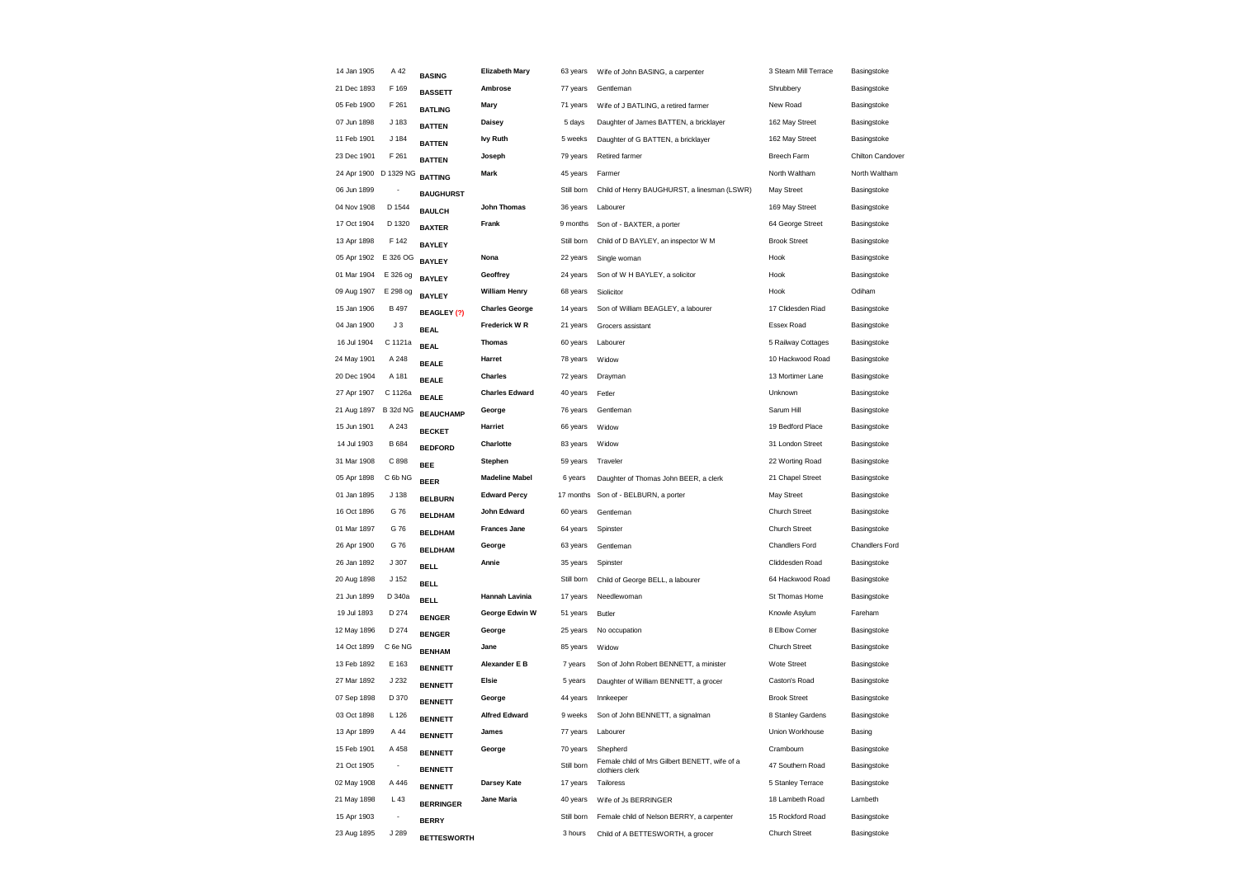| 14 Jan 1905           | A 42                     | <b>BASING</b>              | <b>Elizabeth Mary</b> | 63 years   | Wife of John BASING, a carpenter                          | 3 Steam Mill Terrace          | Basingstoke      |
|-----------------------|--------------------------|----------------------------|-----------------------|------------|-----------------------------------------------------------|-------------------------------|------------------|
| 21 Dec 1893           | F 169                    | <b>BASSETT</b>             | Ambrose               | 77 years   | Gentleman                                                 | Shrubbery                     | Basingstoke      |
| 05 Feb 1900           | F 261                    | <b>BATLING</b>             | Mary                  | 71 years   | Wife of J BATLING, a retired farmer                       | New Road                      | Basingstoke      |
| 07 Jun 1898           | J 183                    | <b>BATTEN</b>              | Daisey                | 5 days     | Daughter of James BATTEN, a bricklayer                    | 162 May Street                | Basingstoke      |
| 11 Feb 1901           | J 184                    | <b>BATTEN</b>              | <b>Ivy Ruth</b>       | 5 weeks    | Daughter of G BATTEN, a bricklayer                        | 162 May Street                | Basingstoke      |
| 23 Dec 1901           | F 261                    | <b>BATTEN</b>              | Joseph                | 79 years   | Retired farmer                                            | Breech Farm                   | Chilton Candover |
| 24 Apr 1900 D 1329 NG |                          | <b>BATTING</b>             | Mark                  | 45 years   | Farmer                                                    | North Waltham                 | North Waltham    |
| 06 Jun 1899           |                          | <b>BAUGHURST</b>           |                       | Still born | Child of Henry BAUGHURST, a linesman (LSWR)               | May Street                    | Basingstoke      |
| 04 Nov 1908           | D 1544                   | <b>BAULCH</b>              | John Thomas           | 36 years   | Labourer                                                  | 169 May Street                | Basingstoke      |
| 17 Oct 1904           | D 1320                   | <b>BAXTER</b>              | Frank                 | 9 months   | Son of - BAXTER, a porter                                 | 64 George Street              | Basingstoke      |
| 13 Apr 1898           | F 142                    | <b>BAYLEY</b>              |                       | Still born | Child of D BAYLEY, an inspector W M                       | <b>Brook Street</b>           | Basingstoke      |
| 05 Apr 1902           | E 326 OG                 | <b>BAYLEY</b>              | Nona                  | 22 years   | Single woman                                              | Hook                          | Basingstoke      |
| 01 Mar 1904           | E 326 og                 | <b>BAYLEY</b>              | Geoffrey              | 24 years   | Son of W H BAYLEY, a solicitor                            | Hook                          | Basingstoke      |
| 09 Aug 1907           | E 298 og                 | <b>BAYLEY</b>              | <b>William Henry</b>  | 68 years   | Siolicitor                                                | Hook                          | Odiham           |
| 15 Jan 1906           | <b>B</b> 497             | BEAGLEY (?)                | <b>Charles George</b> | 14 years   | Son of William BEAGLEY, a labourer                        | 17 Clidesden Riad             | Basingstoke      |
| 04 Jan 1900           | J3                       |                            | Frederick W R         | 21 years   | Grocers assistant                                         | Essex Road                    | Basingstoke      |
| 16 Jul 1904           | C 1121a                  | <b>BEAL</b><br><b>BEAL</b> | <b>Thomas</b>         | 60 years   | Labourer                                                  | 5 Railway Cottages            | Basingstoke      |
| 24 May 1901           | A 248                    | <b>BEALE</b>               | Harret                | 78 years   | Widow                                                     | 10 Hackwood Road              | Basingstoke      |
| 20 Dec 1904           | A 181                    |                            | <b>Charles</b>        | 72 years   | Drayman                                                   | 13 Mortimer Lane              | Basingstoke      |
| 27 Apr 1907           | C 1126a                  | <b>BEALE</b>               | <b>Charles Edward</b> | 40 years   | Fetler                                                    | Unknown                       | Basingstoke      |
| 21 Aug 1897           | <b>B 32d NG</b>          | <b>BEALE</b>               | George                | 76 years   | Gentleman                                                 | Sarum Hill                    | Basingstoke      |
| 15 Jun 1901           | A 243                    | <b>BEAUCHAMP</b>           | Harriet               | 66 years   | Widow                                                     | 19 Bedford Place              | Basingstoke      |
| 14 Jul 1903           | B 684                    | <b>BECKET</b>              | Charlotte             | 83 years   | Widow                                                     | 31 London Street              | Basingstoke      |
| 31 Mar 1908           | C 898                    | <b>BEDFORD</b>             | Stephen               | 59 years   | Traveler                                                  | 22 Worting Road               | Basingstoke      |
| 05 Apr 1898           | C 6b NG                  | <b>BEE</b>                 | <b>Madeline Mabel</b> | 6 years    | Daughter of Thomas John BEER, a clerk                     | 21 Chapel Street              | Basingstoke      |
| 01 Jan 1895           | J 138                    | <b>BEER</b>                | <b>Edward Percy</b>   | 17 months  | Son of - BELBURN, a porter                                | May Street                    | Basingstoke      |
| 16 Oct 1896           | G 76                     | <b>BELBURN</b>             | John Edward           | 60 years   | Gentleman                                                 | <b>Church Street</b>          | Basingstoke      |
| 01 Mar 1897           | G 76                     | <b>BELDHAM</b>             | <b>Frances Jane</b>   | 64 years   | Spinster                                                  | <b>Church Street</b>          | Basingstoke      |
| 26 Apr 1900           | G 76                     | <b>BELDHAM</b>             | George                | 63 years   | Gentleman                                                 | Chandlers Ford                | Chandlers Ford   |
| 26 Jan 1892           | J 307                    | <b>BELDHAM</b>             | Annie                 | 35 years   | Spinster                                                  | Cliddesden Road               | Basingstoke      |
| 20 Aug 1898           | J 152                    | <b>BELL</b>                |                       | Still born | Child of George BELL, a labourer                          | 64 Hackwood Road              | Basingstoke      |
| 21 Jun 1899           | D 340a                   | <b>BELL</b>                | Hannah Lavinia        | 17 years   | Needlewoman                                               | St Thomas Home                | Basingstoke      |
| 19 Jul 1893           | D 274                    | <b>BELL</b>                | George Edwin W        | 51 years   | <b>Butler</b>                                             | Knowle Asylum                 | Fareham          |
| 12 May 1896           | D 274                    | <b>BENGER</b>              | George                | 25 years   | No occupation                                             | 8 Elbow Corner                | Basingstoke      |
| 14 Oct 1899           | C 6e NG                  | <b>BENGER</b>              | Jane                  | 85 years   | Widow                                                     | <b>Church Street</b>          | Basingstoke      |
| 13 Feb 1892           | E 163                    | <b>BENHAM</b>              | Alexander E B         | 7 years    | Son of John Robert BENNETT, a minister                    | Wote Street                   | Basingstoke      |
| 27 Mar 1892           | J 232                    | <b>BENNETT</b>             | <b>Elsie</b>          | 5 years    | Daughter of William BENNETT, a grocer                     | Caston's Road                 | Basingstoke      |
| 07 Sep 1898           | D 370                    | <b>BENNETT</b>             | George                | 44 years   |                                                           | <b>Brook Street</b>           | Basingstoke      |
|                       |                          | <b>BENNETT</b>             | <b>Alfred Edward</b>  |            | Innkeeper<br>Son of John BENNETT, a signalman             |                               |                  |
| 03 Oct 1898           | L 126                    | <b>BENNETT</b>             |                       | 9 weeks    |                                                           | 8 Stanley Gardens             | Basingstoke      |
| 13 Apr 1899           | A 44                     | <b>BENNETT</b>             | James                 | 77 years   | Labourer                                                  | Union Workhouse               | Basing           |
| 15 Feb 1901           | A 458                    | <b>BENNETT</b>             | George                | 70 years   | Shepherd<br>Female child of Mrs Gilbert BENETT, wife of a | Crambourn<br>47 Southern Road | Basingstoke      |
| 21 Oct 1905           | $\overline{\phantom{a}}$ | <b>BENNETT</b>             |                       | Still born | clothiers clerk                                           |                               | Basingstoke      |
| 02 May 1908           | A 446                    | <b>BENNETT</b>             | Darsey Kate           | 17 years   | Tailoress                                                 | 5 Stanley Terrace             | Basingstoke      |
| 21 May 1898           | L 43                     | <b>BERRINGER</b>           | Jane Maria            | 40 years   | Wife of Js BERRINGER                                      | 18 Lambeth Road               | Lambeth          |
| 15 Apr 1903           | $\overline{\phantom{a}}$ | <b>BERRY</b>               |                       | Still born | Female child of Nelson BERRY, a carpenter                 | 15 Rockford Road              | Basingstoke      |
| 23 Aug 1895           | J 289                    | <b>BETTESWORTH</b>         |                       | 3 hours    | Child of A BETTESWORTH, a grocer                          | Church Street                 | Basingstoke      |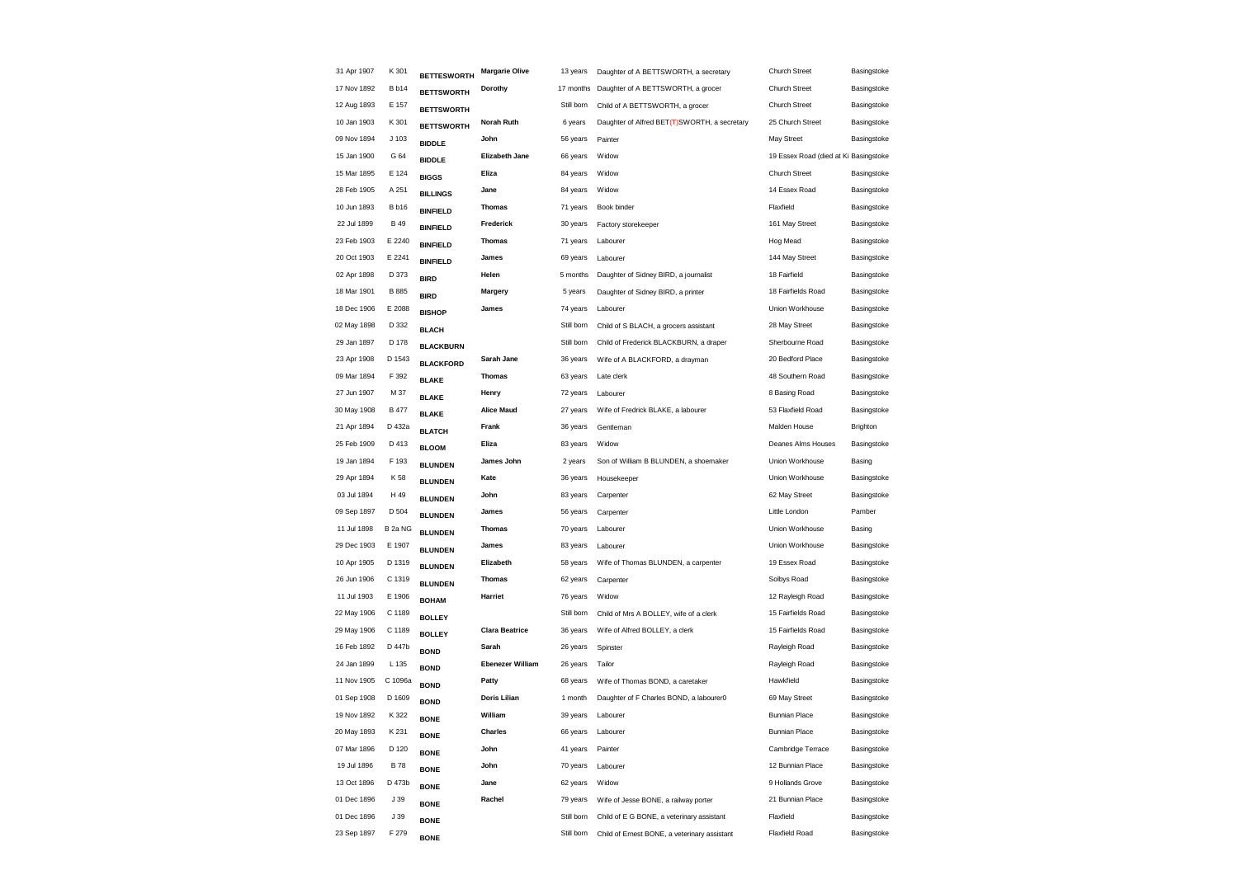| 31 Apr 1907 | K 301            | <b>BETTESWORTH</b>               | <b>Margarie Olive</b>   | 13 years   | Daughter of A BETTSWORTH, a secretary        | <b>Church Street</b>                  | Basingstoke |
|-------------|------------------|----------------------------------|-------------------------|------------|----------------------------------------------|---------------------------------------|-------------|
| 17 Nov 1892 | <b>B</b> b14     | <b>BETTSWORTH</b>                | Dorothy                 | 17 months  | Daughter of A BETTSWORTH, a grocer           | <b>Church Street</b>                  | Basingstoke |
| 12 Aug 1893 | E 157            | <b>BETTSWORTH</b>                |                         | Still born | Child of A BETTSWORTH, a grocer              | <b>Church Street</b>                  | Basingstoke |
| 10 Jan 1903 | K 301            | <b>BETTSWORTH</b>                | Norah Ruth              | 6 years    | Daughter of Alfred BET(T)SWORTH, a secretary | 25 Church Street                      | Basingstoke |
| 09 Nov 1894 | J <sub>103</sub> | <b>BIDDLE</b>                    | John                    | 56 years   | Painter                                      | May Street                            | Basingstoke |
| 15 Jan 1900 | G 64             | <b>BIDDLE</b>                    | <b>Elizabeth Jane</b>   | 66 years   | Widow                                        | 19 Essex Road (died at Ki Basingstoke |             |
| 15 Mar 1895 | E 124            | <b>BIGGS</b>                     | Eliza                   | 84 years   | Widow                                        | <b>Church Street</b>                  | Basingstoke |
| 28 Feb 1905 | A 251            | <b>BILLINGS</b>                  | Jane                    | 84 years   | Widow                                        | 14 Essex Road                         | Basingstoke |
| 10 Jun 1893 | <b>B</b> b16     | <b>BINFIELD</b>                  | <b>Thomas</b>           | 71 years   | Book binder                                  | Flaxfield                             | Basingstoke |
| 22 Jul 1899 | <b>B</b> 49      | <b>BINFIELD</b>                  | Frederick               | 30 years   | Factory storekeeper                          | 161 May Street                        | Basingstoke |
| 23 Feb 1903 | E 2240           | <b>BINFIELD</b>                  | <b>Thomas</b>           | 71 years   | Labourer                                     | Hog Mead                              | Basingstoke |
| 20 Oct 1903 | E 2241           | <b>BINFIELD</b>                  | James                   | 69 years   | Labourer                                     | 144 May Street                        | Basingstoke |
| 02 Apr 1898 | D 373            | <b>BIRD</b>                      | Helen                   | 5 months   | Daughter of Sidney BIRD, a journalist        | 18 Fairfield                          | Basingstoke |
| 18 Mar 1901 | B 885            | <b>BIRD</b>                      | Margery                 | 5 years    | Daughter of Sidney BIRD, a printer           | 18 Fairfields Road                    | Basingstoke |
| 18 Dec 1906 | E 2088           | <b>BISHOP</b>                    | James                   | 74 years   | Labourer                                     | Union Workhouse                       | Basingstoke |
| 02 May 1898 | D 332            | <b>BLACH</b>                     |                         | Still born | Child of S BLACH, a grocers assistant        | 28 May Street                         | Basingstoke |
| 29 Jan 1897 | D 178            | <b>BLACKBURN</b>                 |                         | Still born | Child of Frederick BLACKBURN, a draper       | Sherbourne Road                       | Basingstoke |
| 23 Apr 1908 | D 1543           | <b>BLACKFORD</b>                 | Sarah Jane              | 36 years   | Wife of A BLACKFORD, a drayman               | 20 Bedford Place                      | Basingstoke |
| 09 Mar 1894 | F 392            | <b>BLAKE</b>                     | <b>Thomas</b>           | 63 years   | Late clerk                                   | 48 Southern Road                      | Basingstoke |
| 27 Jun 1907 | M 37             |                                  | Henry                   | 72 years   | Labourer                                     | 8 Basing Road                         | Basingstoke |
| 30 May 1908 | <b>B</b> 477     | <b>BLAKE</b><br><b>BLAKE</b>     | <b>Alice Maud</b>       | 27 years   | Wife of Fredrick BLAKE, a labourer           | 53 Flaxfield Road                     | Basingstoke |
| 21 Apr 1894 | D 432a           |                                  | Frank                   | 36 years   | Gentleman                                    | Malden House                          | Brighton    |
| 25 Feb 1909 | D 413            | <b>BLATCH</b>                    | Eliza                   | 83 years   | Widow                                        | Deanes Alms Houses                    | Basingstoke |
| 19 Jan 1894 | F 193            | <b>BLOOM</b>                     | James John              | 2 years    | Son of William B BLUNDEN, a shoemaker        | Union Workhouse                       | Basing      |
| 29 Apr 1894 | K 58             | <b>BLUNDEN</b><br><b>BLUNDEN</b> | Kate                    | 36 years   | Housekeeper                                  | Union Workhouse                       | Basingstoke |
| 03 Jul 1894 | H 49             |                                  | John                    | 83 years   | Carpenter                                    | 62 May Street                         | Basingstoke |
| 09 Sep 1897 | D 504            | <b>BLUNDEN</b>                   | James                   | 56 years   | Carpenter                                    | Little London                         | Pamber      |
| 11 Jul 1898 | B 2a NG          | <b>BLUNDEN</b>                   | <b>Thomas</b>           | 70 years   | Labourer                                     | Union Workhouse                       | Basing      |
| 29 Dec 1903 | E 1907           | <b>BLUNDEN</b>                   | James                   | 83 years   | Labourer                                     | Union Workhouse                       | Basingstoke |
| 10 Apr 1905 | D 1319           | <b>BLUNDEN</b>                   | Elizabeth               | 58 years   | Wife of Thomas BLUNDEN, a carpenter          | 19 Essex Road                         | Basingstoke |
| 26 Jun 1906 | C 1319           | <b>BLUNDEN</b>                   | <b>Thomas</b>           | 62 years   | Carpenter                                    | Solbys Road                           | Basingstoke |
| 11 Jul 1903 | E 1906           | <b>BLUNDEN</b>                   | Harriet                 | 76 years   | Widow                                        | 12 Rayleigh Road                      | Basingstoke |
| 22 May 1906 | C 1189           | <b>BOHAM</b>                     |                         | Still born | Child of Mrs A BOLLEY, wife of a clerk       | 15 Fairfields Road                    | Basingstoke |
| 29 May 1906 | C 1189           | <b>BOLLEY</b>                    | <b>Clara Beatrice</b>   | 36 years   | Wife of Alfred BOLLEY, a clerk               | 15 Fairfields Road                    | Basingstoke |
| 16 Feb 1892 | D 447b           | <b>BOLLEY</b>                    | Sarah                   | 26 years   | Spinster                                     | Rayleigh Road                         | Basingstoke |
| 24 Jan 1899 | L 135            | <b>BOND</b>                      | <b>Ebenezer William</b> | 26 years   | Tailor                                       | Rayleigh Road                         | Basingstoke |
| 11 Nov 1905 | C 1096a          | <b>BOND</b>                      | Patty                   | 68 years   | Wife of Thomas BOND, a caretaker             | Hawkfield                             | Basingstoke |
| 01 Sep 1908 | D 1609           | <b>BOND</b>                      | Doris Lilian            | 1 month    | Daughter of F Charles BOND, a labourer0      | 69 May Street                         | Basingstoke |
| 19 Nov 1892 | K 322            | <b>BOND</b>                      | William                 | 39 years   | Labourer                                     | <b>Bunnian Place</b>                  | Basingstoke |
| 20 May 1893 | K 231            | <b>BONE</b>                      | Charles                 | 66 years   | Labourer                                     | <b>Bunnian Place</b>                  | Basingstoke |
| 07 Mar 1896 | D 120            | <b>BONE</b>                      | John                    | 41 years   | Painter                                      | Cambridge Terrace                     | Basingstoke |
| 19 Jul 1896 | <b>B78</b>       | <b>BONE</b>                      | John                    | 70 years   | Labourer                                     | 12 Bunnian Place                      | Basingstoke |
| 13 Oct 1896 | D 473b           | <b>BONE</b>                      | Jane                    | 62 years   | Widow                                        | 9 Hollands Grove                      | Basingstoke |
| 01 Dec 1896 | J 39             | <b>BONE</b>                      | Rachel                  | 79 years   | Wife of Jesse BONE, a railway porter         | 21 Bunnian Place                      | Basingstoke |
| 01 Dec 1896 | J 39             | <b>BONE</b>                      |                         | Still born | Child of E G BONE, a veterinary assistant    | Flaxfield                             | Basingstoke |
| 23 Sep 1897 | F 279            | <b>BONE</b>                      |                         | Still born | Child of Ernest BONE, a veterinary assistant | <b>Flaxfield Road</b>                 | Basingstoke |
|             |                  | <b>BONE</b>                      |                         |            |                                              |                                       |             |
|             |                  |                                  |                         |            |                                              |                                       |             |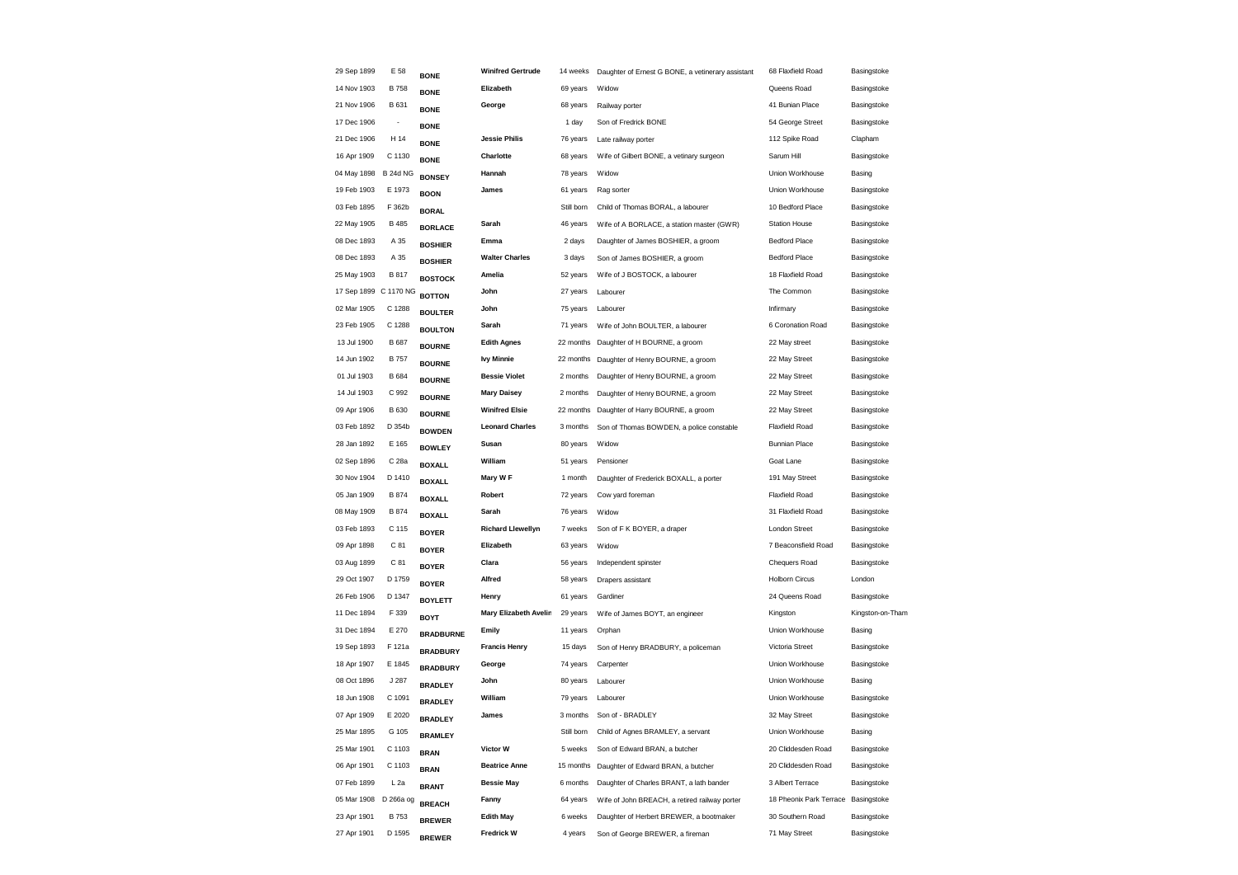| 29 Sep 1899           | E 58                     | <b>BONE</b>                        | <b>Winifred Gertrude</b> | 14 weeks   | Daughter of Ernest G BONE, a vetinerary assistant | 68 Flaxfield Road                   | Basingstoke      |
|-----------------------|--------------------------|------------------------------------|--------------------------|------------|---------------------------------------------------|-------------------------------------|------------------|
| 14 Nov 1903           | <b>B758</b>              | <b>BONE</b>                        | Elizabeth                | 69 years   | Widow                                             | Queens Road                         | Basingstoke      |
| 21 Nov 1906           | B 631                    | <b>BONE</b>                        | George                   | 68 years   | Railway porter                                    | 41 Bunian Place                     | Basingstoke      |
| 17 Dec 1906           | $\overline{\phantom{a}}$ | <b>BONE</b>                        |                          | 1 day      | Son of Fredrick BONE                              | 54 George Street                    | Basingstoke      |
| 21 Dec 1906           | H 14                     | <b>BONE</b>                        | <b>Jessie Philis</b>     | 76 years   | Late railway porter                               | 112 Spike Road                      | Clapham          |
| 16 Apr 1909           | C 1130                   | <b>BONE</b>                        | Charlotte                | 68 years   | Wife of Gilbert BONE, a vetinary surgeon          | Sarum Hill                          | Basingstoke      |
| 04 May 1898 B 24d NG  |                          | <b>BONSEY</b>                      | Hannah                   | 78 years   | Widow                                             | Union Workhouse                     | Basing           |
| 19 Feb 1903           | E 1973                   | <b>BOON</b>                        | James                    | 61 years   | Rag sorter                                        | Union Workhouse                     | Basingstoke      |
| 03 Feb 1895           | F 362b                   | <b>BORAL</b>                       |                          | Still born | Child of Thomas BORAL, a labourer                 | 10 Bedford Place                    | Basingstoke      |
| 22 May 1905           | <b>B</b> 485             | <b>BORLACE</b>                     | Sarah                    | 46 years   | Wife of A BORLACE, a station master (GWR)         | <b>Station House</b>                | Basingstoke      |
| 08 Dec 1893           | A 35                     | <b>BOSHIER</b>                     | Emma                     | 2 days     | Daughter of James BOSHIER, a groom                | <b>Bedford Place</b>                | Basingstoke      |
| 08 Dec 1893           | A 35                     | <b>BOSHIER</b>                     | <b>Walter Charles</b>    | 3 days     | Son of James BOSHIER, a groom                     | <b>Bedford Place</b>                | Basingstoke      |
| 25 May 1903           | B 817                    | <b>BOSTOCK</b>                     | Amelia                   | 52 years   | Wife of J BOSTOCK, a labourer                     | 18 Flaxfield Road                   | Basingstoke      |
| 17 Sep 1899 C 1170 NG |                          | <b>BOTTON</b>                      | John                     | 27 years   | Labourer                                          | The Common                          | Basingstoke      |
| 02 Mar 1905           | C 1288                   | <b>BOULTER</b>                     | John                     | 75 years   | Labourer                                          | Infirmary                           | Basingstoke      |
| 23 Feb 1905           | C 1288                   | <b>BOULTON</b>                     | Sarah                    | 71 years   | Wife of John BOULTER, a labourer                  | 6 Coronation Road                   | Basingstoke      |
| 13 Jul 1900           | <b>B</b> 687             | <b>BOURNE</b>                      | <b>Edith Agnes</b>       | 22 months  | Daughter of H BOURNE, a groom                     | 22 May street                       | Basingstoke      |
| 14 Jun 1902           | <b>B757</b>              | <b>BOURNE</b>                      | <b>Ivy Minnie</b>        |            | 22 months Daughter of Henry BOURNE, a groom       | 22 May Street                       | Basingstoke      |
| 01 Jul 1903           | <b>B</b> 684             | <b>BOURNE</b>                      | <b>Bessie Violet</b>     | 2 months   | Daughter of Henry BOURNE, a groom                 | 22 May Street                       | Basingstoke      |
| 14 Jul 1903           | C 992                    | <b>BOURNE</b>                      | <b>Mary Daisey</b>       | 2 months   | Daughter of Henry BOURNE, a groom                 | 22 May Street                       | Basingstoke      |
| 09 Apr 1906           | B 630                    | <b>BOURNE</b>                      | <b>Winifred Elsie</b>    | 22 months  | Daughter of Harry BOURNE, a groom                 | 22 May Street                       | Basingstoke      |
| 03 Feb 1892           | D 354b                   | <b>BOWDEN</b>                      | <b>Leonard Charles</b>   | 3 months   | Son of Thomas BOWDEN, a police constable          | <b>Flaxfield Road</b>               | Basingstoke      |
| 28 Jan 1892           | E 165                    | <b>BOWLEY</b>                      | Susan                    | 80 years   | Widow                                             | <b>Bunnian Place</b>                | Basingstoke      |
| 02 Sep 1896           | C 28a                    | <b>BOXALL</b>                      | William                  | 51 years   | Pensioner                                         | Goat Lane                           | Basingstoke      |
| 30 Nov 1904           | D 1410                   | <b>BOXALL</b>                      | Mary W F                 | 1 month    | Daughter of Frederick BOXALL, a porter            | 191 May Street                      | Basingstoke      |
| 05 Jan 1909           | <b>B</b> 874             | <b>BOXALL</b>                      | Robert                   | 72 years   | Cow yard foreman                                  | Flaxfield Road                      | Basingstoke      |
| 08 May 1909           | <b>B</b> 874             | <b>BOXALL</b>                      | Sarah                    | 76 years   | Widow                                             | 31 Flaxfield Road                   | Basingstoke      |
| 03 Feb 1893           | C 115                    | <b>BOYER</b>                       | <b>Richard Llewellyn</b> | 7 weeks    | Son of F K BOYER, a draper                        | <b>London Street</b>                | Basingstoke      |
| 09 Apr 1898           | C 81                     | <b>BOYER</b>                       | Elizabeth                | 63 years   | Widow                                             | 7 Beaconsfield Road                 | Basingstoke      |
| 03 Aug 1899           | C 81                     | <b>BOYER</b>                       | Clara                    | 56 years   | Independent spinster                              | Chequers Road                       | Basingstoke      |
| 29 Oct 1907           | D 1759                   | <b>BOYER</b>                       | Alfred                   | 58 years   | Drapers assistant                                 | <b>Holborn Circus</b>               | London           |
| 26 Feb 1906           | D 1347                   | <b>BOYLETT</b>                     | Henry                    | 61 years   | Gardiner                                          | 24 Queens Road                      | Basingstoke      |
| 11 Dec 1894           | F 339                    | <b>BOYT</b>                        | Mary Elizabeth Avelin    | 29 years   | Wife of James BOYT, an engineer                   | Kingston                            | Kingston-on-Tham |
| 31 Dec 1894           | E 270                    | <b>BRADBURNE</b>                   | Emily                    | 11 years   | Orphan                                            | Union Workhouse                     | Basing           |
| 19 Sep 1893           | F 121a                   |                                    | <b>Francis Henry</b>     | 15 days    | Son of Henry BRADBURY, a policeman                | Victoria Street                     | Basingstoke      |
| 18 Apr 1907           | E 1845                   | <b>BRADBURY</b><br><b>BRADBURY</b> | George                   | 74 years   | Carpenter                                         | Union Workhouse                     | Basingstoke      |
| 08 Oct 1896           | J 287                    |                                    | John                     | 80 years   | Labourer                                          | Union Workhouse                     | Basing           |
| 18 Jun 1908           | C 1091                   | <b>BRADLEY</b>                     | William                  | 79 years   | Labourer                                          | Union Workhouse                     | Basingstoke      |
| 07 Apr 1909           | E 2020                   | <b>BRADLEY</b>                     | James                    | 3 months   | Son of - BRADLEY                                  | 32 May Street                       | Basingstoke      |
| 25 Mar 1895           | G 105                    | <b>BRADLEY</b>                     |                          | Still born | Child of Agnes BRAMLEY, a servant                 | Union Workhouse                     | Basing           |
| 25 Mar 1901           | C 1103                   | <b>BRAMLEY</b>                     | Victor W                 | 5 weeks    | Son of Edward BRAN, a butcher                     | 20 Cliddesden Road                  | Basingstoke      |
| 06 Apr 1901           | C 1103                   | <b>BRAN</b>                        | <b>Beatrice Anne</b>     | 15 months  | Daughter of Edward BRAN, a butcher                | 20 Cliddesden Road                  | Basingstoke      |
| 07 Feb 1899           | $L$ 2a                   | <b>BRAN</b>                        | <b>Bessie May</b>        | 6 months   | Daughter of Charles BRANT, a lath bander          | 3 Albert Terrace                    | Basingstoke      |
| 05 Mar 1908           | D 266a og                | <b>BRANT</b>                       | Fanny                    | 64 years   | Wife of John BREACH, a retired railway porter     | 18 Pheonix Park Terrace Basingstoke |                  |
| 23 Apr 1901           | <b>B753</b>              | <b>BREACH</b>                      | <b>Edith May</b>         | 6 weeks    | Daughter of Herbert BREWER, a bootmaker           | 30 Southern Road                    | Basingstoke      |
| 27 Apr 1901           | D 1595                   | <b>BREWER</b>                      | <b>Fredrick W</b>        | 4 years    | Son of George BREWER, a fireman                   | 71 May Street                       | Basingstoke      |
|                       |                          | <b>BREWER</b>                      |                          |            |                                                   |                                     |                  |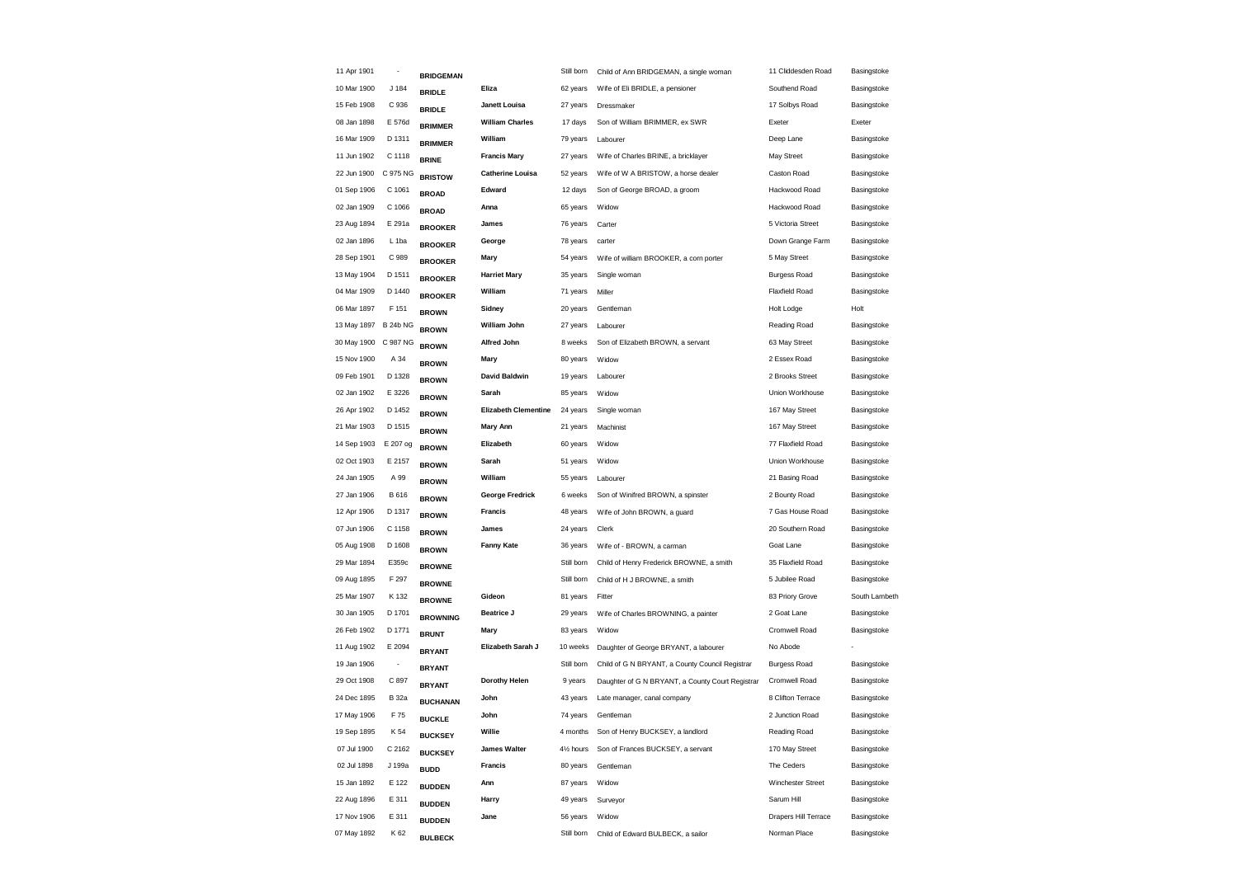| 11 Apr 1901 | $\overline{\phantom{a}}$ | <b>BRIDGEMAN</b> |                             | Still born             | Child of Ann BRIDGEMAN, a single woman           | 11 Cliddesden Road    | Basingstoke   |
|-------------|--------------------------|------------------|-----------------------------|------------------------|--------------------------------------------------|-----------------------|---------------|
| 10 Mar 1900 | J 184                    | <b>BRIDLE</b>    | Eliza                       | 62 years               | Wife of Eli BRIDLE, a pensioner                  | Southend Road         | Basingstoke   |
| 15 Feb 1908 | C 936                    | <b>BRIDLE</b>    | Janett Louisa               | 27 years               | Dressmaker                                       | 17 Solbys Road        | Basingstoke   |
| 08 Jan 1898 | E 576d                   | <b>BRIMMER</b>   | <b>William Charles</b>      | 17 days                | Son of William BRIMMER, ex SWR                   | Exeter                | Exeter        |
| 16 Mar 1909 | D 1311                   | <b>BRIMMER</b>   | William                     | 79 years               | Labourer                                         | Deep Lane             | Basingstoke   |
| 11 Jun 1902 | C 1118                   | <b>BRINE</b>     | <b>Francis Mary</b>         | 27 years               | Wife of Charles BRINE, a bricklayer              | May Street            | Basingstoke   |
| 22 Jun 1900 | C 975 NG                 | <b>BRISTOW</b>   | <b>Catherine Louisa</b>     | 52 years               | Wife of W A BRISTOW, a horse dealer              | Caston Road           | Basingstoke   |
| 01 Sep 1906 | C 1061                   | <b>BROAD</b>     | Edward                      | 12 days                | Son of George BROAD, a groom                     | Hackwood Road         | Basingstoke   |
| 02 Jan 1909 | C 1066                   | <b>BROAD</b>     | Anna                        | 65 years               | Widow                                            | Hackwood Road         | Basingstoke   |
| 23 Aug 1894 | E 291a                   | <b>BROOKER</b>   | James                       | 76 years               | Carter                                           | 5 Victoria Street     | Basingstoke   |
| 02 Jan 1896 | L <sub>1ba</sub>         | <b>BROOKER</b>   | George                      | 78 years               | carter                                           | Down Grange Farm      | Basingstoke   |
| 28 Sep 1901 | C 989                    | <b>BROOKER</b>   | Mary                        | 54 years               | Wife of william BROOKER, a corn porter           | 5 May Street          | Basingstoke   |
| 13 May 1904 | D 1511                   | <b>BROOKER</b>   | <b>Harriet Mary</b>         | 35 years               | Single woman                                     | <b>Burgess Road</b>   | Basingstoke   |
| 04 Mar 1909 | D 1440                   | <b>BROOKER</b>   | William                     | 71 years               | Miller                                           | <b>Flaxfield Road</b> | Basingstoke   |
| 06 Mar 1897 | F 151                    | <b>BROWN</b>     | Sidney                      | 20 years               | Gentleman                                        | Holt Lodge            | Holt          |
| 13 May 1897 | <b>B 24b NG</b>          | <b>BROWN</b>     | William John                | 27 years               | Labourer                                         | Reading Road          | Basingstoke   |
| 30 May 1900 | C 987 NG                 | <b>BROWN</b>     | <b>Alfred John</b>          | 8 weeks                | Son of Elizabeth BROWN, a servant                | 63 May Street         | Basingstoke   |
| 15 Nov 1900 | A 34                     | <b>BROWN</b>     | Mary                        | 80 years               | Widow                                            | 2 Essex Road          | Basingstoke   |
| 09 Feb 1901 | D 1328                   | <b>BROWN</b>     | <b>David Baldwin</b>        | 19 years               | Labourer                                         | 2 Brooks Street       | Basingstoke   |
| 02 Jan 1902 | E 3226                   | <b>BROWN</b>     | Sarah                       | 85 years               | Widow                                            | Union Workhouse       | Basingstoke   |
| 26 Apr 1902 | D 1452                   | <b>BROWN</b>     | <b>Elizabeth Clementine</b> | 24 years               | Single woman                                     | 167 May Street        | Basingstoke   |
| 21 Mar 1903 | D 1515                   | <b>BROWN</b>     | <b>Mary Ann</b>             | 21 years               | Machinist                                        | 167 May Street        | Basingstoke   |
| 14 Sep 1903 | E 207 og                 | <b>BROWN</b>     | Elizabeth                   | 60 years               | Widow                                            | 77 Flaxfield Road     | Basingstoke   |
| 02 Oct 1903 | E 2157                   | <b>BROWN</b>     | Sarah                       | 51 years               | Widow                                            | Union Workhouse       | Basingstoke   |
| 24 Jan 1905 | A 99                     | <b>BROWN</b>     | William                     | 55 years               | Labourer                                         | 21 Basing Road        | Basingstoke   |
| 27 Jan 1906 | B 616                    | <b>BROWN</b>     | <b>George Fredrick</b>      | 6 weeks                | Son of Winifred BROWN, a spinster                | 2 Bounty Road         | Basingstoke   |
| 12 Apr 1906 | D 1317                   | <b>BROWN</b>     | Francis                     | 48 years               | Wife of John BROWN, a guard                      | 7 Gas House Road      | Basingstoke   |
| 07 Jun 1906 | C 1158                   | <b>BROWN</b>     | James                       | 24 years               | Clerk                                            | 20 Southern Road      | Basingstoke   |
| 05 Aug 1908 | D 1608                   | <b>BROWN</b>     | <b>Fanny Kate</b>           | 36 years               | Wife of - BROWN, a carman                        | Goat Lane             | Basingstoke   |
| 29 Mar 1894 | E359c                    | <b>BROWNE</b>    |                             | Still born             | Child of Henry Frederick BROWNE, a smith         | 35 Flaxfield Road     | Basingstoke   |
| 09 Aug 1895 | F 297                    | <b>BROWNE</b>    |                             | Still born             | Child of H J BROWNE, a smith                     | 5 Jubilee Road        | Basingstoke   |
| 25 Mar 1907 | K 132                    | <b>BROWNE</b>    | Gideon                      | 81 years               | Fitter                                           | 83 Priory Grove       | South Lambeth |
| 30 Jan 1905 | D 1701                   | <b>BROWNING</b>  | <b>Beatrice J</b>           | 29 years               | Wife of Charles BROWNING, a painter              | 2 Goat Lane           | Basingstoke   |
| 26 Feb 1902 | D 1771                   | <b>BRUNT</b>     | Mary                        | 83 years               | Widow                                            | Cromwell Road         | Basingstoke   |
| 11 Aug 1902 | E 2094                   | <b>BRYANT</b>    | Elizabeth Sarah J           | 10 weeks               | Daughter of George BRYANT, a labourer            | No Abode              |               |
| 19 Jan 1906 | $\overline{\phantom{a}}$ | <b>BRYANT</b>    |                             | Still born             | Child of G N BRYANT, a County Council Registrar  | <b>Burgess Road</b>   | Basingstoke   |
| 29 Oct 1908 | C 897                    | <b>BRYANT</b>    | Dorothy Helen               | 9 years                | Daughter of G N BRYANT, a County Court Registrar | Cromwell Road         | Basingstoke   |
| 24 Dec 1895 | <b>B</b> 32a             | <b>BUCHANAN</b>  | John                        | 43 years               | Late manager, canal company                      | 8 Clifton Terrace     | Basingstoke   |
| 17 May 1906 | F 75                     | <b>BUCKLE</b>    | John                        | 74 years               | Gentleman                                        | 2 Junction Road       | Basingstoke   |
| 19 Sep 1895 | K 54                     | <b>BUCKSEY</b>   | Willie                      | 4 months               | Son of Henry BUCKSEY, a landlord                 | Reading Road          | Basingstoke   |
| 07 Jul 1900 | C 2162                   | <b>BUCKSEY</b>   | <b>James Walter</b>         | 41/ <sub>2</sub> hours | Son of Frances BUCKSEY, a servant                | 170 May Street        | Basingstoke   |
| 02 Jul 1898 | J 199a                   | <b>BUDD</b>      | <b>Francis</b>              | 80 years               | Gentleman                                        | The Ceders            | Basingstoke   |
| 15 Jan 1892 | E 122                    | <b>BUDDEN</b>    | Ann                         | 87 years               | Widow                                            | Winchester Street     | Basingstoke   |
| 22 Aug 1896 | E 311                    | <b>BUDDEN</b>    | Harry                       | 49 years               | Surveyor                                         | Sarum Hill            | Basingstoke   |
| 17 Nov 1906 | E 311                    | <b>BUDDEN</b>    | Jane                        | 56 years               | Widow                                            | Drapers Hill Terrace  | Basingstoke   |
| 07 May 1892 | K 62                     | <b>BULBECK</b>   |                             | Still born             | Child of Edward BULBECK, a sailor                | Norman Place          | Basingstoke   |
|             |                          |                  |                             |                        |                                                  |                       |               |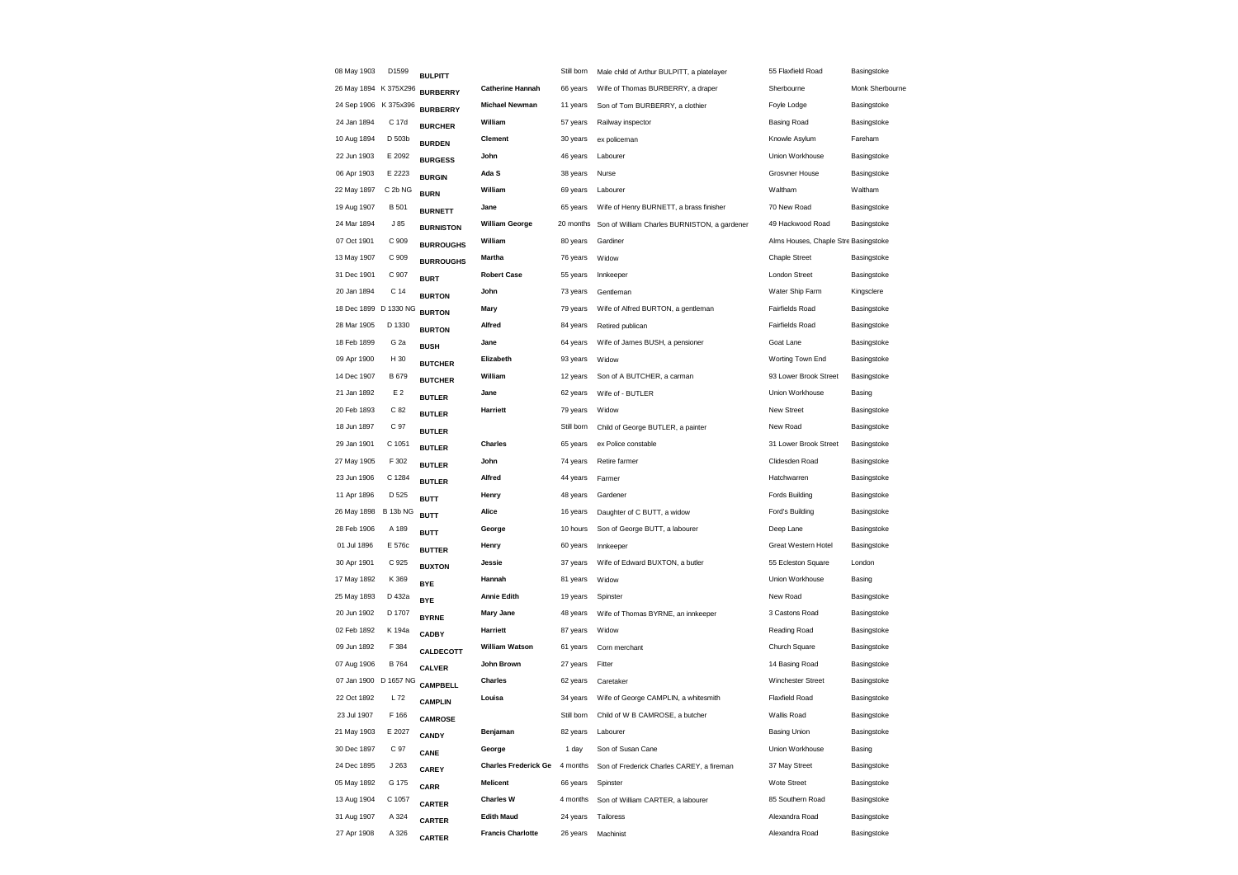| 08 May 1903           | D1599                 | <b>BULPITT</b>   |                             | Still born | Male child of Arthur BULPITT, a platelayer   | 55 Flaxfield Road                    | Basingstoke     |
|-----------------------|-----------------------|------------------|-----------------------------|------------|----------------------------------------------|--------------------------------------|-----------------|
| 26 May 1894 K 375X296 |                       | <b>BURBERRY</b>  | <b>Catherine Hannah</b>     | 66 years   | Wife of Thomas BURBERRY, a draper            | Sherbourne                           | Monk Sherbourne |
| 24 Sep 1906 K 375x396 |                       | <b>BURBERRY</b>  | <b>Michael Newman</b>       | 11 years   | Son of Tom BURBERRY, a clothier              | Foyle Lodge                          | Basingstoke     |
| 24 Jan 1894           | C 17d                 | <b>BURCHER</b>   | William                     | 57 years   | Railway inspector                            | Basing Road                          | Basingstoke     |
| 10 Aug 1894           | D 503b                | <b>BURDEN</b>    | Clement                     | 30 years   | ex policeman                                 | Knowle Asylum                        | Fareham         |
| 22 Jun 1903           | E 2092                | <b>BURGESS</b>   | John                        | 46 years   | Labourer                                     | Union Workhouse                      | Basingstoke     |
| 06 Apr 1903           | E 2223                | <b>BURGIN</b>    | Ada S                       | 38 years   | Nurse                                        | <b>Grosvner House</b>                | Basingstoke     |
| 22 May 1897           | C 2b NG               | <b>BURN</b>      | William                     | 69 years   | Labourer                                     | Waltham                              | Waltham         |
| 19 Aug 1907           | <b>B</b> 501          | <b>BURNETT</b>   | Jane                        | 65 years   | Wife of Henry BURNETT, a brass finisher      | 70 New Road                          | Basingstoke     |
| 24 Mar 1894           | J85                   | <b>BURNISTON</b> | <b>William George</b>       | 20 months  | Son of William Charles BURNISTON, a gardener | 49 Hackwood Road                     | Basingstoke     |
| 07 Oct 1901           | C 909                 | <b>BURROUGHS</b> | William                     | 80 years   | Gardiner                                     | Alms Houses, Chaple Stre Basingstoke |                 |
| 13 May 1907           | C 909                 | <b>BURROUGHS</b> | Martha                      | 76 years   | Widow                                        | Chaple Street                        | Basingstoke     |
| 31 Dec 1901           | C 907                 | <b>BURT</b>      | <b>Robert Case</b>          | 55 years   | Innkeeper                                    | London Street                        | Basingstoke     |
| 20 Jan 1894           | C 14                  | <b>BURTON</b>    | John                        | 73 years   | Gentleman                                    | Water Ship Farm                      | Kingsclere      |
|                       | 18 Dec 1899 D 1330 NG | <b>BURTON</b>    | Mary                        | 79 years   | Wife of Alfred BURTON, a gentleman           | Fairfields Road                      | Basingstoke     |
| 28 Mar 1905           | D 1330                | <b>BURTON</b>    | Alfred                      | 84 years   | Retired publican                             | Fairfields Road                      | Basingstoke     |
| 18 Feb 1899           | G <sub>2a</sub>       | <b>BUSH</b>      | Jane                        | 64 years   | Wife of James BUSH, a pensioner              | Goat Lane                            | Basingstoke     |
| 09 Apr 1900           | H 30                  | <b>BUTCHER</b>   | Elizabeth                   | 93 years   | Widow                                        | Worting Town End                     | Basingstoke     |
| 14 Dec 1907           | B 679                 | <b>BUTCHER</b>   | William                     | 12 years   | Son of A BUTCHER, a carman                   | 93 Lower Brook Street                | Basingstoke     |
| 21 Jan 1892           | E 2                   | <b>BUTLER</b>    | Jane                        | 62 years   | Wife of - BUTLER                             | Union Workhouse                      | Basing          |
| 20 Feb 1893           | C 82                  | <b>BUTLER</b>    | <b>Harriett</b>             | 79 years   | Widow                                        | New Street                           | Basingstoke     |
| 18 Jun 1897           | C 97                  | <b>BUTLER</b>    |                             | Still born | Child of George BUTLER, a painter            | New Road                             | Basingstoke     |
| 29 Jan 1901           | C 1051                | <b>BUTLER</b>    | <b>Charles</b>              | 65 years   | ex Police constable                          | 31 Lower Brook Street                | Basingstoke     |
| 27 May 1905           | F 302                 | <b>BUTLER</b>    | John                        | 74 years   | Retire farmer                                | Clidesden Road                       | Basingstoke     |
| 23 Jun 1906           | C 1284                | <b>BUTLER</b>    | Alfred                      | 44 years   | Farmer                                       | Hatchwarren                          | Basingstoke     |
| 11 Apr 1896           | D 525                 | <b>BUTT</b>      | Henry                       | 48 years   | Gardener                                     | Fords Building                       | Basingstoke     |
| 26 May 1898           | <b>B 13b NG</b>       | <b>BUTT</b>      | Alice                       | 16 years   | Daughter of C BUTT, a widow                  | Ford's Building                      | Basingstoke     |
| 28 Feb 1906           | A 189                 | <b>BUTT</b>      | George                      | 10 hours   | Son of George BUTT, a labourer               | Deep Lane                            | Basingstoke     |
| 01 Jul 1896           | E 576c                | <b>BUTTER</b>    | Henry                       | 60 years   | Innkeeper                                    | Great Western Hotel                  | Basingstoke     |
| 30 Apr 1901           | C 925                 | <b>BUXTON</b>    | Jessie                      | 37 years   | Wife of Edward BUXTON, a butler              | 55 Ecleston Square                   | London          |
| 17 May 1892           | K 369                 | <b>BYE</b>       | Hannah                      | 81 years   | Widow                                        | Union Workhouse                      | Basing          |
| 25 May 1893           | D 432a                | <b>BYE</b>       | <b>Annie Edith</b>          | 19 years   | Spinster                                     | New Road                             | Basingstoke     |
| 20 Jun 1902           | D 1707                | <b>BYRNE</b>     | <b>Mary Jane</b>            | 48 years   | Wife of Thomas BYRNE, an innkeeper           | 3 Castons Road                       | Basingstoke     |
| 02 Feb 1892           | K 194a                | <b>CADBY</b>     | <b>Harriett</b>             | 87 years   | Widow                                        | Reading Road                         | Basingstoke     |
| 09 Jun 1892           | F 384                 | CALDECOTT        | <b>William Watson</b>       | 61 years   | Corn merchant                                | Church Square                        | Basingstoke     |
| 07 Aug 1906           | B 764                 | <b>CALVER</b>    | John Brown                  | 27 years   | Fitter                                       | 14 Basing Road                       | Basingstoke     |
|                       | 07 Jan 1900 D 1657 NG | <b>CAMPBELL</b>  | Charles                     | 62 years   | Caretaker                                    | <b>Winchester Street</b>             | Basingstoke     |
| 22 Oct 1892           | L 72                  | <b>CAMPLIN</b>   | Louisa                      | 34 years   | Wife of George CAMPLIN, a whitesmith         | <b>Flaxfield Road</b>                | Basingstoke     |
| 23 Jul 1907           | F 166                 | <b>CAMROSE</b>   |                             | Still born | Child of W B CAMROSE, a butcher              | Wallis Road                          | Basingstoke     |
| 21 May 1903           | E 2027                | CANDY            | Benjaman                    | 82 years   | Labourer                                     | <b>Basing Union</b>                  | Basingstoke     |
| 30 Dec 1897           | C 97                  | CANE             | George                      | 1 day      | Son of Susan Cane                            | Union Workhouse                      | Basing          |
| 24 Dec 1895           | J263                  | CAREY            | <b>Charles Frederick Ge</b> | 4 months   | Son of Frederick Charles CAREY, a fireman    | 37 May Street                        | Basingstoke     |
| 05 May 1892           | G 175                 | <b>CARR</b>      | <b>Melicent</b>             | 66 years   | Spinster                                     | Wote Street                          | Basingstoke     |
| 13 Aug 1904           | C 1057                | <b>CARTER</b>    | <b>Charles W</b>            | 4 months   | Son of William CARTER, a labourer            | 85 Southern Road                     | Basingstoke     |
| 31 Aug 1907           | A 324                 | <b>CARTER</b>    | <b>Edith Maud</b>           | 24 years   | Tailoress                                    | Alexandra Road                       | Basingstoke     |
| 27 Apr 1908           | A 326                 | <b>CARTER</b>    | <b>Francis Charlotte</b>    | 26 years   | Machinist                                    | Alexandra Road                       | Basingstoke     |
|                       |                       |                  |                             |            |                                              |                                      |                 |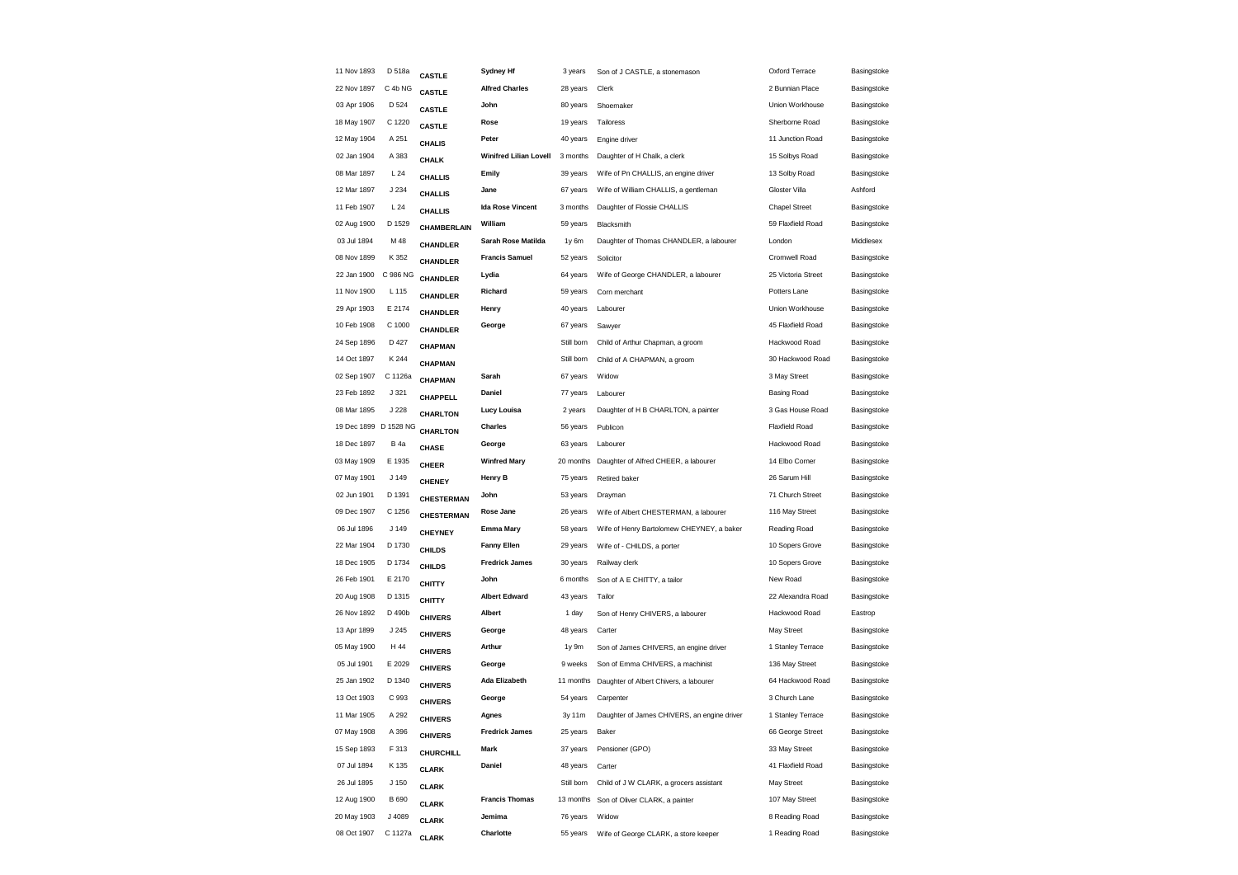| 11 Nov 1893           | D 518a           | <b>CASTLE</b>   | <b>Sydney Hf</b>              | 3 years    | Son of J CASTLE, a stonemason               | Oxford Terrace        | Basingstoke |
|-----------------------|------------------|-----------------|-------------------------------|------------|---------------------------------------------|-----------------------|-------------|
| 22 Nov 1897           | C 4b NG          | <b>CASTLE</b>   | <b>Alfred Charles</b>         | 28 years   | Clerk                                       | 2 Bunnian Place       | Basingstoke |
| 03 Apr 1906           | D 524            | <b>CASTLE</b>   | John                          | 80 years   | Shoemaker                                   | Union Workhouse       | Basingstoke |
| 18 May 1907           | C 1220           | <b>CASTLE</b>   | Rose                          | 19 years   | Tailoress                                   | Sherborne Road        | Basingstoke |
| 12 May 1904           | A 251            | CHALIS          | Peter                         | 40 years   | Engine driver                               | 11 Junction Road      | Basingstoke |
| 02 Jan 1904           | A 383            | <b>CHALK</b>    | <b>Winifred Lilian Lovell</b> | 3 months   | Daughter of H Chalk, a clerk                | 15 Solbys Road        | Basingstoke |
| 08 Mar 1897           | L24              | <b>CHALLIS</b>  | Emily                         | 39 years   | Wife of Pn CHALLIS, an engine driver        | 13 Solby Road         | Basingstoke |
| 12 Mar 1897           | J 234            | <b>CHALLIS</b>  | Jane                          | 67 years   | Wife of William CHALLIS, a gentleman        | Gloster Villa         | Ashford     |
| 11 Feb 1907           | L24              | <b>CHALLIS</b>  | <b>Ida Rose Vincent</b>       | 3 months   | Daughter of Flossie CHALLIS                 | <b>Chapel Street</b>  | Basingstoke |
| 02 Aug 1900           | D 1529           | CHAMBERLAIN     | William                       | 59 years   | Blacksmith                                  | 59 Flaxfield Road     | Basingstoke |
| 03 Jul 1894           | M 48             | CHANDLER        | Sarah Rose Matilda            | 1y 6m      | Daughter of Thomas CHANDLER, a labourer     | London                | Middlesex   |
| 08 Nov 1899           | K 352            | <b>CHANDLER</b> | <b>Francis Samuel</b>         | 52 years   | Solicitor                                   | Cromwell Road         | Basingstoke |
| 22 Jan 1900           | C 986 NG         | <b>CHANDLER</b> | Lydia                         | 64 years   | Wife of George CHANDLER, a labourer         | 25 Victoria Street    | Basingstoke |
| 11 Nov 1900           | L 115            | <b>CHANDLER</b> | Richard                       | 59 years   | Corn merchant                               | Potters Lane          | Basingstoke |
| 29 Apr 1903           | E 2174           | <b>CHANDLER</b> | Henry                         | 40 years   | Labourer                                    | Union Workhouse       | Basingstoke |
| 10 Feb 1908           | C 1000           | CHANDLER        | George                        | 67 years   | Sawyer                                      | 45 Flaxfield Road     | Basingstoke |
| 24 Sep 1896           | D 427            | CHAPMAN         |                               | Still born | Child of Arthur Chapman, a groom            | Hackwood Road         | Basingstoke |
| 14 Oct 1897           | K 244            | CHAPMAN         |                               | Still born | Child of A CHAPMAN, a groom                 | 30 Hackwood Road      | Basingstoke |
| 02 Sep 1907           | C 1126a          | CHAPMAN         | Sarah                         | 67 years   | Widow                                       | 3 May Street          | Basingstoke |
| 23 Feb 1892           | J 321            | CHAPPELL        | Daniel                        | 77 years   | Labourer                                    | <b>Basing Road</b>    | Basingstoke |
| 08 Mar 1895           | J 228            | CHARLTON        | Lucy Louisa                   | 2 years    | Daughter of H B CHARLTON, a painter         | 3 Gas House Road      | Basingstoke |
| 19 Dec 1899 D 1528 NG |                  | <b>CHARLTON</b> | Charles                       | 56 years   | Publicon                                    | <b>Flaxfield Road</b> | Basingstoke |
| 18 Dec 1897           | <b>B</b> 4a      | <b>CHASE</b>    | George                        | 63 years   | Labourer                                    | Hackwood Road         | Basingstoke |
| 03 May 1909           | E 1935           | <b>CHEER</b>    | <b>Winfred Mary</b>           | 20 months  | Daughter of Alfred CHEER, a labourer        | 14 Elbo Corner        | Basingstoke |
| 07 May 1901           | J 149            | <b>CHENEY</b>   | Henry B                       | 75 years   | Retired baker                               | 26 Sarum Hill         | Basingstoke |
| 02 Jun 1901           | D 1391           | CHESTERMAN      | John                          | 53 years   | Drayman                                     | 71 Church Street      | Basingstoke |
| 09 Dec 1907           | C 1256           | CHESTERMAN      | Rose Jane                     | 26 years   | Wife of Albert CHESTERMAN, a labourer       | 116 May Street        | Basingstoke |
| 06 Jul 1896           | J 149            | <b>CHEYNEY</b>  | <b>Emma Mary</b>              | 58 years   | Wife of Henry Bartolomew CHEYNEY, a baker   | Reading Road          | Basingstoke |
| 22 Mar 1904           | D 1730           | <b>CHILDS</b>   | <b>Fanny Ellen</b>            | 29 years   | Wife of - CHILDS, a porter                  | 10 Sopers Grove       | Basingstoke |
| 18 Dec 1905           | D 1734           | <b>CHILDS</b>   | <b>Fredrick James</b>         | 30 years   | Railway clerk                               | 10 Sopers Grove       | Basingstoke |
| 26 Feb 1901           | E 2170           | <b>CHITTY</b>   | John                          | 6 months   | Son of A E CHITTY, a tailor                 | New Road              | Basingstoke |
| 20 Aug 1908           | D 1315           | <b>CHITTY</b>   | <b>Albert Edward</b>          | 43 years   | Tailor                                      | 22 Alexandra Road     | Basingstoke |
| 26 Nov 1892           | D 490b           | <b>CHIVERS</b>  | Albert                        | 1 day      | Son of Henry CHIVERS, a labourer            | Hackwood Road         | Eastrop     |
| 13 Apr 1899           | J 245            | <b>CHIVERS</b>  | George                        | 48 years   | Carter                                      | May Street            | Basingstoke |
| 05 May 1900           | H 44             | <b>CHIVERS</b>  | Arthur                        | 1y 9m      | Son of James CHIVERS, an engine driver      | 1 Stanley Terrace     | Basingstoke |
| 05 Jul 1901           | E 2029           | <b>CHIVERS</b>  | George                        | 9 weeks    | Son of Emma CHIVERS, a machinist            | 136 May Street        | Basingstoke |
| 25 Jan 1902           | D 1340           | <b>CHIVERS</b>  | Ada Elizabeth                 | 11 months  | Daughter of Albert Chivers, a labourer      | 64 Hackwood Road      | Basingstoke |
| 13 Oct 1903           | C 993            | <b>CHIVERS</b>  | George                        | 54 years   | Carpenter                                   | 3 Church Lane         | Basingstoke |
| 11 Mar 1905           | A 292            | <b>CHIVERS</b>  | Agnes                         | 3y 11m     | Daughter of James CHIVERS, an engine driver | 1 Stanley Terrace     | Basingstoke |
| 07 May 1908           | A 396            | <b>CHIVERS</b>  | <b>Fredrick James</b>         | 25 years   | Baker                                       | 66 George Street      | Basingstoke |
| 15 Sep 1893           | F 313            | CHURCHILL       | Mark                          | 37 years   | Pensioner (GPO)                             | 33 May Street         | Basingstoke |
| 07 Jul 1894           | K 135            | <b>CLARK</b>    | Daniel                        | 48 years   | Carter                                      | 41 Flaxfield Road     | Basingstoke |
| 26 Jul 1895           | J <sub>150</sub> | <b>CLARK</b>    |                               | Still born | Child of J W CLARK, a grocers assistant     | May Street            | Basingstoke |
| 12 Aug 1900           | <b>B</b> 690     | <b>CLARK</b>    | <b>Francis Thomas</b>         |            | 13 months Son of Oliver CLARK, a painter    | 107 May Street        | Basingstoke |
| 20 May 1903           | J 4089           | <b>CLARK</b>    | Jemima                        | 76 years   | Widow                                       | 8 Reading Road        | Basingstoke |
| 08 Oct 1907           | C 1127a          | <b>CLARK</b>    | Charlotte                     | 55 years   | Wife of George CLARK, a store keeper        | 1 Reading Road        | Basingstoke |
|                       |                  |                 |                               |            |                                             |                       |             |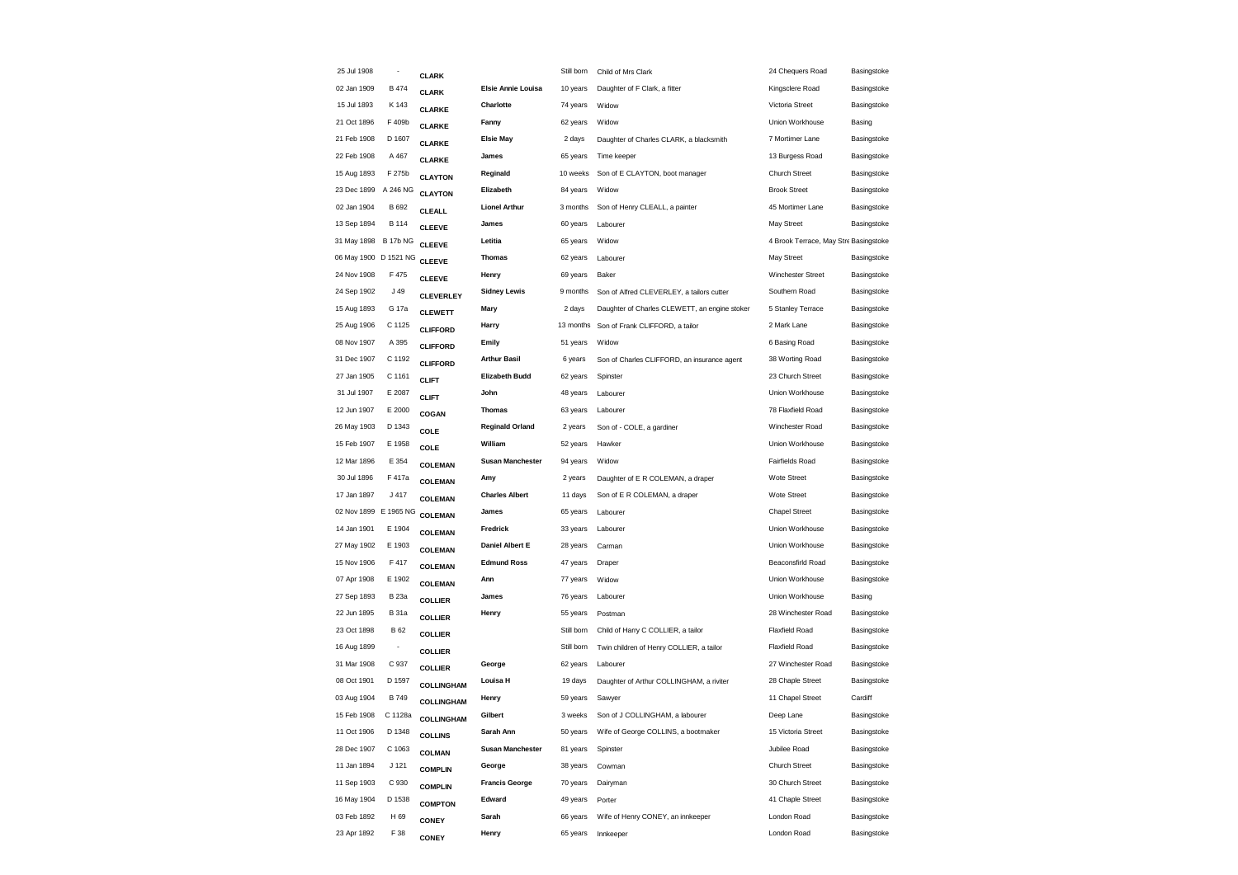| 25 Jul 1908           |                          | <b>CLARK</b>      |                         | Still born | Child of Mrs Clark                            | 24 Chequers Road                      | Basingstoke |
|-----------------------|--------------------------|-------------------|-------------------------|------------|-----------------------------------------------|---------------------------------------|-------------|
| 02 Jan 1909           | <b>B474</b>              | <b>CLARK</b>      | Elsie Annie Louisa      | 10 years   | Daughter of F Clark, a fitter                 | Kingsclere Road                       | Basingstoke |
| 15 Jul 1893           | K 143                    | <b>CLARKE</b>     | Charlotte               | 74 years   | Widow                                         | Victoria Street                       | Basingstoke |
| 21 Oct 1896           | F 409b                   | <b>CLARKE</b>     | Fanny                   | 62 years   | Widow                                         | Union Workhouse                       | Basing      |
| 21 Feb 1908           | D 1607                   | <b>CLARKE</b>     | <b>Elsie May</b>        | 2 days     | Daughter of Charles CLARK, a blacksmith       | 7 Mortimer Lane                       | Basingstoke |
| 22 Feb 1908           | A 467                    | <b>CLARKE</b>     | James                   | 65 years   | Time keeper                                   | 13 Burgess Road                       | Basingstoke |
| 15 Aug 1893           | F 275b                   | <b>CLAYTON</b>    | Reginald                | 10 weeks   | Son of E CLAYTON, boot manager                | <b>Church Street</b>                  | Basingstoke |
| 23 Dec 1899           | A 246 NG                 | <b>CLAYTON</b>    | Elizabeth               | 84 years   | Widow                                         | <b>Brook Street</b>                   | Basingstoke |
| 02 Jan 1904           | B 692                    | <b>CLEALL</b>     | <b>Lionel Arthur</b>    | 3 months   | Son of Henry CLEALL, a painter                | 45 Mortimer Lane                      | Basingstoke |
| 13 Sep 1894           | <b>B</b> 114             | <b>CLEEVE</b>     | James                   | 60 years   | Labourer                                      | May Street                            | Basingstoke |
| 31 May 1898           | <b>B 17b NG</b>          | <b>CLEEVE</b>     | Letitia                 | 65 years   | Widow                                         | 4 Brook Terrace, May Stre Basingstoke |             |
| 06 May 1900 D 1521 NG |                          | <b>CLEEVE</b>     | <b>Thomas</b>           | 62 years   | Labourer                                      | May Street                            | Basingstoke |
| 24 Nov 1908           | F 475                    | <b>CLEEVE</b>     | Henry                   | 69 years   | Baker                                         | Winchester Street                     | Basingstoke |
| 24 Sep 1902           | J 49                     | <b>CLEVERLEY</b>  | <b>Sidney Lewis</b>     | 9 months   | Son of Alfred CLEVERLEY, a tailors cutter     | Southern Road                         | Basingstoke |
| 15 Aug 1893           | G 17a                    | <b>CLEWETT</b>    | Mary                    | 2 days     | Daughter of Charles CLEWETT, an engine stoker | 5 Stanley Terrace                     | Basingstoke |
| 25 Aug 1906           | C 1125                   | <b>CLIFFORD</b>   | Harry                   | 13 months  | Son of Frank CLIFFORD, a tailor               | 2 Mark Lane                           | Basingstoke |
| 08 Nov 1907           | A 395                    | <b>CLIFFORD</b>   | Emily                   | 51 years   | Widow                                         | 6 Basing Road                         | Basingstoke |
| 31 Dec 1907           | C 1192                   | <b>CLIFFORD</b>   | <b>Arthur Basil</b>     | 6 years    | Son of Charles CLIFFORD, an insurance agent   | 38 Worting Road                       | Basingstoke |
| 27 Jan 1905           | C 1161                   | <b>CLIFT</b>      | <b>Elizabeth Budd</b>   | 62 years   | Spinster                                      | 23 Church Street                      | Basingstoke |
| 31 Jul 1907           | E 2087                   | <b>CLIFT</b>      | John                    | 48 years   | Labourer                                      | Union Workhouse                       | Basingstoke |
| 12 Jun 1907           | E 2000                   | COGAN             | <b>Thomas</b>           | 63 years   | Labourer                                      | 78 Flaxfield Road                     | Basingstoke |
| 26 May 1903           | D 1343                   | COLE              | <b>Reginald Orland</b>  | 2 years    | Son of - COLE, a gardiner                     | Winchester Road                       | Basingstoke |
| 15 Feb 1907           | E 1958                   | COLE              | William                 | 52 years   | Hawker                                        | Union Workhouse                       | Basingstoke |
| 12 Mar 1896           | E 354                    | <b>COLEMAN</b>    | <b>Susan Manchester</b> | 94 years   | Widow                                         | Fairfields Road                       | Basingstoke |
| 30 Jul 1896           | F 417a                   | <b>COLEMAN</b>    | Amy                     | 2 years    | Daughter of E R COLEMAN, a draper             | Wote Street                           | Basingstoke |
| 17 Jan 1897           | J 417                    | <b>COLEMAN</b>    | <b>Charles Albert</b>   | 11 days    | Son of E R COLEMAN, a draper                  | Wote Street                           | Basingstoke |
| 02 Nov 1899 E 1965 NG |                          | <b>COLEMAN</b>    | James                   | 65 years   | Labourer                                      | <b>Chapel Street</b>                  | Basingstoke |
| 14 Jan 1901           | E 1904                   | <b>COLEMAN</b>    | Fredrick                | 33 years   | Labourer                                      | Union Workhouse                       | Basingstoke |
| 27 May 1902           | E 1903                   | <b>COLEMAN</b>    | Daniel Albert E         | 28 years   | Carman                                        | Union Workhouse                       | Basingstoke |
| 15 Nov 1906           | F 417                    | <b>COLEMAN</b>    | <b>Edmund Ross</b>      | 47 years   | Draper                                        | Beaconsfirld Road                     | Basingstoke |
| 07 Apr 1908           | E 1902                   | COLEMAN           | Ann                     | 77 years   | Widow                                         | Union Workhouse                       | Basingstoke |
| 27 Sep 1893           | <b>B</b> 23a             | <b>COLLIER</b>    | James                   | 76 years   | Labourer                                      | Union Workhouse                       | Basing      |
| 22 Jun 1895           | <b>B</b> 31a             | <b>COLLIER</b>    | Henry                   | 55 years   | Postman                                       | 28 Winchester Road                    | Basingstoke |
| 23 Oct 1898           | <b>B</b> 62              | <b>COLLIER</b>    |                         | Still born | Child of Harry C COLLIER, a tailor            | <b>Flaxfield Road</b>                 | Basingstoke |
| 16 Aug 1899           | $\overline{\phantom{a}}$ | <b>COLLIER</b>    |                         | Still born | Twin children of Henry COLLIER, a tailor      | <b>Flaxfield Road</b>                 | Basingstoke |
| 31 Mar 1908           | C 937                    | <b>COLLIER</b>    | George                  | 62 years   | Labourer                                      | 27 Winchester Road                    | Basingstoke |
| 08 Oct 1901           | D 1597                   | COLLINGHAM        | Louisa H                | 19 days    | Daughter of Arthur COLLINGHAM, a riviter      | 28 Chaple Street                      | Basingstoke |
| 03 Aug 1904           | <b>B749</b>              | <b>COLLINGHAM</b> | Henry                   | 59 years   | Sawyer                                        | 11 Chapel Street                      | Cardiff     |
| 15 Feb 1908           | C 1128a                  | <b>COLLINGHAM</b> | Gilbert                 | 3 weeks    | Son of J COLLINGHAM, a labourer               | Deep Lane                             | Basingstoke |
| 11 Oct 1906           | D 1348                   | <b>COLLINS</b>    | Sarah Ann               | 50 years   | Wife of George COLLINS, a bootmaker           | 15 Victoria Street                    | Basingstoke |
| 28 Dec 1907           | C 1063                   | <b>COLMAN</b>     | <b>Susan Manchester</b> | 81 years   | Spinster                                      | Jubilee Road                          | Basingstoke |
| 11 Jan 1894           | J 121                    | <b>COMPLIN</b>    | George                  | 38 years   | Cowman                                        | Church Street                         | Basingstoke |
| 11 Sep 1903           | C 930                    | <b>COMPLIN</b>    | <b>Francis George</b>   | 70 years   | Dairyman                                      | 30 Church Street                      | Basingstoke |
| 16 May 1904           | D 1538                   | <b>COMPTON</b>    | Edward                  | 49 years   | Porter                                        | 41 Chaple Street                      | Basingstoke |
| 03 Feb 1892           | H 69                     | <b>CONEY</b>      | Sarah                   | 66 years   | Wife of Henry CONEY, an innkeeper             | London Road                           | Basingstoke |
| 23 Apr 1892           | F 38                     | <b>CONEY</b>      | Henry                   | 65 years   | Innkeeper                                     | London Road                           | Basingstoke |
|                       |                          |                   |                         |            |                                               |                                       |             |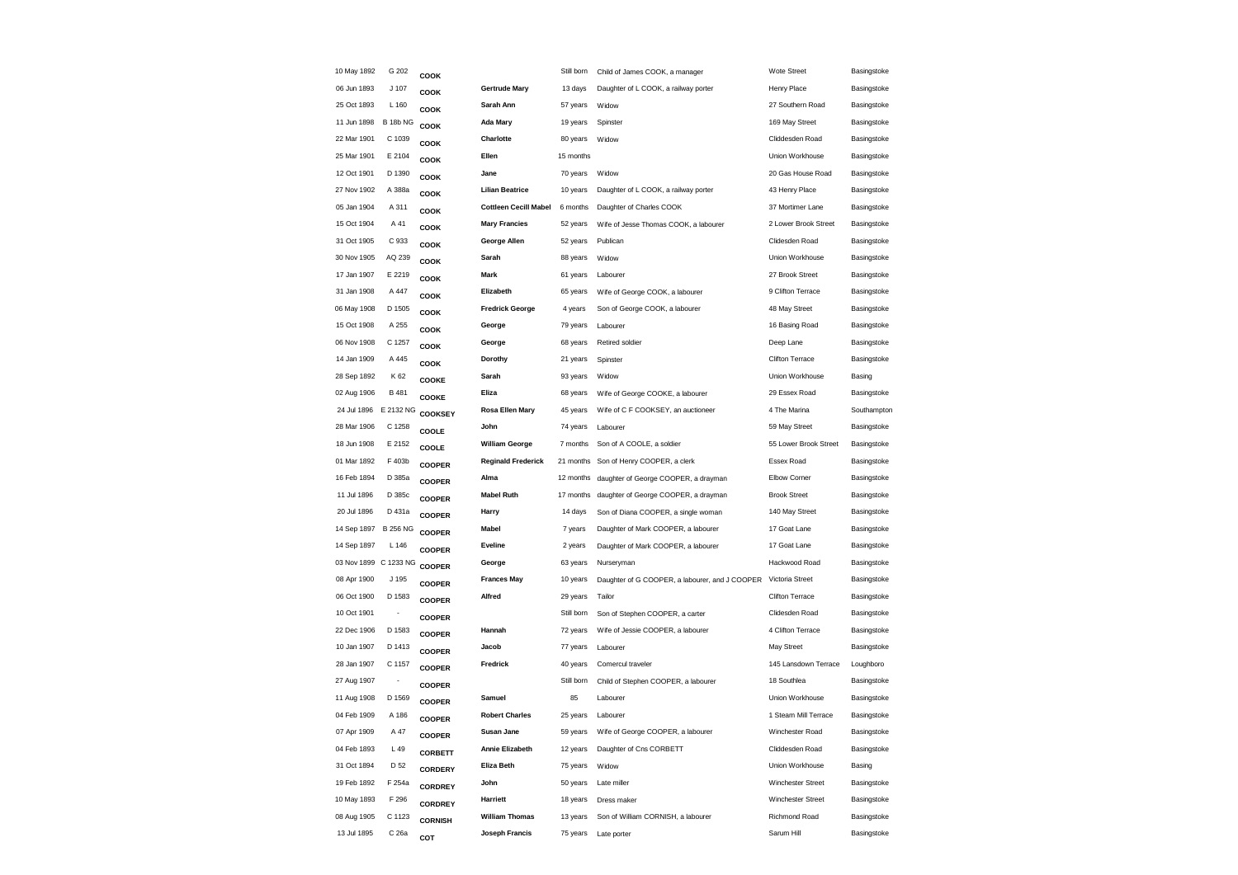| 10 May 1892           | G 202                    | COOK           |                              | Still born | Child of James COOK, a manager                 | Wote Street            | Basingstoke |
|-----------------------|--------------------------|----------------|------------------------------|------------|------------------------------------------------|------------------------|-------------|
| 06 Jun 1893           | J 107                    | COOK           | <b>Gertrude Mary</b>         | 13 days    | Daughter of L COOK, a railway porter           | Henry Place            | Basingstoke |
| 25 Oct 1893           | L 160                    | COOK           | Sarah Ann                    | 57 years   | Widow                                          | 27 Southern Road       | Basingstoke |
| 11 Jun 1898           | <b>B 18b NG</b>          | COOK           | <b>Ada Mary</b>              | 19 years   | Spinster                                       | 169 May Street         | Basingstoke |
| 22 Mar 1901           | C 1039                   | COOK           | Charlotte                    | 80 years   | Widow                                          | Cliddesden Road        | Basingstoke |
| 25 Mar 1901           | E 2104                   | COOK           | Ellen                        | 15 months  |                                                | Union Workhouse        | Basingstoke |
| 12 Oct 1901           | D 1390                   | COOK           | Jane                         | 70 years   | Widow                                          | 20 Gas House Road      | Basingstoke |
| 27 Nov 1902           | A 388a                   | COOK           | <b>Lilian Beatrice</b>       | 10 years   | Daughter of L COOK, a railway porter           | 43 Henry Place         | Basingstoke |
| 05 Jan 1904           | A 311                    | COOK           | <b>Cottleen Cecill Mabel</b> | 6 months   | Daughter of Charles COOK                       | 37 Mortimer Lane       | Basingstoke |
| 15 Oct 1904           | A 41                     | COOK           | <b>Mary Francies</b>         | 52 years   | Wife of Jesse Thomas COOK, a labourer          | 2 Lower Brook Street   | Basingstoke |
| 31 Oct 1905           | C 933                    | COOK           | George Allen                 | 52 years   | Publican                                       | Clidesden Road         | Basingstoke |
| 30 Nov 1905           | AQ 239                   | COOK           | Sarah                        | 88 years   | Widow                                          | Union Workhouse        | Basingstoke |
| 17 Jan 1907           | E 2219                   | COOK           | Mark                         | 61 years   | Labourer                                       | 27 Brook Street        | Basingstoke |
| 31 Jan 1908           | A 447                    | COOK           | Elizabeth                    | 65 years   | Wife of George COOK, a labourer                | 9 Clifton Terrace      | Basingstoke |
| 06 May 1908           | D 1505                   | COOK           | <b>Fredrick George</b>       | 4 years    | Son of George COOK, a labourer                 | 48 May Street          | Basingstoke |
| 15 Oct 1908           | A 255                    | COOK           | George                       | 79 years   | Labourer                                       | 16 Basing Road         | Basingstoke |
| 06 Nov 1908           | C 1257                   | COOK           | George                       | 68 years   | Retired soldier                                | Deep Lane              | Basingstoke |
| 14 Jan 1909           | A 445                    | COOK           | Dorothy                      | 21 years   | Spinster                                       | Clifton Terrace        | Basingstoke |
| 28 Sep 1892           | K 62                     | COOKE          | Sarah                        | 93 years   | Widow                                          | Union Workhouse        | Basing      |
| 02 Aug 1906           | B 481                    | COOKE          | Eliza                        | 68 years   | Wife of George COOKE, a labourer               | 29 Essex Road          | Basingstoke |
| 24 Jul 1896 E 2132 NG |                          | COOKSEY        | Rosa Ellen Mary              | 45 years   | Wife of C F COOKSEY, an auctioneer             | 4 The Marina           | Southampton |
| 28 Mar 1906           | C 1258                   | COOLE          | John                         | 74 years   | Labourer                                       | 59 May Street          | Basingstoke |
| 18 Jun 1908           | E 2152                   | COOLE          | <b>William George</b>        | 7 months   | Son of A COOLE, a soldier                      | 55 Lower Brook Street  | Basingstoke |
| 01 Mar 1892           | F 403b                   | <b>COOPER</b>  | <b>Reginald Frederick</b>    | 21 months  | Son of Henry COOPER, a clerk                   | Essex Road             | Basingstoke |
| 16 Feb 1894           | D 385a                   | <b>COOPER</b>  | Alma                         | 12 months  | daughter of George COOPER, a drayman           | Elbow Corner           | Basingstoke |
| 11 Jul 1896           | D 385c                   | <b>COOPER</b>  | <b>Mabel Ruth</b>            | 17 months  | daughter of George COOPER, a drayman           | <b>Brook Street</b>    | Basingstoke |
| 20 Jul 1896           | D 431a                   | <b>COOPER</b>  | Harry                        | 14 days    | Son of Diana COOPER, a single woman            | 140 May Street         | Basingstoke |
| 14 Sep 1897           | <b>B 256 NG</b>          | <b>COOPER</b>  | <b>Mabel</b>                 | 7 years    | Daughter of Mark COOPER, a labourer            | 17 Goat Lane           | Basingstoke |
| 14 Sep 1897           | L 146                    | <b>COOPER</b>  | Eveline                      | 2 years    | Daughter of Mark COOPER, a labourer            | 17 Goat Lane           | Basingstoke |
| 03 Nov 1899 C 1233 NG |                          | <b>COOPER</b>  | George                       | 63 years   | Nurseryman                                     | Hackwood Road          | Basingstoke |
| 08 Apr 1900           | J 195                    | <b>COOPER</b>  | <b>Frances May</b>           | 10 years   | Daughter of G COOPER, a labourer, and J COOPER | Victoria Street        | Basingstoke |
| 06 Oct 1900           | D 1583                   | <b>COOPER</b>  | Alfred                       | 29 years   | Tailor                                         | <b>Clifton Terrace</b> | Basingstoke |
| 10 Oct 1901           | ÷,                       | <b>COOPER</b>  |                              | Still born | Son of Stephen COOPER, a carter                | Clidesden Road         | Basingstoke |
| 22 Dec 1906           | D 1583                   | <b>COOPER</b>  | Hannah                       | 72 years   | Wife of Jessie COOPER, a labourer              | 4 Clifton Terrace      | Basingstoke |
| 10 Jan 1907           | D 1413                   | <b>COOPER</b>  | Jacob                        | 77 years   | Labourer                                       | May Street             | Basingstoke |
| 28 Jan 1907           | C 1157                   | <b>COOPER</b>  | Fredrick                     | 40 years   | Comercul traveler                              | 145 Lansdown Terrace   | Loughboro   |
| 27 Aug 1907           | $\overline{\phantom{a}}$ | <b>COOPER</b>  |                              | Still born | Child of Stephen COOPER, a labourer            | 18 Southlea            | Basingstoke |
| 11 Aug 1908           | D 1569                   | <b>COOPER</b>  | Samuel                       | 85         | Labourer                                       | Union Workhouse        | Basingstoke |
| 04 Feb 1909           | A 186                    | <b>COOPER</b>  | <b>Robert Charles</b>        | 25 years   | Labourer                                       | 1 Steam Mill Terrace   | Basingstoke |
| 07 Apr 1909           | A 47                     | <b>COOPER</b>  | Susan Jane                   | 59 years   | Wife of George COOPER, a labourer              | Winchester Road        | Basingstoke |
| 04 Feb 1893           | L 49                     | <b>CORBETT</b> | <b>Annie Elizabeth</b>       | 12 years   | Daughter of Cns CORBETT                        | Cliddesden Road        | Basingstoke |
| 31 Oct 1894           | D 52                     | <b>CORDERY</b> | Eliza Beth                   | 75 years   | Widow                                          | Union Workhouse        | Basing      |
| 19 Feb 1892           | F 254a                   | CORDREY        | John                         | 50 years   | Late miller                                    | Winchester Street      | Basingstoke |
| 10 May 1893           | F 296                    | <b>CORDREY</b> | <b>Harriett</b>              | 18 years   | Dress maker                                    | Winchester Street      | Basingstoke |
| 08 Aug 1905           | C 1123                   | <b>CORNISH</b> | <b>William Thomas</b>        | 13 years   | Son of William CORNISH, a labourer             | Richmond Road          | Basingstoke |
| 13 Jul 1895           | C 26a                    | COT            | Joseph Francis               |            | 75 years Late porter                           | Sarum Hill             | Basingstoke |
|                       |                          |                |                              |            |                                                |                        |             |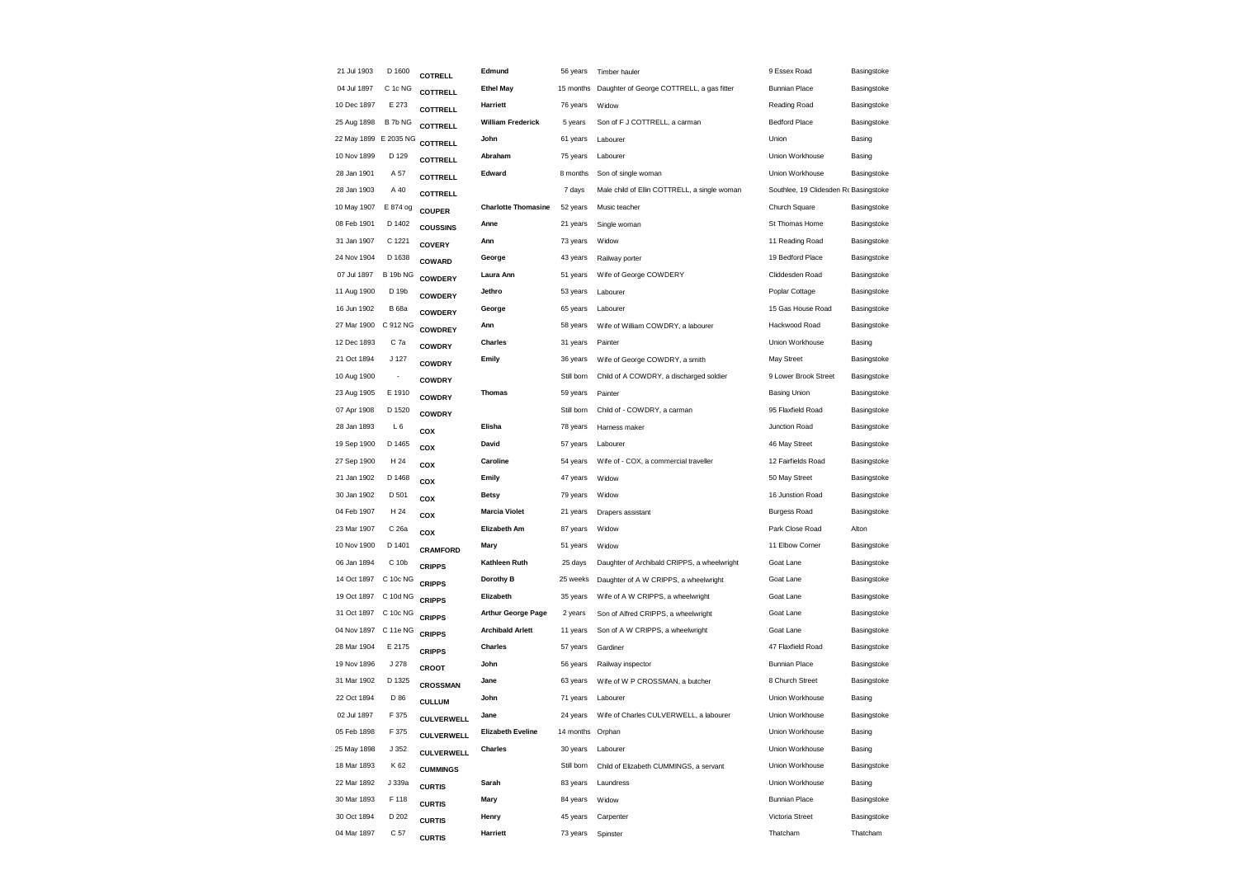| 21 Jul 1903 | D 1600                | COTRELL           | Edmund                     | 56 years         | Timber hauler                                | 9 Essex Road                          | Basingstoke |
|-------------|-----------------------|-------------------|----------------------------|------------------|----------------------------------------------|---------------------------------------|-------------|
| 04 Jul 1897 | C 1c NG               | <b>COTTRELL</b>   | <b>Ethel May</b>           | 15 months        | Daughter of George COTTRELL, a gas fitter    | <b>Bunnian Place</b>                  | Basingstoke |
| 10 Dec 1897 | E 273                 | <b>COTTRELL</b>   | Harriett                   | 76 years         | Widow                                        | Reading Road                          | Basingstoke |
| 25 Aug 1898 | B 7b NG               | <b>COTTRELL</b>   | <b>William Frederick</b>   | 5 years          | Son of F J COTTRELL, a carman                | <b>Bedford Place</b>                  | Basingstoke |
|             | 22 May 1899 E 2035 NG | <b>COTTRELL</b>   | John                       | 61 years         | Labourer                                     | Union                                 | Basing      |
| 10 Nov 1899 | D 129                 | <b>COTTRELL</b>   | Abraham                    | 75 years         | Labourer                                     | Union Workhouse                       | Basing      |
| 28 Jan 1901 | A 57                  | <b>COTTRELL</b>   | Edward                     | 8 months         | Son of single woman                          | Union Workhouse                       | Basingstoke |
| 28 Jan 1903 | A 40                  | <b>COTTRELL</b>   |                            | 7 days           | Male child of Ellin COTTRELL, a single woman | Southlee, 19 Clidesden Rr Basingstoke |             |
| 10 May 1907 | E 874 og              | <b>COUPER</b>     | <b>Charlotte Thomasine</b> | 52 years         | Music teacher                                | Church Square                         | Basingstoke |
| 08 Feb 1901 | D 1402                | <b>COUSSINS</b>   | Anne                       | 21 years         | Single woman                                 | St Thomas Home                        | Basingstoke |
| 31 Jan 1907 | C 1221                | <b>COVERY</b>     | Ann                        | 73 years         | Widow                                        | 11 Reading Road                       | Basingstoke |
| 24 Nov 1904 | D 1638                | COWARD            | George                     | 43 years         | Railway porter                               | 19 Bedford Place                      | Basingstoke |
| 07 Jul 1897 | <b>B 19b NG</b>       | <b>COWDERY</b>    | Laura Ann                  | 51 years         | Wife of George COWDERY                       | Cliddesden Road                       | Basingstoke |
| 11 Aug 1900 | D 19b                 | <b>COWDERY</b>    | Jethro                     | 53 years         | Labourer                                     | Poplar Cottage                        | Basingstoke |
| 16 Jun 1902 | <b>B</b> 68a          | <b>COWDERY</b>    | George                     | 65 years         | Labourer                                     | 15 Gas House Road                     | Basingstoke |
| 27 Mar 1900 | C 912 NG              | <b>COWDREY</b>    | Ann                        | 58 years         | Wife of William COWDRY, a labourer           | Hackwood Road                         | Basingstoke |
| 12 Dec 1893 | C 7a                  | <b>COWDRY</b>     | <b>Charles</b>             | 31 years         | Painter                                      | Union Workhouse                       | Basing      |
| 21 Oct 1894 | J 127                 | <b>COWDRY</b>     | Emily                      | 36 years         | Wife of George COWDRY, a smith               | May Street                            | Basingstoke |
| 10 Aug 1900 |                       | <b>COWDRY</b>     |                            | Still born       | Child of A COWDRY, a discharged soldier      | 9 Lower Brook Street                  | Basingstoke |
| 23 Aug 1905 | E 1910                | <b>COWDRY</b>     | <b>Thomas</b>              | 59 years         | Painter                                      | <b>Basing Union</b>                   | Basingstoke |
| 07 Apr 1908 | D 1520                | <b>COWDRY</b>     |                            | Still born       | Child of - COWDRY, a carman                  | 95 Flaxfield Road                     | Basingstoke |
| 28 Jan 1893 | L6                    | COX               | Elisha                     | 78 years         | Harness maker                                | Junction Road                         | Basingstoke |
| 19 Sep 1900 | D 1465                | COX               | David                      | 57 years         | Labourer                                     | 46 May Street                         | Basingstoke |
| 27 Sep 1900 | H 24                  | COX               | Caroline                   | 54 years         | Wife of - COX, a commercial traveller        | 12 Fairfields Road                    | Basingstoke |
| 21 Jan 1902 | D 1468                | COX               | Emily                      | 47 years         | Widow                                        | 50 May Street                         | Basingstoke |
| 30 Jan 1902 | D 501                 | COX               | <b>Betsy</b>               | 79 years         | Widow                                        | 16 Junstion Road                      | Basingstoke |
| 04 Feb 1907 | H 24                  | COX               | <b>Marcia Violet</b>       | 21 years         | Drapers assistant                            | <b>Burgess Road</b>                   | Basingstoke |
| 23 Mar 1907 | C 26a                 | COX               | Elizabeth Am               | 87 years         | Widow                                        | Park Close Road                       | Alton       |
| 10 Nov 1900 | D 1401                | <b>CRAMFORD</b>   | Mary                       | 51 years         | Widow                                        | 11 Elbow Corner                       | Basingstoke |
| 06 Jan 1894 | C 10b                 | <b>CRIPPS</b>     | Kathleen Ruth              | 25 days          | Daughter of Archibald CRIPPS, a wheelwright  | Goat Lane                             | Basingstoke |
| 14 Oct 1897 | C 10c NG              | <b>CRIPPS</b>     | Dorothy B                  | 25 weeks         | Daughter of A W CRIPPS, a wheelwright        | Goat Lane                             | Basingstoke |
| 19 Oct 1897 | C 10d NG              | <b>CRIPPS</b>     | Elizabeth                  | 35 years         | Wife of A W CRIPPS, a wheelwright            | Goat Lane                             | Basingstoke |
| 31 Oct 1897 | C 10c NG              | <b>CRIPPS</b>     | <b>Arthur George Page</b>  | 2 years          | Son of Alfred CRIPPS, a wheelwright          | Goat Lane                             | Basingstoke |
| 04 Nov 1897 | C 11e NG              | <b>CRIPPS</b>     | <b>Archibald Arlett</b>    | 11 years         | Son of A W CRIPPS, a wheelwright             | Goat Lane                             | Basingstoke |
| 28 Mar 1904 | E 2175                | <b>CRIPPS</b>     | <b>Charles</b>             | 57 years         | Gardiner                                     | 47 Flaxfield Road                     | Basingstoke |
| 19 Nov 1896 | J 278                 | CROOT             | John                       | 56 years         | Railway inspector                            | <b>Bunnian Place</b>                  | Basingstoke |
| 31 Mar 1902 | D 1325                | <b>CROSSMAN</b>   | Jane                       | 63 years         | Wife of W P CROSSMAN, a butcher              | 8 Church Street                       | Basingstoke |
| 22 Oct 1894 | D 86                  | <b>CULLUM</b>     | John                       | 71 years         | Labourer                                     | Union Workhouse                       | Basing      |
| 02 Jul 1897 | F 375                 | <b>CULVERWELL</b> | Jane                       | 24 years         | Wife of Charles CULVERWELL, a labourer       | Union Workhouse                       | Basingstoke |
| 05 Feb 1898 | F 375                 | <b>CULVERWELL</b> | <b>Elizabeth Eveline</b>   | 14 months Orphan |                                              | Union Workhouse                       | Basing      |
| 25 May 1898 | J 352                 | <b>CULVERWELL</b> | <b>Charles</b>             | 30 years         | Labourer                                     | Union Workhouse                       | Basing      |
| 18 Mar 1893 | K 62                  | <b>CUMMINGS</b>   |                            | Still born       | Child of Elizabeth CUMMINGS, a servant       | Union Workhouse                       | Basingstoke |
| 22 Mar 1892 | J 339a                | <b>CURTIS</b>     | Sarah                      | 83 years         | Laundress                                    | Union Workhouse                       | Basing      |
| 30 Mar 1893 | F 118                 | <b>CURTIS</b>     | Mary                       | 84 years         | Widow                                        | <b>Bunnian Place</b>                  | Basingstoke |
| 30 Oct 1894 | D 202                 | <b>CURTIS</b>     | Henry                      | 45 years         | Carpenter                                    | Victoria Street                       | Basingstoke |
| 04 Mar 1897 | C 57                  | <b>CURTIS</b>     | Harriett                   | 73 years         | Spinster                                     | Thatcham                              | Thatcham    |
|             |                       |                   |                            |                  |                                              |                                       |             |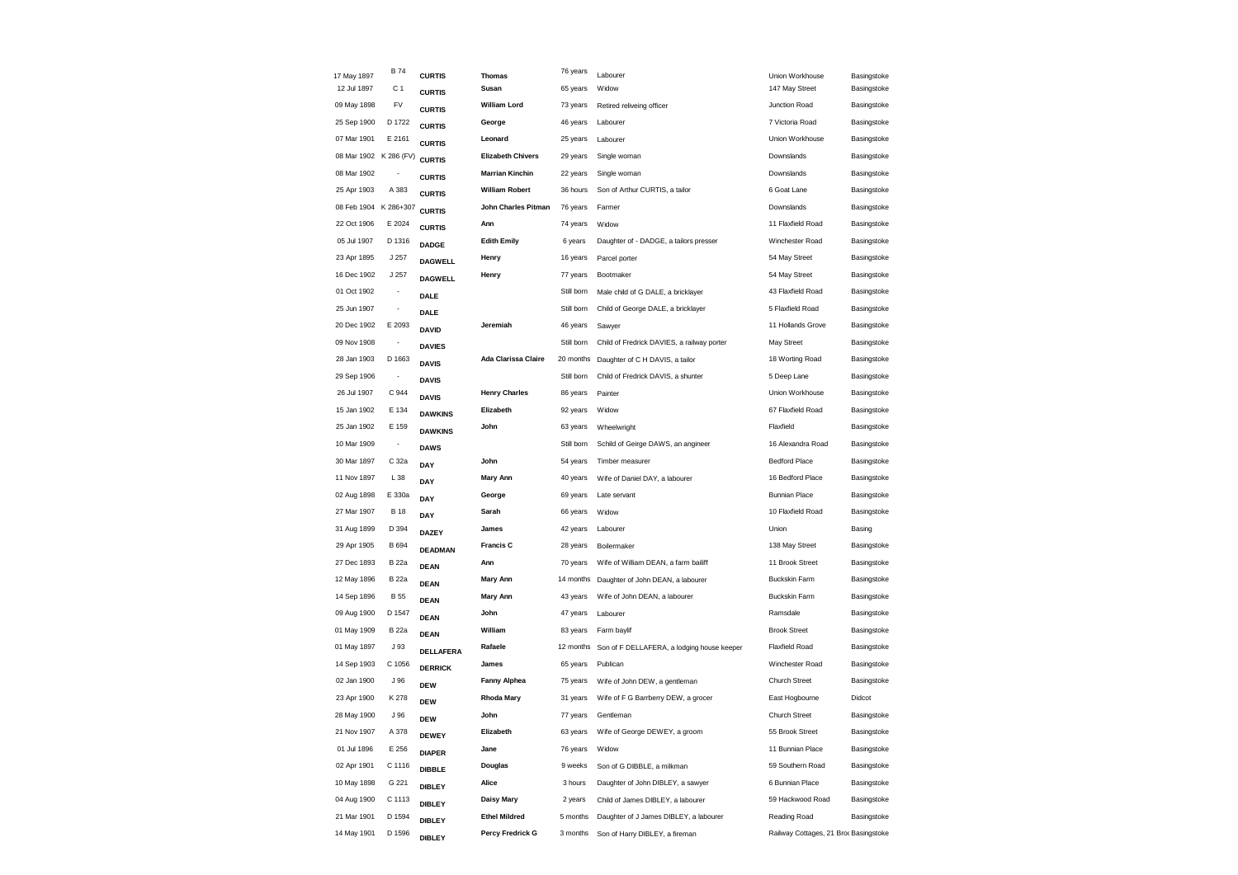| 17 May 1897            | <b>B74</b>               | <b>CURTIS</b>  | <b>Thomas</b>              | 76 years   | Labourer                                   | Union Workhouse                       | Basingstoke |
|------------------------|--------------------------|----------------|----------------------------|------------|--------------------------------------------|---------------------------------------|-------------|
| 12 Jul 1897            | C <sub>1</sub>           | <b>CURTIS</b>  | Susan                      | 65 years   | Widow                                      | 147 May Street                        | Basingstoke |
| 09 May 1898            | FV                       | <b>CURTIS</b>  | <b>William Lord</b>        | 73 years   | Retired reliveing officer                  | Junction Road                         | Basingstoke |
| 25 Sep 1900            | D 1722                   | <b>CURTIS</b>  | George                     | 46 years   | Labourer                                   | 7 Victoria Road                       | Basingstoke |
| 07 Mar 1901            | E 2161                   | <b>CURTIS</b>  | Leonard                    | 25 years   | Labourer                                   | Union Workhouse                       | Basingstoke |
| 08 Mar 1902 K 286 (FV) |                          | <b>CURTIS</b>  | <b>Elizabeth Chivers</b>   | 29 years   | Single woman                               | Downslands                            | Basingstoke |
| 08 Mar 1902            |                          | <b>CURTIS</b>  | <b>Marrian Kinchin</b>     | 22 years   | Single woman                               | Downslands                            | Basingstoke |
| 25 Apr 1903            | A 383                    | <b>CURTIS</b>  | <b>William Robert</b>      | 36 hours   | Son of Arthur CURTIS, a tailor             | 6 Goat Lane                           | Basingstoke |
| 08 Feb 1904            | K 286+307                | <b>CURTIS</b>  | John Charles Pitman        | 76 years   | Farmer                                     | Downslands                            | Basingstoke |
| 22 Oct 1906            | E 2024                   | <b>CURTIS</b>  | Ann                        | 74 years   | Widow                                      | 11 Flaxfield Road                     | Basingstoke |
| 05 Jul 1907            | D 1316                   | <b>DADGE</b>   | <b>Edith Emily</b>         | 6 years    | Daughter of - DADGE, a tailors presser     | Winchester Road                       | Basingstoke |
| 23 Apr 1895            | J 257                    | <b>DAGWELL</b> | Henry                      | 16 years   | Parcel porter                              | 54 May Street                         | Basingstoke |
| 16 Dec 1902            | J 257                    | <b>DAGWELL</b> | Henry                      | 77 years   | Bootmaker                                  | 54 May Street                         | Basingstoke |
| 01 Oct 1902            | $\overline{\phantom{a}}$ | <b>DALE</b>    |                            | Still born | Male child of G DALE, a bricklayer         | 43 Flaxfield Road                     | Basingstoke |
| 25 Jun 1907            |                          | <b>DALE</b>    |                            | Still born | Child of George DALE, a bricklayer         | 5 Flaxfield Road                      | Basingstoke |
| 20 Dec 1902            | E 2093                   | <b>DAVID</b>   | Jeremiah                   | 46 years   | Sawyer                                     | 11 Hollands Grove                     | Basingstoke |
| 09 Nov 1908            | $\frac{1}{2}$            | <b>DAVIES</b>  |                            | Still born | Child of Fredrick DAVIES, a railway porter | May Street                            | Basingstoke |
| 28 Jan 1903            | D 1663                   | <b>DAVIS</b>   | <b>Ada Clarissa Claire</b> | 20 months  | Daughter of C H DAVIS, a tailor            | 18 Worting Road                       | Basingstoke |
| 29 Sep 1906            | $\frac{1}{2}$            | <b>DAVIS</b>   |                            | Still born | Child of Fredrick DAVIS, a shunter         | 5 Deep Lane                           | Basingstoke |
| 26 Jul 1907            | C 944                    | <b>DAVIS</b>   | <b>Henry Charles</b>       | 86 years   | Painter                                    | Union Workhouse                       | Basingstoke |
| 15 Jan 1902            | E 134                    | <b>DAWKINS</b> | Elizabeth                  | 92 years   | Widow                                      | 67 Flaxfield Road                     | Basingstoke |
| 25 Jan 1902            | E 159                    | <b>DAWKINS</b> | John                       | 63 years   | Wheelwright                                | Flaxfield                             | Basingstoke |
| 10 Mar 1909            | $\overline{\phantom{a}}$ | <b>DAWS</b>    |                            | Still born | Schild of Geirge DAWS, an angineer         | 16 Alexandra Road                     | Basingstoke |
| 30 Mar 1897            | C 32a                    | DAY            | John                       | 54 years   | Timber measurer                            | <b>Bedford Place</b>                  | Basingstoke |
| 11 Nov 1897            | L 38                     | DAY            | Mary Ann                   | 40 years   | Wife of Daniel DAY, a labourer             | 16 Bedford Place                      | Basingstoke |
| 02 Aug 1898            | E 330a                   | DAY            | George                     | 69 years   | Late servant                               | <b>Bunnian Place</b>                  | Basingstoke |
| 27 Mar 1907            | <b>B</b> 18              | DAY            | Sarah                      | 66 years   | Widow                                      | 10 Flaxfield Road                     | Basingstoke |
| 31 Aug 1899            | D 394                    | <b>DAZEY</b>   | James                      | 42 years   | Labourer                                   | Union                                 | Basing      |
| 29 Apr 1905            | B 694                    | <b>DEADMAN</b> | <b>Francis C</b>           | 28 years   | Boilermaker                                | 138 May Street                        | Basingstoke |
| 27 Dec 1893            | <b>B</b> 22a             | <b>DEAN</b>    | Ann                        | 70 years   | Wife of William DEAN, a farm bailiff       | 11 Brook Street                       | Basingstoke |
| 12 May 1896            | <b>B</b> 22a             | <b>DEAN</b>    | <b>Mary Ann</b>            | 14 months  | Daughter of John DEAN, a labourer          | <b>Buckskin Farm</b>                  | Basingstoke |
| 14 Sep 1896            | <b>B</b> 55              | <b>DEAN</b>    | Mary Ann                   | 43 years   | Wife of John DEAN, a labourer              | <b>Buckskin Farm</b>                  | Basingstoke |
| 09 Aug 1900            | D 1547                   | <b>DEAN</b>    | John                       | 47 years   | Labourer                                   | Ramsdale                              | Basingstoke |
| 01 May 1909            | <b>B</b> 22a             | <b>DEAN</b>    | William                    | 83 years   | Farm baylif                                | <b>Brook Street</b>                   | Basingstoke |
| 01 May 1897            | J 93                     | DELLAFERA      | Rafaele                    | 12 months  | Son of F DELLAFERA, a lodging house keeper | <b>Flaxfield Road</b>                 | Basingstoke |
| 14 Sep 1903            | C 1056                   | <b>DERRICK</b> | James                      | 65 years   | Publican                                   | Winchester Road                       | Basingstoke |
| 02 Jan 1900            | J 96                     | <b>DEW</b>     | <b>Fanny Alphea</b>        | 75 years   | Wife of John DEW, a gentleman              | <b>Church Street</b>                  | Basingstoke |
| 23 Apr 1900            | K 278                    | <b>DEW</b>     | <b>Rhoda Mary</b>          | 31 years   | Wife of F G Barrberry DEW, a grocer        | East Hogbourne                        | Didcot      |
| 28 May 1900            | J 96                     | <b>DEW</b>     | John                       | 77 years   | Gentleman                                  | <b>Church Street</b>                  | Basingstoke |
| 21 Nov 1907            | A 378                    | <b>DEWEY</b>   | Elizabeth                  | 63 years   | Wife of George DEWEY, a groom              | 55 Brook Street                       | Basingstoke |
| 01 Jul 1896            | E 256                    | <b>DIAPER</b>  | Jane                       | 76 years   | Widow                                      | 11 Bunnian Place                      | Basingstoke |
| 02 Apr 1901            | C 1116                   | <b>DIBBLE</b>  | Douglas                    | 9 weeks    | Son of G DIBBLE, a milkman                 | 59 Southern Road                      | Basingstoke |
| 10 May 1898            | G 221                    | <b>DIBLEY</b>  | Alice                      | 3 hours    | Daughter of John DIBLEY, a sawyer          | 6 Bunnian Place                       | Basingstoke |
| 04 Aug 1900            | C 1113                   | <b>DIBLEY</b>  | Daisy Mary                 | 2 years    | Child of James DIBLEY, a labourer          | 59 Hackwood Road                      | Basingstoke |
| 21 Mar 1901            | D 1594                   | <b>DIBLEY</b>  | <b>Ethel Mildred</b>       | 5 months   | Daughter of J James DIBLEY, a labourer     | Reading Road                          | Basingstoke |
| 14 May 1901            | D 1596                   | <b>DIBLEY</b>  | Percy Fredrick G           | 3 months   | Son of Harry DIBLEY, a fireman             | Railway Cottages, 21 Broc Basingstoke |             |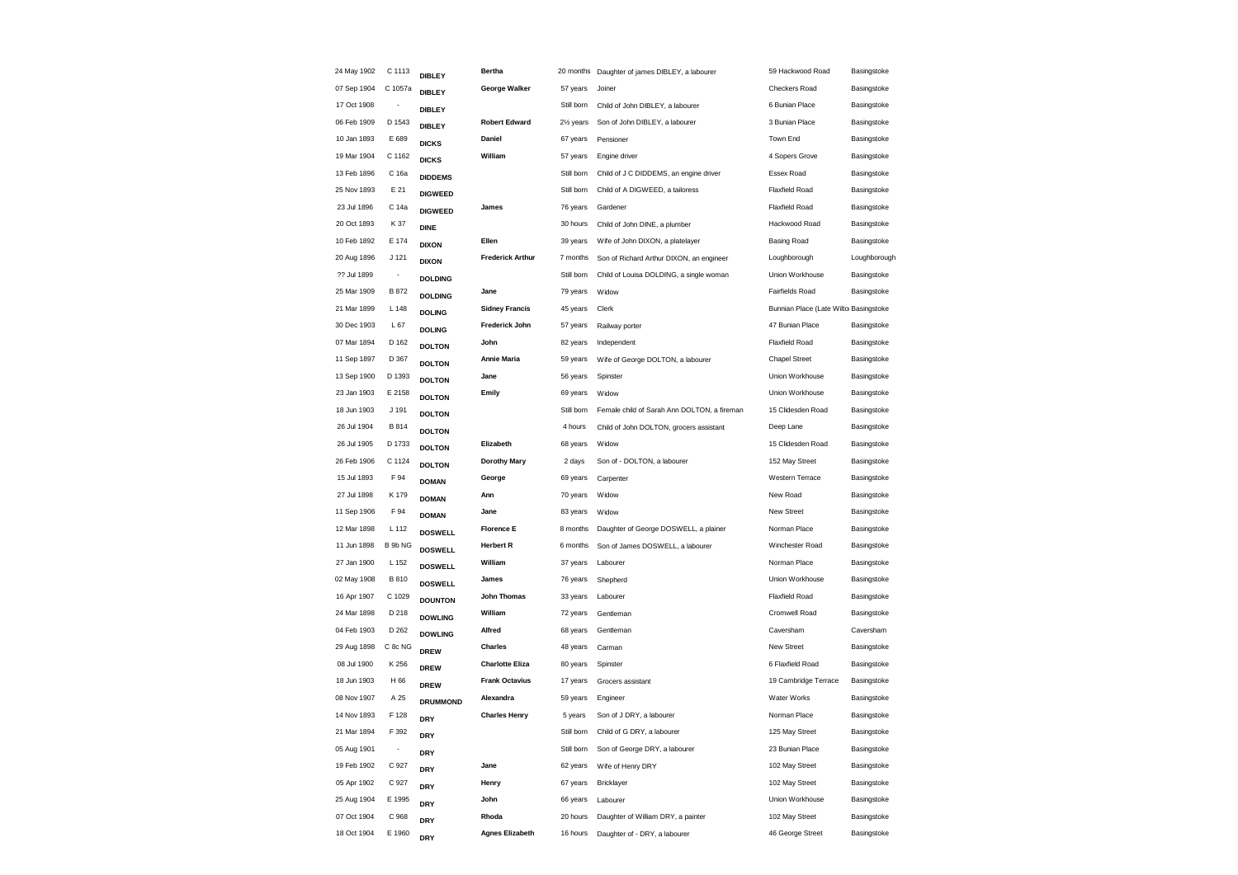| 24 May 1902 | C 1113                   | <b>DIBLEY</b>   | <b>Bertha</b>           | 20 months              | Daughter of james DIBLEY, a labourer        | 59 Hackwood Road                      | Basingstoke  |
|-------------|--------------------------|-----------------|-------------------------|------------------------|---------------------------------------------|---------------------------------------|--------------|
| 07 Sep 1904 | C 1057a                  | <b>DIBLEY</b>   | George Walker           | 57 years               | Joiner                                      | Checkers Road                         | Basingstoke  |
| 17 Oct 1908 | $\overline{\phantom{a}}$ | <b>DIBLEY</b>   |                         | Still born             | Child of John DIBLEY, a labourer            | 6 Bunian Place                        | Basingstoke  |
| 06 Feb 1909 | D 1543                   | <b>DIBLEY</b>   | <b>Robert Edward</b>    | 21/ <sub>2</sub> years | Son of John DIBLEY, a labourer              | 3 Bunian Place                        | Basingstoke  |
| 10 Jan 1893 | E 689                    | <b>DICKS</b>    | Daniel                  | 67 years               | Pensioner                                   | Town End                              | Basingstoke  |
| 19 Mar 1904 | C 1162                   | <b>DICKS</b>    | William                 | 57 years               | Engine driver                               | 4 Sopers Grove                        | Basingstoke  |
| 13 Feb 1896 | C 16a                    | <b>DIDDEMS</b>  |                         | Still born             | Child of J C DIDDEMS, an engine driver      | Essex Road                            | Basingstoke  |
| 25 Nov 1893 | E 21                     | <b>DIGWEED</b>  |                         | Still born             | Child of A DIGWEED, a tailoress             | <b>Flaxfield Road</b>                 | Basingstoke  |
| 23 Jul 1896 | C 14a                    | <b>DIGWEED</b>  | James                   | 76 years               | Gardener                                    | <b>Flaxfield Road</b>                 | Basingstoke  |
| 20 Oct 1893 | K 37                     | <b>DINE</b>     |                         | 30 hours               | Child of John DINE, a plumber               | Hackwood Road                         | Basingstoke  |
| 10 Feb 1892 | E 174                    | <b>DIXON</b>    | Ellen                   | 39 years               | Wife of John DIXON, a platelayer            | <b>Basing Road</b>                    | Basingstoke  |
| 20 Aug 1896 | J 121                    | <b>DIXON</b>    | <b>Frederick Arthur</b> | 7 months               | Son of Richard Arthur DIXON, an engineer    | Loughborough                          | Loughborough |
| ?? Jul 1899 | $\overline{\phantom{a}}$ | <b>DOLDING</b>  |                         | Still born             | Child of Louisa DOLDING, a single woman     | Union Workhouse                       | Basingstoke  |
| 25 Mar 1909 | <b>B872</b>              | <b>DOLDING</b>  | Jane                    | 79 years               | Widow                                       | Fairfields Road                       | Basingstoke  |
| 21 Mar 1899 | L 148                    | <b>DOLING</b>   | <b>Sidney Francis</b>   | 45 years               | Clerk                                       | Bunnian Place (Late Wilto Basingstoke |              |
| 30 Dec 1903 | L67                      | <b>DOLING</b>   | Frederick John          | 57 years               | Railway porter                              | 47 Bunian Place                       | Basingstoke  |
| 07 Mar 1894 | D 162                    | <b>DOLTON</b>   | John                    | 82 years               | Independent                                 | Flaxfield Road                        | Basingstoke  |
| 11 Sep 1897 | D 367                    | <b>DOLTON</b>   | <b>Annie Maria</b>      | 59 years               | Wife of George DOLTON, a labourer           | <b>Chapel Street</b>                  | Basingstoke  |
| 13 Sep 1900 | D 1393                   | <b>DOLTON</b>   | Jane                    | 56 years               | Spinster                                    | Union Workhouse                       | Basingstoke  |
| 23 Jan 1903 | E 2158                   | <b>DOLTON</b>   | Emily                   | 69 years               | Widow                                       | Union Workhouse                       | Basingstoke  |
| 18 Jun 1903 | J 191                    | <b>DOLTON</b>   |                         | Still born             | Female child of Sarah Ann DOLTON, a fireman | 15 Clidesden Road                     | Basingstoke  |
| 26 Jul 1904 | B 814                    | <b>DOLTON</b>   |                         | 4 hours                | Child of John DOLTON, grocers assistant     | Deep Lane                             | Basingstoke  |
| 26 Jul 1905 | D 1733                   | <b>DOLTON</b>   | Elizabeth               | 68 years               | Widow                                       | 15 Clidesden Road                     | Basingstoke  |
| 26 Feb 1906 | C 1124                   | <b>DOLTON</b>   | <b>Dorothy Mary</b>     | 2 days                 | Son of - DOLTON, a labourer                 | 152 May Street                        | Basingstoke  |
| 15 Jul 1893 | F 94                     | <b>DOMAN</b>    | George                  | 69 years               | Carpenter                                   | Western Terrace                       | Basingstoke  |
| 27 Jul 1898 | K 179                    | <b>DOMAN</b>    | Ann                     | 70 years               | Widow                                       | New Road                              | Basingstoke  |
| 11 Sep 1906 | F 94                     | <b>DOMAN</b>    | Jane                    | 83 years               | Widow                                       | New Street                            | Basingstoke  |
| 12 Mar 1898 | L 112                    | <b>DOSWELL</b>  | <b>Florence E</b>       | 8 months               | Daughter of George DOSWELL, a plainer       | Norman Place                          | Basingstoke  |
| 11 Jun 1898 | B 9b NG                  | <b>DOSWELL</b>  | <b>Herbert R</b>        | 6 months               | Son of James DOSWELL, a labourer            | Winchester Road                       | Basingstoke  |
| 27 Jan 1900 | L 152                    | <b>DOSWELL</b>  | William                 | 37 years               | Labourer                                    | Norman Place                          | Basingstoke  |
| 02 May 1908 | <b>B810</b>              | <b>DOSWELL</b>  | James                   | 76 years               | Shepherd                                    | Union Workhouse                       | Basingstoke  |
| 16 Apr 1907 | C 1029                   | <b>DOUNTON</b>  | <b>John Thomas</b>      | 33 years               | Labourer                                    | <b>Flaxfield Road</b>                 | Basingstoke  |
| 24 Mar 1898 | D 218                    | <b>DOWLING</b>  | William                 | 72 years               | Gentleman                                   | Cromwell Road                         | Basingstoke  |
| 04 Feb 1903 | D 262                    | <b>DOWLING</b>  | Alfred                  | 68 years               | Gentleman                                   | Caversham                             | Caversham    |
| 29 Aug 1898 | C 8c NG                  | <b>DREW</b>     | Charles                 | 48 years               | Carman                                      | New Street                            | Basingstoke  |
| 08 Jul 1900 | K 256                    | <b>DREW</b>     | <b>Charlotte Eliza</b>  | 80 years               | Spinster                                    | 6 Flaxfield Road                      | Basingstoke  |
| 18 Jun 1903 | H 66                     | <b>DREW</b>     | <b>Frank Octavius</b>   | 17 years               | Grocers assistant                           | 19 Cambridge Terrace                  | Basingstoke  |
| 08 Nov 1907 | A 25                     | <b>DRUMMOND</b> | Alexandra               | 59 years               | Engineer                                    | <b>Water Works</b>                    | Basingstoke  |
| 14 Nov 1893 | F 128                    | <b>DRY</b>      | <b>Charles Henry</b>    | 5 years                | Son of J DRY, a labourer                    | Norman Place                          | Basingstoke  |
| 21 Mar 1894 | F 392                    | <b>DRY</b>      |                         | Still born             | Child of G DRY, a labourer                  | 125 May Street                        | Basingstoke  |
| 05 Aug 1901 | $\overline{\phantom{a}}$ | <b>DRY</b>      |                         | Still born             | Son of George DRY, a labourer               | 23 Bunian Place                       | Basingstoke  |
| 19 Feb 1902 | C 927                    | <b>DRY</b>      | Jane                    | 62 years               | Wife of Henry DRY                           | 102 May Street                        | Basingstoke  |
| 05 Apr 1902 | C 927                    | <b>DRY</b>      | Henry                   | 67 years               | Bricklayer                                  | 102 May Street                        | Basingstoke  |
| 25 Aug 1904 | E 1995                   | <b>DRY</b>      | John                    | 66 years               | Labourer                                    | Union Workhouse                       | Basingstoke  |
| 07 Oct 1904 | C 968                    | <b>DRY</b>      | Rhoda                   | 20 hours               | Daughter of William DRY, a painter          | 102 May Street                        | Basingstoke  |
| 18 Oct 1904 | E 1960                   | <b>DRY</b>      | <b>Agnes Elizabeth</b>  | 16 hours               | Daughter of - DRY, a labourer               | 46 George Street                      | Basingstoke  |
|             |                          |                 |                         |                        |                                             |                                       |              |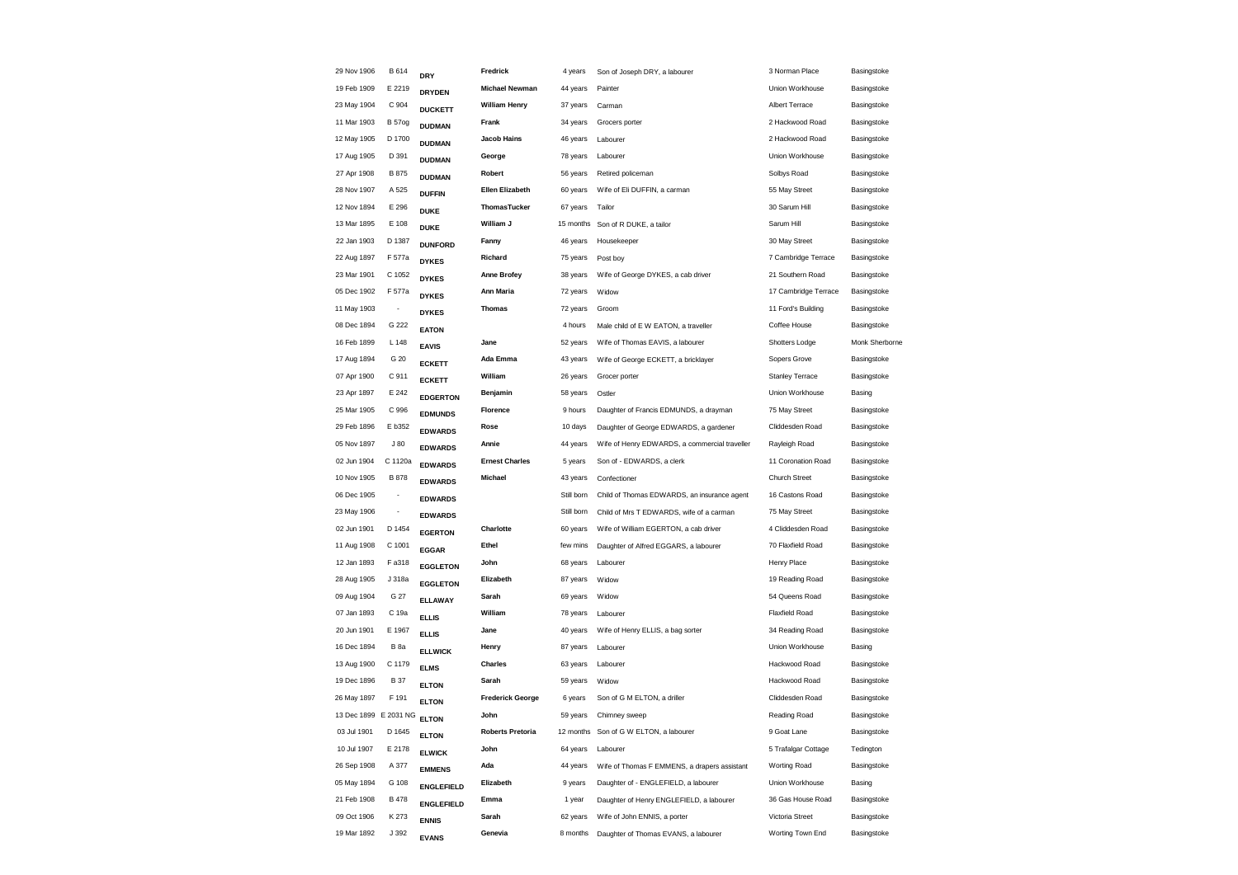| 29 Nov 1906           | <b>B614</b>              | <b>DRY</b>        | Fredrick                | 4 years    | Son of Joseph DRY, a labourer                 | 3 Norman Place         | Basingstoke    |
|-----------------------|--------------------------|-------------------|-------------------------|------------|-----------------------------------------------|------------------------|----------------|
| 19 Feb 1909           | E 2219                   | <b>DRYDEN</b>     | <b>Michael Newman</b>   | 44 years   | Painter                                       | Union Workhouse        | Basingstoke    |
| 23 May 1904           | C 904                    | <b>DUCKETT</b>    | <b>William Henry</b>    | 37 years   | Carman                                        | Albert Terrace         | Basingstoke    |
| 11 Mar 1903           | <b>B</b> 57og            | <b>DUDMAN</b>     | Frank                   | 34 years   | Grocers porter                                | 2 Hackwood Road        | Basingstoke    |
| 12 May 1905           | D 1700                   | <b>DUDMAN</b>     | <b>Jacob Hains</b>      | 46 years   | Labourer                                      | 2 Hackwood Road        | Basingstoke    |
| 17 Aug 1905           | D 391                    | <b>DUDMAN</b>     | George                  | 78 years   | Labourer                                      | Union Workhouse        | Basingstoke    |
| 27 Apr 1908           | B 875                    | <b>DUDMAN</b>     | Robert                  | 56 years   | Retired policeman                             | Solbys Road            | Basingstoke    |
| 28 Nov 1907           | A 525                    | <b>DUFFIN</b>     | <b>Ellen Elizabeth</b>  | 60 years   | Wife of Eli DUFFIN, a carman                  | 55 May Street          | Basingstoke    |
| 12 Nov 1894           | E 296                    | <b>DUKE</b>       | ThomasTucker            | 67 years   | Tailor                                        | 30 Sarum Hill          | Basingstoke    |
| 13 Mar 1895           | E 108                    | <b>DUKE</b>       | William J               | 15 months  | Son of R DUKE, a tailor                       | Sarum Hill             | Basingstoke    |
| 22 Jan 1903           | D 1387                   | <b>DUNFORD</b>    | Fanny                   | 46 years   | Housekeeper                                   | 30 May Street          | Basingstoke    |
| 22 Aug 1897           | F 577a                   | <b>DYKES</b>      | Richard                 | 75 years   | Post boy                                      | 7 Cambridge Terrace    | Basingstoke    |
| 23 Mar 1901           | C 1052                   | <b>DYKES</b>      | <b>Anne Brofey</b>      | 38 years   | Wife of George DYKES, a cab driver            | 21 Southern Road       | Basingstoke    |
| 05 Dec 1902           | F 577a                   | <b>DYKES</b>      | Ann Maria               | 72 years   | Widow                                         | 17 Cambridge Terrace   | Basingstoke    |
| 11 May 1903           | $\overline{\phantom{a}}$ | <b>DYKES</b>      | <b>Thomas</b>           | 72 years   | Groom                                         | 11 Ford's Building     | Basingstoke    |
| 08 Dec 1894           | G 222                    | <b>EATON</b>      |                         | 4 hours    | Male child of E W EATON, a traveller          | Coffee House           | Basingstoke    |
| 16 Feb 1899           | L 148                    | <b>EAVIS</b>      | Jane                    | 52 years   | Wife of Thomas EAVIS, a labourer              | Shotters Lodge         | Monk Sherborne |
| 17 Aug 1894           | G 20                     | <b>ECKETT</b>     | Ada Emma                | 43 years   | Wife of George ECKETT, a bricklayer           | Sopers Grove           | Basingstoke    |
| 07 Apr 1900           | C 911                    | <b>ECKETT</b>     | William                 | 26 years   | Grocer porter                                 | <b>Stanley Terrace</b> | Basingstoke    |
| 23 Apr 1897           | E 242                    | <b>EDGERTON</b>   | Benjamin                | 58 years   | Ostler                                        | Union Workhouse        | Basing         |
| 25 Mar 1905           | C 996                    | <b>EDMUNDS</b>    | Florence                | 9 hours    | Daughter of Francis EDMUNDS, a drayman        | 75 May Street          | Basingstoke    |
| 29 Feb 1896           | E b352                   | <b>EDWARDS</b>    | Rose                    | 10 days    | Daughter of George EDWARDS, a gardener        | Cliddesden Road        | Basingstoke    |
| 05 Nov 1897           | J80                      | <b>EDWARDS</b>    | Annie                   | 44 years   | Wife of Henry EDWARDS, a commercial traveller | Rayleigh Road          | Basingstoke    |
| 02 Jun 1904           | C 1120a                  | <b>EDWARDS</b>    | <b>Ernest Charles</b>   | 5 years    | Son of - EDWARDS, a clerk                     | 11 Coronation Road     | Basingstoke    |
| 10 Nov 1905           | B 878                    | <b>EDWARDS</b>    | Michael                 | 43 years   | Confectioner                                  | Church Street          | Basingstoke    |
| 06 Dec 1905           | $\overline{\phantom{a}}$ | <b>EDWARDS</b>    |                         | Still born | Child of Thomas EDWARDS, an insurance agent   | 16 Castons Road        | Basingstoke    |
| 23 May 1906           | $\overline{\phantom{a}}$ | <b>EDWARDS</b>    |                         | Still born | Child of Mrs T EDWARDS, wife of a carman      | 75 May Street          | Basingstoke    |
| 02 Jun 1901           | D 1454                   | <b>EGERTON</b>    | Charlotte               | 60 years   | Wife of William EGERTON, a cab driver         | 4 Cliddesden Road      | Basingstoke    |
| 11 Aug 1908           | C 1001                   | <b>EGGAR</b>      | Ethel                   | few mins   | Daughter of Alfred EGGARS, a labourer         | 70 Flaxfield Road      | Basingstoke    |
| 12 Jan 1893           | F a318                   | <b>EGGLETON</b>   | John                    | 68 years   | Labourer                                      | Henry Place            | Basingstoke    |
| 28 Aug 1905           | J 318a                   | <b>EGGLETON</b>   | Elizabeth               | 87 years   | Widow                                         | 19 Reading Road        | Basingstoke    |
| 09 Aug 1904           | G 27                     | <b>ELLAWAY</b>    | Sarah                   | 69 years   | Widow                                         | 54 Queens Road         | Basingstoke    |
| 07 Jan 1893           | C 19a                    | <b>ELLIS</b>      | William                 | 78 years   | Labourer                                      | <b>Flaxfield Road</b>  | Basingstoke    |
| 20 Jun 1901           | E 1967                   | <b>ELLIS</b>      | Jane                    | 40 years   | Wife of Henry ELLIS, a bag sorter             | 34 Reading Road        | Basingstoke    |
| 16 Dec 1894           | B <sub>8a</sub>          | <b>ELLWICK</b>    | Henry                   | 87 years   | Labourer                                      | Union Workhouse        | Basing         |
| 13 Aug 1900           | C 1179                   | <b>ELMS</b>       | <b>Charles</b>          | 63 years   | Labourer                                      | Hackwood Road          | Basingstoke    |
| 19 Dec 1896           | <b>B37</b>               | <b>ELTON</b>      | Sarah                   | 59 years   | Widow                                         | Hackwood Road          | Basingstoke    |
| 26 May 1897           | F 191                    | <b>ELTON</b>      | <b>Frederick George</b> | 6 years    | Son of G M ELTON, a driller                   | Cliddesden Road        | Basingstoke    |
| 13 Dec 1899 E 2031 NG |                          | <b>ELTON</b>      | John                    | 59 years   | Chimney sweep                                 | Reading Road           | Basingstoke    |
| 03 Jul 1901           | D 1645                   | <b>ELTON</b>      | <b>Roberts Pretoria</b> |            | 12 months Son of G W ELTON, a labourer        | 9 Goat Lane            | Basingstoke    |
| 10 Jul 1907           | E 2178                   | <b>ELWICK</b>     | John                    | 64 years   | Labourer                                      | 5 Trafalgar Cottage    | Tedington      |
| 26 Sep 1908           | A 377                    | <b>EMMENS</b>     | Ada                     | 44 years   | Wife of Thomas F EMMENS, a drapers assistant  | Worting Road           | Basingstoke    |
| 05 May 1894           | G 108                    | <b>ENGLEFIELD</b> | Elizabeth               | 9 years    | Daughter of - ENGLEFIELD, a labourer          | Union Workhouse        | Basing         |
| 21 Feb 1908           | B 478                    | <b>ENGLEFIELD</b> | Emma                    | 1 year     | Daughter of Henry ENGLEFIELD, a labourer      | 36 Gas House Road      | Basingstoke    |
| 09 Oct 1906           | K 273                    | <b>ENNIS</b>      | Sarah                   | 62 years   | Wife of John ENNIS, a porter                  | Victoria Street        | Basingstoke    |
| 19 Mar 1892           | J 392                    | <b>EVANS</b>      | Genevia                 | 8 months   | Daughter of Thomas EVANS, a labourer          | Worting Town End       | Basingstoke    |
|                       |                          |                   |                         |            |                                               |                        |                |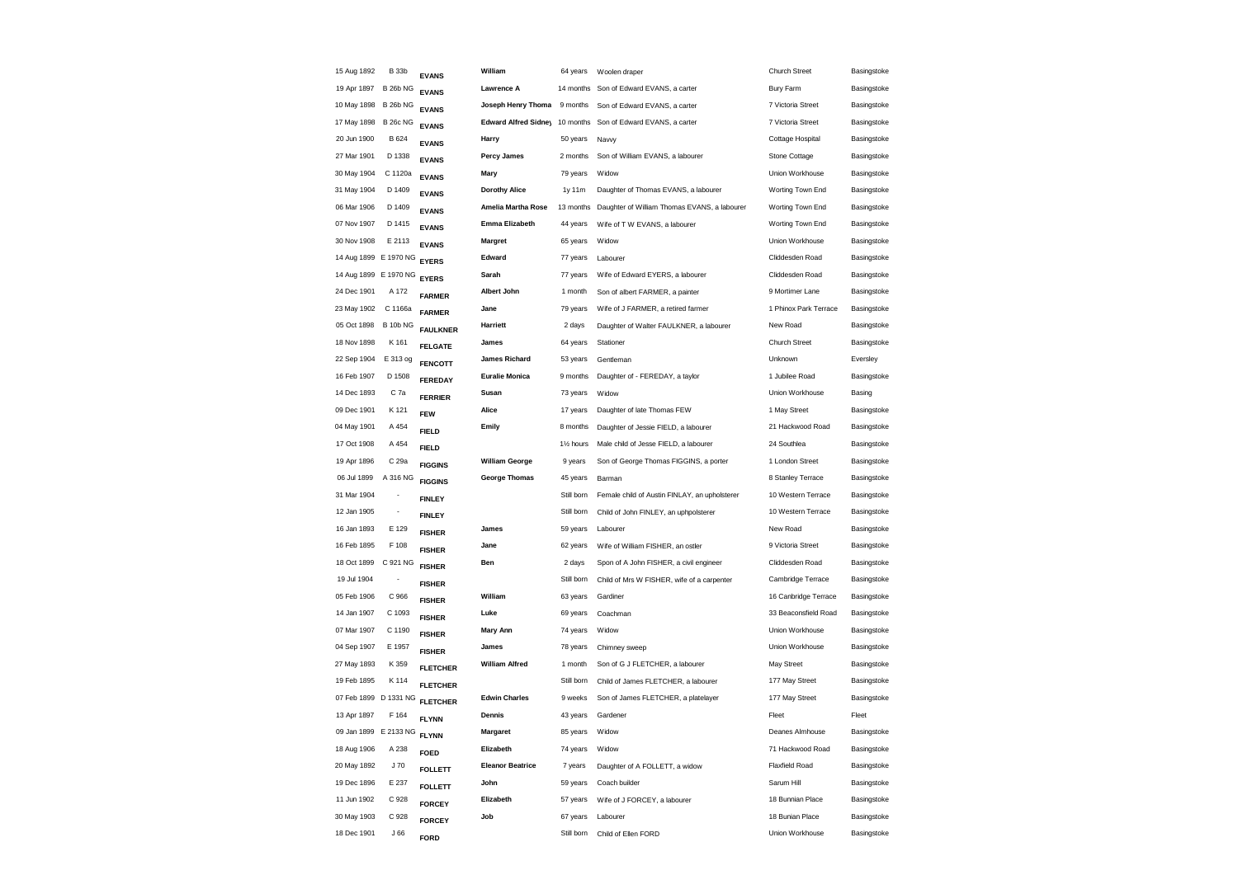| 15 Aug 1892           | <b>B</b> 33b             | <b>EVANS</b>                    | William                        | 64 years               | Woolen draper                                 | <b>Church Street</b>  | Basingstoke |
|-----------------------|--------------------------|---------------------------------|--------------------------------|------------------------|-----------------------------------------------|-----------------------|-------------|
| 19 Apr 1897           | <b>B 26b NG</b>          | <b>EVANS</b>                    | Lawrence A                     | 14 months              | Son of Edward EVANS, a carter                 | Bury Farm             | Basingstoke |
| 10 May 1898           | <b>B 26b NG</b>          | <b>EVANS</b>                    | Joseph Henry Thoma             | 9 months               | Son of Edward EVANS, a carter                 | 7 Victoria Street     | Basingstoke |
| 17 May 1898           | <b>B 26c NG</b>          | <b>EVANS</b>                    | Edward Alfred Sidney 10 months |                        | Son of Edward EVANS, a carter                 | 7 Victoria Street     | Basingstoke |
| 20 Jun 1900           | B 624                    | <b>EVANS</b>                    | Harry                          | 50 years               | Navvy                                         | Cottage Hospital      | Basingstoke |
| 27 Mar 1901           | D 1338                   | <b>EVANS</b>                    | <b>Percy James</b>             | 2 months               | Son of William EVANS, a labourer              | Stone Cottage         | Basingstoke |
| 30 May 1904           | C 1120a                  | <b>EVANS</b>                    | Mary                           | 79 years               | Widow                                         | Union Workhouse       | Basingstoke |
| 31 May 1904           | D 1409                   | <b>EVANS</b>                    | <b>Dorothy Alice</b>           | 1y 11m                 | Daughter of Thomas EVANS, a labourer          | Worting Town End      | Basingstoke |
| 06 Mar 1906           | D 1409                   | <b>EVANS</b>                    | Amelia Martha Rose             | 13 months              | Daughter of William Thomas EVANS, a labourer  | Worting Town End      | Basingstoke |
| 07 Nov 1907           | D 1415                   | <b>EVANS</b>                    | Emma Elizabeth                 | 44 years               | Wife of T W EVANS, a labourer                 | Worting Town End      | Basingstoke |
| 30 Nov 1908           | E 2113                   | <b>EVANS</b>                    | <b>Margret</b>                 | 65 years               | Widow                                         | Union Workhouse       | Basingstoke |
| 14 Aug 1899 E 1970 NG |                          | <b>EYERS</b>                    | Edward                         | 77 years               | Labourer                                      | Cliddesden Road       | Basingstoke |
| 14 Aug 1899 E 1970 NG |                          | <b>EYERS</b>                    | Sarah                          | 77 years               | Wife of Edward EYERS, a labourer              | Cliddesden Road       | Basingstoke |
| 24 Dec 1901           | A 172                    | <b>FARMER</b>                   | Albert John                    | 1 month                | Son of albert FARMER, a painter               | 9 Mortimer Lane       | Basingstoke |
| 23 May 1902           | C 1166a                  | <b>FARMER</b>                   | Jane                           | 79 years               | Wife of J FARMER, a retired farmer            | 1 Phinox Park Terrace | Basingstoke |
| 05 Oct 1898           | <b>B 10b NG</b>          | <b>FAULKNER</b>                 | Harriett                       | 2 days                 | Daughter of Walter FAULKNER, a labourer       | New Road              | Basingstoke |
| 18 Nov 1898           | K 161                    | <b>FELGATE</b>                  | James                          | 64 years               | Stationer                                     | <b>Church Street</b>  | Basingstoke |
| 22 Sep 1904           | E 313 og                 | <b>FENCOTT</b>                  | <b>James Richard</b>           | 53 years               | Gentleman                                     | Unknown               | Eversley    |
| 16 Feb 1907           | D 1508                   | FEREDAY                         | <b>Euralie Monica</b>          | 9 months               | Daughter of - FEREDAY, a taylor               | 1 Jubilee Road        | Basingstoke |
| 14 Dec 1893           | C 7a                     | <b>FERRIER</b>                  | Susan                          | 73 years               | Widow                                         | Union Workhouse       | Basing      |
| 09 Dec 1901           | K 121                    | <b>FEW</b>                      | Alice                          | 17 years               | Daughter of late Thomas FEW                   | 1 May Street          | Basingstoke |
| 04 May 1901           | A 454                    | <b>FIELD</b>                    | Emily                          | 8 months               | Daughter of Jessie FIELD, a labourer          | 21 Hackwood Road      | Basingstoke |
| 17 Oct 1908           | A 454                    | <b>FIELD</b>                    |                                | 11/ <sub>2</sub> hours | Male child of Jesse FIELD, a labourer         | 24 Southlea           | Basingstoke |
| 19 Apr 1896           | C 29a                    | <b>FIGGINS</b>                  | <b>William George</b>          | 9 years                | Son of George Thomas FIGGINS, a porter        | 1 London Street       | Basingstoke |
| 06 Jul 1899           | A 316 NG                 | <b>FIGGINS</b>                  | <b>George Thomas</b>           | 45 years               | Barman                                        | 8 Stanley Terrace     | Basingstoke |
| 31 Mar 1904           | $\overline{\phantom{a}}$ | <b>FINLEY</b>                   |                                | Still born             | Female child of Austin FINLAY, an upholsterer | 10 Western Terrace    | Basingstoke |
| 12 Jan 1905           | $\overline{\phantom{a}}$ | <b>FINLEY</b>                   |                                | Still born             | Child of John FINLEY, an uphpolsterer         | 10 Western Terrace    | Basingstoke |
| 16 Jan 1893           | E 129                    | <b>FISHER</b>                   | James                          | 59 years               | Labourer                                      | New Road              | Basingstoke |
| 16 Feb 1895           | F 108                    | <b>FISHER</b>                   | Jane                           | 62 years               | Wife of William FISHER, an ostler             | 9 Victoria Street     | Basingstoke |
| 18 Oct 1899           | C 921 NG                 | <b>FISHER</b>                   | Ben                            | 2 days                 | Spon of A John FISHER, a civil engineer       | Cliddesden Road       | Basingstoke |
| 19 Jul 1904           |                          | <b>FISHER</b>                   |                                | Still born             | Child of Mrs W FISHER, wife of a carpenter    | Cambridge Terrace     | Basingstoke |
| 05 Feb 1906           | C 966                    | <b>FISHER</b>                   | William                        | 63 years               | Gardiner                                      | 16 Canbridge Terrace  | Basingstoke |
| 14 Jan 1907           | C 1093                   | <b>FISHER</b>                   | Luke                           | 69 years               | Coachman                                      | 33 Beaconsfield Road  | Basingstoke |
| 07 Mar 1907           | C 1190                   | <b>FISHER</b>                   | <b>Mary Ann</b>                | 74 years               | Widow                                         | Union Workhouse       | Basingstoke |
| 04 Sep 1907           | E 1957                   | <b>FISHER</b>                   | James                          | 78 years               | Chimney sweep                                 | Union Workhouse       | Basingstoke |
| 27 May 1893           | K 359                    | <b>FLETCHER</b>                 | <b>William Alfred</b>          | 1 month                | Son of G J FLETCHER, a labourer               | May Street            | Basingstoke |
| 19 Feb 1895           | K 114                    | <b>FLETCHER</b>                 |                                | Still born             | Child of James FLETCHER, a labourer           | 177 May Street        | Basingstoke |
| 07 Feb 1899 D 1331 NG |                          | <b>FLETCHER</b>                 | <b>Edwin Charles</b>           | 9 weeks                | Son of James FLETCHER, a platelayer           | 177 May Street        | Basingstoke |
| 13 Apr 1897           | F 164                    | <b>FLYNN</b>                    | Dennis                         | 43 years               | Gardener                                      | Fleet                 | Fleet       |
| 09 Jan 1899 E 2133 NG |                          | <b>FLYNN</b>                    | Margaret                       | 85 years               | Widow                                         | Deanes Almhouse       | Basingstoke |
| 18 Aug 1906           | A 238                    | <b>FOED</b>                     | Elizabeth                      | 74 years               | Widow                                         | 71 Hackwood Road      | Basingstoke |
| 20 May 1892           | J70                      | <b>FOLLETT</b>                  | <b>Eleanor Beatrice</b>        | 7 years                | Daughter of A FOLLETT, a widow                | Flaxfield Road        | Basingstoke |
| 19 Dec 1896           | E 237                    |                                 | John                           | 59 years               | Coach builder                                 | Sarum Hill            | Basingstoke |
| 11 Jun 1902           | C 928                    | <b>FOLLETT</b><br><b>FORCEY</b> | Elizabeth                      | 57 years               | Wife of J FORCEY, a labourer                  | 18 Bunnian Place      | Basingstoke |
| 30 May 1903           | C 928                    |                                 | Job                            | 67 years               | Labourer                                      | 18 Bunian Place       | Basingstoke |
| 18 Dec 1901           | J66                      | <b>FORCEY</b>                   |                                | Still born             | Child of Ellen FORD                           | Union Workhouse       | Basingstoke |
|                       |                          | <b>FORD</b>                     |                                |                        |                                               |                       |             |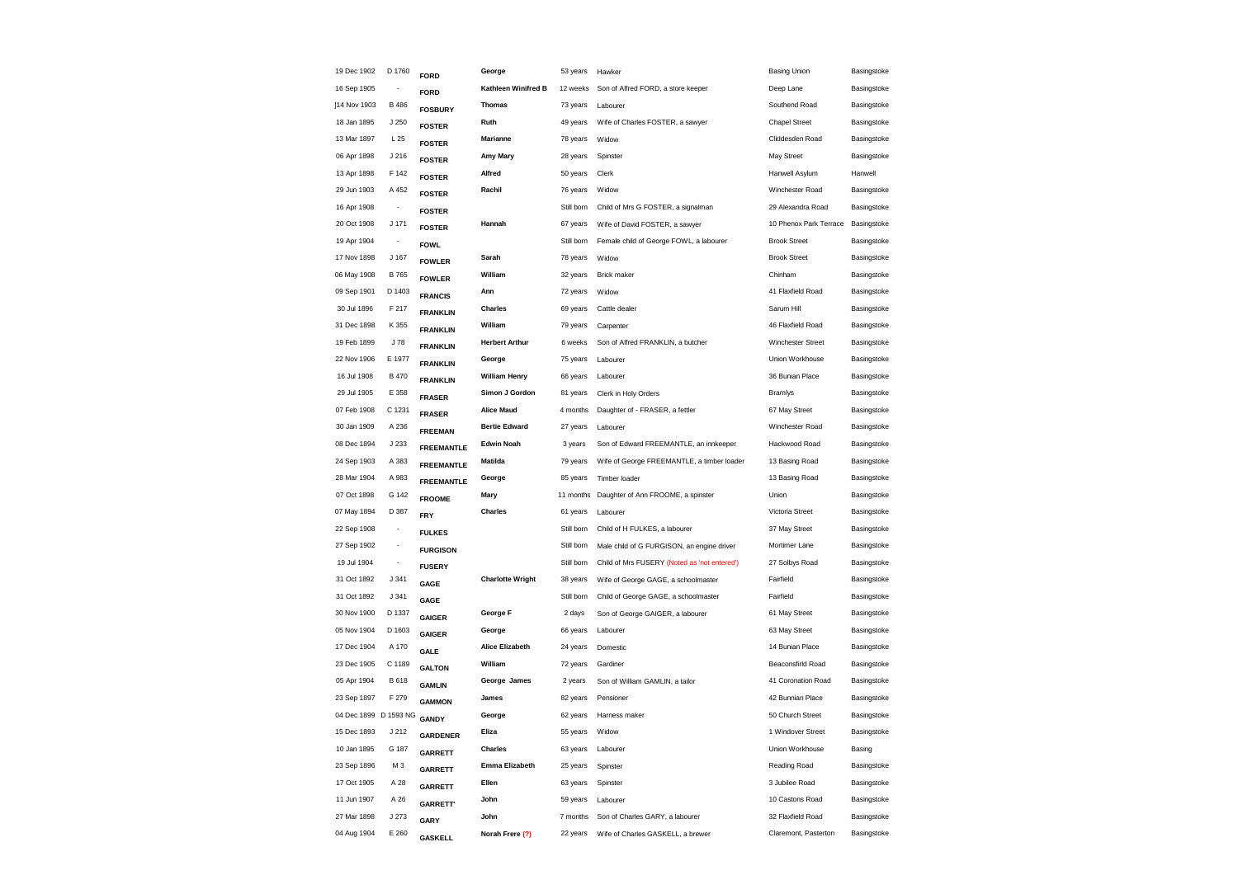| 19 Dec 1902           | D 1760                   | <b>FORD</b>       | George                  | 53 years   | Hawker                                       | <b>Basing Union</b>    | Basingstoke |
|-----------------------|--------------------------|-------------------|-------------------------|------------|----------------------------------------------|------------------------|-------------|
| 16 Sep 1905           |                          | <b>FORD</b>       | Kathleen Winifred B     | 12 weeks   | Son of Alfred FORD, a store keeper           | Deep Lane              | Basingstoke |
| ]14 Nov 1903          | B 486                    | <b>FOSBURY</b>    | <b>Thomas</b>           | 73 years   | Labourer                                     | Southend Road          | Basingstoke |
| 18 Jan 1895           | J 250                    | <b>FOSTER</b>     | Ruth                    | 49 years   | Wife of Charles FOSTER, a sawyer             | <b>Chapel Street</b>   | Basingstoke |
| 13 Mar 1897           | L <sub>25</sub>          | <b>FOSTER</b>     | Marianne                | 78 years   | Widow                                        | Cliddesden Road        | Basingstoke |
| 06 Apr 1898           | J 216                    | <b>FOSTER</b>     | Amy Mary                | 28 years   | Spinster                                     | May Street             | Basingstoke |
| 13 Apr 1898           | F 142                    | <b>FOSTER</b>     | Alfred                  | 50 years   | Clerk                                        | Hanwell Asylum         | Hanwell     |
| 29 Jun 1903           | A 452                    | <b>FOSTER</b>     | Rachil                  | 76 years   | Widow                                        | Winchester Road        | Basingstoke |
| 16 Apr 1908           | $\overline{\phantom{a}}$ | <b>FOSTER</b>     |                         | Still born | Child of Mrs G FOSTER, a signalman           | 29 Alexandra Road      | Basingstoke |
| 20 Oct 1908           | $J$ 171                  | <b>FOSTER</b>     | Hannah                  | 67 years   | Wife of David FOSTER, a sawyer               | 10 Phenox Park Terrace | Basingstoke |
| 19 Apr 1904           | $\overline{\phantom{a}}$ | <b>FOWL</b>       |                         | Still born | Female child of George FOWL, a labourer      | <b>Brook Street</b>    | Basingstoke |
| 17 Nov 1898           | J 167                    | <b>FOWLER</b>     | Sarah                   | 78 years   | Widow                                        | <b>Brook Street</b>    | Basingstoke |
| 06 May 1908           | B 765                    | <b>FOWLER</b>     | William                 | 32 years   | <b>Brick maker</b>                           | Chinham                | Basingstoke |
| 09 Sep 1901           | D 1403                   | <b>FRANCIS</b>    | Ann                     | 72 years   | Widow                                        | 41 Flaxfield Road      | Basingstoke |
| 30 Jul 1896           | F 217                    | <b>FRANKLIN</b>   | Charles                 | 69 years   | Cattle dealer                                | Sarum Hill             | Basingstoke |
| 31 Dec 1898           | K 355                    | <b>FRANKLIN</b>   | William                 | 79 years   | Carpenter                                    | 46 Flaxfield Road      | Basingstoke |
| 19 Feb 1899           | J 78                     | <b>FRANKLIN</b>   | <b>Herbert Arthur</b>   | 6 weeks    | Son of Alfred FRANKLIN, a butcher            | Winchester Street      | Basingstoke |
| 22 Nov 1906           | E 1977                   | <b>FRANKLIN</b>   | George                  | 75 years   | Labourer                                     | Union Workhouse        | Basingstoke |
| 16 Jul 1908           | B 470                    | <b>FRANKLIN</b>   | <b>William Henry</b>    | 66 years   | Labourer                                     | 36 Bunian Place        | Basingstoke |
| 29 Jul 1905           | E 358                    | <b>FRASER</b>     | Simon J Gordon          | 81 years   | Clerk in Holy Orders                         | <b>Bramlys</b>         | Basingstoke |
| 07 Feb 1908           | C 1231                   | <b>FRASER</b>     | <b>Alice Maud</b>       | 4 months   | Daughter of - FRASER, a fettler              | 67 May Street          | Basingstoke |
| 30 Jan 1909           | A 236                    | <b>FREEMAN</b>    | <b>Bertie Edward</b>    | 27 years   | Labourer                                     | Winchester Road        | Basingstoke |
| 08 Dec 1894           | J 233                    | <b>FREEMANTLE</b> | <b>Edwin Noah</b>       | 3 years    | Son of Edward FREEMANTLE, an innkeeper       | Hackwood Road          | Basingstoke |
| 24 Sep 1903           | A 383                    | <b>FREEMANTLE</b> | Matilda                 | 79 years   | Wife of George FREEMANTLE, a timber loader   | 13 Basing Road         | Basingstoke |
| 28 Mar 1904           | A 983                    | <b>FREEMANTLE</b> | George                  | 85 years   | Timber loader                                | 13 Basing Road         | Basingstoke |
| 07 Oct 1898           | G 142                    | <b>FROOME</b>     | Mary                    | 11 months  | Daughter of Ann FROOME, a spinster           | Union                  | Basingstoke |
| 07 May 1894           | D 387                    | <b>FRY</b>        | Charles                 | 61 years   | Labourer                                     | Victoria Street        | Basingstoke |
| 22 Sep 1908           |                          | <b>FULKES</b>     |                         | Still born | Child of H FULKES, a labourer                | 37 May Street          | Basingstoke |
| 27 Sep 1902           |                          | <b>FURGISON</b>   |                         | Still born | Male child of G FURGISON, an engine driver   | Mortimer Lane          | Basingstoke |
| 19 Jul 1904           |                          | <b>FUSERY</b>     |                         | Still born | Child of Mrs FUSERY (Noted as 'not entered') | 27 Solbys Road         | Basingstoke |
| 31 Oct 1892           | J 341                    | GAGE              | <b>Charlotte Wright</b> | 38 years   | Wife of George GAGE, a schoolmaster          | Fairfield              | Basingstoke |
| 31 Oct 1892           | J 341                    | GAGE              |                         | Still born | Child of George GAGE, a schoolmaster         | Fairfield              | Basingstoke |
| 30 Nov 1900           | D 1337                   | <b>GAIGER</b>     | George F                | 2 days     | Son of George GAIGER, a labourer             | 61 May Street          | Basingstoke |
| 05 Nov 1904           | D 1603                   | <b>GAIGER</b>     | George                  | 66 years   | Labourer                                     | 63 May Street          | Basingstoke |
| 17 Dec 1904           | A 170                    | GALE              | <b>Alice Elizabeth</b>  | 24 years   | Domestic                                     | 14 Bunian Place        | Basingstoke |
| 23 Dec 1905           | C 1189                   | <b>GALTON</b>     | William                 | 72 years   | Gardiner                                     | Beaconsfirld Road      | Basingstoke |
| 05 Apr 1904           | B 618                    | <b>GAMLIN</b>     | George James            | 2 years    | Son of William GAMLIN, a tailor              | 41 Coronation Road     | Basingstoke |
| 23 Sep 1897           | F 279                    | <b>GAMMON</b>     | James                   | 82 years   | Pensioner                                    | 42 Bunnian Place       | Basingstoke |
| 04 Dec 1899 D 1593 NG |                          | <b>GANDY</b>      | George                  | 62 years   | Harness maker                                | 50 Church Street       | Basingstoke |
| 15 Dec 1893           | J 212                    | <b>GARDENER</b>   | Eliza                   | 55 years   | Widow                                        | 1 Windover Street      | Basingstoke |
| 10 Jan 1895           | G 187                    | <b>GARRETT</b>    | Charles                 | 63 years   | Labourer                                     | Union Workhouse        | Basing      |
| 23 Sep 1896           | M <sub>3</sub>           | <b>GARRETT</b>    | <b>Emma Elizabeth</b>   | 25 years   | Spinster                                     | Reading Road           | Basingstoke |
| 17 Oct 1905           | A 28                     | <b>GARRETT</b>    | Ellen                   | 63 years   | Spinster                                     | 3 Jubilee Road         | Basingstoke |
| 11 Jun 1907           | A 26                     | <b>GARRETT</b>    | John                    | 59 years   | Labourer                                     | 10 Castons Road        | Basingstoke |
| 27 Mar 1898           | J 273                    | GARY              | John                    | 7 months   | Son of Charles GARY, a labourer              | 32 Flaxfield Road      | Basingstoke |
| 04 Aug 1904           | E 260                    | <b>GASKELL</b>    | Norah Frere (?)         | 22 years   | Wife of Charles GASKELL, a brewer            | Claremont, Pasterton   | Basingstoke |
|                       |                          |                   |                         |            |                                              |                        |             |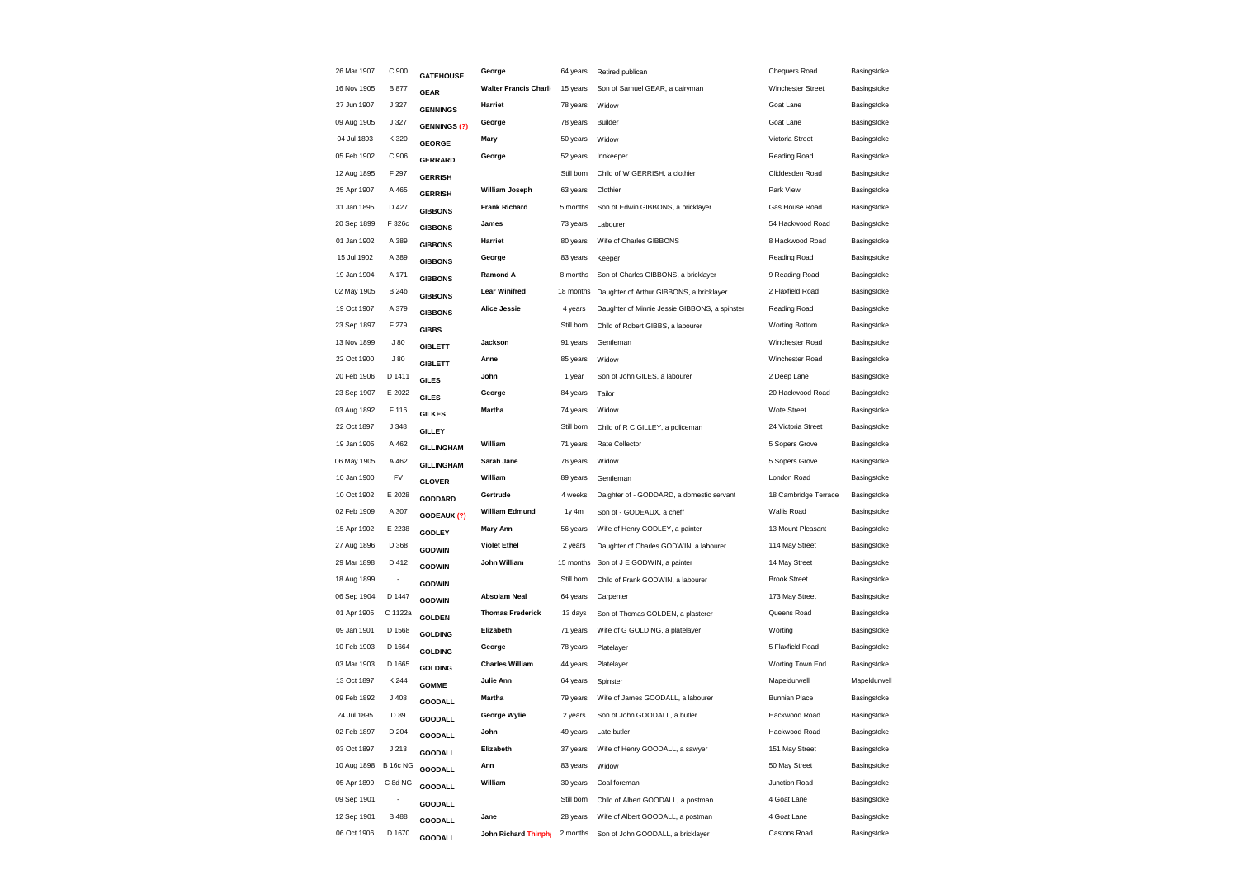| 26 Mar 1907 | C 900           | <b>GATEHOUSE</b>    | George                       | 64 years   | Retired publican                              | <b>Chequers Road</b>  | Basingstoke  |
|-------------|-----------------|---------------------|------------------------------|------------|-----------------------------------------------|-----------------------|--------------|
| 16 Nov 1905 | <b>B</b> 877    | <b>GEAR</b>         | <b>Walter Francis Charli</b> | 15 years   | Son of Samuel GEAR, a dairyman                | Winchester Street     | Basingstoke  |
| 27 Jun 1907 | J 327           | <b>GENNINGS</b>     | Harriet                      | 78 years   | Widow                                         | Goat Lane             | Basingstoke  |
| 09 Aug 1905 | J 327           | <b>GENNINGS (?)</b> | George                       | 78 years   | Builder                                       | Goat Lane             | Basingstoke  |
| 04 Jul 1893 | K 320           | <b>GEORGE</b>       | Mary                         | 50 years   | Widow                                         | Victoria Street       | Basingstoke  |
| 05 Feb 1902 | C 906           | <b>GERRARD</b>      | George                       | 52 years   | Innkeeper                                     | Reading Road          | Basingstoke  |
| 12 Aug 1895 | F 297           | <b>GERRISH</b>      |                              | Still born | Child of W GERRISH, a clothier                | Cliddesden Road       | Basingstoke  |
| 25 Apr 1907 | A 465           | <b>GERRISH</b>      | <b>William Joseph</b>        | 63 years   | Clothier                                      | Park View             | Basingstoke  |
| 31 Jan 1895 | D 427           | <b>GIBBONS</b>      | <b>Frank Richard</b>         | 5 months   | Son of Edwin GIBBONS, a bricklayer            | Gas House Road        | Basingstoke  |
| 20 Sep 1899 | F 326c          | <b>GIBBONS</b>      | James                        | 73 years   | Labourer                                      | 54 Hackwood Road      | Basingstoke  |
| 01 Jan 1902 | A 389           | <b>GIBBONS</b>      | Harriet                      | 80 years   | Wife of Charles GIBBONS                       | 8 Hackwood Road       | Basingstoke  |
| 15 Jul 1902 | A 389           | <b>GIBBONS</b>      | George                       | 83 years   | Keeper                                        | Reading Road          | Basingstoke  |
| 19 Jan 1904 | A 171           | <b>GIBBONS</b>      | Ramond A                     | 8 months   | Son of Charles GIBBONS, a bricklayer          | 9 Reading Road        | Basingstoke  |
| 02 May 1905 | <b>B24b</b>     | <b>GIBBONS</b>      | <b>Lear Winifred</b>         | 18 months  | Daughter of Arthur GIBBONS, a bricklayer      | 2 Flaxfield Road      | Basingstoke  |
| 19 Oct 1907 | A 379           | <b>GIBBONS</b>      | <b>Alice Jessie</b>          | 4 years    | Daughter of Minnie Jessie GIBBONS, a spinster | Reading Road          | Basingstoke  |
| 23 Sep 1897 | F 279           | <b>GIBBS</b>        |                              | Still born | Child of Robert GIBBS, a labourer             | <b>Worting Bottom</b> | Basingstoke  |
| 13 Nov 1899 | J80             | <b>GIBLETT</b>      | Jackson                      | 91 years   | Gentleman                                     | Winchester Road       | Basingstoke  |
| 22 Oct 1900 | J80             | <b>GIBLETT</b>      | Anne                         | 85 years   | Widow                                         | Winchester Road       | Basingstoke  |
| 20 Feb 1906 | D 1411          | <b>GILES</b>        | John                         | 1 year     | Son of John GILES, a labourer                 | 2 Deep Lane           | Basingstoke  |
| 23 Sep 1907 | E 2022          | <b>GILES</b>        | George                       | 84 years   | Tailor                                        | 20 Hackwood Road      | Basingstoke  |
| 03 Aug 1892 | F 116           | <b>GILKES</b>       | Martha                       | 74 years   | Widow                                         | <b>Wote Street</b>    | Basingstoke  |
| 22 Oct 1897 | J 348           | <b>GILLEY</b>       |                              | Still born | Child of R C GILLEY, a policeman              | 24 Victoria Street    | Basingstoke  |
| 19 Jan 1905 | A 462           | <b>GILLINGHAM</b>   | William                      | 71 years   | Rate Collector                                | 5 Sopers Grove        | Basingstoke  |
| 06 May 1905 | A 462           | <b>GILLINGHAM</b>   | Sarah Jane                   | 76 years   | Widow                                         | 5 Sopers Grove        | Basingstoke  |
| 10 Jan 1900 | FV              | <b>GLOVER</b>       | William                      | 89 years   | Gentleman                                     | London Road           | Basingstoke  |
| 10 Oct 1902 | E 2028          | GODDARD             | Gertrude                     | 4 weeks    | Daighter of - GODDARD, a domestic servant     | 18 Cambridge Terrace  | Basingstoke  |
| 02 Feb 1909 | A 307           | GODEAUX (?)         | <b>William Edmund</b>        | 1y 4m      | Son of - GODEAUX, a cheff                     | Wallis Road           | Basingstoke  |
| 15 Apr 1902 | E 2238          | <b>GODLEY</b>       | <b>Mary Ann</b>              | 56 years   | Wife of Henry GODLEY, a painter               | 13 Mount Pleasant     | Basingstoke  |
| 27 Aug 1896 | D 368           | <b>GODWIN</b>       | <b>Violet Ethel</b>          | 2 years    | Daughter of Charles GODWIN, a labourer        | 114 May Street        | Basingstoke  |
| 29 Mar 1898 | D 412           | <b>GODWIN</b>       | John William                 | 15 months  | Son of J E GODWIN, a painter                  | 14 May Street         | Basingstoke  |
| 18 Aug 1899 |                 | <b>GODWIN</b>       |                              | Still born | Child of Frank GODWIN, a labourer             | <b>Brook Street</b>   | Basingstoke  |
| 06 Sep 1904 | D 1447          | <b>GODWIN</b>       | Absolam Neal                 | 64 years   | Carpenter                                     | 173 May Street        | Basingstoke  |
| 01 Apr 1905 | C 1122a         | <b>GOLDEN</b>       | <b>Thomas Frederick</b>      | 13 days    | Son of Thomas GOLDEN, a plasterer             | Queens Road           | Basingstoke  |
| 09 Jan 1901 | D 1568          | <b>GOLDING</b>      | Elizabeth                    | 71 years   | Wife of G GOLDING, a platelayer               | Worting               | Basingstoke  |
| 10 Feb 1903 | D 1664          | <b>GOLDING</b>      | George                       | 78 years   | Platelayer                                    | 5 Flaxfield Road      | Basingstoke  |
| 03 Mar 1903 | D 1665          | <b>GOLDING</b>      | <b>Charles William</b>       | 44 years   | Platelayer                                    | Worting Town End      | Basingstoke  |
| 13 Oct 1897 | K 244           | <b>GOMME</b>        | Julie Ann                    | 64 years   | Spinster                                      | Mapeldurwell          | Mapeldurwell |
| 09 Feb 1892 | J408            | <b>GOODALL</b>      | Martha                       | 79 years   | Wife of James GOODALL, a labourer             | <b>Bunnian Place</b>  | Basingstoke  |
| 24 Jul 1895 | D 89            | <b>GOODALL</b>      | George Wylie                 | 2 years    | Son of John GOODALL, a butler                 | Hackwood Road         | Basingstoke  |
| 02 Feb 1897 | D 204           | GOODALL             | John                         | 49 years   | Late butler                                   | Hackwood Road         | Basingstoke  |
| 03 Oct 1897 | J213            | <b>GOODALL</b>      | Elizabeth                    | 37 years   | Wife of Henry GOODALL, a sawyer               | 151 May Street        | Basingstoke  |
| 10 Aug 1898 | <b>B 16c NG</b> | <b>GOODALL</b>      | Ann                          | 83 years   | Widow                                         | 50 May Street         | Basingstoke  |
| 05 Apr 1899 | C 8d NG         | <b>GOODALL</b>      | William                      | 30 years   | Coal foreman                                  | Junction Road         | Basingstoke  |
| 09 Sep 1901 |                 | <b>GOODALL</b>      |                              | Still born | Child of Albert GOODALL, a postman            | 4 Goat Lane           | Basingstoke  |
| 12 Sep 1901 | <b>B</b> 488    | GOODALL             | Jane                         | 28 years   | Wife of Albert GOODALL, a postman             | 4 Goat Lane           | Basingstoke  |
| 06 Oct 1906 | D 1670          | <b>GOODALL</b>      | <b>John Richard Thinphy</b>  | 2 months   | Son of John GOODALL, a bricklayer             | Castons Road          | Basingstoke  |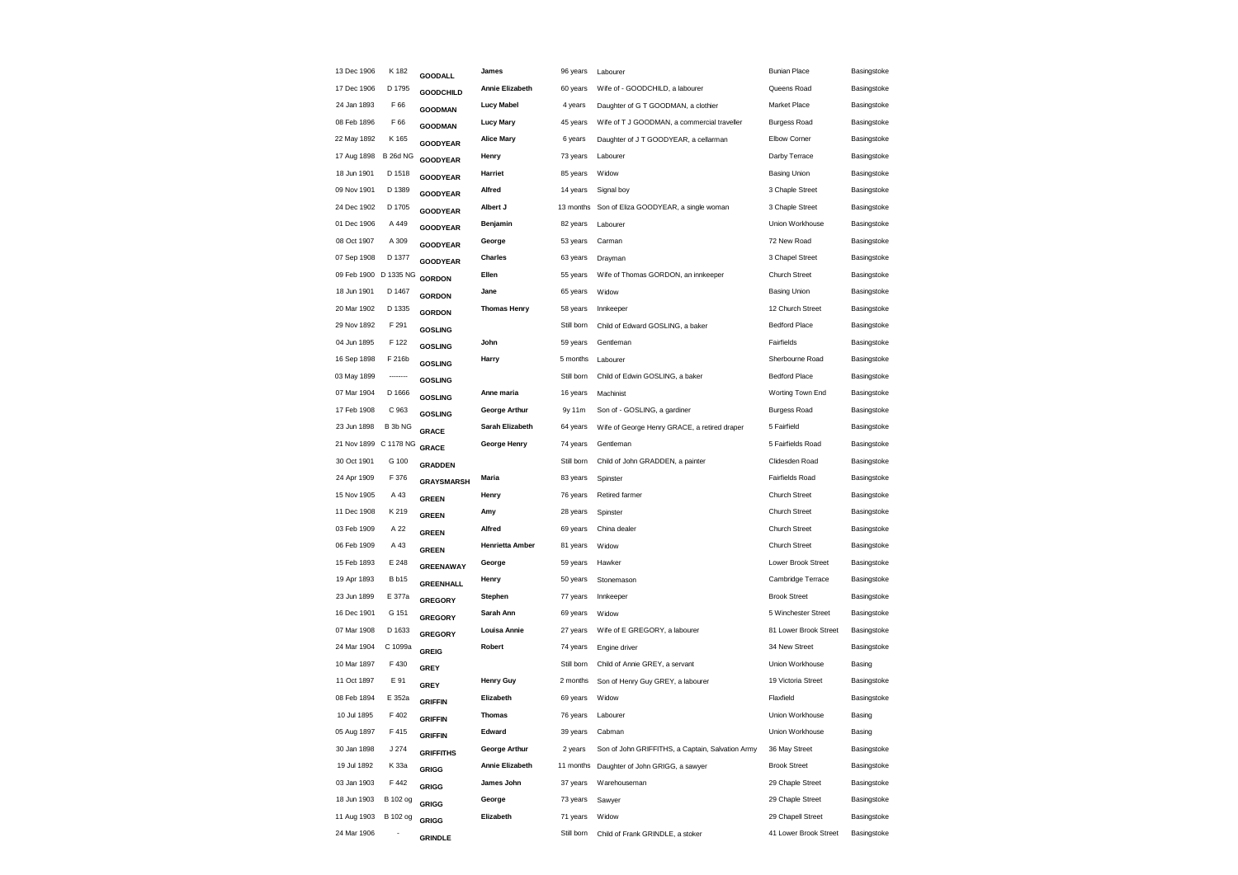| 13 Dec 1906 | K 182           | <b>GOODALL</b>    | James                  | 96 years   | Labourer                                         | <b>Bunian Place</b>   | Basingstoke |
|-------------|-----------------|-------------------|------------------------|------------|--------------------------------------------------|-----------------------|-------------|
| 17 Dec 1906 | D 1795          | <b>GOODCHILD</b>  | Annie Elizabeth        | 60 years   | Wife of - GOODCHILD, a labourer                  | Queens Road           | Basingstoke |
| 24 Jan 1893 | F 66            | <b>GOODMAN</b>    | <b>Lucy Mabel</b>      | 4 years    | Daughter of G T GOODMAN, a clothier              | Market Place          | Basingstoke |
| 08 Feb 1896 | F 66            | <b>GOODMAN</b>    | <b>Lucy Mary</b>       | 45 years   | Wife of T J GOODMAN, a commercial traveller      | <b>Burgess Road</b>   | Basingstoke |
| 22 May 1892 | K 165           | <b>GOODYEAR</b>   | <b>Alice Mary</b>      | 6 years    | Daughter of J T GOODYEAR, a cellarman            | Elbow Corner          | Basingstoke |
| 17 Aug 1898 | <b>B 26d NG</b> | GOODYEAR          | Henry                  | 73 years   | Labourer                                         | Darby Terrace         | Basingstoke |
| 18 Jun 1901 | D 1518          | <b>GOODYEAR</b>   | Harriet                | 85 years   | Widow                                            | <b>Basing Union</b>   | Basingstoke |
| 09 Nov 1901 | D 1389          | <b>GOODYEAR</b>   | Alfred                 | 14 years   | Signal boy                                       | 3 Chaple Street       | Basingstoke |
| 24 Dec 1902 | D 1705          | <b>GOODYEAR</b>   | Albert J               | 13 months  | Son of Eliza GOODYEAR, a single woman            | 3 Chaple Street       | Basingstoke |
| 01 Dec 1906 | A 449           | <b>GOODYEAR</b>   | Benjamin               | 82 years   | Labourer                                         | Union Workhouse       | Basingstoke |
| 08 Oct 1907 | A 309           | <b>GOODYEAR</b>   | George                 | 53 years   | Carman                                           | 72 New Road           | Basingstoke |
| 07 Sep 1908 | D 1377          | <b>GOODYEAR</b>   | Charles                | 63 years   | Drayman                                          | 3 Chapel Street       | Basingstoke |
| 09 Feb 1900 | D 1335 NG       | <b>GORDON</b>     | Ellen                  | 55 years   | Wife of Thomas GORDON, an innkeeper              | <b>Church Street</b>  | Basingstoke |
| 18 Jun 1901 | D 1467          | <b>GORDON</b>     | Jane                   | 65 years   | Widow                                            | <b>Basing Union</b>   | Basingstoke |
| 20 Mar 1902 | D 1335          | <b>GORDON</b>     | <b>Thomas Henry</b>    | 58 years   | Innkeeper                                        | 12 Church Street      | Basingstoke |
| 29 Nov 1892 | F 291           | <b>GOSLING</b>    |                        | Still born | Child of Edward GOSLING, a baker                 | <b>Bedford Place</b>  | Basingstoke |
| 04 Jun 1895 | F 122           | <b>GOSLING</b>    | John                   | 59 years   | Gentleman                                        | Fairfields            | Basingstoke |
| 16 Sep 1898 | F 216b          | <b>GOSLING</b>    | Harry                  | 5 months   | Labourer                                         | Sherbourne Road       | Basingstoke |
| 03 May 1899 | --------        | <b>GOSLING</b>    |                        | Still born | Child of Edwin GOSLING, a baker                  | <b>Bedford Place</b>  | Basingstoke |
| 07 Mar 1904 | D 1666          | <b>GOSLING</b>    | Anne maria             | 16 years   | Machinist                                        | Worting Town End      | Basingstoke |
| 17 Feb 1908 | C 963           | <b>GOSLING</b>    | <b>George Arthur</b>   | 9y 11m     | Son of - GOSLING, a gardiner                     | <b>Burgess Road</b>   | Basingstoke |
| 23 Jun 1898 | B 3b NG         | <b>GRACE</b>      | Sarah Elizabeth        | 64 years   | Wife of George Henry GRACE, a retired draper     | 5 Fairfield           | Basingstoke |
| 21 Nov 1899 | C 1178 NG       | <b>GRACE</b>      | George Henry           | 74 years   | Gentleman                                        | 5 Fairfields Road     | Basingstoke |
| 30 Oct 1901 | G 100           | <b>GRADDEN</b>    |                        | Still born | Child of John GRADDEN, a painter                 | Clidesden Road        | Basingstoke |
| 24 Apr 1909 | F 376           | <b>GRAYSMARSH</b> | Maria                  | 83 years   | Spinster                                         | Fairfields Road       | Basingstoke |
| 15 Nov 1905 | A 43            | <b>GREEN</b>      | Henry                  | 76 years   | Retired farmer                                   | <b>Church Street</b>  | Basingstoke |
| 11 Dec 1908 | K 219           | <b>GREEN</b>      | Amy                    | 28 years   | Spinster                                         | Church Street         | Basingstoke |
| 03 Feb 1909 | A 22            | <b>GREEN</b>      | Alfred                 | 69 years   | China dealer                                     | Church Street         | Basingstoke |
| 06 Feb 1909 | A 43            | <b>GREEN</b>      | <b>Henrietta Amber</b> | 81 years   | Widow                                            | <b>Church Street</b>  | Basingstoke |
| 15 Feb 1893 | E 248           | <b>GREENAWAY</b>  | George                 | 59 years   | Hawker                                           | Lower Brook Street    | Basingstoke |
| 19 Apr 1893 | <b>B</b> b15    | <b>GREENHALL</b>  | Henry                  | 50 years   | Stonemason                                       | Cambridge Terrace     | Basingstoke |
| 23 Jun 1899 | E 377a          | <b>GREGORY</b>    | Stephen                | 77 years   | Innkeeper                                        | <b>Brook Street</b>   | Basingstoke |
| 16 Dec 1901 | G 151           | <b>GREGORY</b>    | Sarah Ann              | 69 years   | Widow                                            | 5 Winchester Street   | Basingstoke |
| 07 Mar 1908 | D 1633          | <b>GREGORY</b>    | Louisa Annie           | 27 years   | Wife of E GREGORY, a labourer                    | 81 Lower Brook Street | Basingstoke |
| 24 Mar 1904 | C 1099a         | <b>GREIG</b>      | Robert                 | 74 years   | Engine driver                                    | 34 New Street         | Basingstoke |
| 10 Mar 1897 | F 430           | <b>GREY</b>       |                        | Still born | Child of Annie GREY, a servant                   | Union Workhouse       | Basing      |
| 11 Oct 1897 | E 91            | <b>GREY</b>       | <b>Henry Guy</b>       | 2 months   | Son of Henry Guy GREY, a labourer                | 19 Victoria Street    | Basingstoke |
| 08 Feb 1894 | E 352a          | <b>GRIFFIN</b>    | Elizabeth              | 69 years   | Widow                                            | Flaxfield             | Basingstoke |
| 10 Jul 1895 | F 402           | <b>GRIFFIN</b>    | <b>Thomas</b>          | 76 years   | Labourer                                         | Union Workhouse       | Basing      |
| 05 Aug 1897 | F 415           | <b>GRIFFIN</b>    | Edward                 | 39 years   | Cabman                                           | Union Workhouse       | Basing      |
| 30 Jan 1898 | J 274           | <b>GRIFFITHS</b>  | George Arthur          | 2 years    | Son of John GRIFFITHS, a Captain, Salvation Army | 36 May Street         | Basingstoke |
| 19 Jul 1892 | K 33a           | <b>GRIGG</b>      | Annie Elizabeth        | 11 months  | Daughter of John GRIGG, a sawyer                 | <b>Brook Street</b>   | Basingstoke |
| 03 Jan 1903 | F 442           | <b>GRIGG</b>      | James John             | 37 years   | Warehouseman                                     | 29 Chaple Street      | Basingstoke |
| 18 Jun 1903 | B 102 og        | GRIGG             | George                 | 73 years   | Sawyer                                           | 29 Chaple Street      | Basingstoke |
| 11 Aug 1903 | B 102 og        | <b>GRIGG</b>      | Elizabeth              | 71 years   | Widow                                            | 29 Chapell Street     | Basingstoke |
| 24 Mar 1906 |                 | <b>GRINDLE</b>    |                        | Still born | Child of Frank GRINDLE, a stoker                 | 41 Lower Brook Street | Basingstoke |
|             |                 |                   |                        |            |                                                  |                       |             |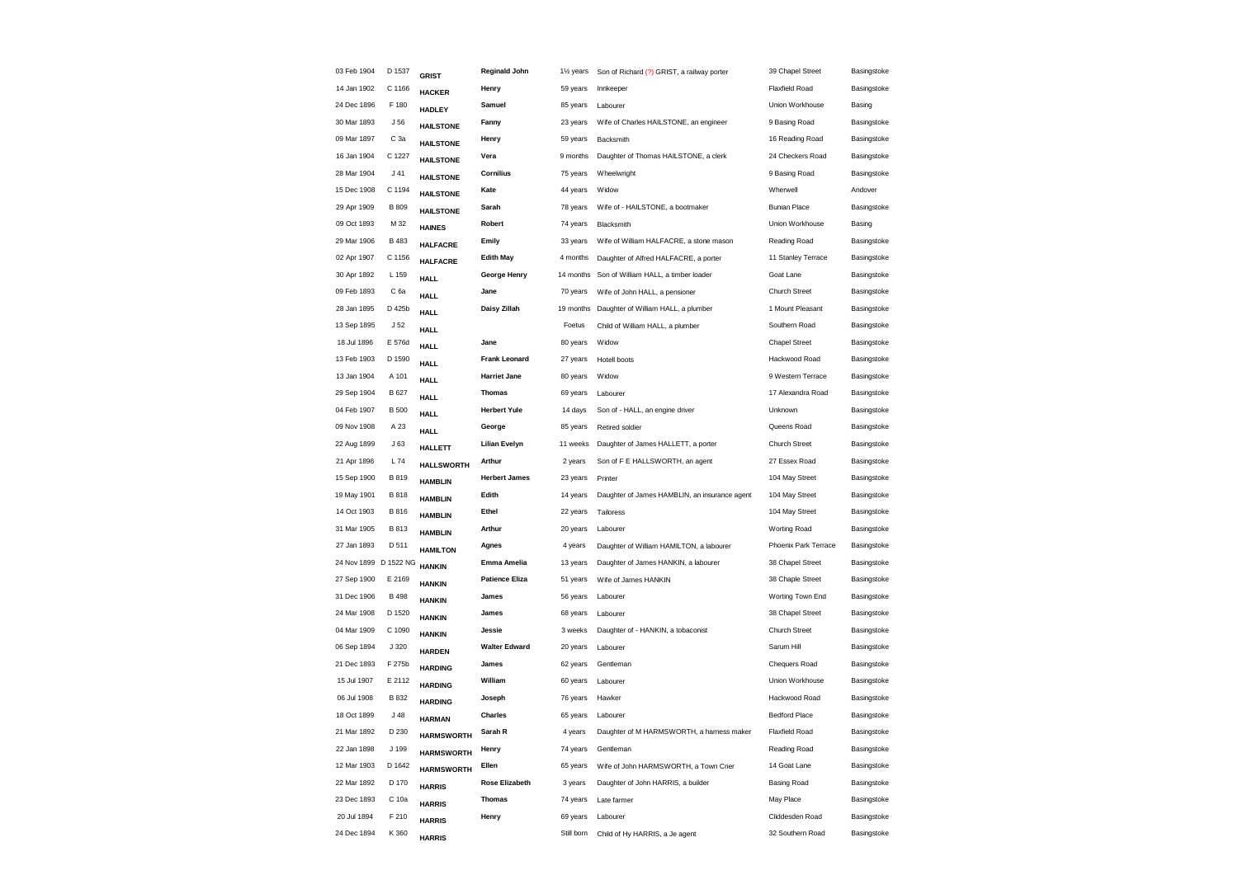| 03 Feb 1904 | D 1537          | <b>GRIST</b>          | <b>Reginald John</b>                                                                                                                                                                                                                                                                                                                                               | 11/ <sub>2</sub> years | Son of Richard (?) GRIST, a railway porter    | 39 Chapel Street                     | Basingstoke |
|-------------|-----------------|-----------------------|--------------------------------------------------------------------------------------------------------------------------------------------------------------------------------------------------------------------------------------------------------------------------------------------------------------------------------------------------------------------|------------------------|-----------------------------------------------|--------------------------------------|-------------|
| 14 Jan 1902 | C 1166          | <b>HACKER</b>         | Henry                                                                                                                                                                                                                                                                                                                                                              | 59 years               | Innkeeper                                     | <b>Flaxfield Road</b>                | Basingstoke |
| 24 Dec 1896 | F 180           | <b>HADLEY</b>         | Samuel                                                                                                                                                                                                                                                                                                                                                             | 85 years               | Labourer                                      | Union Workhouse                      | Basing      |
| 30 Mar 1893 | J 56            | <b>HAILSTONE</b>      | Fanny                                                                                                                                                                                                                                                                                                                                                              | 23 years               | Wife of Charles HAILSTONE, an engineer        | 9 Basing Road                        | Basingstoke |
| 09 Mar 1897 | C 3a            |                       | Henry                                                                                                                                                                                                                                                                                                                                                              | 59 years               | Backsmith                                     | 16 Reading Road                      | Basingstoke |
| 16 Jan 1904 | C 1227          | <b>HAILSTONE</b>      | Vera                                                                                                                                                                                                                                                                                                                                                               | 9 months               | Daughter of Thomas HAILSTONE, a clerk         | 24 Checkers Road                     | Basingstoke |
| 28 Mar 1904 | $J$ 41          | <b>HAILSTONE</b>      | <b>Cornilius</b>                                                                                                                                                                                                                                                                                                                                                   | 75 years               | Wheelwright                                   | 9 Basing Road                        | Basingstoke |
| 15 Dec 1908 | C 1194          |                       | Kate                                                                                                                                                                                                                                                                                                                                                               | 44 years               | Widow                                         | Wherwell                             | Andover     |
| 29 Apr 1909 | <b>B</b> 809    |                       | Sarah                                                                                                                                                                                                                                                                                                                                                              | 78 years               | Wife of - HAILSTONE, a bootmaker              | <b>Bunian Place</b>                  | Basingstoke |
| 09 Oct 1893 | M 32            |                       | Robert                                                                                                                                                                                                                                                                                                                                                             | 74 years               | Blacksmith                                    | Union Workhouse                      | Basing      |
| 29 Mar 1906 | B 483           |                       | Emily                                                                                                                                                                                                                                                                                                                                                              | 33 years               | Wife of William HALFACRE, a stone mason       | Reading Road                         | Basingstoke |
| 02 Apr 1907 | C 1156          |                       | <b>Edith May</b>                                                                                                                                                                                                                                                                                                                                                   | 4 months               | Daughter of Alfred HALFACRE, a porter         | 11 Stanley Terrace                   | Basingstoke |
| 30 Apr 1892 | L 159           |                       | George Henry                                                                                                                                                                                                                                                                                                                                                       | 14 months              |                                               | Goat Lane                            | Basingstoke |
| 09 Feb 1893 | C 6a            |                       | Jane                                                                                                                                                                                                                                                                                                                                                               | 70 years               | Wife of John HALL, a pensioner                | <b>Church Street</b>                 | Basingstoke |
| 28 Jan 1895 | D 425b          |                       | Daisy Zillah                                                                                                                                                                                                                                                                                                                                                       | 19 months              | Daughter of William HALL, a plumber           | 1 Mount Pleasant                     | Basingstoke |
| 13 Sep 1895 | J <sub>52</sub> |                       |                                                                                                                                                                                                                                                                                                                                                                    | Foetus                 | Child of William HALL, a plumber              | Southern Road                        | Basingstoke |
| 18 Jul 1896 | E 576d          |                       | Jane                                                                                                                                                                                                                                                                                                                                                               | 80 years               | Widow                                         | <b>Chapel Street</b>                 | Basingstoke |
| 13 Feb 1903 | D 1590          |                       | <b>Frank Leonard</b>                                                                                                                                                                                                                                                                                                                                               | 27 years               | Hotell boots                                  | Hackwood Road                        | Basingstoke |
| 13 Jan 1904 | A 101           |                       | <b>Harriet Jane</b>                                                                                                                                                                                                                                                                                                                                                | 80 years               | Widow                                         | 9 Western Terrace                    | Basingstoke |
| 29 Sep 1904 | <b>B</b> 627    |                       | <b>Thomas</b>                                                                                                                                                                                                                                                                                                                                                      | 69 years               | Labourer                                      | 17 Alexandra Road                    | Basingstoke |
| 04 Feb 1907 | <b>B</b> 500    |                       | <b>Herbert Yule</b>                                                                                                                                                                                                                                                                                                                                                | 14 days                | Son of - HALL, an engine driver               | Unknown                              | Basingstoke |
| 09 Nov 1908 | A 23            |                       | George                                                                                                                                                                                                                                                                                                                                                             | 85 years               | Retired soldier                               | Queens Road                          | Basingstoke |
| 22 Aug 1899 | J63             |                       | <b>Lilian Evelyn</b>                                                                                                                                                                                                                                                                                                                                               | 11 weeks               | Daughter of James HALLETT, a porter           | <b>Church Street</b>                 | Basingstoke |
| 21 Apr 1896 | L 74            |                       | Arthur                                                                                                                                                                                                                                                                                                                                                             | 2 years                | Son of F E HALLSWORTH, an agent               | 27 Essex Road                        | Basingstoke |
| 15 Sep 1900 | B 819           | <b>HAMBLIN</b>        | <b>Herbert James</b>                                                                                                                                                                                                                                                                                                                                               | 23 years               | Printer                                       | 104 May Street                       | Basingstoke |
| 19 May 1901 | B 818           |                       | Edith                                                                                                                                                                                                                                                                                                                                                              | 14 years               | Daughter of James HAMBLIN, an insurance agent | 104 May Street                       | Basingstoke |
| 14 Oct 1903 | <b>B816</b>     |                       | Ethel                                                                                                                                                                                                                                                                                                                                                              | 22 years               | Tailoress                                     | 104 May Street                       | Basingstoke |
| 31 Mar 1905 | <b>B813</b>     |                       | Arthur                                                                                                                                                                                                                                                                                                                                                             | 20 years               | Labourer                                      | Worting Road                         | Basingstoke |
| 27 Jan 1893 | D 511           | <b>HAMILTON</b>       | Agnes                                                                                                                                                                                                                                                                                                                                                              | 4 years                | Daughter of William HAMILTON, a labourer      | Phoenix Park Terrace                 | Basingstoke |
|             |                 | <b>HANKIN</b>         | Emma Amelia                                                                                                                                                                                                                                                                                                                                                        | 13 years               | Daughter of James HANKIN, a labourer          | 38 Chapel Street                     | Basingstoke |
| 27 Sep 1900 | E 2169          | <b>HANKIN</b>         | <b>Patience Eliza</b>                                                                                                                                                                                                                                                                                                                                              | 51 years               | Wife of James HANKIN                          | 38 Chaple Street                     | Basingstoke |
| 31 Dec 1906 | <b>B</b> 498    | <b>HANKIN</b>         | James                                                                                                                                                                                                                                                                                                                                                              | 56 years               | Labourer                                      | Worting Town End                     | Basingstoke |
| 24 Mar 1908 | D 1520          | <b>HANKIN</b>         | James                                                                                                                                                                                                                                                                                                                                                              | 68 years               | Labourer                                      | 38 Chapel Street                     | Basingstoke |
| 04 Mar 1909 | C 1090          | <b>HANKIN</b>         | Jessie                                                                                                                                                                                                                                                                                                                                                             | 3 weeks                | Daughter of - HANKIN, a tobaconist            | <b>Church Street</b>                 | Basingstoke |
| 06 Sep 1894 | J 320           | <b>HARDEN</b>         | <b>Walter Edward</b>                                                                                                                                                                                                                                                                                                                                               | 20 years               | Labourer                                      | Sarum Hill                           | Basingstoke |
| 21 Dec 1893 | F 275b          | <b>HARDING</b>        | James                                                                                                                                                                                                                                                                                                                                                              | 62 years               | Gentleman                                     | Chequers Road                        | Basingstoke |
| 15 Jul 1907 | E 2112          | <b>HARDING</b>        | William                                                                                                                                                                                                                                                                                                                                                            | 60 years               | Labourer                                      | Union Workhouse                      | Basingstoke |
| 06 Jul 1908 | B 832           | <b>HARDING</b>        | Joseph                                                                                                                                                                                                                                                                                                                                                             | 76 years               | Hawker                                        | Hackwood Road                        | Basingstoke |
| 18 Oct 1899 | J48             | <b>HARMAN</b>         | <b>Charles</b>                                                                                                                                                                                                                                                                                                                                                     | 65 years               | Labourer                                      | <b>Bedford Place</b>                 | Basingstoke |
| 21 Mar 1892 | D 230           | <b>HARMSWORTH</b>     | Sarah R                                                                                                                                                                                                                                                                                                                                                            | 4 years                | Daughter of M HARMSWORTH, a harness maker     | <b>Flaxfield Road</b>                | Basingstoke |
| 22 Jan 1898 | J 199           | <b>HARMSWORTH</b>     | Henry                                                                                                                                                                                                                                                                                                                                                              | 74 years               | Gentleman                                     | Reading Road                         | Basingstoke |
| 12 Mar 1903 | D 1642          | <b>HARMSWORTH</b>     | Ellen                                                                                                                                                                                                                                                                                                                                                              | 65 years               | Wife of John HARMSWORTH, a Town Crier         | 14 Goat Lane                         | Basingstoke |
| 22 Mar 1892 | D 170           | <b>HARRIS</b>         | Rose Elizabeth                                                                                                                                                                                                                                                                                                                                                     | 3 years                | Daughter of John HARRIS, a builder            | <b>Basing Road</b>                   | Basingstoke |
| 23 Dec 1893 | C 10a           | <b>HARRIS</b>         | <b>Thomas</b>                                                                                                                                                                                                                                                                                                                                                      | 74 years               | Late farmer                                   | May Place                            | Basingstoke |
| 20 Jul 1894 | F 210           | <b>HARRIS</b>         | Henry                                                                                                                                                                                                                                                                                                                                                              | 69 years               | Labourer                                      | Cliddesden Road                      | Basingstoke |
| 24 Dec 1894 | K 360           | <b>HARRIS</b>         |                                                                                                                                                                                                                                                                                                                                                                    | Still born             | Child of Hy HARRIS, a Je agent                | 32 Southern Road                     | Basingstoke |
|             |                 | 24 Nov 1899 D 1522 NG | <b>HAILSTONE</b><br><b>HAILSTONE</b><br><b>HAILSTONE</b><br><b>HAINES</b><br><b>HALFACRE</b><br><b>HALFACRE</b><br><b>HALL</b><br><b>HALL</b><br><b>HALL</b><br><b>HALL</b><br><b>HALL</b><br><b>HALL</b><br><b>HALL</b><br><b>HALL</b><br><b>HALL</b><br><b>HALL</b><br><b>HALLETT</b><br><b>HALLSWORTH</b><br><b>HAMBLIN</b><br><b>HAMBLIN</b><br><b>HAMBLIN</b> |                        |                                               | Son of William HALL, a timber loader |             |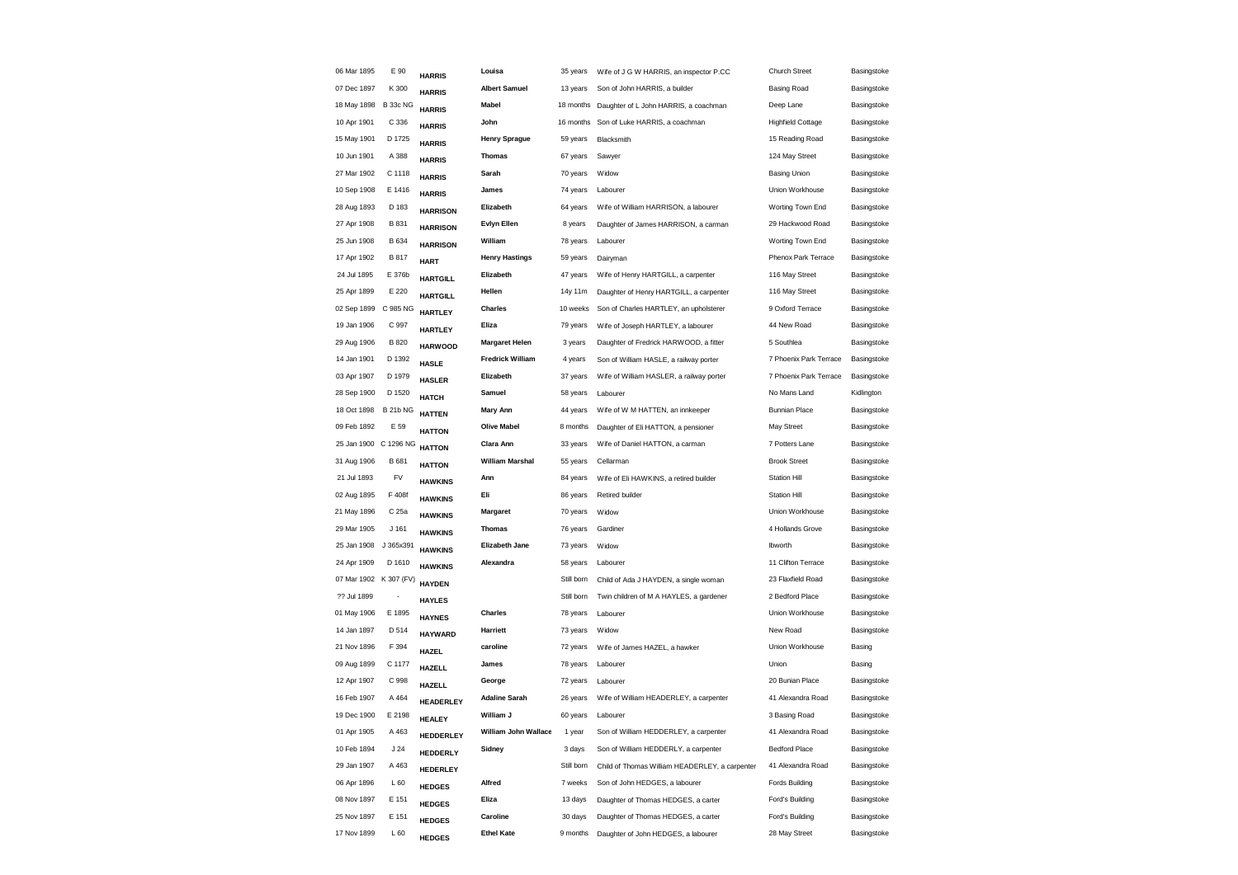| 06 Mar 1895           | E 90             | <b>HARRIS</b>    | Louisa                  | 35 years   | Wife of J G W HARRIS, an inspector P.CC        | <b>Church Street</b>     | Basingstoke |
|-----------------------|------------------|------------------|-------------------------|------------|------------------------------------------------|--------------------------|-------------|
| 07 Dec 1897           | K 300            | <b>HARRIS</b>    | <b>Albert Samuel</b>    | 13 years   | Son of John HARRIS, a builder                  | <b>Basing Road</b>       | Basingstoke |
| 18 May 1898           | <b>B 33c NG</b>  | <b>HARRIS</b>    | <b>Mabel</b>            | 18 months  | Daughter of L John HARRIS, a coachman          | Deep Lane                | Basingstoke |
| 10 Apr 1901           | C 336            | <b>HARRIS</b>    | John                    | 16 months  | Son of Luke HARRIS, a coachman                 | <b>Highfield Cottage</b> | Basingstoke |
| 15 May 1901           | D 1725           | <b>HARRIS</b>    | <b>Henry Sprague</b>    | 59 years   | Blacksmith                                     | 15 Reading Road          | Basingstoke |
| 10 Jun 1901           | A 388            | <b>HARRIS</b>    | <b>Thomas</b>           | 67 years   | Sawyer                                         | 124 May Street           | Basingstoke |
| 27 Mar 1902           | C 1118           | <b>HARRIS</b>    | Sarah                   | 70 years   | Widow                                          | <b>Basing Union</b>      | Basingstoke |
| 10 Sep 1908           | E 1416           | <b>HARRIS</b>    | James                   | 74 years   | Labourer                                       | Union Workhouse          | Basingstoke |
| 28 Aug 1893           | D 183            | <b>HARRISON</b>  | Elizabeth               | 64 years   | Wife of William HARRISON, a labourer           | Worting Town End         | Basingstoke |
| 27 Apr 1908           | B 831            | <b>HARRISON</b>  | <b>Evlyn Ellen</b>      | 8 years    | Daughter of James HARRISON, a carman           | 29 Hackwood Road         | Basingstoke |
| 25 Jun 1908           | B 634            | <b>HARRISON</b>  | William                 | 78 years   | Labourer                                       | Worting Town End         | Basingstoke |
| 17 Apr 1902           | <b>B817</b>      | <b>HART</b>      | <b>Henry Hastings</b>   | 59 years   | Dairyman                                       | Phenox Park Terrace      | Basingstoke |
| 24 Jul 1895           | E 376b           | <b>HARTGILL</b>  | Elizabeth               | 47 years   | Wife of Henry HARTGILL, a carpenter            | 116 May Street           | Basingstoke |
| 25 Apr 1899           | E 220            | <b>HARTGILL</b>  | Hellen                  | 14y 11m    | Daughter of Henry HARTGILL, a carpenter        | 116 May Street           | Basingstoke |
| 02 Sep 1899           | C 985 NG         | <b>HARTLEY</b>   | <b>Charles</b>          | 10 weeks   | Son of Charles HARTLEY, an upholsterer         | 9 Oxford Terrace         | Basingstoke |
| 19 Jan 1906           | C 997            | <b>HARTLEY</b>   | Eliza                   | 79 years   | Wife of Joseph HARTLEY, a labourer             | 44 New Road              | Basingstoke |
| 29 Aug 1906           | <b>B820</b>      | <b>HARWOOD</b>   | <b>Margaret Helen</b>   | 3 years    | Daughter of Fredrick HARWOOD, a fitter         | 5 Southlea               | Basingstoke |
| 14 Jan 1901           | D 1392           | <b>HASLE</b>     | <b>Fredrick William</b> | 4 years    | Son of William HASLE, a railway porter         | 7 Phoenix Park Terrace   | Basingstoke |
| 03 Apr 1907           | D 1979           | <b>HASLER</b>    | Elizabeth               | 37 years   | Wife of William HASLER, a railway porter       | 7 Phoenix Park Terrace   | Basingstoke |
| 28 Sep 1900           | D 1520           | <b>HATCH</b>     | Samuel                  | 58 years   | Labourer                                       | No Mans Land             | Kidlington  |
| 18 Oct 1898           | <b>B 21b NG</b>  | <b>HATTEN</b>    | <b>Mary Ann</b>         | 44 years   | Wife of W M HATTEN, an innkeeper               | <b>Bunnian Place</b>     | Basingstoke |
| 09 Feb 1892           | E 59             | <b>HATTON</b>    | <b>Olive Mabel</b>      | 8 months   | Daughter of Eli HATTON, a pensioner            | May Street               | Basingstoke |
| 25 Jan 1900 C 1296 NG |                  | <b>HATTON</b>    | Clara Ann               | 33 years   | Wife of Daniel HATTON, a carman                | 7 Potters Lane           | Basingstoke |
| 31 Aug 1906           | B 681            | <b>HATTON</b>    | <b>William Marshal</b>  | 55 years   | Cellarman                                      | <b>Brook Street</b>      | Basingstoke |
| 21 Jul 1893           | FV               | <b>HAWKINS</b>   | Ann                     | 84 years   | Wife of Eli HAWKINS, a retired builder         | <b>Station Hill</b>      | Basingstoke |
| 02 Aug 1895           | F 408f           | <b>HAWKINS</b>   | Eli                     | 86 years   | Retired builder                                | <b>Station Hill</b>      | Basingstoke |
| 21 May 1896           | C 25a            | <b>HAWKINS</b>   | Margaret                | 70 years   | Widow                                          | Union Workhouse          | Basingstoke |
| 29 Mar 1905           | J <sub>161</sub> | <b>HAWKINS</b>   | <b>Thomas</b>           | 76 years   | Gardiner                                       | 4 Hollands Grove         | Basingstoke |
| 25 Jan 1908           | J 365x391        | <b>HAWKINS</b>   | Elizabeth Jane          | 73 years   | Widow                                          | Ibworth                  | Basingstoke |
| 24 Apr 1909           | D 1610           | <b>HAWKINS</b>   | Alexandra               | 58 years   | Labourer                                       | 11 Clifton Terrace       | Basingstoke |
| 07 Mar 1902           | K 307 (FV)       | <b>HAYDEN</b>    |                         | Still born | Child of Ada J HAYDEN, a single woman          | 23 Flaxfield Road        | Basingstoke |
| ?? Jul 1899           |                  | <b>HAYLES</b>    |                         | Still born | Twin children of M A HAYLES, a gardener        | 2 Bedford Place          | Basingstoke |
| 01 May 1906           | E 1895           | <b>HAYNES</b>    | <b>Charles</b>          | 78 years   | Labourer                                       | Union Workhouse          | Basingstoke |
| 14 Jan 1897           | D 514            | <b>HAYWARD</b>   | Harriett                | 73 years   | Widow                                          | New Road                 | Basingstoke |
| 21 Nov 1896           | F 394            | <b>HAZEL</b>     | caroline                | 72 years   | Wife of James HAZEL, a hawker                  | Union Workhouse          | Basing      |
| 09 Aug 1899           | C 1177           | <b>HAZELL</b>    | James                   | 78 years   | Labourer                                       | Union                    | Basing      |
| 12 Apr 1907           | C 998            | <b>HAZELL</b>    | George                  | 72 years   | Labourer                                       | 20 Bunian Place          | Basingstoke |
| 16 Feb 1907           | A 464            | <b>HEADERLEY</b> | <b>Adaline Sarah</b>    | 26 years   | Wife of William HEADERLEY, a carpenter         | 41 Alexandra Road        | Basingstoke |
| 19 Dec 1900           | E 2198           | <b>HEALEY</b>    | William J               | 60 years   | Labourer                                       | 3 Basing Road            | Basingstoke |
| 01 Apr 1905           | A 463            | HEDDERLEY        | William John Wallace    | 1 year     | Son of William HEDDERLEY, a carpenter          | 41 Alexandra Road        | Basingstoke |
| 10 Feb 1894           | J24              | HEDDERLY         | Sidney                  | 3 days     | Son of William HEDDERLY, a carpenter           | <b>Bedford Place</b>     | Basingstoke |
| 29 Jan 1907           | A 463            | HEDERLEY         |                         | Still born | Child of Thomas William HEADERLEY, a carpenter | 41 Alexandra Road        | Basingstoke |
| 06 Apr 1896           | L 60             | <b>HEDGES</b>    | Alfred                  | 7 weeks    | Son of John HEDGES, a labourer                 | Fords Building           | Basingstoke |
| 08 Nov 1897           | E 151            | <b>HEDGES</b>    | Eliza                   | 13 days    | Daughter of Thomas HEDGES, a carter            | Ford's Building          | Basingstoke |
| 25 Nov 1897           | E 151            | <b>HEDGES</b>    | Caroline                | 30 days    | Daughter of Thomas HEDGES, a carter            | Ford's Building          | Basingstoke |
| 17 Nov 1899           | L60              | <b>HEDGES</b>    | <b>Ethel Kate</b>       | 9 months   | Daughter of John HEDGES, a labourer            | 28 May Street            | Basingstoke |
|                       |                  |                  |                         |            |                                                |                          |             |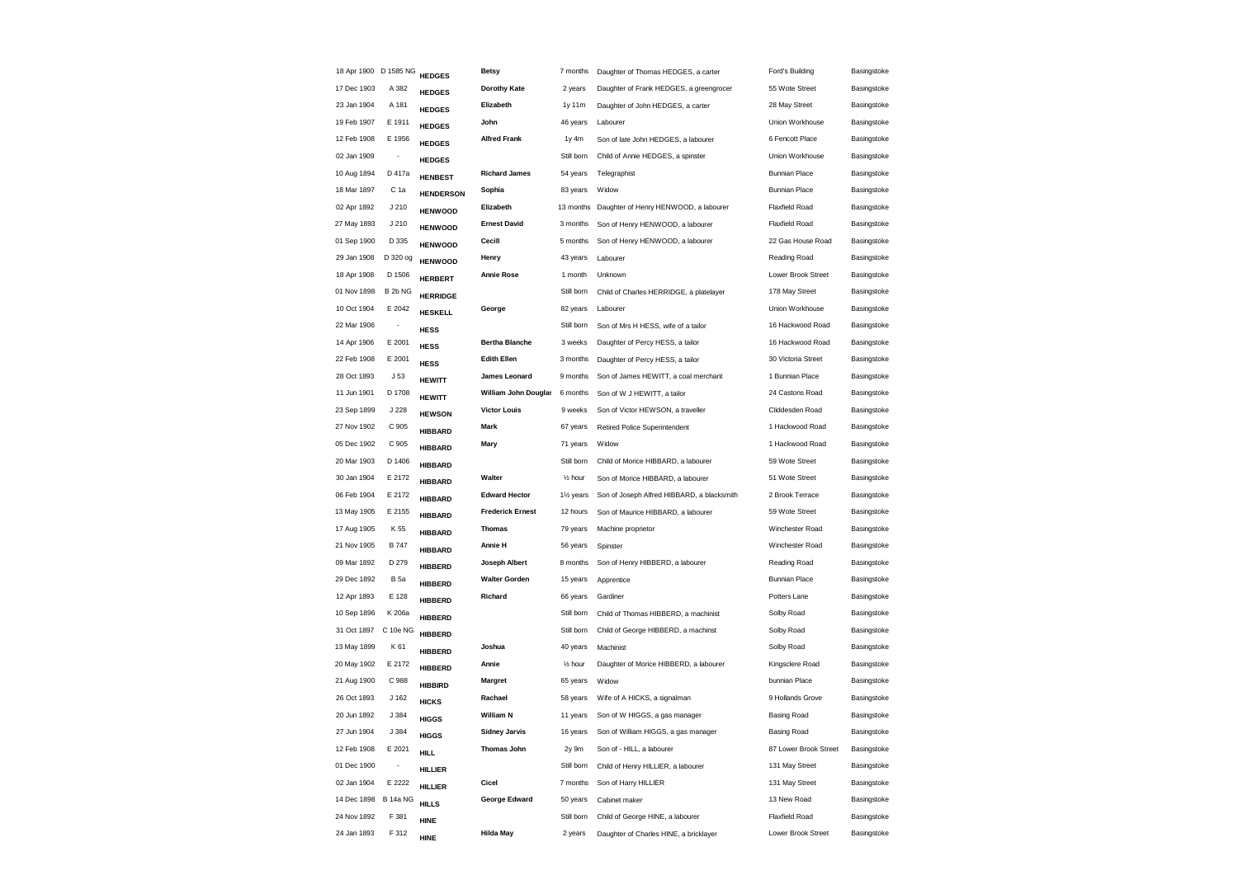| 18 Apr 1900 D 1585 NG |                          | <b>HEDGES</b>    | <b>Betsy</b>            | 7 months               | Daughter of Thomas HEDGES, a carter        | Ford's Building       | Basingstoke |
|-----------------------|--------------------------|------------------|-------------------------|------------------------|--------------------------------------------|-----------------------|-------------|
| 17 Dec 1903           | A 382                    | <b>HEDGES</b>    | <b>Dorothy Kate</b>     | 2 years                | Daughter of Frank HEDGES, a greengrocer    | 55 Wote Street        | Basingstoke |
| 23 Jan 1904           | A 181                    | <b>HEDGES</b>    | Elizabeth               | 1y 11m                 | Daughter of John HEDGES, a carter          | 28 May Street         | Basingstoke |
| 19 Feb 1907           | E 1911                   | <b>HEDGES</b>    | John                    | 46 years               | Labourer                                   | Union Workhouse       | Basingstoke |
| 12 Feb 1908           | E 1956                   | <b>HEDGES</b>    | <b>Alfred Frank</b>     | 1y 4m                  | Son of late John HEDGES, a labourer        | 6 Fencott Place       | Basingstoke |
| 02 Jan 1909           |                          | <b>HEDGES</b>    |                         | Still born             | Child of Annie HEDGES, a spinster          | Union Workhouse       | Basingstoke |
| 10 Aug 1894           | D 417a                   | <b>HENBEST</b>   | <b>Richard James</b>    | 54 years               | Telegraphist                               | <b>Bunnian Place</b>  | Basingstoke |
| 18 Mar 1897           | C 1a                     | <b>HENDERSON</b> | Sophia                  | 83 years               | Widow                                      | <b>Bunnian Place</b>  | Basingstoke |
| 02 Apr 1892           | J210                     | <b>HENWOOD</b>   | Elizabeth               | 13 months              | Daughter of Henry HENWOOD, a labourer      | Flaxfield Road        | Basingstoke |
| 27 May 1893           | J210                     | <b>HENWOOD</b>   | <b>Ernest David</b>     | 3 months               | Son of Henry HENWOOD, a labourer           | <b>Flaxfield Road</b> | Basingstoke |
| 01 Sep 1900           | D 335                    | <b>HENWOOD</b>   | Cecill                  | 5 months               | Son of Henry HENWOOD, a labourer           | 22 Gas House Road     | Basingstoke |
| 29 Jan 1908           | D 320 og                 | <b>HENWOOD</b>   | Henry                   | 43 years               | Labourer                                   | Reading Road          | Basingstoke |
| 18 Apr 1908           | D 1506                   | <b>HERBERT</b>   | <b>Annie Rose</b>       | 1 month                | Unknown                                    | Lower Brook Street    | Basingstoke |
| 01 Nov 1898           | B 2b NG                  | <b>HERRIDGE</b>  |                         | Still born             | Child of Charles HERRIDGE, a platelayer    | 178 May Street        | Basingstoke |
| 10 Oct 1904           | E 2042                   | <b>HESKELL</b>   | George                  | 82 years               | Labourer                                   | Union Workhouse       | Basingstoke |
| 22 Mar 1906           | $\overline{\phantom{a}}$ | <b>HESS</b>      |                         | Still born             | Son of Mrs H HESS, wife of a tailor        | 16 Hackwood Road      | Basingstoke |
| 14 Apr 1906           | E 2001                   | <b>HESS</b>      | <b>Bertha Blanche</b>   | 3 weeks                | Daughter of Percy HESS, a tailor           | 16 Hackwood Road      | Basingstoke |
| 22 Feb 1908           | E 2001                   | <b>HESS</b>      | <b>Edith Ellen</b>      | 3 months               | Daughter of Percy HESS, a tailor           | 30 Victoria Street    | Basingstoke |
| 28 Oct 1893           | J <sub>53</sub>          | <b>HEWITT</b>    | James Leonard           | 9 months               | Son of James HEWITT, a coal merchant       | 1 Bunnian Place       | Basingstoke |
| 11 Jun 1901           | D 1708                   | <b>HEWITT</b>    | William John Douglas    | 6 months               | Son of W J HEWITT, a tailor                | 24 Castons Road       | Basingstoke |
| 23 Sep 1899           | J 228                    | <b>HEWSON</b>    | <b>Victor Louis</b>     | 9 weeks                | Son of Victor HEWSON, a traveller          | Cliddesden Road       | Basingstoke |
| 27 Nov 1902           | C 905                    | <b>HIBBARD</b>   | Mark                    | 67 years               | Retired Police Superintendent              | 1 Hackwood Road       | Basingstoke |
| 05 Dec 1902           | C 905                    | <b>HIBBARD</b>   | Mary                    | 71 years               | Widow                                      | 1 Hackwood Road       | Basingstoke |
| 20 Mar 1903           | D 1406                   | <b>HIBBARD</b>   |                         | Still born             | Child of Morice HIBBARD, a labourer        | 59 Wote Street        | Basingstoke |
| 30 Jan 1904           | E 2172                   | <b>HIBBARD</b>   | Walter                  | $\frac{1}{2}$ hour     | Son of Morice HIBBARD, a labourer          | 51 Wote Street        | Basingstoke |
| 06 Feb 1904           | E 2172                   | <b>HIBBARD</b>   | <b>Edward Hector</b>    | 11/ <sub>2</sub> years | Son of Joseph Alfred HIBBARD, a blacksmith | 2 Brook Terrace       | Basingstoke |
| 13 May 1905           | E 2155                   | <b>HIBBARD</b>   | <b>Frederick Ernest</b> | 12 hours               | Son of Maurice HIBBARD, a labourer         | 59 Wote Street        | Basingstoke |
| 17 Aug 1905           | K 55                     | <b>HIBBARD</b>   | <b>Thomas</b>           | 79 years               | Machine proprietor                         | Winchester Road       | Basingstoke |
| 21 Nov 1905           | <b>B747</b>              | <b>HIBBARD</b>   | Annie H                 | 56 years               | Spinster                                   | Winchester Road       | Basingstoke |
| 09 Mar 1892           | D 279                    | <b>HIBBERD</b>   | Joseph Albert           | 8 months               | Son of Henry HIBBERD, a labourer           | Reading Road          | Basingstoke |
| 29 Dec 1892           | <b>B</b> 5a              | <b>HIBBERD</b>   | <b>Walter Gorden</b>    | 15 years               | Apprentice                                 | <b>Bunnian Place</b>  | Basingstoke |
| 12 Apr 1893           | E 128                    | <b>HIBBERD</b>   | Richard                 | 66 years               | Gardiner                                   | Potters Lane          | Basingstoke |
| 10 Sep 1896           | K 206a                   | <b>HIBBERD</b>   |                         | Still born             | Child of Thomas HIBBERD, a machinist       | Solby Road            | Basingstoke |
| 31 Oct 1897           | C 10e NG                 | <b>HIBBERD</b>   |                         | Still born             | Child of George HIBBERD, a machinst        | Solby Road            | Basingstoke |
| 13 May 1899           | K 61                     | <b>HIBBERD</b>   | Joshua                  | 40 years               | Machinist                                  | Solby Road            | Basingstoke |
| 20 May 1902           | E 2172                   | <b>HIBBERD</b>   | Annie                   | 1/ <sub>2</sub> hour   | Daughter of Morice HIBBERD, a labourer     | Kingsclere Road       | Basingstoke |
| 21 Aug 1900           | C 988                    | <b>HIBBIRD</b>   | <b>Margret</b>          | 65 years               | Widow                                      | bunnian Place         | Basingstoke |
| 26 Oct 1893           | J <sub>162</sub>         | <b>HICKS</b>     | Rachael                 | 58 years               | Wife of A HICKS, a signalman               | 9 Hollands Grove      | Basingstoke |
| 20 Jun 1892           | J 384                    | <b>HIGGS</b>     | <b>William N</b>        | 11 years               | Son of W HIGGS, a gas manager              | <b>Basing Road</b>    | Basingstoke |
| 27 Jun 1904           | J 384                    | <b>HIGGS</b>     | <b>Sidney Jarvis</b>    | 16 years               | Son of William HIGGS, a gas manager        | <b>Basing Road</b>    | Basingstoke |
| 12 Feb 1908           | E 2021                   | <b>HILL</b>      | <b>Thomas John</b>      | 2y 9m                  | Son of - HILL, a labourer                  | 87 Lower Brook Street | Basingstoke |
| 01 Dec 1900           |                          | <b>HILLIER</b>   |                         | Still born             | Child of Henry HILLIER, a labourer         | 131 May Street        | Basingstoke |
| 02 Jan 1904           | E 2222                   | <b>HILLIER</b>   | Cicel                   | 7 months               | Son of Harry HILLIER                       | 131 May Street        | Basingstoke |
| 14 Dec 1898           | <b>B 14a NG</b>          | <b>HILLS</b>     | George Edward           | 50 years               | Cabinet maker                              | 13 New Road           | Basingstoke |
| 24 Nov 1892           | F 381                    | <b>HINE</b>      |                         | Still born             | Child of George HINE, a labourer           | Flaxfield Road        | Basingstoke |
| 24 Jan 1893           | F 312                    | <b>HINE</b>      | <b>Hilda May</b>        | 2 years                | Daughter of Charles HINE, a bricklayer     | Lower Brook Street    | Basingstoke |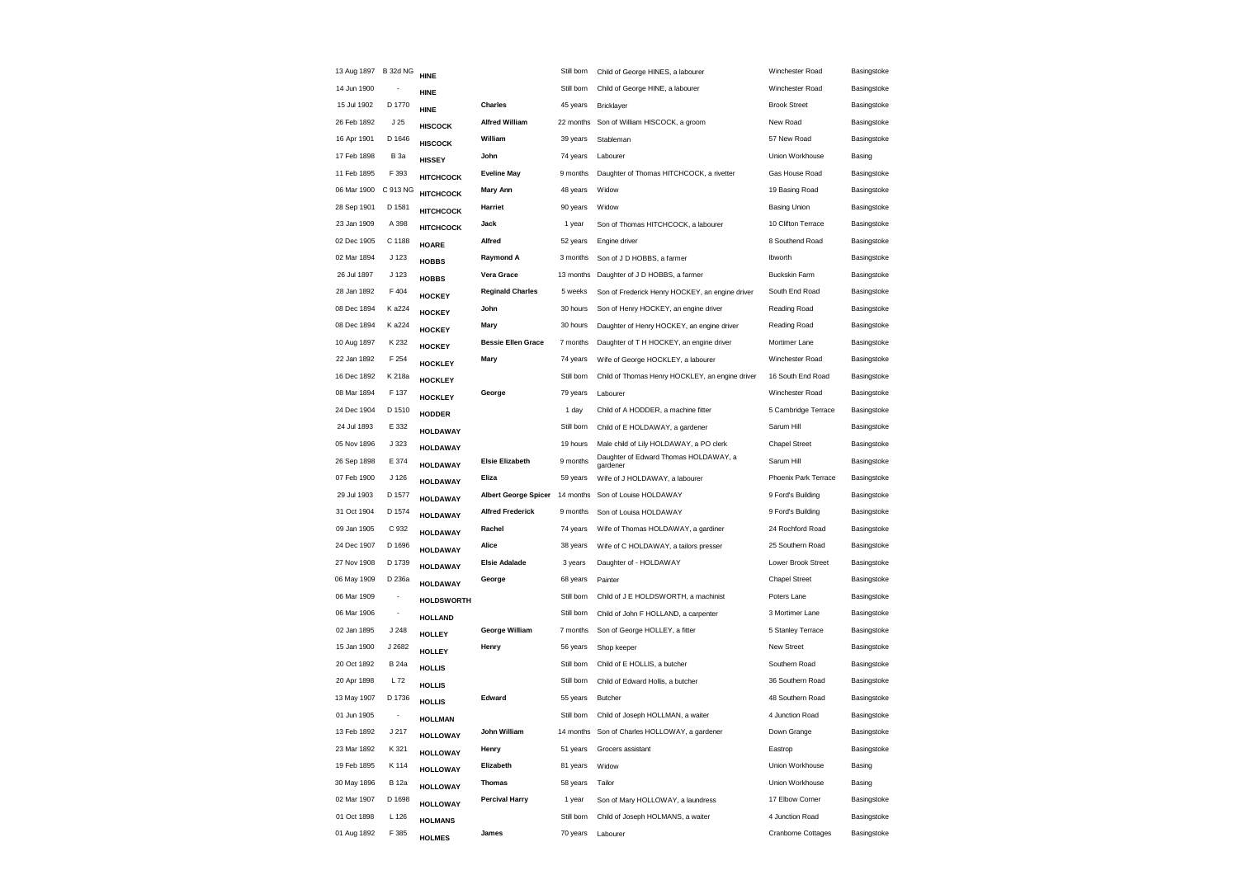| 13 Aug 1897 B 32d NG |                          | <b>HINE</b>       |                             | Still born | Child of George HINES, a labourer                 | Winchester Road           | Basingstoke |
|----------------------|--------------------------|-------------------|-----------------------------|------------|---------------------------------------------------|---------------------------|-------------|
| 14 Jun 1900          |                          | <b>HINE</b>       |                             | Still born | Child of George HINE, a labourer                  | Winchester Road           | Basingstoke |
| 15 Jul 1902          | D 1770                   | <b>HINE</b>       | Charles                     | 45 years   | Bricklayer                                        | <b>Brook Street</b>       | Basingstoke |
| 26 Feb 1892          | J <sub>25</sub>          | <b>HISCOCK</b>    | <b>Alfred William</b>       |            | 22 months Son of William HISCOCK, a groom         | New Road                  | Basingstoke |
| 16 Apr 1901          | D 1646                   | <b>HISCOCK</b>    | William                     | 39 years   | Stableman                                         | 57 New Road               | Basingstoke |
| 17 Feb 1898          | <b>B</b> 3a              | <b>HISSEY</b>     | John                        | 74 years   | Labourer                                          | Union Workhouse           | Basing      |
| 11 Feb 1895          | F 393                    | <b>НІТСНСОСК</b>  | <b>Eveline May</b>          | 9 months   | Daughter of Thomas HITCHCOCK, a rivetter          | Gas House Road            | Basingstoke |
| 06 Mar 1900          | C 913 NG                 | <b>НІТСНСОСК</b>  | Mary Ann                    | 48 years   | Widow                                             | 19 Basing Road            | Basingstoke |
| 28 Sep 1901          | D 1581                   | <b>НІТСНСОСК</b>  | Harriet                     | 90 years   | Widow                                             | <b>Basing Union</b>       | Basingstoke |
| 23 Jan 1909          | A 398                    | <b>НІТСНСОСК</b>  | Jack                        | 1 year     | Son of Thomas HITCHCOCK, a labourer               | 10 Clifton Terrace        | Basingstoke |
| 02 Dec 1905          | C 1188                   | <b>HOARE</b>      | Alfred                      | 52 years   | Engine driver                                     | 8 Southend Road           | Basingstoke |
| 02 Mar 1894          | J 123                    | <b>HOBBS</b>      | <b>Raymond A</b>            | 3 months   | Son of J D HOBBS, a farmer                        | Ibworth                   | Basingstoke |
| 26 Jul 1897          | J 123                    | <b>HOBBS</b>      | Vera Grace                  | 13 months  | Daughter of J D HOBBS, a farmer                   | <b>Buckskin Farm</b>      | Basingstoke |
| 28 Jan 1892          | F404                     | <b>HOCKEY</b>     | <b>Reginald Charles</b>     | 5 weeks    | Son of Frederick Henry HOCKEY, an engine driver   | South End Road            | Basingstoke |
| 08 Dec 1894          | K a224                   | <b>HOCKEY</b>     | John                        | 30 hours   | Son of Henry HOCKEY, an engine driver             | Reading Road              | Basingstoke |
| 08 Dec 1894          | K a224                   | <b>HOCKEY</b>     | Mary                        | 30 hours   | Daughter of Henry HOCKEY, an engine driver        | Reading Road              | Basingstoke |
| 10 Aug 1897          | K 232                    | <b>HOCKEY</b>     | <b>Bessie Ellen Grace</b>   | 7 months   | Daughter of T H HOCKEY, an engine driver          | Mortimer Lane             | Basingstoke |
| 22 Jan 1892          | F 254                    | <b>HOCKLEY</b>    | Mary                        | 74 years   | Wife of George HOCKLEY, a labourer                | Winchester Road           | Basingstoke |
| 16 Dec 1892          | K 218a                   | <b>HOCKLEY</b>    |                             | Still born | Child of Thomas Henry HOCKLEY, an engine driver   | 16 South End Road         | Basingstoke |
| 08 Mar 1894          | F 137                    | <b>HOCKLEY</b>    | George                      | 79 years   | Labourer                                          | Winchester Road           | Basingstoke |
| 24 Dec 1904          | D 1510                   | <b>HODDER</b>     |                             | 1 day      | Child of A HODDER, a machine fitter               | 5 Cambridge Terrace       | Basingstoke |
| 24 Jul 1893          | E 332                    | <b>HOLDAWAY</b>   |                             | Still born | Child of E HOLDAWAY, a gardener                   | Sarum Hill                | Basingstoke |
| 05 Nov 1896          | J 323                    | <b>HOLDAWAY</b>   |                             | 19 hours   | Male child of Lily HOLDAWAY, a PO clerk           | <b>Chapel Street</b>      | Basingstoke |
| 26 Sep 1898          | E 374                    | <b>HOLDAWAY</b>   | <b>Elsie Elizabeth</b>      | 9 months   | Daughter of Edward Thomas HOLDAWAY, a<br>gardener | Sarum Hill                | Basingstoke |
| 07 Feb 1900          | J <sub>126</sub>         | <b>HOLDAWAY</b>   | Eliza                       | 59 years   | Wife of J HOLDAWAY, a labourer                    | Phoenix Park Terrace      | Basingstoke |
| 29 Jul 1903          | D 1577                   | <b>HOLDAWAY</b>   | <b>Albert George Spicer</b> | 14 months  | Son of Louise HOLDAWAY                            | 9 Ford's Building         | Basingstoke |
| 31 Oct 1904          | D 1574                   | <b>HOLDAWAY</b>   | <b>Alfred Frederick</b>     | 9 months   | Son of Louisa HOLDAWAY                            | 9 Ford's Building         | Basingstoke |
| 09 Jan 1905          | C 932                    | <b>HOLDAWAY</b>   | Rachel                      | 74 years   | Wife of Thomas HOLDAWAY, a gardiner               | 24 Rochford Road          | Basingstoke |
| 24 Dec 1907          | D 1696                   | <b>HOLDAWAY</b>   | Alice                       | 38 years   | Wife of C HOLDAWAY, a tailors presser             | 25 Southern Road          | Basingstoke |
| 27 Nov 1908          | D 1739                   | <b>HOLDAWAY</b>   | <b>Elsie Adalade</b>        | 3 years    | Daughter of - HOLDAWAY                            | Lower Brook Street        | Basingstoke |
| 06 May 1909          | D 236a                   | <b>HOLDAWAY</b>   | George                      | 68 years   | Painter                                           | <b>Chapel Street</b>      | Basingstoke |
| 06 Mar 1909          | $\overline{\phantom{a}}$ | <b>HOLDSWORTH</b> |                             | Still born | Child of J E HOLDSWORTH, a machinist              | Poters Lane               | Basingstoke |
| 06 Mar 1906          | $\overline{\phantom{a}}$ | <b>HOLLAND</b>    |                             | Still born | Child of John F HOLLAND, a carpenter              | 3 Mortimer Lane           | Basingstoke |
| 02 Jan 1895          | J248                     | <b>HOLLEY</b>     | George William              | 7 months   | Son of George HOLLEY, a fitter                    | 5 Stanley Terrace         | Basingstoke |
| 15 Jan 1900          | J 2682                   | <b>HOLLEY</b>     | Henry                       | 56 years   | Shop keeper                                       | New Street                | Basingstoke |
| 20 Oct 1892          | <b>B</b> 24a             | <b>HOLLIS</b>     |                             | Still born | Child of E HOLLIS, a butcher                      | Southern Road             | Basingstoke |
| 20 Apr 1898          | L 72                     | <b>HOLLIS</b>     |                             | Still born | Child of Edward Hollis, a butcher                 | 36 Southern Road          | Basingstoke |
| 13 May 1907          | D 1736                   | <b>HOLLIS</b>     | Edward                      | 55 years   | Butcher                                           | 48 Southern Road          | Basingstoke |
| 01 Jun 1905          | $\overline{\phantom{a}}$ | <b>HOLLMAN</b>    |                             | Still born | Child of Joseph HOLLMAN, a waiter                 | 4 Junction Road           | Basingstoke |
| 13 Feb 1892          | J 217                    | <b>HOLLOWAY</b>   | John William                |            | 14 months Son of Charles HOLLOWAY, a gardener     | Down Grange               | Basingstoke |
| 23 Mar 1892          | K 321                    | <b>HOLLOWAY</b>   | Henry                       | 51 years   | Grocers assistant                                 | Eastrop                   | Basingstoke |
| 19 Feb 1895          | K 114                    | <b>HOLLOWAY</b>   | Elizabeth                   | 81 years   | Widow                                             | Union Workhouse           | Basing      |
| 30 May 1896          | <b>B</b> 12a             | <b>HOLLOWAY</b>   | <b>Thomas</b>               | 58 years   | Tailor                                            | Union Workhouse           | Basing      |
| 02 Mar 1907          | D 1698                   | <b>HOLLOWAY</b>   | <b>Percival Harry</b>       | 1 year     | Son of Mary HOLLOWAY, a laundress                 | 17 Elbow Corner           | Basingstoke |
| 01 Oct 1898          | L 126                    | <b>HOLMANS</b>    |                             | Still born | Child of Joseph HOLMANS, a waiter                 | 4 Junction Road           | Basingstoke |
| 01 Aug 1892          | F 385                    | <b>HOLMES</b>     | James                       | 70 years   | Labourer                                          | <b>Cranborne Cottages</b> | Basingstoke |
|                      |                          |                   |                             |            |                                                   |                           |             |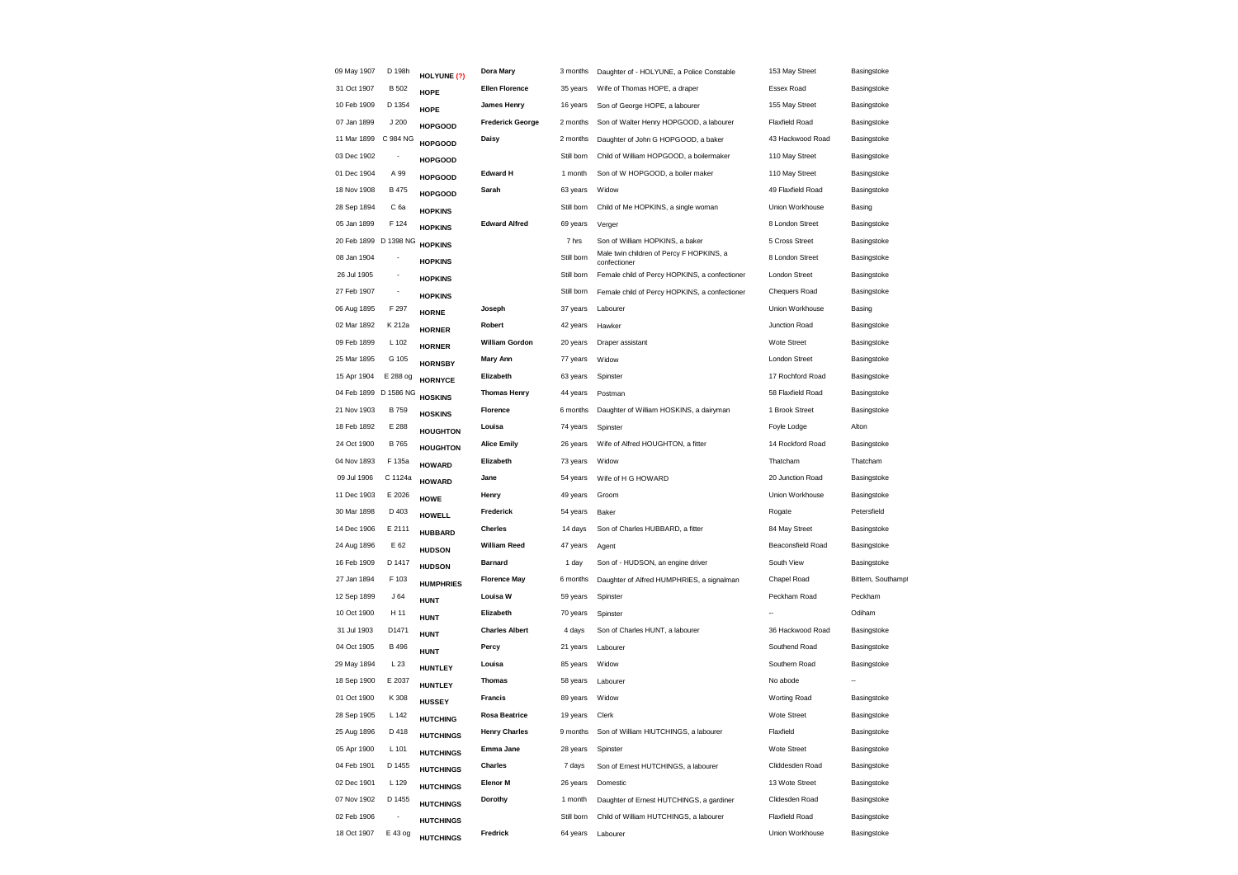| 09 May 1907 | D 198h                   | HOLYUNE (?)      | Dora Mary               | 3 months   | Daughter of - HOLYUNE, a Police Constable                | 153 May Street           | Basingstoke       |
|-------------|--------------------------|------------------|-------------------------|------------|----------------------------------------------------------|--------------------------|-------------------|
| 31 Oct 1907 | <b>B</b> 502             | <b>HOPE</b>      | <b>Ellen Florence</b>   | 35 years   | Wife of Thomas HOPE, a draper                            | Essex Road               | Basingstoke       |
| 10 Feb 1909 | D 1354                   | HOPE             | <b>James Henry</b>      | 16 years   | Son of George HOPE, a labourer                           | 155 May Street           | Basingstoke       |
| 07 Jan 1899 | J200                     | <b>HOPGOOD</b>   | <b>Frederick George</b> | 2 months   | Son of Walter Henry HOPGOOD, a labourer                  | <b>Flaxfield Road</b>    | Basingstoke       |
| 11 Mar 1899 | C 984 NG                 | <b>HOPGOOD</b>   | Daisy                   | 2 months   | Daughter of John G HOPGOOD, a baker                      | 43 Hackwood Road         | Basingstoke       |
| 03 Dec 1902 |                          | <b>HOPGOOD</b>   |                         | Still born | Child of William HOPGOOD, a boilermaker                  | 110 May Street           | Basingstoke       |
| 01 Dec 1904 | A 99                     | <b>HOPGOOD</b>   | <b>Edward H</b>         | 1 month    | Son of W HOPGOOD, a boiler maker                         | 110 May Street           | Basingstoke       |
| 18 Nov 1908 | B 475                    | <b>HOPGOOD</b>   | Sarah                   | 63 years   | Widow                                                    | 49 Flaxfield Road        | Basingstoke       |
| 28 Sep 1894 | C 6a                     | <b>HOPKINS</b>   |                         | Still born | Child of Me HOPKINS, a single woman                      | Union Workhouse          | Basing            |
| 05 Jan 1899 | F 124                    | <b>HOPKINS</b>   | <b>Edward Alfred</b>    | 69 years   | Verger                                                   | 8 London Street          | Basingstoke       |
|             | 20 Feb 1899 D 1398 NG    | <b>HOPKINS</b>   |                         | 7 hrs      | Son of William HOPKINS, a baker                          | 5 Cross Street           | Basingstoke       |
| 08 Jan 1904 | ÷                        | <b>HOPKINS</b>   |                         | Still born | Male twin children of Percy F HOPKINS, a<br>confectioner | 8 London Street          | Basingstoke       |
| 26 Jul 1905 | $\overline{\phantom{a}}$ | <b>HOPKINS</b>   |                         | Still born | Female child of Percy HOPKINS, a confectioner            | London Street            | Basingstoke       |
| 27 Feb 1907 |                          | <b>HOPKINS</b>   |                         | Still born | Female child of Percy HOPKINS, a confectioner            | Chequers Road            | Basingstoke       |
| 06 Aug 1895 | F 297                    | <b>HORNE</b>     | Joseph                  | 37 years   | Labourer                                                 | Union Workhouse          | Basing            |
| 02 Mar 1892 | K 212a                   | <b>HORNER</b>    | Robert                  | 42 years   | Hawker                                                   | Junction Road            | Basingstoke       |
| 09 Feb 1899 | L 102                    | <b>HORNER</b>    | <b>William Gordon</b>   | 20 years   | Draper assistant                                         | Wote Street              | Basingstoke       |
| 25 Mar 1895 | G 105                    | <b>HORNSBY</b>   | <b>Mary Ann</b>         | 77 years   | Widow                                                    | London Street            | Basingstoke       |
| 15 Apr 1904 | E 288 og                 | <b>HORNYCE</b>   | Elizabeth               | 63 years   | Spinster                                                 | 17 Rochford Road         | Basingstoke       |
|             | 04 Feb 1899 D 1586 NG    | <b>HOSKINS</b>   | <b>Thomas Henry</b>     | 44 years   | Postman                                                  | 58 Flaxfield Road        | Basingstoke       |
| 21 Nov 1903 | <b>B759</b>              | <b>HOSKINS</b>   | Florence                | 6 months   | Daughter of William HOSKINS, a dairyman                  | 1 Brook Street           | Basingstoke       |
| 18 Feb 1892 | E 288                    | <b>HOUGHTON</b>  | Louisa                  | 74 years   | Spinster                                                 | Foyle Lodge              | Alton             |
| 24 Oct 1900 | B 765                    | <b>HOUGHTON</b>  | <b>Alice Emily</b>      | 26 years   | Wife of Alfred HOUGHTON, a fitter                        | 14 Rockford Road         | Basingstoke       |
| 04 Nov 1893 | F 135a                   | <b>HOWARD</b>    | Elizabeth               | 73 years   | Widow                                                    | Thatcham                 | Thatcham          |
| 09 Jul 1906 | C 1124a                  | <b>HOWARD</b>    | Jane                    | 54 years   | Wife of H G HOWARD                                       | 20 Junction Road         | Basingstoke       |
| 11 Dec 1903 | E 2026                   | <b>HOWE</b>      | Henry                   | 49 years   | Groom                                                    | Union Workhouse          | Basingstoke       |
| 30 Mar 1898 | D 403                    | <b>HOWELL</b>    | Frederick               | 54 years   | Baker                                                    | Rogate                   | Petersfield       |
| 14 Dec 1906 | E 2111                   | <b>HUBBARD</b>   | Cherles                 | 14 days    | Son of Charles HUBBARD, a fitter                         | 84 May Street            | Basingstoke       |
| 24 Aug 1896 | E 62                     | <b>HUDSON</b>    | <b>William Reed</b>     | 47 years   | Agent                                                    | <b>Beaconsfield Road</b> | Basingstoke       |
| 16 Feb 1909 | D 1417                   | <b>HUDSON</b>    | <b>Barnard</b>          | 1 day      | Son of - HUDSON, an engine driver                        | South View               | Basingstoke       |
| 27 Jan 1894 | F 103                    | <b>HUMPHRIES</b> | <b>Florence May</b>     | 6 months   | Daughter of Alfred HUMPHRIES, a signalman                | Chapel Road              | Bittern, Southamp |
| 12 Sep 1899 | J64                      | <b>HUNT</b>      | Louisa W                | 59 years   | Spinster                                                 | Peckham Road             | Peckham           |
| 10 Oct 1900 | H 11                     | <b>HUNT</b>      | Elizabeth               | 70 years   | Spinster                                                 |                          | Odiham            |
| 31 Jul 1903 | D1471                    | <b>HUNT</b>      | <b>Charles Albert</b>   | 4 days     | Son of Charles HUNT, a labourer                          | 36 Hackwood Road         | Basingstoke       |
| 04 Oct 1905 | B 496                    | <b>HUNT</b>      | Percy                   | 21 years   | Labourer                                                 | Southend Road            | Basingstoke       |
| 29 May 1894 | L 23                     | <b>HUNTLEY</b>   | Louisa                  | 85 years   | Widow                                                    | Southern Road            | Basingstoke       |
| 18 Sep 1900 | E 2037                   | <b>HUNTLEY</b>   | <b>Thomas</b>           | 58 years   | Labourer                                                 | No abode                 |                   |
| 01 Oct 1900 | K 308                    | <b>HUSSEY</b>    | <b>Francis</b>          | 89 years   | Widow                                                    | Worting Road             | Basingstoke       |
| 28 Sep 1905 | L 142                    | <b>HUTCHING</b>  | <b>Rosa Beatrice</b>    | 19 years   | Clerk                                                    | Wote Street              | Basingstoke       |
| 25 Aug 1896 | D 418                    | <b>HUTCHINGS</b> | <b>Henry Charles</b>    | 9 months   | Son of William HIUTCHINGS, a labourer                    | Flaxfield                | Basingstoke       |
| 05 Apr 1900 | L 101                    | <b>HUTCHINGS</b> | Emma Jane               | 28 years   | Spinster                                                 | Wote Street              | Basingstoke       |
| 04 Feb 1901 | D 1455                   | <b>HUTCHINGS</b> | Charles                 | 7 days     | Son of Ernest HUTCHINGS, a labourer                      | Cliddesden Road          | Basingstoke       |
| 02 Dec 1901 | L 129                    | <b>HUTCHINGS</b> | <b>Elenor M</b>         | 26 years   | Domestic                                                 | 13 Wote Street           | Basingstoke       |
| 07 Nov 1902 | D 1455                   | <b>HUTCHINGS</b> | Dorothy                 | 1 month    | Daughter of Ernest HUTCHINGS, a gardiner                 | Clidesden Road           | Basingstoke       |
| 02 Feb 1906 |                          | <b>HUTCHINGS</b> |                         | Still born | Child of William HUTCHINGS, a labourer                   | <b>Flaxfield Road</b>    | Basingstoke       |
| 18 Oct 1907 | E 43 og                  | <b>HUTCHINGS</b> | Fredrick                | 64 years   | Labourer                                                 | Union Workhouse          | Basingstoke       |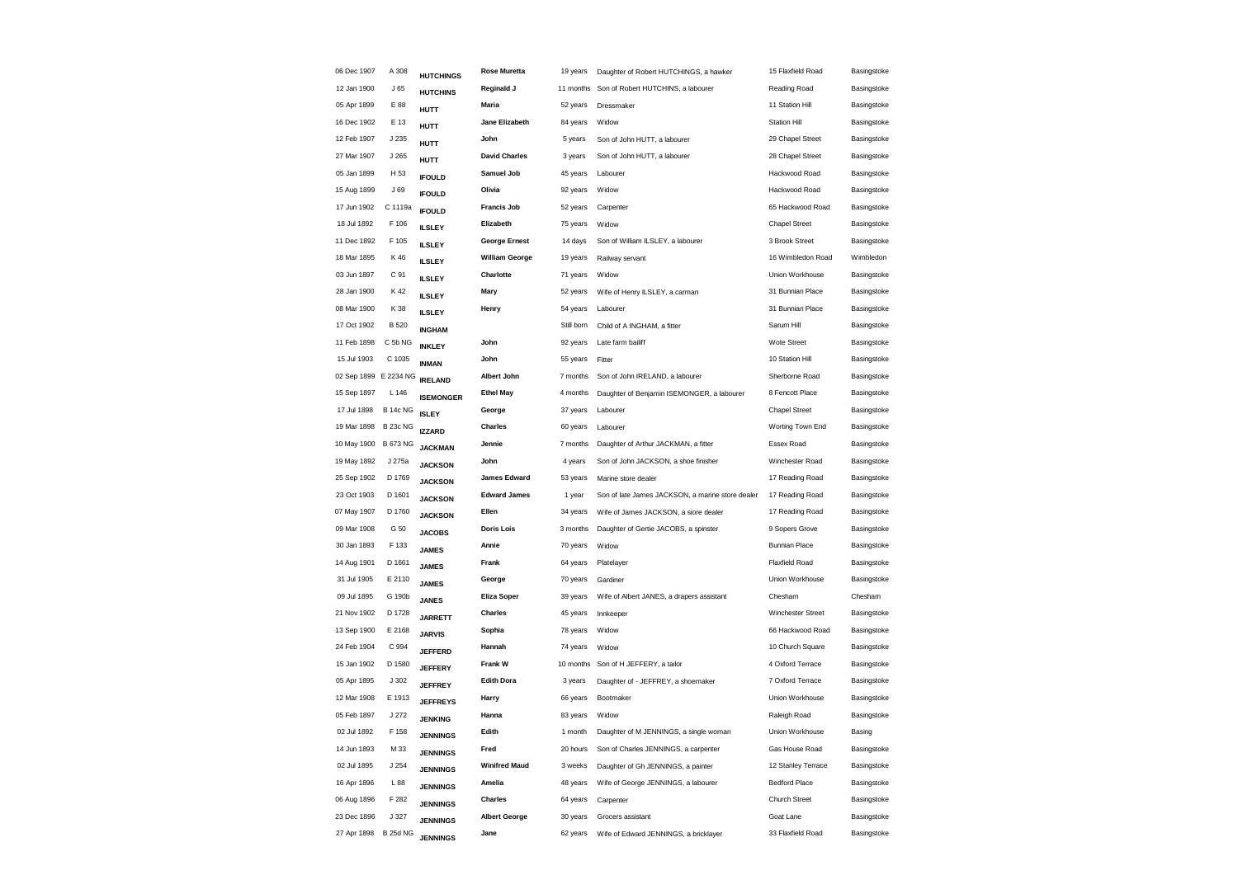| 06 Dec 1907           | A 308           | <b>HUTCHINGS</b> | <b>Rose Muretta</b>   | 19 years   | Daughter of Robert HUTCHINGS, a hawker           | 15 Flaxfield Road     | Basingstoke |
|-----------------------|-----------------|------------------|-----------------------|------------|--------------------------------------------------|-----------------------|-------------|
| 12 Jan 1900           | J <sub>65</sub> | <b>HUTCHINS</b>  | Reginald J            | 11 months  | Son of Robert HUTCHINS, a labourer               | Reading Road          | Basingstoke |
| 05 Apr 1899           | E 88            | <b>HUTT</b>      | Maria                 | 52 years   | Dressmaker                                       | 11 Station Hill       | Basingstoke |
| 16 Dec 1902           | E 13            | <b>HUTT</b>      | Jane Elizabeth        | 84 years   | Widow                                            | <b>Station Hill</b>   | Basingstoke |
| 12 Feb 1907           | J 235           | HUTT             | John                  | 5 years    | Son of John HUTT, a labourer                     | 29 Chapel Street      | Basingstoke |
| 27 Mar 1907           | J 265           | <b>HUTT</b>      | <b>David Charles</b>  | 3 years    | Son of John HUTT, a labourer                     | 28 Chapel Street      | Basingstoke |
| 05 Jan 1899           | H <sub>53</sub> | <b>IFOULD</b>    | Samuel Job            | 45 years   | Labourer                                         | Hackwood Road         | Basingstoke |
| 15 Aug 1899           | J69             | <b>IFOULD</b>    | Olivia                | 92 years   | Widow                                            | Hackwood Road         | Basingstoke |
| 17 Jun 1902           | C 1119a         | <b>IFOULD</b>    | <b>Francis Job</b>    | 52 years   | Carpenter                                        | 65 Hackwood Road      | Basingstoke |
| 18 Jul 1892           | F 106           | <b>ILSLEY</b>    | Elizabeth             | 75 years   | Widow                                            | <b>Chapel Street</b>  | Basingstoke |
| 11 Dec 1892           | F 105           | <b>ILSLEY</b>    | <b>George Ernest</b>  | 14 days    | Son of William ILSLEY, a labourer                | 3 Brook Street        | Basingstoke |
| 18 Mar 1895           | K 46            | <b>ILSLEY</b>    | <b>William George</b> | 19 years   | Railway servant                                  | 16 Wimbledon Road     | Wimbledon   |
| 03 Jun 1897           | C 91            | <b>ILSLEY</b>    | Charlotte             | 71 years   | Widow                                            | Union Workhouse       | Basingstoke |
| 28 Jan 1900           | K 42            | <b>ILSLEY</b>    | Mary                  | 52 years   | Wife of Henry ILSLEY, a carman                   | 31 Bunnian Place      | Basingstoke |
| 08 Mar 1900           | K 38            | <b>ILSLEY</b>    | Henry                 | 54 years   | Labourer                                         | 31 Bunnian Place      | Basingstoke |
| 17 Oct 1902           | <b>B</b> 520    | <b>INGHAM</b>    |                       | Still born | Child of A INGHAM, a fitter                      | Sarum Hill            | Basingstoke |
| 11 Feb 1898           | C 5b NG         | <b>INKLEY</b>    | John                  | 92 years   | Late farm bailiff                                | <b>Wote Street</b>    | Basingstoke |
| 15 Jul 1903           | C 1035          | <b>INMAN</b>     | John                  | 55 years   | Fitter                                           | 10 Station Hill       | Basingstoke |
| 02 Sep 1899 E 2234 NG |                 | <b>IRELAND</b>   | Albert John           | 7 months   | Son of John IRELAND, a labourer                  | Sherborne Road        | Basingstoke |
| 15 Sep 1897           | L 146           | <b>ISEMONGER</b> | <b>Ethel May</b>      | 4 months   | Daughter of Benjamin ISEMONGER, a labourer       | 8 Fencott Place       | Basingstoke |
| 17 Jul 1898           | <b>B 14c NG</b> | <b>ISLEY</b>     | George                | 37 years   | Labourer                                         | <b>Chapel Street</b>  | Basingstoke |
| 19 Mar 1898           | <b>B 23c NG</b> | <b>IZZARD</b>    | Charles               | 60 years   | Labourer                                         | Worting Town End      | Basingstoke |
| 10 May 1900           | <b>B 673 NG</b> | <b>JACKMAN</b>   | Jennie                | 7 months   | Daughter of Arthur JACKMAN, a fitter             | Essex Road            | Basingstoke |
| 19 May 1892           | J 275a          | <b>JACKSON</b>   | John                  | 4 years    | Son of John JACKSON, a shoe finisher             | Winchester Road       | Basingstoke |
| 25 Sep 1902           | D 1769          | <b>JACKSON</b>   | <b>James Edward</b>   | 53 years   | Marine store dealer                              | 17 Reading Road       | Basingstoke |
| 23 Oct 1903           | D 1601          | <b>JACKSON</b>   | <b>Edward James</b>   | 1 year     | Son of late James JACKSON, a marine store dealer | 17 Reading Road       | Basingstoke |
| 07 May 1907           | D 1760          | <b>JACKSON</b>   | Ellen                 | 34 years   | Wife of James JACKSON, a siore dealer            | 17 Reading Road       | Basingstoke |
| 09 Mar 1908           | G 50            | <b>JACOBS</b>    | <b>Doris Lois</b>     | 3 months   | Daughter of Gertie JACOBS, a spinster            | 9 Sopers Grove        | Basingstoke |
| 30 Jan 1893           | F 133           | <b>JAMES</b>     | Annie                 | 70 years   | Widow                                            | <b>Bunnian Place</b>  | Basingstoke |
| 14 Aug 1901           | D 1661          | <b>JAMES</b>     | Frank                 | 64 years   | Platelayer                                       | <b>Flaxfield Road</b> | Basingstoke |
| 31 Jul 1905           | E 2110          | <b>JAMES</b>     | George                | 70 years   | Gardiner                                         | Union Workhouse       | Basingstoke |
| 09 Jul 1895           | G 190b          | <b>JANES</b>     | <b>Eliza Soper</b>    | 39 years   | Wife of Albert JANES, a drapers assistant        | Chesham               | Chesham     |
| 21 Nov 1902           | D 1728          | <b>JARRETT</b>   | <b>Charles</b>        | 45 years   | Innkeeper                                        | Winchester Street     | Basingstoke |
| 13 Sep 1900           | E 2168          | <b>JARVIS</b>    | Sophia                | 78 years   | Widow                                            | 66 Hackwood Road      | Basingstoke |
| 24 Feb 1904           | C 994           | <b>JEFFERD</b>   | Hannah                | 74 years   | Widow                                            | 10 Church Square      | Basingstoke |
| 15 Jan 1902           | D 1580          | <b>JEFFERY</b>   | <b>Frank W</b>        | 10 months  | Son of H JEFFERY, a tailor                       | 4 Oxford Terrace      | Basingstoke |
| 05 Apr 1895           | J302            | <b>JEFFREY</b>   | <b>Edith Dora</b>     | 3 years    | Daughter of - JEFFREY, a shoemaker               | 7 Oxford Terrace      | Basingstoke |
| 12 Mar 1908           | E 1913          | <b>JEFFREYS</b>  | Harry                 | 66 years   | Bootmaker                                        | Union Workhouse       | Basingstoke |
| 05 Feb 1897           | J 272           | <b>JENKING</b>   | Hanna                 | 83 years   | Widow                                            | Raleigh Road          | Basingstoke |
| 02 Jul 1892           | F 158           | <b>JENNINGS</b>  | Edith                 | 1 month    | Daughter of M JENNINGS, a single woman           | Union Workhouse       | Basing      |
| 14 Jun 1893           | M 33            | <b>JENNINGS</b>  | Fred                  | 20 hours   | Son of Charles JENNINGS, a carpenter             | Gas House Road        | Basingstoke |
| 02 Jul 1895           | J254            | <b>JENNINGS</b>  | <b>Winifred Maud</b>  | 3 weeks    | Daughter of Gh JENNINGS, a painter               | 12 Stanley Terrace    | Basingstoke |
| 16 Apr 1896           | L88             | <b>JENNINGS</b>  | Amelia                | 48 years   | Wife of George JENNINGS, a labourer              | <b>Bedford Place</b>  | Basingstoke |
| 06 Aug 1896           | F 282           | <b>JENNINGS</b>  | Charles               | 64 years   | Carpenter                                        | <b>Church Street</b>  | Basingstoke |
| 23 Dec 1896           | J 327           | <b>JENNINGS</b>  | <b>Albert George</b>  | 30 years   | Grocers assistant                                | Goat Lane             | Basingstoke |
| 27 Apr 1898           | <b>B 25d NG</b> | <b>JENNINGS</b>  | Jane                  | 62 years   | Wife of Edward JENNINGS, a bricklayer            | 33 Flaxfield Road     | Basingstoke |
|                       |                 |                  |                       |            |                                                  |                       |             |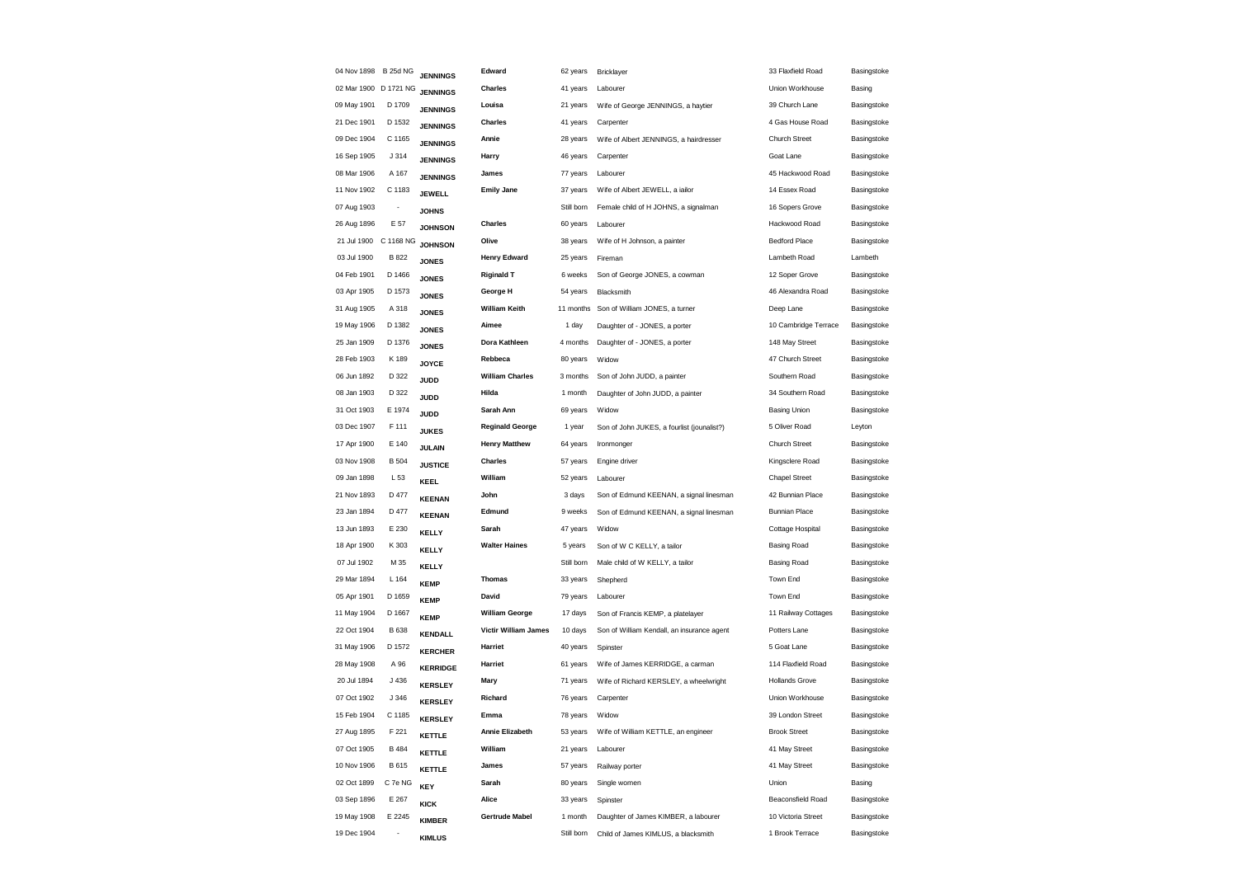| 04 Nov 1898 B 25d NG  |                          | <b>JENNINGS</b> | Edward                 | 62 years   | Bricklayer                                 | 33 Flaxfield Road     | Basingstoke |
|-----------------------|--------------------------|-----------------|------------------------|------------|--------------------------------------------|-----------------------|-------------|
| 02 Mar 1900 D 1721 NG |                          | <b>JENNINGS</b> | Charles                | 41 years   | Labourer                                   | Union Workhouse       | Basing      |
| 09 May 1901           | D 1709                   | <b>JENNINGS</b> | Louisa                 | 21 years   | Wife of George JENNINGS, a haytier         | 39 Church Lane        | Basingstoke |
| 21 Dec 1901           | D 1532                   | <b>JENNINGS</b> | <b>Charles</b>         | 41 years   | Carpenter                                  | 4 Gas House Road      | Basingstoke |
| 09 Dec 1904           | C 1165                   | <b>JENNINGS</b> | Annie                  | 28 years   | Wife of Albert JENNINGS, a hairdresser     | Church Street         | Basingstoke |
| 16 Sep 1905           | J314                     | <b>JENNINGS</b> | Harry                  | 46 years   | Carpenter                                  | Goat Lane             | Basingstoke |
| 08 Mar 1906           | A 167                    | <b>JENNINGS</b> | James                  | 77 years   | Labourer                                   | 45 Hackwood Road      | Basingstoke |
| 11 Nov 1902           | C 1183                   | <b>JEWELL</b>   | <b>Emily Jane</b>      | 37 years   | Wife of Albert JEWELL, a iailor            | 14 Essex Road         | Basingstoke |
| 07 Aug 1903           | ÷,                       | <b>JOHNS</b>    |                        | Still born | Female child of H JOHNS, a signalman       | 16 Sopers Grove       | Basingstoke |
| 26 Aug 1896           | E 57                     | <b>JOHNSON</b>  | <b>Charles</b>         | 60 years   | Labourer                                   | Hackwood Road         | Basingstoke |
| 21 Jul 1900           | C 1168 NG                | <b>JOHNSON</b>  | Olive                  | 38 years   | Wife of H Johnson, a painter               | <b>Bedford Place</b>  | Basingstoke |
| 03 Jul 1900           | B 822                    | <b>JONES</b>    | <b>Henry Edward</b>    | 25 years   | Fireman                                    | Lambeth Road          | Lambeth     |
| 04 Feb 1901           | D 1466                   | <b>JONES</b>    | <b>Riginald T</b>      | 6 weeks    | Son of George JONES, a cowman              | 12 Soper Grove        | Basingstoke |
| 03 Apr 1905           | D 1573                   | <b>JONES</b>    | George H               | 54 years   | Blacksmith                                 | 46 Alexandra Road     | Basingstoke |
| 31 Aug 1905           | A 318                    | <b>JONES</b>    | <b>William Keith</b>   |            | 11 months Son of William JONES, a turner   | Deep Lane             | Basingstoke |
| 19 May 1906           | D 1382                   | <b>JONES</b>    | Aimee                  | 1 day      | Daughter of - JONES, a porter              | 10 Cambridge Terrace  | Basingstoke |
| 25 Jan 1909           | D 1376                   | <b>JONES</b>    | Dora Kathleen          | 4 months   | Daughter of - JONES, a porter              | 148 May Street        | Basingstoke |
| 28 Feb 1903           | K 189                    | <b>JOYCE</b>    | Rebbeca                | 80 years   | Widow                                      | 47 Church Street      | Basingstoke |
| 06 Jun 1892           | D 322                    | JUDD            | <b>William Charles</b> | 3 months   | Son of John JUDD, a painter                | Southern Road         | Basingstoke |
| 08 Jan 1903           | D 322                    | JUDD            | Hilda                  | 1 month    | Daughter of John JUDD, a painter           | 34 Southern Road      | Basingstoke |
| 31 Oct 1903           | E 1974                   | JUDD            | Sarah Ann              | 69 years   | Widow                                      | <b>Basing Union</b>   | Basingstoke |
| 03 Dec 1907           | F 111                    | <b>JUKES</b>    | <b>Reginald George</b> | 1 year     | Son of John JUKES, a fourlist (jounalist?) | 5 Oliver Road         | Leyton      |
| 17 Apr 1900           | E 140                    | <b>JULAIN</b>   | <b>Henry Matthew</b>   | 64 years   | Ironmonger                                 | <b>Church Street</b>  | Basingstoke |
| 03 Nov 1908           | <b>B</b> 504             | <b>JUSTICE</b>  | Charles                | 57 years   | Engine driver                              | Kingsclere Road       | Basingstoke |
| 09 Jan 1898           | L 53                     | KEEL            | William                | 52 years   | Labourer                                   | <b>Chapel Street</b>  | Basingstoke |
| 21 Nov 1893           | D 477                    | <b>KEENAN</b>   | John                   | 3 days     | Son of Edmund KEENAN, a signal linesman    | 42 Bunnian Place      | Basingstoke |
| 23 Jan 1894           | D 477                    | <b>KEENAN</b>   | Edmund                 | 9 weeks    | Son of Edmund KEENAN, a signal linesman    | <b>Bunnian Place</b>  | Basingstoke |
| 13 Jun 1893           | E 230                    | <b>KELLY</b>    | Sarah                  | 47 years   | Widow                                      | Cottage Hospital      | Basingstoke |
| 18 Apr 1900           | K 303                    | <b>KELLY</b>    | <b>Walter Haines</b>   | 5 years    | Son of W C KELLY, a tailor                 | Basing Road           | Basingstoke |
| 07 Jul 1902           | M 35                     | <b>KELLY</b>    |                        | Still born | Male child of W KELLY, a tailor            | <b>Basing Road</b>    | Basingstoke |
| 29 Mar 1894           | L 164                    | <b>KEMP</b>     | <b>Thomas</b>          | 33 years   | Shepherd                                   | Town End              | Basingstoke |
| 05 Apr 1901           | D 1659                   | <b>KEMP</b>     | David                  | 79 years   | Labourer                                   | Town End              | Basingstoke |
| 11 May 1904           | D 1667                   | <b>KEMP</b>     | <b>William George</b>  | 17 days    | Son of Francis KEMP, a platelayer          | 11 Railway Cottages   | Basingstoke |
| 22 Oct 1904           | <b>B</b> 638             | <b>KENDALL</b>  | Victir William James   | 10 days    | Son of William Kendall, an insurance agent | Potters Lane          | Basingstoke |
| 31 May 1906           | D 1572                   | <b>KERCHER</b>  | Harriet                | 40 years   | Spinster                                   | 5 Goat Lane           | Basingstoke |
| 28 May 1908           | A 96                     | <b>KERRIDGE</b> | Harriet                | 61 years   | Wife of James KERRIDGE, a carman           | 114 Flaxfield Road    | Basingstoke |
| 20 Jul 1894           | J 436                    | <b>KERSLEY</b>  | Mary                   | 71 years   | Wife of Richard KERSLEY, a wheelwright     | <b>Hollands Grove</b> | Basingstoke |
| 07 Oct 1902           | J346                     | <b>KERSLEY</b>  | Richard                | 76 years   | Carpenter                                  | Union Workhouse       | Basingstoke |
| 15 Feb 1904           | C 1185                   | <b>KERSLEY</b>  | Emma                   | 78 years   | Widow                                      | 39 London Street      | Basingstoke |
| 27 Aug 1895           | F 221                    | KETTLE          | Annie Elizabeth        | 53 years   | Wife of William KETTLE, an engineer        | <b>Brook Street</b>   | Basingstoke |
| 07 Oct 1905           | B 484                    | KETTLE          | William                | 21 years   | Labourer                                   | 41 May Street         | Basingstoke |
| 10 Nov 1906           | B 615                    | KETTLE          | James                  | 57 years   | Railway porter                             | 41 May Street         | Basingstoke |
| 02 Oct 1899           | C 7e NG                  | <b>KEY</b>      | Sarah                  | 80 years   | Single women                               | Union                 | Basing      |
| 03 Sep 1896           | E 267                    | KICK            | Alice                  | 33 years   | Spinster                                   | Beaconsfield Road     | Basingstoke |
| 19 May 1908           | E 2245                   | <b>KIMBER</b>   | <b>Gertrude Mabel</b>  | 1 month    | Daughter of James KIMBER, a labourer       | 10 Victoria Street    | Basingstoke |
| 19 Dec 1904           | $\overline{\phantom{a}}$ | <b>KIMLUS</b>   |                        | Still born | Child of James KIMLUS, a blacksmith        | 1 Brook Terrace       | Basingstoke |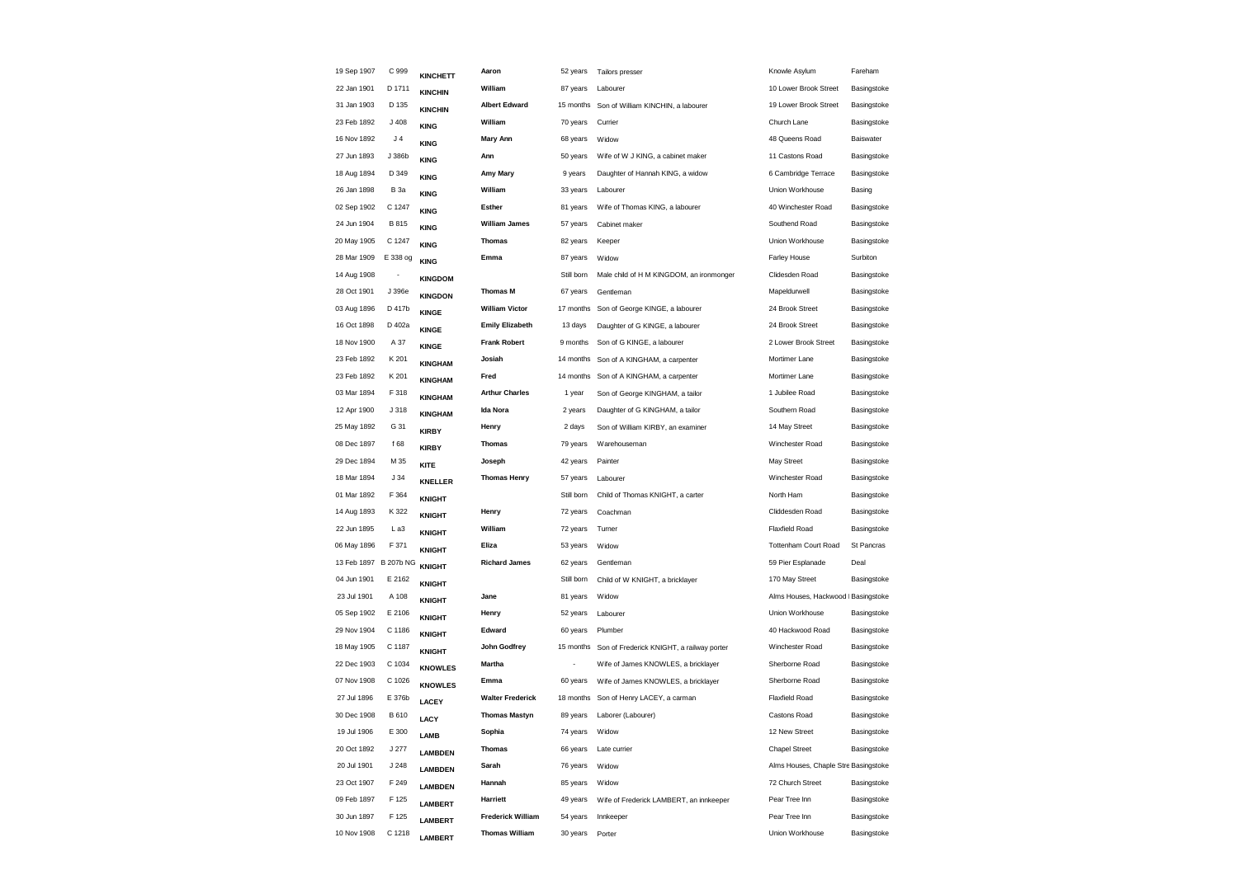| 19 Sep 1907           | C 999                    | <b>KINCHETT</b> | Aaron                    | 52 years   | Tailors presser                           | Knowle Asylum                        | Fareham          |
|-----------------------|--------------------------|-----------------|--------------------------|------------|-------------------------------------------|--------------------------------------|------------------|
| 22 Jan 1901           | D 1711                   | <b>KINCHIN</b>  | William                  | 87 years   | Labourer                                  | 10 Lower Brook Street                | Basingstoke      |
| 31 Jan 1903           | D 135                    | <b>KINCHIN</b>  | <b>Albert Edward</b>     | 15 months  | Son of William KINCHIN, a labourer        | 19 Lower Brook Street                | Basingstoke      |
| 23 Feb 1892           | J 408                    | <b>KING</b>     | William                  | 70 years   | Currier                                   | Church Lane                          | Basingstoke      |
| 16 Nov 1892           | J 4                      | <b>KING</b>     | Mary Ann                 | 68 years   | Widow                                     | 48 Queens Road                       | <b>Baiswater</b> |
| 27 Jun 1893           | J 386b                   | <b>KING</b>     | Ann                      | 50 years   | Wife of W J KING, a cabinet maker         | 11 Castons Road                      | Basingstoke      |
| 18 Aug 1894           | D 349                    | <b>KING</b>     | Amy Mary                 | 9 years    | Daughter of Hannah KING, a widow          | 6 Cambridge Terrace                  | Basingstoke      |
| 26 Jan 1898           | <b>B</b> 3a              | <b>KING</b>     | William                  | 33 years   | Labourer                                  | Union Workhouse                      | Basing           |
| 02 Sep 1902           | C 1247                   | <b>KING</b>     | Esther                   | 81 years   | Wife of Thomas KING, a labourer           | 40 Winchester Road                   | Basingstoke      |
| 24 Jun 1904           | <b>B815</b>              | <b>KING</b>     | <b>William James</b>     | 57 years   | Cabinet maker                             | Southend Road                        | Basingstoke      |
| 20 May 1905           | C 1247                   | <b>KING</b>     | <b>Thomas</b>            | 82 years   | Keeper                                    | Union Workhouse                      | Basingstoke      |
| 28 Mar 1909           | E 338 og                 | <b>KING</b>     | Emma                     | 87 years   | Widow                                     | <b>Farley House</b>                  | Surbiton         |
| 14 Aug 1908           | $\overline{\phantom{a}}$ | <b>KINGDOM</b>  |                          | Still born | Male child of H M KINGDOM, an ironmonger  | Clidesden Road                       | Basingstoke      |
| 28 Oct 1901           | J 396e                   | <b>KINGDON</b>  | <b>Thomas M</b>          | 67 years   | Gentleman                                 | Mapeldurwell                         | Basingstoke      |
| 03 Aug 1896           | D 417b                   | <b>KINGE</b>    | <b>William Victor</b>    | 17 months  | Son of George KINGE, a labourer           | 24 Brook Street                      | Basingstoke      |
| 16 Oct 1898           | D 402a                   | <b>KINGE</b>    | <b>Emily Elizabeth</b>   | 13 days    | Daughter of G KINGE, a labourer           | 24 Brook Street                      | Basingstoke      |
| 18 Nov 1900           | A 37                     | <b>KINGE</b>    | <b>Frank Robert</b>      | 9 months   | Son of G KINGE, a labourer                | 2 Lower Brook Street                 | Basingstoke      |
| 23 Feb 1892           | K 201                    | <b>KINGHAM</b>  | Josiah                   | 14 months  | Son of A KINGHAM, a carpenter             | Mortimer Lane                        | Basingstoke      |
| 23 Feb 1892           | K 201                    | <b>KINGHAM</b>  | Fred                     | 14 months  | Son of A KINGHAM, a carpenter             | Mortimer Lane                        | Basingstoke      |
| 03 Mar 1894           | F 318                    | <b>KINGHAM</b>  | <b>Arthur Charles</b>    | 1 year     | Son of George KINGHAM, a tailor           | 1 Jubilee Road                       | Basingstoke      |
| 12 Apr 1900           | J 318                    | <b>KINGHAM</b>  | Ida Nora                 | 2 years    | Daughter of G KINGHAM, a tailor           | Southern Road                        | Basingstoke      |
| 25 May 1892           | G 31                     | <b>KIRBY</b>    | Henry                    | 2 days     | Son of William KIRBY, an examiner         | 14 May Street                        | Basingstoke      |
| 08 Dec 1897           | f 68                     | <b>KIRBY</b>    | <b>Thomas</b>            | 79 years   | Warehouseman                              | Winchester Road                      | Basingstoke      |
| 29 Dec 1894           | M 35                     | KITE            | Joseph                   | 42 years   | Painter                                   | May Street                           | Basingstoke      |
| 18 Mar 1894           | J34                      | <b>KNELLER</b>  | <b>Thomas Henry</b>      | 57 years   | Labourer                                  | Winchester Road                      | Basingstoke      |
| 01 Mar 1892           | F 364                    | <b>KNIGHT</b>   |                          | Still born | Child of Thomas KNIGHT, a carter          | North Ham                            | Basingstoke      |
| 14 Aug 1893           | K 322                    | <b>KNIGHT</b>   | Henry                    | 72 years   | Coachman                                  | Cliddesden Road                      | Basingstoke      |
| 22 Jun 1895           | L a3                     | <b>KNIGHT</b>   | William                  | 72 years   | Turner                                    | Flaxfield Road                       | Basingstoke      |
| 06 May 1896           | F 371                    | <b>KNIGHT</b>   | Eliza                    | 53 years   | Widow                                     | <b>Tottenham Court Road</b>          | St Pancras       |
| 13 Feb 1897 B 207b NG |                          | <b>KNIGHT</b>   | <b>Richard James</b>     | 62 years   | Gentleman                                 | 59 Pier Esplanade                    | Deal             |
| 04 Jun 1901           | E 2162                   | <b>KNIGHT</b>   |                          | Still born | Child of W KNIGHT, a bricklayer           | 170 May Street                       | Basingstoke      |
| 23 Jul 1901           | A 108                    | <b>KNIGHT</b>   | Jane                     | 81 years   | Widow                                     | Alms Houses, Hackwood I Basingstoke  |                  |
| 05 Sep 1902           | E 2106                   | <b>KNIGHT</b>   | Henry                    | 52 years   | Labourer                                  | Union Workhouse                      | Basingstoke      |
| 29 Nov 1904           | C 1186                   | <b>KNIGHT</b>   | Edward                   | 60 years   | Plumber                                   | 40 Hackwood Road                     | Basingstoke      |
| 18 May 1905           | C 1187                   | <b>KNIGHT</b>   | John Godfrey             | 15 months  | Son of Frederick KNIGHT, a railway porter | Winchester Road                      | Basingstoke      |
| 22 Dec 1903           | C 1034                   | <b>KNOWLES</b>  | <b>Martha</b>            |            | Wife of James KNOWLES, a bricklayer       | Sherborne Road                       | Basingstoke      |
| 07 Nov 1908           | C 1026                   | <b>KNOWLES</b>  | Emma                     | 60 years   | Wife of James KNOWLES, a bricklayer       | Sherborne Road                       | Basingstoke      |
| 27 Jul 1896           | E 376b                   | LACEY           | <b>Walter Frederick</b>  | 18 months  | Son of Henry LACEY, a carman              | <b>Flaxfield Road</b>                | Basingstoke      |
| 30 Dec 1908           | B 610                    | LACY            | <b>Thomas Mastyn</b>     | 89 years   | Laborer (Labourer)                        | Castons Road                         | Basingstoke      |
| 19 Jul 1906           | E 300                    | <b>LAMB</b>     | Sophia                   | 74 years   | Widow                                     | 12 New Street                        | Basingstoke      |
| 20 Oct 1892           | J277                     | <b>LAMBDEN</b>  | <b>Thomas</b>            | 66 years   | Late currier                              | <b>Chapel Street</b>                 | Basingstoke      |
| 20 Jul 1901           | J 248                    | <b>LAMBDEN</b>  | Sarah                    | 76 years   | Widow                                     | Alms Houses, Chaple Stre Basingstoke |                  |
| 23 Oct 1907           | F 249                    | <b>LAMBDEN</b>  | Hannah                   | 85 years   | Widow                                     | 72 Church Street                     | Basingstoke      |
| 09 Feb 1897           | F 125                    | <b>LAMBERT</b>  | Harriett                 | 49 years   | Wife of Frederick LAMBERT, an innkeeper   | Pear Tree Inn                        | Basingstoke      |
| 30 Jun 1897           | F 125                    | <b>LAMBERT</b>  | <b>Frederick William</b> | 54 years   | Innkeeper                                 | Pear Tree Inn                        | Basingstoke      |
| 10 Nov 1908           | C 1218                   | <b>LAMBERT</b>  | <b>Thomas William</b>    | 30 years   | Porter                                    | Union Workhouse                      | Basingstoke      |
|                       |                          |                 |                          |            |                                           |                                      |                  |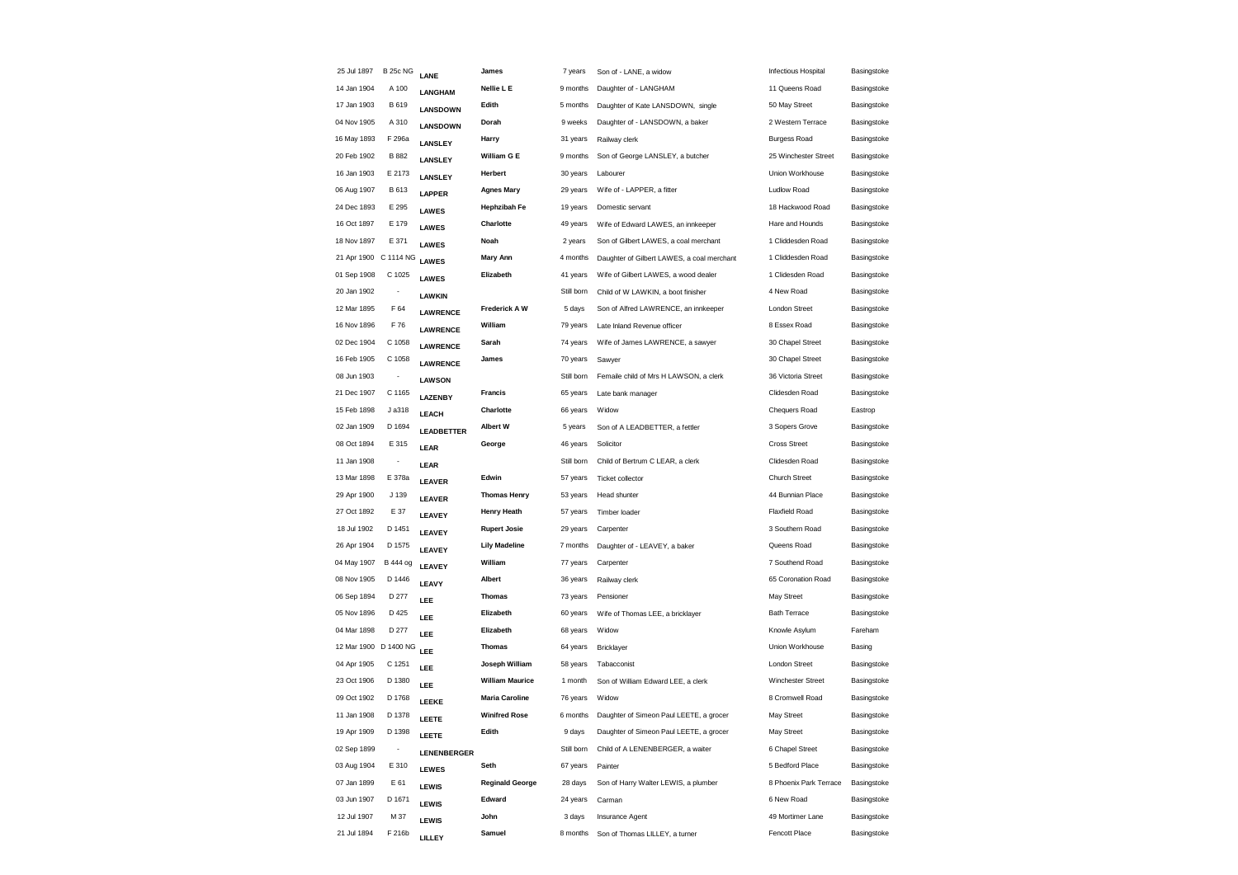| 25 Jul 1897           | <b>B 25c NG</b>          | LANE               | James                  | 7 years    | Son of - LANE, a widow                     | <b>Infectious Hospital</b> | Basingstoke |
|-----------------------|--------------------------|--------------------|------------------------|------------|--------------------------------------------|----------------------------|-------------|
| 14 Jan 1904           | A 100                    | <b>LANGHAM</b>     | Nellie L E             | 9 months   | Daughter of - LANGHAM                      | 11 Queens Road             | Basingstoke |
| 17 Jan 1903           | B 619                    | <b>LANSDOWN</b>    | Edith                  | 5 months   | Daughter of Kate LANSDOWN, single          | 50 May Street              | Basingstoke |
| 04 Nov 1905           | A 310                    | <b>LANSDOWN</b>    | Dorah                  | 9 weeks    | Daughter of - LANSDOWN, a baker            | 2 Western Terrace          | Basingstoke |
| 16 May 1893           | F 296a                   | LANSLEY            | Harry                  | 31 years   | Railway clerk                              | <b>Burgess Road</b>        | Basingstoke |
| 20 Feb 1902           | B 882                    | LANSLEY            | William G E            | 9 months   | Son of George LANSLEY, a butcher           | 25 Winchester Street       | Basingstoke |
| 16 Jan 1903           | E 2173                   | LANSLEY            | Herbert                | 30 years   | Labourer                                   | Union Workhouse            | Basingstoke |
| 06 Aug 1907           | B 613                    | <b>LAPPER</b>      | <b>Agnes Mary</b>      | 29 years   | Wife of - LAPPER, a fitter                 | Ludlow Road                | Basingstoke |
| 24 Dec 1893           | E 295                    | <b>LAWES</b>       | <b>Hephzibah Fe</b>    | 19 years   | Domestic servant                           | 18 Hackwood Road           | Basingstoke |
| 16 Oct 1897           | E 179                    | <b>LAWES</b>       | Charlotte              | 49 years   | Wife of Edward LAWES, an innkeeper         | Hare and Hounds            | Basingstoke |
| 18 Nov 1897           | E 371                    | <b>LAWES</b>       | Noah                   | 2 years    | Son of Gilbert LAWES, a coal merchant      | 1 Cliddesden Road          | Basingstoke |
| 21 Apr 1900 C 1114 NG |                          | <b>LAWES</b>       | <b>Mary Ann</b>        | 4 months   | Daughter of Gilbert LAWES, a coal merchant | 1 Cliddesden Road          | Basingstoke |
| 01 Sep 1908           | C 1025                   | <b>LAWES</b>       | Elizabeth              | 41 years   | Wife of Gilbert LAWES, a wood dealer       | 1 Clidesden Road           | Basingstoke |
| 20 Jan 1902           | $\overline{\phantom{a}}$ | LAWKIN             |                        | Still born | Child of W LAWKIN, a boot finisher         | 4 New Road                 | Basingstoke |
| 12 Mar 1895           | F 64                     | <b>LAWRENCE</b>    | Frederick A W          | 5 days     | Son of Alfred LAWRENCE, an innkeeper       | London Street              | Basingstoke |
| 16 Nov 1896           | F 76                     | <b>LAWRENCE</b>    | William                | 79 years   | Late Inland Revenue officer                | 8 Essex Road               | Basingstoke |
| 02 Dec 1904           | C 1058                   | <b>LAWRENCE</b>    | Sarah                  | 74 years   | Wife of James LAWRENCE, a sawyer           | 30 Chapel Street           | Basingstoke |
| 16 Feb 1905           | C 1058                   | <b>LAWRENCE</b>    | James                  | 70 years   | Sawyer                                     | 30 Chapel Street           | Basingstoke |
| 08 Jun 1903           |                          | <b>LAWSON</b>      |                        | Still born | Femaile child of Mrs H LAWSON, a clerk     | 36 Victoria Street         | Basingstoke |
| 21 Dec 1907           | C 1165                   | LAZENBY            | <b>Francis</b>         | 65 years   | Late bank manager                          | Clidesden Road             | Basingstoke |
| 15 Feb 1898           | J a318                   | LEACH              | Charlotte              | 66 years   | Widow                                      | Chequers Road              | Eastrop     |
| 02 Jan 1909           | D 1694                   | <b>LEADBETTER</b>  | <b>Albert W</b>        | 5 years    | Son of A LEADBETTER, a fettler             | 3 Sopers Grove             | Basingstoke |
| 08 Oct 1894           | E 315                    | LEAR               | George                 | 46 years   | Solicitor                                  | <b>Cross Street</b>        | Basingstoke |
| 11 Jan 1908           | $\overline{\phantom{a}}$ | LEAR               |                        | Still born | Child of Bertrum C LEAR, a clerk           | Clidesden Road             | Basingstoke |
| 13 Mar 1898           | E 378a                   | <b>LEAVER</b>      | Edwin                  | 57 years   | Ticket collector                           | <b>Church Street</b>       | Basingstoke |
| 29 Apr 1900           | J 139                    | <b>LEAVER</b>      | <b>Thomas Henry</b>    | 53 years   | Head shunter                               | 44 Bunnian Place           | Basingstoke |
| 27 Oct 1892           | E 37                     | LEAVEY             | <b>Henry Heath</b>     | 57 years   | Timber loader                              | Flaxfield Road             | Basingstoke |
| 18 Jul 1902           | D 1451                   | LEAVEY             | <b>Rupert Josie</b>    | 29 years   | Carpenter                                  | 3 Southern Road            | Basingstoke |
| 26 Apr 1904           | D 1575                   | LEAVEY             | <b>Lily Madeline</b>   | 7 months   | Daughter of - LEAVEY, a baker              | Queens Road                | Basingstoke |
| 04 May 1907           | <b>B</b> 444 og          | LEAVEY             | William                | 77 years   | Carpenter                                  | 7 Southend Road            | Basingstoke |
| 08 Nov 1905           | D 1446                   | LEAVY              | Albert                 | 36 years   | Railway clerk                              | 65 Coronation Road         | Basingstoke |
| 06 Sep 1894           | D 277                    | LEE                | <b>Thomas</b>          | 73 years   | Pensioner                                  | May Street                 | Basingstoke |
| 05 Nov 1896           | D 425                    | LEE                | Elizabeth              | 60 years   | Wife of Thomas LEE, a bricklayer           | <b>Bath Terrace</b>        | Basingstoke |
| 04 Mar 1898           | D 277                    | LEE                | Elizabeth              | 68 years   | Widow                                      | Knowle Asylum              | Fareham     |
| 12 Mar 1900 D 1400 NG |                          | LEE                | <b>Thomas</b>          | 64 years   | Bricklayer                                 | Union Workhouse            | Basing      |
| 04 Apr 1905           | C 1251                   | LEE                | Joseph William         | 58 years   | Tabacconist                                | <b>London Street</b>       | Basingstoke |
| 23 Oct 1906           | D 1380                   | LEE                | <b>William Maurice</b> | 1 month    | Son of William Edward LEE, a clerk         | Winchester Street          | Basingstoke |
| 09 Oct 1902           | D 1768                   | LEEKE              | <b>Maria Caroline</b>  | 76 years   | Widow                                      | 8 Cromwell Road            | Basingstoke |
| 11 Jan 1908           | D 1378                   | LEETE              | <b>Winifred Rose</b>   | 6 months   | Daughter of Simeon Paul LEETE, a grocer    | May Street                 | Basingstoke |
| 19 Apr 1909           | D 1398                   | LEETE              | Edith                  | 9 days     | Daughter of Simeon Paul LEETE, a grocer    | May Street                 | Basingstoke |
| 02 Sep 1899           |                          | <b>LENENBERGER</b> |                        | Still born | Child of A LENENBERGER, a waiter           | 6 Chapel Street            | Basingstoke |
| 03 Aug 1904           | E 310                    | <b>LEWES</b>       | Seth                   | 67 years   | Painter                                    | 5 Bedford Place            | Basingstoke |
| 07 Jan 1899           | E 61                     | <b>LEWIS</b>       | <b>Reginald George</b> | 28 days    | Son of Harry Walter LEWIS, a plumber       | 8 Phoenix Park Terrace     | Basingstoke |
| 03 Jun 1907           | D 1671                   | LEWIS              | Edward                 | 24 years   | Carman                                     | 6 New Road                 | Basingstoke |
| 12 Jul 1907           | M 37                     | <b>LEWIS</b>       | John                   | 3 days     | Insurance Agent                            | 49 Mortimer Lane           | Basingstoke |
| 21 Jul 1894           | F 216b                   | LILLEY             | Samuel                 | 8 months   | Son of Thomas LILLEY, a turner             | Fencott Place              | Basingstoke |
|                       |                          |                    |                        |            |                                            |                            |             |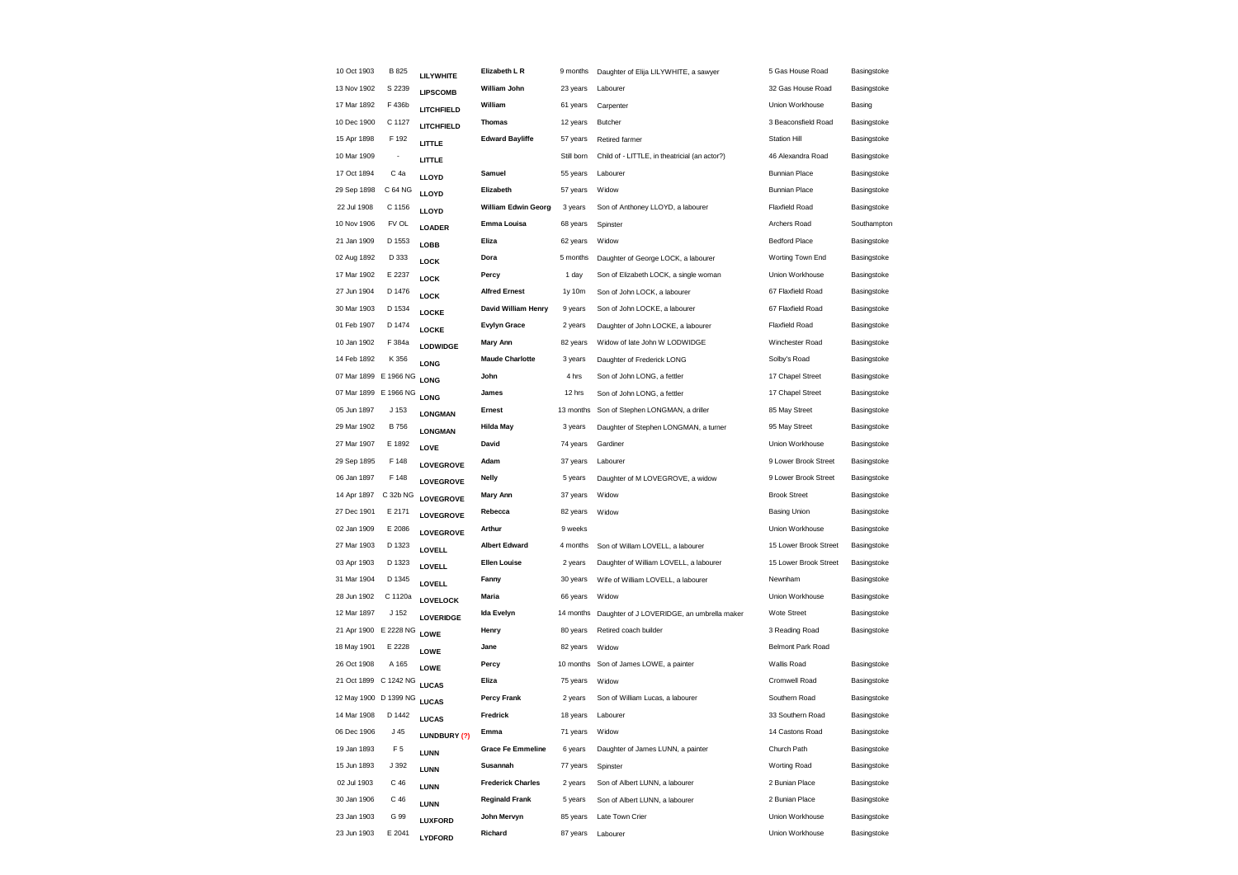| 10 Oct 1903           | <b>B825</b>              | LILYWHITE       | Elizabeth L R            | 9 months   | Daughter of Elija LILYWHITE, a sawyer         | 5 Gas House Road         | Basingstoke |
|-----------------------|--------------------------|-----------------|--------------------------|------------|-----------------------------------------------|--------------------------|-------------|
| 13 Nov 1902           | S 2239                   | <b>LIPSCOMB</b> | William John             | 23 years   | Labourer                                      | 32 Gas House Road        | Basingstoke |
| 17 Mar 1892           | F 436b                   | LITCHFIELD      | William                  | 61 years   | Carpenter                                     | Union Workhouse          | Basing      |
| 10 Dec 1900           | C 1127                   | LITCHFIELD      | <b>Thomas</b>            | 12 years   | Butcher                                       | 3 Beaconsfield Road      | Basingstoke |
| 15 Apr 1898           | F 192                    | LITTLE          | <b>Edward Bayliffe</b>   | 57 years   | Retired farmer                                | <b>Station Hill</b>      | Basingstoke |
| 10 Mar 1909           | $\overline{\phantom{a}}$ | LITTLE          |                          | Still born | Child of - LITTLE, in theatricial (an actor?) | 46 Alexandra Road        | Basingstoke |
| 17 Oct 1894           | C 4a                     | LLOYD           | Samuel                   | 55 years   | Labourer                                      | <b>Bunnian Place</b>     | Basingstoke |
| 29 Sep 1898           | C 64 NG                  | LLOYD           | Elizabeth                | 57 years   | Widow                                         | <b>Bunnian Place</b>     | Basingstoke |
| 22 Jul 1908           | C 1156                   | LLOYD           | William Edwin Georg      | 3 years    | Son of Anthoney LLOYD, a labourer             | <b>Flaxfield Road</b>    | Basingstoke |
| 10 Nov 1906           | FV OL                    | LOADER          | Emma Louisa              | 68 years   | Spinster                                      | Archers Road             | Southampton |
| 21 Jan 1909           | D 1553                   | LOBB            | Eliza                    | 62 years   | Widow                                         | Bedford Place            | Basingstoke |
| 02 Aug 1892           | D 333                    | <b>LOCK</b>     | Dora                     | 5 months   | Daughter of George LOCK, a labourer           | Worting Town End         | Basingstoke |
| 17 Mar 1902           | E 2237                   | <b>LOCK</b>     | Percy                    | 1 day      | Son of Elizabeth LOCK, a single woman         | Union Workhouse          | Basingstoke |
| 27 Jun 1904           | D 1476                   | <b>LOCK</b>     | <b>Alfred Ernest</b>     | 1y 10m     | Son of John LOCK, a labourer                  | 67 Flaxfield Road        | Basingstoke |
| 30 Mar 1903           | D 1534                   | LOCKE           | David William Henry      | 9 years    | Son of John LOCKE, a labourer                 | 67 Flaxfield Road        | Basingstoke |
| 01 Feb 1907           | D 1474                   | LOCKE           | <b>Evylyn Grace</b>      | 2 years    | Daughter of John LOCKE, a labourer            | <b>Flaxfield Road</b>    | Basingstoke |
| 10 Jan 1902           | F 384a                   | <b>LODWIDGE</b> | <b>Mary Ann</b>          | 82 years   | Widow of late John W LODWIDGE                 | Winchester Road          | Basingstoke |
| 14 Feb 1892           | K 356                    | <b>LONG</b>     | <b>Maude Charlotte</b>   | 3 years    | Daughter of Frederick LONG                    | Solby's Road             | Basingstoke |
| 07 Mar 1899 E 1966 NG |                          | LONG            | John                     | 4 hrs      | Son of John LONG, a fettler                   | 17 Chapel Street         | Basingstoke |
| 07 Mar 1899 E 1966 NG |                          | LONG            | James                    | 12 hrs     | Son of John LONG, a fettler                   | 17 Chapel Street         | Basingstoke |
| 05 Jun 1897           | J 153                    | <b>LONGMAN</b>  | Ernest                   | 13 months  | Son of Stephen LONGMAN, a driller             | 85 May Street            | Basingstoke |
| 29 Mar 1902           | <b>B756</b>              | <b>LONGMAN</b>  | <b>Hilda May</b>         | 3 years    | Daughter of Stephen LONGMAN, a turner         | 95 May Street            | Basingstoke |
| 27 Mar 1907           | E 1892                   | LOVE            | David                    | 74 years   | Gardiner                                      | Union Workhouse          | Basingstoke |
| 29 Sep 1895           | F 148                    | LOVEGROVE       | Adam                     | 37 years   | Labourer                                      | 9 Lower Brook Street     | Basingstoke |
| 06 Jan 1897           | F 148                    | LOVEGROVE       | <b>Nelly</b>             | 5 years    | Daughter of M LOVEGROVE, a widow              | 9 Lower Brook Street     | Basingstoke |
| 14 Apr 1897           | C 32b NG                 | LOVEGROVE       | <b>Mary Ann</b>          | 37 years   | Widow                                         | <b>Brook Street</b>      | Basingstoke |
| 27 Dec 1901           | E 2171                   | LOVEGROVE       | Rebecca                  | 82 years   | Widow                                         | <b>Basing Union</b>      | Basingstoke |
| 02 Jan 1909           | E 2086                   | LOVEGROVE       | Arthur                   | 9 weeks    |                                               | Union Workhouse          | Basingstoke |
| 27 Mar 1903           | D 1323                   | LOVELL          | <b>Albert Edward</b>     | 4 months   | Son of Willam LOVELL, a labourer              | 15 Lower Brook Street    | Basingstoke |
| 03 Apr 1903           | D 1323                   | LOVELL          | <b>Ellen Louise</b>      | 2 years    | Daughter of William LOVELL, a labourer        | 15 Lower Brook Street    | Basingstoke |
| 31 Mar 1904           | D 1345                   | <b>LOVELL</b>   | Fanny                    | 30 years   | Wife of William LOVELL, a labourer            | Newnham                  | Basingstoke |
| 28 Jun 1902           | C 1120a                  | LOVELOCK        | <b>Maria</b>             | 66 years   | Widow                                         | Union Workhouse          | Basingstoke |
| 12 Mar 1897           | J 152                    | LOVERIDGE       | Ida Evelyn               | 14 months  | Daughter of J LOVERIDGE, an umbrella maker    | Wote Street              | Basingstoke |
| 21 Apr 1900 E 2228 NG |                          | LOWE            | Henry                    | 80 years   | Retired coach builder                         | 3 Reading Road           | Basingstoke |
| 18 May 1901           | E 2228                   | LOWE            | Jane                     | 82 years   | Widow                                         | <b>Belmont Park Road</b> |             |
| 26 Oct 1908           | A 165                    | LOWE            | Percy                    | 10 months  | Son of James LOWE, a painter                  | Wallis Road              | Basingstoke |
| 21 Oct 1899 C 1242 NG |                          | <b>LUCAS</b>    | Eliza                    | 75 years   | Widow                                         | Cromwell Road            | Basingstoke |
| 12 May 1900 D 1399 NG |                          | <b>LUCAS</b>    | <b>Percy Frank</b>       | 2 years    | Son of William Lucas, a labourer              | Southern Road            | Basingstoke |
| 14 Mar 1908           | D 1442                   | <b>LUCAS</b>    | <b>Fredrick</b>          | 18 years   | Labourer                                      | 33 Southern Road         | Basingstoke |
| 06 Dec 1906           | J <sub>45</sub>          | LUNDBURY (?)    | Emma                     | 71 years   | Widow                                         | 14 Castons Road          | Basingstoke |
| 19 Jan 1893           | F <sub>5</sub>           | <b>LUNN</b>     | <b>Grace Fe Emmeline</b> | 6 years    | Daughter of James LUNN, a painter             | Church Path              | Basingstoke |
| 15 Jun 1893           | J 392                    | LUNN            | Susannah                 | 77 years   | Spinster                                      | Worting Road             | Basingstoke |
| 02 Jul 1903           | C 46                     | <b>LUNN</b>     | <b>Frederick Charles</b> | 2 years    | Son of Albert LUNN, a labourer                | 2 Bunian Place           | Basingstoke |
| 30 Jan 1906           | C 46                     | <b>LUNN</b>     | <b>Reginald Frank</b>    | 5 years    | Son of Albert LUNN, a labourer                | 2 Bunian Place           | Basingstoke |
| 23 Jan 1903           | G 99                     | LUXFORD         | John Mervyn              | 85 years   | Late Town Crier                               | Union Workhouse          | Basingstoke |
| 23 Jun 1903           | E 2041                   | LYDFORD         | Richard                  | 87 years   | Labourer                                      | Union Workhouse          | Basingstoke |
|                       |                          |                 |                          |            |                                               |                          |             |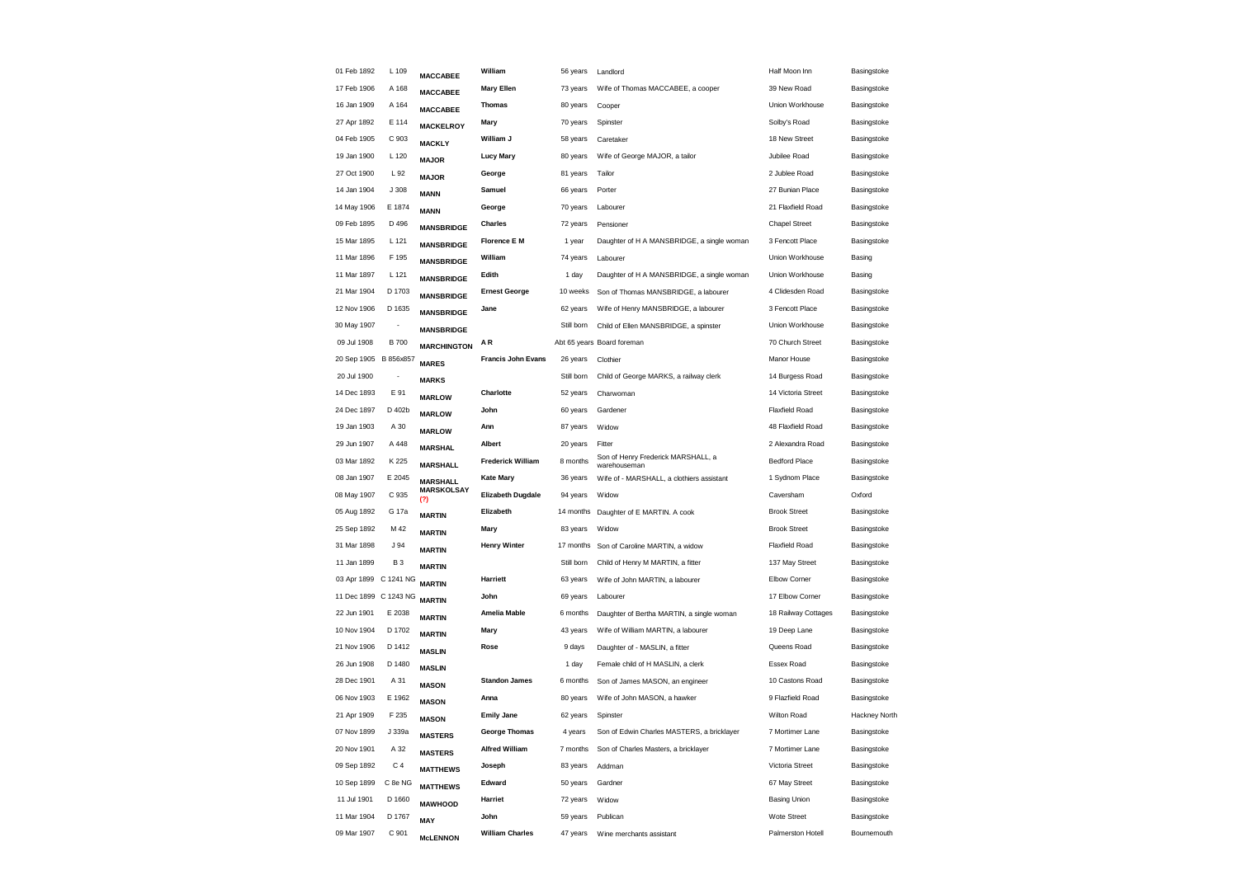| 01 Feb 1892           | L 109                    | <b>MACCABEE</b>      | William                   | 56 years   | Landlord                                           | Half Moon Inn        | Basingstoke   |
|-----------------------|--------------------------|----------------------|---------------------------|------------|----------------------------------------------------|----------------------|---------------|
| 17 Feb 1906           | A 168                    | <b>MACCABEE</b>      | <b>Mary Ellen</b>         | 73 years   | Wife of Thomas MACCABEE, a cooper                  | 39 New Road          | Basingstoke   |
| 16 Jan 1909           | A 164                    | <b>MACCABEE</b>      | <b>Thomas</b>             | 80 years   | Cooper                                             | Union Workhouse      | Basingstoke   |
| 27 Apr 1892           | E 114                    | <b>MACKELROY</b>     | Mary                      | 70 years   | Spinster                                           | Solby's Road         | Basingstoke   |
| 04 Feb 1905           | C 903                    | <b>MACKLY</b>        | William J                 | 58 years   | Caretaker                                          | 18 New Street        | Basingstoke   |
| 19 Jan 1900           | L 120                    | <b>MAJOR</b>         | <b>Lucy Mary</b>          | 80 years   | Wife of George MAJOR, a tailor                     | Jubilee Road         | Basingstoke   |
| 27 Oct 1900           | L 92                     | <b>MAJOR</b>         | George                    | 81 years   | Tailor                                             | 2 Jublee Road        | Basingstoke   |
| 14 Jan 1904           | J 308                    | <b>MANN</b>          | Samuel                    | 66 years   | Porter                                             | 27 Bunian Place      | Basingstoke   |
| 14 May 1906           | E 1874                   | <b>MANN</b>          | George                    | 70 years   | Labourer                                           | 21 Flaxfield Road    | Basingstoke   |
| 09 Feb 1895           | D 496                    | <b>MANSBRIDGE</b>    | <b>Charles</b>            | 72 years   | Pensioner                                          | <b>Chapel Street</b> | Basingstoke   |
| 15 Mar 1895           | L 121                    | <b>MANSBRIDGE</b>    | <b>Florence E M</b>       | 1 year     | Daughter of H A MANSBRIDGE, a single woman         | 3 Fencott Place      | Basingstoke   |
| 11 Mar 1896           | F 195                    | <b>MANSBRIDGE</b>    | William                   | 74 years   | Labourer                                           | Union Workhouse      | Basing        |
| 11 Mar 1897           | L 121                    | <b>MANSBRIDGE</b>    | Edith                     | 1 day      | Daughter of H A MANSBRIDGE, a single woman         | Union Workhouse      | Basing        |
| 21 Mar 1904           | D 1703                   | <b>MANSBRIDGE</b>    | <b>Ernest George</b>      | 10 weeks   | Son of Thomas MANSBRIDGE, a labourer               | 4 Clidesden Road     | Basingstoke   |
| 12 Nov 1906           | D 1635                   | <b>MANSBRIDGE</b>    | Jane                      | 62 years   | Wife of Henry MANSBRIDGE, a labourer               | 3 Fencott Place      | Basingstoke   |
| 30 May 1907           | $\overline{\phantom{a}}$ | <b>MANSBRIDGE</b>    |                           | Still born | Child of Ellen MANSBRIDGE, a spinster              | Union Workhouse      | Basingstoke   |
| 09 Jul 1908           | <b>B700</b>              | <b>MARCHINGTON</b>   | ΑR                        |            | Abt 65 years Board foreman                         | 70 Church Street     | Basingstoke   |
| 20 Sep 1905 B 856x857 |                          | <b>MARES</b>         | <b>Francis John Evans</b> | 26 years   | Clothier                                           | Manor House          | Basingstoke   |
| 20 Jul 1900           |                          | <b>MARKS</b>         |                           | Still born | Child of George MARKS, a railway clerk             | 14 Burgess Road      | Basingstoke   |
| 14 Dec 1893           | E 91                     | <b>MARLOW</b>        | Charlotte                 | 52 years   | Charwoman                                          | 14 Victoria Street   | Basingstoke   |
| 24 Dec 1897           | D 402b                   | <b>MARLOW</b>        | John                      | 60 years   | Gardener                                           | Flaxfield Road       | Basingstoke   |
| 19 Jan 1903           | A 30                     | <b>MARLOW</b>        | Ann                       | 87 years   | Widow                                              | 48 Flaxfield Road    | Basingstoke   |
| 29 Jun 1907           | A 448                    | <b>MARSHAL</b>       | Albert                    | 20 years   | Fitter                                             | 2 Alexandra Road     | Basingstoke   |
| 03 Mar 1892           | K 225                    | <b>MARSHALL</b>      | <b>Frederick William</b>  | 8 months   | Son of Henry Frederick MARSHALL, a<br>warehouseman | <b>Bedford Place</b> | Basingstoke   |
| 08 Jan 1907           | E 2045                   | <b>MARSHALL</b>      | <b>Kate Mary</b>          | 36 years   | Wife of - MARSHALL, a clothiers assistant          | 1 Sydnom Place       | Basingstoke   |
| 08 May 1907           | C 935                    | <b>MARSKOLSAY</b>    | <b>Elizabeth Dugdale</b>  | 94 years   | Widow                                              | Caversham            | Oxford        |
| 05 Aug 1892           | G 17a                    | (?)<br><b>MARTIN</b> | Elizabeth                 | 14 months  | Daughter of E MARTIN. A cook                       | <b>Brook Street</b>  | Basingstoke   |
| 25 Sep 1892           | M 42                     | <b>MARTIN</b>        | Mary                      | 83 years   | Widow                                              | <b>Brook Street</b>  | Basingstoke   |
| 31 Mar 1898           | J 94                     | <b>MARTIN</b>        | <b>Henry Winter</b>       | 17 months  | Son of Caroline MARTIN, a widow                    | Flaxfield Road       | Basingstoke   |
| 11 Jan 1899           | <b>B3</b>                | <b>MARTIN</b>        |                           | Still born | Child of Henry M MARTIN, a fitter                  | 137 May Street       | Basingstoke   |
| 03 Apr 1899 C 1241 NG |                          | <b>MARTIN</b>        | Harriett                  | 63 years   | Wife of John MARTIN, a labourer                    | Elbow Corner         | Basingstoke   |
| 11 Dec 1899 C 1243 NG |                          | <b>MARTIN</b>        | John                      | 69 years   | Labourer                                           | 17 Elbow Corner      | Basingstoke   |
| 22 Jun 1901           | E 2038                   | <b>MARTIN</b>        | <b>Amelia Mable</b>       | 6 months   | Daughter of Bertha MARTIN, a single woman          | 18 Railway Cottages  | Basingstoke   |
| 10 Nov 1904           | D 1702                   | <b>MARTIN</b>        | Mary                      | 43 years   | Wife of William MARTIN, a labourer                 | 19 Deep Lane         | Basingstoke   |
| 21 Nov 1906           | D 1412                   | <b>MASLIN</b>        | Rose                      | 9 days     | Daughter of - MASLIN, a fitter                     | Queens Road          | Basingstoke   |
| 26 Jun 1908           | D 1480                   | <b>MASLIN</b>        |                           | 1 day      | Female child of H MASLIN, a clerk                  | <b>Essex Road</b>    | Basingstoke   |
| 28 Dec 1901           | A 31                     |                      | <b>Standon James</b>      | 6 months   | Son of James MASON, an engineer                    | 10 Castons Road      | Basingstoke   |
| 06 Nov 1903           | E 1962                   | <b>MASON</b>         | Anna                      | 80 years   | Wife of John MASON, a hawker                       | 9 Flazfield Road     | Basingstoke   |
| 21 Apr 1909           | F 235                    | <b>MASON</b>         | <b>Emily Jane</b>         | 62 years   | Spinster                                           | <b>Wilton Road</b>   | Hackney North |
| 07 Nov 1899           | J 339a                   | <b>MASON</b>         | <b>George Thomas</b>      | 4 years    | Son of Edwin Charles MASTERS, a bricklayer         | 7 Mortimer Lane      | Basingstoke   |
| 20 Nov 1901           | A 32                     | <b>MASTERS</b>       | <b>Alfred William</b>     | 7 months   | Son of Charles Masters, a bricklayer               | 7 Mortimer Lane      | Basingstoke   |
| 09 Sep 1892           | C <sub>4</sub>           | <b>MASTERS</b>       | Joseph                    | 83 years   | Addman                                             | Victoria Street      | Basingstoke   |
| 10 Sep 1899           | C 8e NG                  | <b>MATTHEWS</b>      | Edward                    | 50 years   | Gardner                                            | 67 May Street        | Basingstoke   |
| 11 Jul 1901           | D 1660                   | <b>MATTHEWS</b>      | Harriet                   | 72 years   | Widow                                              | <b>Basing Union</b>  | Basingstoke   |
| 11 Mar 1904           | D 1767                   | <b>MAWHOOD</b>       | John                      | 59 years   | Publican                                           | Wote Street          | Basingstoke   |
| 09 Mar 1907           | C 901                    | MAY                  | <b>William Charles</b>    | 47 years   | Wine merchants assistant                           | Palmerston Hotell    | Bournemouth   |
|                       |                          | <b>McLENNON</b>      |                           |            |                                                    |                      |               |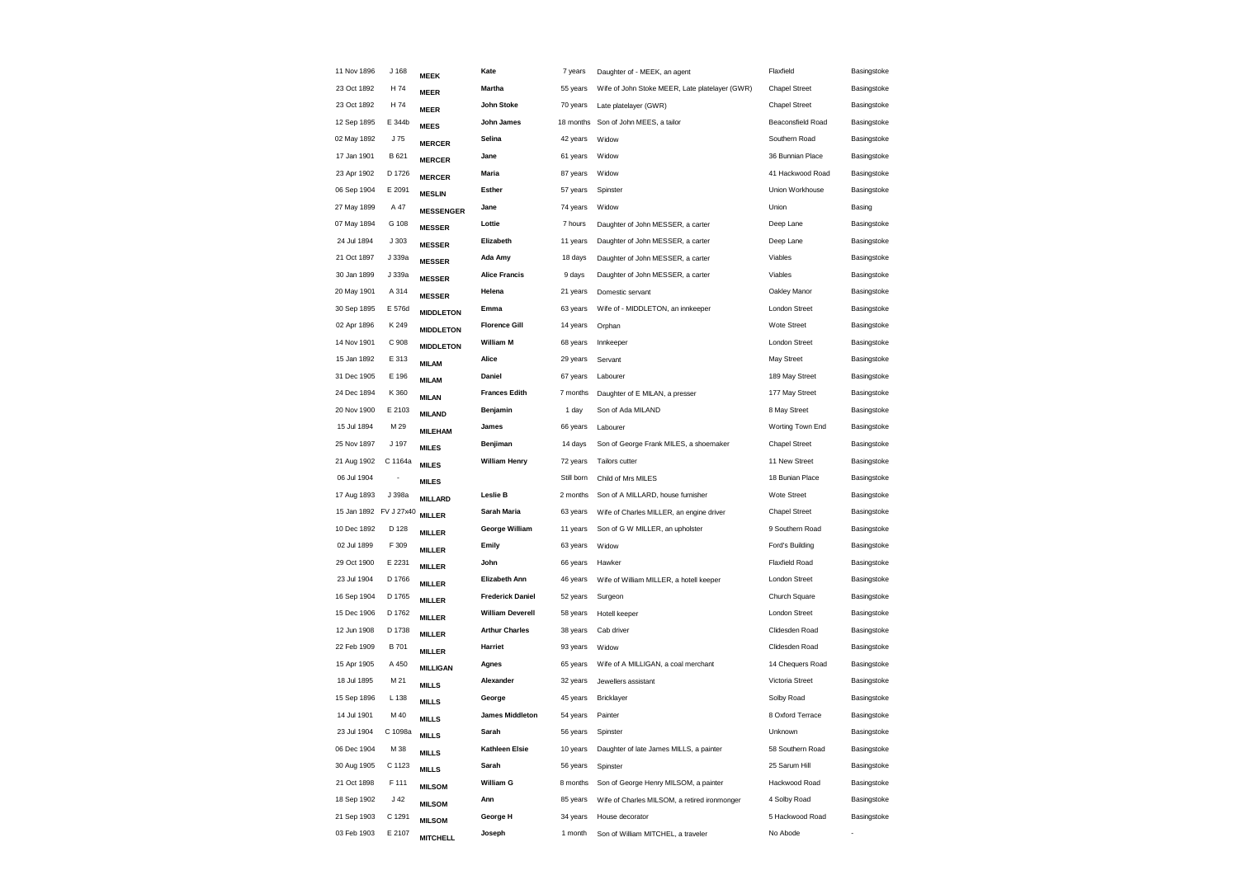| 11 Nov 1896            | J 168                    | <b>MEEK</b>      | Kate                    | 7 years    | Daughter of - MEEK, an agent                   | Flaxfield            | Basingstoke |
|------------------------|--------------------------|------------------|-------------------------|------------|------------------------------------------------|----------------------|-------------|
| 23 Oct 1892            | H 74                     | <b>MEER</b>      | Martha                  | 55 years   | Wife of John Stoke MEER, Late platelayer (GWR) | <b>Chapel Street</b> | Basingstoke |
| 23 Oct 1892            | H 74                     | <b>MEER</b>      | John Stoke              | 70 years   | Late platelayer (GWR)                          | <b>Chapel Street</b> | Basingstoke |
| 12 Sep 1895            | E 344b                   | <b>MEES</b>      | John James              | 18 months  | Son of John MEES, a tailor                     | Beaconsfield Road    | Basingstoke |
| 02 May 1892            | J 75                     | <b>MERCER</b>    | Selina                  | 42 years   | Widow                                          | Southern Road        | Basingstoke |
| 17 Jan 1901            | B 621                    | <b>MERCER</b>    | Jane                    | 61 years   | Widow                                          | 36 Bunnian Place     | Basingstoke |
| 23 Apr 1902            | D 1726                   | <b>MERCER</b>    | Maria                   | 87 years   | Widow                                          | 41 Hackwood Road     | Basingstoke |
| 06 Sep 1904            | E 2091                   | <b>MESLIN</b>    | <b>Esther</b>           | 57 years   | Spinster                                       | Union Workhouse      | Basingstoke |
| 27 May 1899            | A 47                     | <b>MESSENGER</b> | Jane                    | 74 years   | Widow                                          | Union                | Basing      |
| 07 May 1894            | G 108                    | <b>MESSER</b>    | Lottie                  | 7 hours    | Daughter of John MESSER, a carter              | Deep Lane            | Basingstoke |
| 24 Jul 1894            | J303                     | <b>MESSER</b>    | Elizabeth               | 11 years   | Daughter of John MESSER, a carter              | Deep Lane            | Basingstoke |
| 21 Oct 1897            | J 339a                   | <b>MESSER</b>    | Ada Amy                 | 18 days    | Daughter of John MESSER, a carter              | Viables              | Basingstoke |
| 30 Jan 1899            | J 339a                   | <b>MESSER</b>    | <b>Alice Francis</b>    | 9 days     | Daughter of John MESSER, a carter              | Viables              | Basingstoke |
| 20 May 1901            | A 314                    | <b>MESSER</b>    | Helena                  | 21 years   | Domestic servant                               | Oakley Manor         | Basingstoke |
| 30 Sep 1895            | E 576d                   | <b>MIDDLETON</b> | Emma                    | 63 years   | Wife of - MIDDLETON, an innkeeper              | <b>London Street</b> | Basingstoke |
| 02 Apr 1896            | K 249                    | <b>MIDDLETON</b> | <b>Florence Gill</b>    | 14 years   | Orphan                                         | <b>Wote Street</b>   | Basingstoke |
| 14 Nov 1901            | C 908                    | <b>MIDDLETON</b> | <b>William M</b>        | 68 years   | Innkeeper                                      | London Street        | Basingstoke |
| 15 Jan 1892            | E 313                    | <b>MILAM</b>     | Alice                   | 29 years   | Servant                                        | May Street           | Basingstoke |
| 31 Dec 1905            | E 196                    | <b>MILAM</b>     | Daniel                  | 67 years   | Labourer                                       | 189 May Street       | Basingstoke |
| 24 Dec 1894            | K 360                    | <b>MILAN</b>     | <b>Frances Edith</b>    | 7 months   | Daughter of E MILAN, a presser                 | 177 May Street       | Basingstoke |
| 20 Nov 1900            | E 2103                   | <b>MILAND</b>    | Benjamin                | 1 day      | Son of Ada MILAND                              | 8 May Street         | Basingstoke |
| 15 Jul 1894            | M 29                     | <b>MILEHAM</b>   | James                   | 66 years   | Labourer                                       | Worting Town End     | Basingstoke |
| 25 Nov 1897            | J 197                    | <b>MILES</b>     | Benjiman                | 14 days    | Son of George Frank MILES, a shoemaker         | <b>Chapel Street</b> | Basingstoke |
| 21 Aug 1902            | C 1164a                  | <b>MILES</b>     | <b>William Henry</b>    | 72 years   | Tailors cutter                                 | 11 New Street        | Basingstoke |
| 06 Jul 1904            | $\overline{\phantom{a}}$ | <b>MILES</b>     |                         | Still born | Child of Mrs MILES                             | 18 Bunian Place      | Basingstoke |
| 17 Aug 1893            | J 398a                   | <b>MILLARD</b>   | Leslie B                | 2 months   | Son of A MILLARD, house furnisher              | Wote Street          | Basingstoke |
| 15 Jan 1892 FV J 27x40 |                          | <b>MILLER</b>    | Sarah Maria             | 63 years   | Wife of Charles MILLER, an engine driver       | <b>Chapel Street</b> | Basingstoke |
| 10 Dec 1892            | D 128                    | <b>MILLER</b>    | George William          | 11 years   | Son of G W MILLER, an upholster                | 9 Southern Road      | Basingstoke |
| 02 Jul 1899            | F 309                    | <b>MILLER</b>    | Emily                   | 63 years   | Widow                                          | Ford's Building      | Basingstoke |
| 29 Oct 1900            | E 2231                   | <b>MILLER</b>    | John                    | 66 years   | Hawker                                         | Flaxfield Road       | Basingstoke |
| 23 Jul 1904            | D 1766                   | <b>MILLER</b>    | Elizabeth Ann           | 46 years   | Wife of William MILLER, a hotell keeper        | London Street        | Basingstoke |
| 16 Sep 1904            | D 1765                   | <b>MILLER</b>    | <b>Frederick Daniel</b> | 52 years   | Surgeon                                        | Church Square        | Basingstoke |
| 15 Dec 1906            | D 1762                   | <b>MILLER</b>    | <b>William Deverell</b> | 58 years   | Hotell keeper                                  | London Street        | Basingstoke |
| 12 Jun 1908            | D 1738                   | <b>MILLER</b>    | <b>Arthur Charles</b>   | 38 years   | Cab driver                                     | Clidesden Road       | Basingstoke |
| 22 Feb 1909            | B 701                    | <b>MILLER</b>    | Harriet                 | 93 years   | Widow                                          | Clidesden Road       | Basingstoke |
| 15 Apr 1905            | A 450                    | <b>MILLIGAN</b>  | Agnes                   | 65 years   | Wife of A MILLIGAN, a coal merchant            | 14 Chequers Road     | Basingstoke |
| 18 Jul 1895            | M 21                     | <b>MILLS</b>     | Alexander               | 32 years   | Jewellers assistant                            | Victoria Street      | Basingstoke |
| 15 Sep 1896            | L 138                    | <b>MILLS</b>     | George                  | 45 years   | Bricklayer                                     | Solby Road           | Basingstoke |
| 14 Jul 1901            | M 40                     | <b>MILLS</b>     | <b>James Middleton</b>  | 54 years   | Painter                                        | 8 Oxford Terrace     | Basingstoke |
| 23 Jul 1904            | C 1098a                  | <b>MILLS</b>     | Sarah                   | 56 years   | Spinster                                       | Unknown              | Basingstoke |
| 06 Dec 1904            | M 38                     | <b>MILLS</b>     | Kathleen Elsie          | 10 years   | Daughter of late James MILLS, a painter        | 58 Southern Road     | Basingstoke |
| 30 Aug 1905            | C 1123                   | <b>MILLS</b>     | Sarah                   | 56 years   | Spinster                                       | 25 Sarum Hill        | Basingstoke |
| 21 Oct 1898            | F 111                    | <b>MILSOM</b>    | William G               | 8 months   | Son of George Henry MILSOM, a painter          | Hackwood Road        | Basingstoke |
| 18 Sep 1902            | $\sf J$ 42               | <b>MILSOM</b>    | Ann                     | 85 years   | Wife of Charles MILSOM, a retired ironmonger   | 4 Solby Road         | Basingstoke |
| 21 Sep 1903            | C 1291                   | <b>MILSOM</b>    | George H                | 34 years   | House decorator                                | 5 Hackwood Road      | Basingstoke |
| 03 Feb 1903            | E 2107                   | <b>MITCHELL</b>  | Joseph                  | 1 month    | Son of William MITCHEL, a traveler             | No Abode             |             |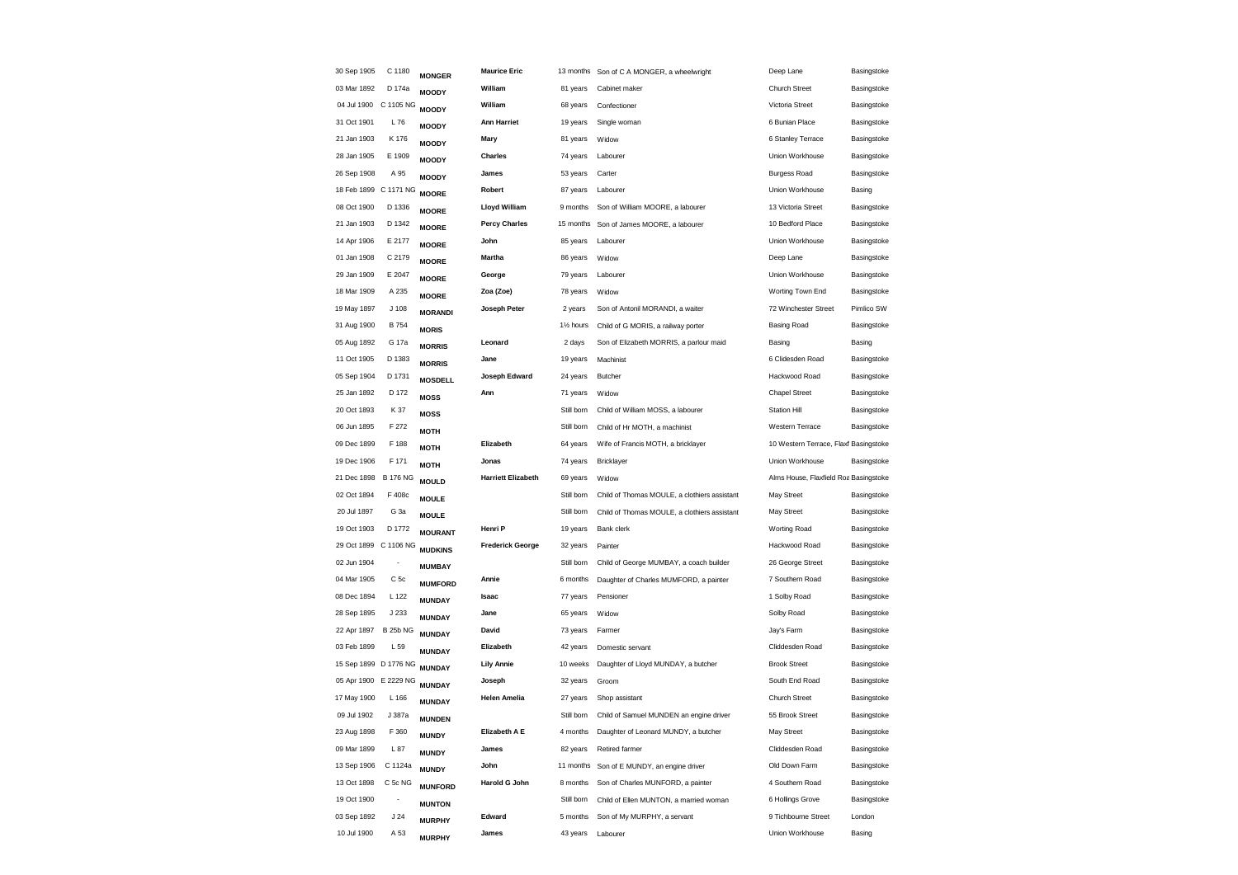| 30 Sep 1905 | C 1180                | <b>MONGER</b>  | <b>Maurice Eric</b>       | 13 months              | Son of C A MONGER, a wheelwright             | Deep Lane                             | Basingstoke |
|-------------|-----------------------|----------------|---------------------------|------------------------|----------------------------------------------|---------------------------------------|-------------|
| 03 Mar 1892 | D 174a                | <b>MOODY</b>   | William                   | 81 years               | Cabinet maker                                | Church Street                         | Basingstoke |
|             | 04 Jul 1900 C 1105 NG | <b>MOODY</b>   | William                   | 68 years               | Confectioner                                 | Victoria Street                       | Basingstoke |
| 31 Oct 1901 | L76                   | <b>MOODY</b>   | <b>Ann Harriet</b>        | 19 years               | Single woman                                 | 6 Bunian Place                        | Basingstoke |
| 21 Jan 1903 | K 176                 | <b>MOODY</b>   | Mary                      | 81 years               | Widow                                        | 6 Stanley Terrace                     | Basingstoke |
| 28 Jan 1905 | E 1909                | <b>MOODY</b>   | Charles                   | 74 years               | Labourer                                     | Union Workhouse                       | Basingstoke |
| 26 Sep 1908 | A 95                  | <b>MOODY</b>   | James                     | 53 years               | Carter                                       | <b>Burgess Road</b>                   | Basingstoke |
|             | 18 Feb 1899 C 1171 NG | <b>MOORE</b>   | Robert                    | 87 years               | Labourer                                     | Union Workhouse                       | Basing      |
| 08 Oct 1900 | D 1336                | <b>MOORE</b>   | Lloyd William             | 9 months               | Son of William MOORE, a labourer             | 13 Victoria Street                    | Basingstoke |
| 21 Jan 1903 | D 1342                | <b>MOORE</b>   | <b>Percy Charles</b>      | 15 months              | Son of James MOORE, a labourer               | 10 Bedford Place                      | Basingstoke |
| 14 Apr 1906 | E 2177                | <b>MOORE</b>   | John                      | 85 years               | Labourer                                     | Union Workhouse                       | Basingstoke |
| 01 Jan 1908 | C 2179                | <b>MOORE</b>   | Martha                    | 86 years               | Widow                                        | Deep Lane                             | Basingstoke |
| 29 Jan 1909 | E 2047                | <b>MOORE</b>   | George                    | 79 years               | Labourer                                     | Union Workhouse                       | Basingstoke |
| 18 Mar 1909 | A 235                 | <b>MOORE</b>   | Zoa (Zoe)                 | 78 years               | Widow                                        | Worting Town End                      | Basingstoke |
| 19 May 1897 | J <sub>108</sub>      | <b>MORANDI</b> | Joseph Peter              | 2 years                | Son of Antonil MORANDI, a waiter             | 72 Winchester Street                  | Pimlico SW  |
| 31 Aug 1900 | <b>B754</b>           | <b>MORIS</b>   |                           | 11/ <sub>2</sub> hours | Child of G MORIS, a railway porter           | <b>Basing Road</b>                    | Basingstoke |
| 05 Aug 1892 | G 17a                 | <b>MORRIS</b>  | Leonard                   | 2 days                 | Son of Elizabeth MORRIS, a parlour maid      | Basing                                | Basing      |
| 11 Oct 1905 | D 1383                | <b>MORRIS</b>  | Jane                      | 19 years               | Machinist                                    | 6 Clidesden Road                      | Basingstoke |
| 05 Sep 1904 | D 1731                | <b>MOSDELL</b> | Joseph Edward             | 24 years               | Butcher                                      | Hackwood Road                         | Basingstoke |
| 25 Jan 1892 | D 172                 | <b>MOSS</b>    | Ann                       | 71 years               | Widow                                        | <b>Chapel Street</b>                  | Basingstoke |
| 20 Oct 1893 | K 37                  | <b>MOSS</b>    |                           | Still born             | Child of William MOSS, a labourer            | <b>Station Hill</b>                   | Basingstoke |
| 06 Jun 1895 | F 272                 | <b>MOTH</b>    |                           | Still born             | Child of Hr MOTH, a machinist                | Western Terrace                       | Basingstoke |
| 09 Dec 1899 | F 188                 | <b>MOTH</b>    | Elizabeth                 | 64 years               | Wife of Francis MOTH, a bricklayer           | 10 Western Terrace, Flaxf Basingstoke |             |
| 19 Dec 1906 | F 171                 | <b>MOTH</b>    | Jonas                     | 74 years               | Bricklayer                                   | Union Workhouse                       | Basingstoke |
| 21 Dec 1898 | <b>B 176 NG</b>       | <b>MOULD</b>   | <b>Harriett Elizabeth</b> | 69 years               | Widow                                        | Alms House, Flaxfield Roa Basingstoke |             |
| 02 Oct 1894 | F 408c                | <b>MOULE</b>   |                           | Still born             | Child of Thomas MOULE, a clothiers assistant | May Street                            | Basingstoke |
| 20 Jul 1897 | G <sub>3a</sub>       | <b>MOULE</b>   |                           | Still born             | Child of Thomas MOULE, a clothiers assistant | May Street                            | Basingstoke |
| 19 Oct 1903 | D 1772                | <b>MOURANT</b> | Henri P                   | 19 years               | Bank clerk                                   | Worting Road                          | Basingstoke |
|             | 29 Oct 1899 C 1106 NG | <b>MUDKINS</b> | <b>Frederick George</b>   | 32 years               | Painter                                      | Hackwood Road                         | Basingstoke |
| 02 Jun 1904 | $\overline{a}$        | <b>MUMBAY</b>  |                           | Still born             | Child of George MUMBAY, a coach builder      | 26 George Street                      | Basingstoke |
| 04 Mar 1905 | C <sub>5c</sub>       | <b>MUMFORD</b> | Annie                     | 6 months               | Daughter of Charles MUMFORD, a painter       | 7 Southern Road                       | Basingstoke |
| 08 Dec 1894 | L 122                 | <b>MUNDAY</b>  | Isaac                     | 77 years               | Pensioner                                    | 1 Solby Road                          | Basingstoke |
| 28 Sep 1895 | J 233                 | <b>MUNDAY</b>  | Jane                      | 65 years               | Widow                                        | Solby Road                            | Basingstoke |
| 22 Apr 1897 | <b>B 25b NG</b>       | <b>MUNDAY</b>  | David                     | 73 years               | Farmer                                       | Jay's Farm                            | Basingstoke |
| 03 Feb 1899 | L 59                  | <b>MUNDAY</b>  | Elizabeth                 | 42 years               | Domestic servant                             | Cliddesden Road                       | Basingstoke |
|             | 15 Sep 1899 D 1776 NG | <b>MUNDAY</b>  | <b>Lily Annie</b>         | 10 weeks               | Daughter of Lloyd MUNDAY, a butcher          | <b>Brook Street</b>                   | Basingstoke |
|             | 05 Apr 1900 E 2229 NG | <b>MUNDAY</b>  | Joseph                    | 32 years               | Groom                                        | South End Road                        | Basingstoke |
| 17 May 1900 | L 166                 | <b>MUNDAY</b>  | <b>Helen Amelia</b>       | 27 years               | Shop assistant                               | <b>Church Street</b>                  | Basingstoke |
| 09 Jul 1902 | J 387a                | <b>MUNDEN</b>  |                           | Still born             | Child of Samuel MUNDEN an engine driver      | 55 Brook Street                       | Basingstoke |
| 23 Aug 1898 | F 360                 | <b>MUNDY</b>   | Elizabeth A E             | 4 months               | Daughter of Leonard MUNDY, a butcher         | May Street                            | Basingstoke |
| 09 Mar 1899 | L87                   | <b>MUNDY</b>   | James                     | 82 years               | Retired farmer                               | Cliddesden Road                       | Basingstoke |
| 13 Sep 1906 | C 1124a               | <b>MUNDY</b>   | John                      | 11 months              | Son of E MUNDY, an engine driver             | Old Down Farm                         | Basingstoke |
| 13 Oct 1898 | C 5c NG               | <b>MUNFORD</b> | Harold G John             | 8 months               | Son of Charles MUNFORD, a painter            | 4 Southern Road                       | Basingstoke |
| 19 Oct 1900 |                       | <b>MUNTON</b>  |                           | Still born             | Child of Ellen MUNTON, a married woman       | 6 Hollings Grove                      | Basingstoke |
| 03 Sep 1892 | J <sub>24</sub>       | <b>MURPHY</b>  | Edward                    | 5 months               | Son of My MURPHY, a servant                  | 9 Tichbourne Street                   | London      |
| 10 Jul 1900 | A 53                  | <b>MURPHY</b>  | James                     | 43 years               | Labourer                                     | Union Workhouse                       | Basing      |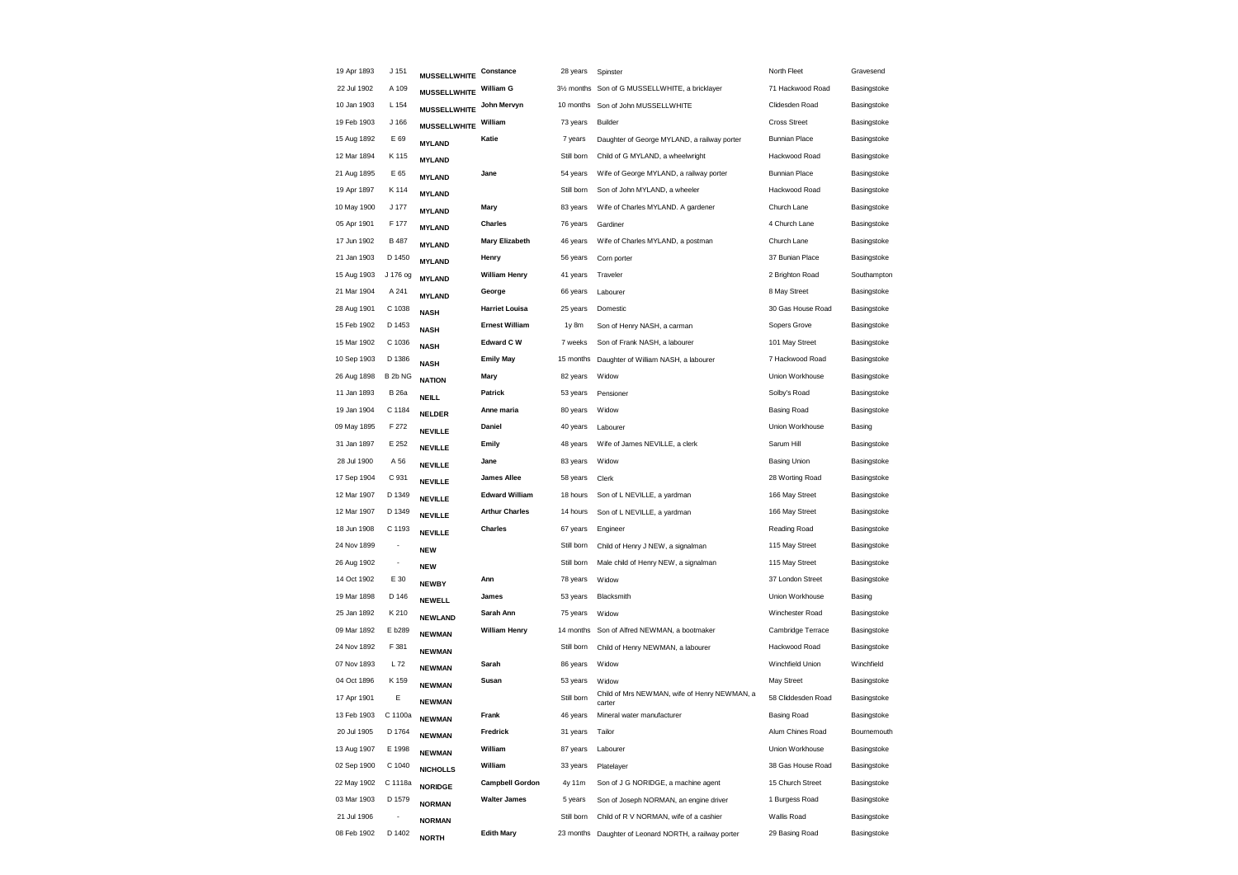| 19 Apr 1893 | J 151                    | <b>MUSSELLWHITE</b> | Constance              | 28 years                | Spinster                                               | North Fleet          | Gravesend   |
|-------------|--------------------------|---------------------|------------------------|-------------------------|--------------------------------------------------------|----------------------|-------------|
| 22 Jul 1902 | A 109                    | <b>MUSSELLWHITE</b> | William G              | 31/ <sub>2</sub> months | Son of G MUSSELLWHITE, a bricklayer                    | 71 Hackwood Road     | Basingstoke |
| 10 Jan 1903 | L 154                    | <b>MUSSELLWHITE</b> | John Mervyn            | 10 months               | Son of John MUSSELLWHITE                               | Clidesden Road       | Basingstoke |
| 19 Feb 1903 | J 166                    | <b>MUSSELLWHITE</b> | William                | 73 years                | Builder                                                | <b>Cross Street</b>  | Basingstoke |
| 15 Aug 1892 | E 69                     | <b>MYLAND</b>       | Katie                  | 7 years                 | Daughter of George MYLAND, a railway porter            | <b>Bunnian Place</b> | Basingstoke |
| 12 Mar 1894 | K 115                    | <b>MYLAND</b>       |                        | Still born              | Child of G MYLAND, a wheelwright                       | Hackwood Road        | Basingstoke |
| 21 Aug 1895 | E 65                     | <b>MYLAND</b>       | Jane                   | 54 years                | Wife of George MYLAND, a railway porter                | <b>Bunnian Place</b> | Basingstoke |
| 19 Apr 1897 | K 114                    | <b>MYLAND</b>       |                        | Still born              | Son of John MYLAND, a wheeler                          | Hackwood Road        | Basingstoke |
| 10 May 1900 | J 177                    | <b>MYLAND</b>       | Mary                   | 83 years                | Wife of Charles MYLAND. A gardener                     | Church Lane          | Basingstoke |
| 05 Apr 1901 | F 177                    | <b>MYLAND</b>       | Charles                | 76 years                | Gardiner                                               | 4 Church Lane        | Basingstoke |
| 17 Jun 1902 | <b>B</b> 487             | <b>MYLAND</b>       | <b>Mary Elizabeth</b>  | 46 years                | Wife of Charles MYLAND, a postman                      | Church Lane          | Basingstoke |
| 21 Jan 1903 | D 1450                   | <b>MYLAND</b>       | Henry                  | 56 years                | Corn porter                                            | 37 Bunian Place      | Basingstoke |
| 15 Aug 1903 | J 176 og                 | <b>MYLAND</b>       | <b>William Henry</b>   | 41 years                | Traveler                                               | 2 Brighton Road      | Southampton |
| 21 Mar 1904 | A 241                    | <b>MYLAND</b>       | George                 | 66 years                | Labourer                                               | 8 May Street         | Basingstoke |
| 28 Aug 1901 | C 1038                   | <b>NASH</b>         | <b>Harriet Louisa</b>  | 25 years                | Domestic                                               | 30 Gas House Road    | Basingstoke |
| 15 Feb 1902 | D 1453                   | <b>NASH</b>         | <b>Ernest William</b>  | 1y 8m                   | Son of Henry NASH, a carman                            | Sopers Grove         | Basingstoke |
| 15 Mar 1902 | C 1036                   | <b>NASH</b>         | <b>Edward C W</b>      | 7 weeks                 | Son of Frank NASH, a labourer                          | 101 May Street       | Basingstoke |
| 10 Sep 1903 | D 1386                   | <b>NASH</b>         | <b>Emily May</b>       | 15 months               | Daughter of William NASH, a labourer                   | 7 Hackwood Road      | Basingstoke |
| 26 Aug 1898 | B <sub>2b</sub> NG       | <b>NATION</b>       | Mary                   | 82 years                | Widow                                                  | Union Workhouse      | Basingstoke |
| 11 Jan 1893 | <b>B</b> 26a             | <b>NEILL</b>        | Patrick                | 53 years                | Pensioner                                              | Solby's Road         | Basingstoke |
| 19 Jan 1904 | C 1184                   | <b>NELDER</b>       | Anne maria             | 80 years                | Widow                                                  | <b>Basing Road</b>   | Basingstoke |
| 09 May 1895 | F 272                    | <b>NEVILLE</b>      | Daniel                 | 40 years                | Labourer                                               | Union Workhouse      | Basing      |
| 31 Jan 1897 | E 252                    | <b>NEVILLE</b>      | Emily                  | 48 years                | Wife of James NEVILLE, a clerk                         | Sarum Hill           | Basingstoke |
| 28 Jul 1900 | A 56                     | <b>NEVILLE</b>      | Jane                   | 83 years                | Widow                                                  | <b>Basing Union</b>  | Basingstoke |
| 17 Sep 1904 | C 931                    | <b>NEVILLE</b>      | James Allee            | 58 years                | Clerk                                                  | 28 Worting Road      | Basingstoke |
| 12 Mar 1907 | D 1349                   | <b>NEVILLE</b>      | <b>Edward William</b>  | 18 hours                | Son of L NEVILLE, a yardman                            | 166 May Street       | Basingstoke |
| 12 Mar 1907 | D 1349                   | <b>NEVILLE</b>      | <b>Arthur Charles</b>  | 14 hours                | Son of L NEVILLE, a yardman                            | 166 May Street       | Basingstoke |
| 18 Jun 1908 | C 1193                   | <b>NEVILLE</b>      | <b>Charles</b>         | 67 years                | Engineer                                               | Reading Road         | Basingstoke |
| 24 Nov 1899 | ÷                        | <b>NEW</b>          |                        | Still born              | Child of Henry J NEW, a signalman                      | 115 May Street       | Basingstoke |
| 26 Aug 1902 | $\overline{\phantom{a}}$ | <b>NEW</b>          |                        | Still born              | Male child of Henry NEW, a signalman                   | 115 May Street       | Basingstoke |
| 14 Oct 1902 | E 30                     | <b>NEWBY</b>        | Ann                    | 78 years                | Widow                                                  | 37 London Street     | Basingstoke |
| 19 Mar 1898 | D 146                    | <b>NEWELL</b>       | James                  | 53 years                | Blacksmith                                             | Union Workhouse      | Basing      |
| 25 Jan 1892 | K 210                    | <b>NEWLAND</b>      | Sarah Ann              | 75 years                | Widow                                                  | Winchester Road      | Basingstoke |
| 09 Mar 1892 | E b289                   | <b>NEWMAN</b>       | <b>William Henry</b>   | 14 months               | Son of Alfred NEWMAN, a bootmaker                      | Cambridge Terrace    | Basingstoke |
| 24 Nov 1892 | F 381                    | <b>NEWMAN</b>       |                        | Still born              | Child of Henry NEWMAN, a labourer                      | Hackwood Road        | Basingstoke |
| 07 Nov 1893 | L 72                     | <b>NEWMAN</b>       | Sarah                  | 86 years                | Widow                                                  | Winchfield Union     | Winchfield  |
| 04 Oct 1896 | K 159                    | <b>NEWMAN</b>       | Susan                  | 53 years                | Widow                                                  | <b>May Street</b>    | Basingstoke |
| 17 Apr 1901 | Ε                        | <b>NEWMAN</b>       |                        | Still born              | Child of Mrs NEWMAN, wife of Henry NEWMAN, a<br>carter | 58 Cliddesden Road   | Basingstoke |
| 13 Feb 1903 | C 1100a                  | <b>NEWMAN</b>       | Frank                  | 46 years                | Mineral water manufacturer                             | <b>Basing Road</b>   | Basingstoke |
| 20 Jul 1905 | D 1764                   | <b>NEWMAN</b>       | Fredrick               | 31 years                | Tailor                                                 | Alum Chines Road     | Bournemouth |
| 13 Aug 1907 | E 1998                   | <b>NEWMAN</b>       | William                | 87 years                | Labourer                                               | Union Workhouse      | Basingstoke |
| 02 Sep 1900 | C 1040                   | <b>NICHOLLS</b>     | William                | 33 years                | Platelayer                                             | 38 Gas House Road    | Basingstoke |
| 22 May 1902 | C 1118a                  | <b>NORIDGE</b>      | <b>Campbell Gordon</b> | 4y 11m                  | Son of J G NORIDGE, a machine agent                    | 15 Church Street     | Basingstoke |
| 03 Mar 1903 | D 1579                   | <b>NORMAN</b>       | <b>Walter James</b>    | 5 years                 | Son of Joseph NORMAN, an engine driver                 | 1 Burgess Road       | Basingstoke |
| 21 Jul 1906 |                          | <b>NORMAN</b>       |                        | Still born              | Child of R V NORMAN, wife of a cashier                 | Wallis Road          | Basingstoke |
| 08 Feb 1902 | D 1402                   | <b>NORTH</b>        | <b>Edith Mary</b>      | 23 months               | Daughter of Leonard NORTH, a railway porter            | 29 Basing Road       | Basingstoke |
|             |                          |                     |                        |                         |                                                        |                      |             |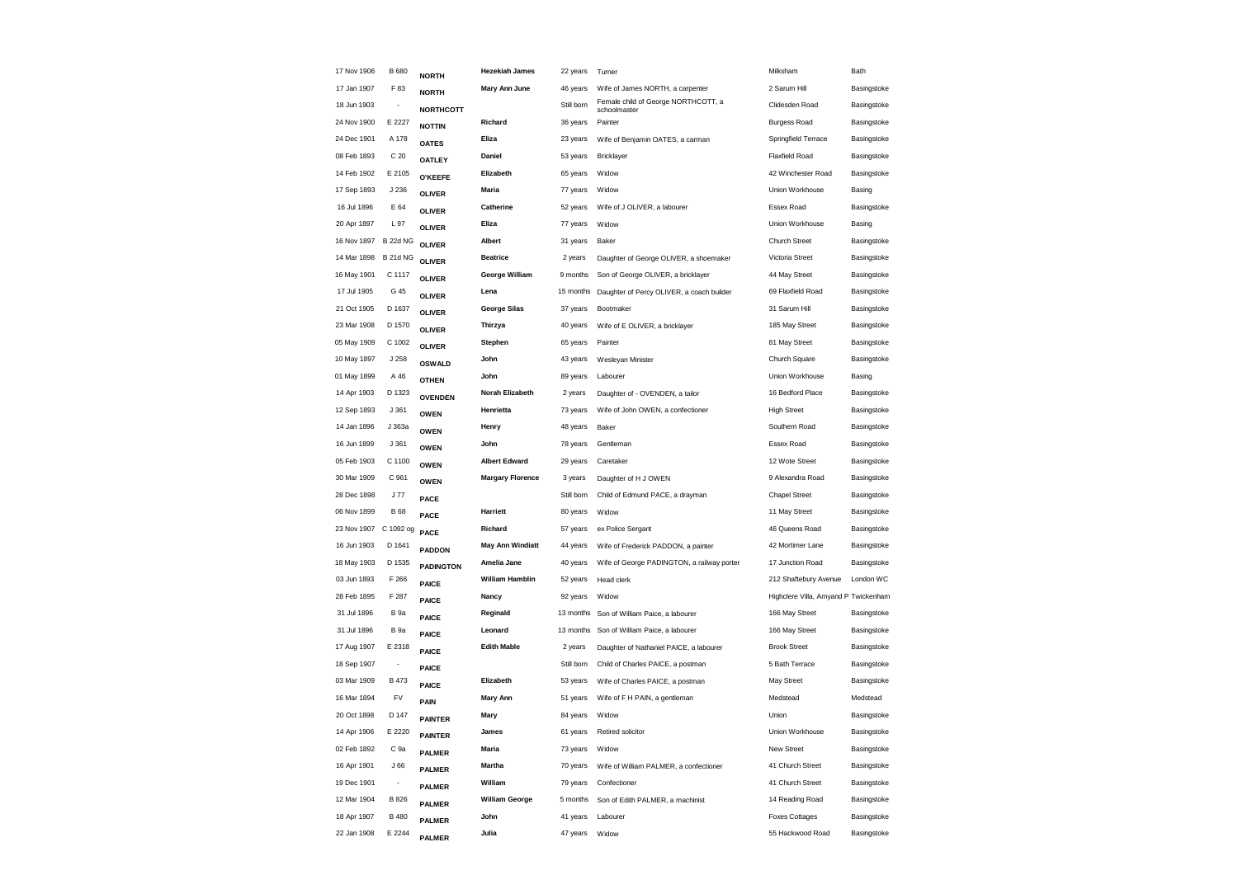| 17 Nov 1906           | <b>B</b> 680             | <b>NORTH</b>     | <b>Hezekiah James</b>   | 22 years   | Turner                                              | Milksham                              | Bath        |
|-----------------------|--------------------------|------------------|-------------------------|------------|-----------------------------------------------------|---------------------------------------|-------------|
| 17 Jan 1907           | F 83                     | <b>NORTH</b>     | Mary Ann June           | 46 years   | Wife of James NORTH, a carpenter                    | 2 Sarum Hill                          | Basingstoke |
| 18 Jun 1903           |                          | <b>NORTHCOTT</b> |                         | Still born | Female child of George NORTHCOTT, a<br>schoolmaster | Clidesden Road                        | Basingstoke |
| 24 Nov 1900           | E 2227                   | <b>NOTTIN</b>    | Richard                 | 36 years   | Painter                                             | <b>Burgess Road</b>                   | Basingstoke |
| 24 Dec 1901           | A 178                    | <b>OATES</b>     | Eliza                   | 23 years   | Wife of Benjamin OATES, a carman                    | Springfield Terrace                   | Basingstoke |
| 08 Feb 1893           | C <sub>20</sub>          | <b>OATLEY</b>    | Daniel                  | 53 years   | Bricklayer                                          | <b>Flaxfield Road</b>                 | Basingstoke |
| 14 Feb 1902           | E 2105                   | <b>O'KEEFE</b>   | Elizabeth               | 65 years   | Widow                                               | 42 Winchester Road                    | Basingstoke |
| 17 Sep 1893           | J 236                    | <b>OLIVER</b>    | Maria                   | 77 years   | Widow                                               | Union Workhouse                       | Basing      |
| 16 Jul 1896           | E 64                     | <b>OLIVER</b>    | Catherine               | 52 years   | Wife of J OLIVER, a labourer                        | Essex Road                            | Basingstoke |
| 20 Apr 1897           | L 97                     | <b>OLIVER</b>    | Eliza                   | 77 years   | Widow                                               | Union Workhouse                       | Basing      |
| 16 Nov 1897           | <b>B 22d NG</b>          | <b>OLIVER</b>    | Albert                  | 31 years   | Baker                                               | <b>Church Street</b>                  | Basingstoke |
| 14 Mar 1898           | <b>B 21d NG</b>          | <b>OLIVER</b>    | <b>Beatrice</b>         | 2 years    | Daughter of George OLIVER, a shoemaker              | Victoria Street                       | Basingstoke |
| 16 May 1901           | C 1117                   | <b>OLIVER</b>    | George William          | 9 months   | Son of George OLIVER, a bricklayer                  | 44 May Street                         | Basingstoke |
| 17 Jul 1905           | G 45                     | <b>OLIVER</b>    | Lena                    | 15 months  | Daughter of Percy OLIVER, a coach builder           | 69 Flaxfield Road                     | Basingstoke |
| 21 Oct 1905           | D 1637                   | <b>OLIVER</b>    | <b>George Silas</b>     | 37 years   | Bootmaker                                           | 31 Sarum Hill                         | Basingstoke |
| 23 Mar 1908           | D 1570                   | <b>OLIVER</b>    | Thirzya                 | 40 years   | Wife of E OLIVER, a bricklayer                      | 185 May Street                        | Basingstoke |
| 05 May 1909           | C 1002                   | <b>OLIVER</b>    | Stephen                 | 65 years   | Painter                                             | 81 May Street                         | Basingstoke |
| 10 May 1897           | J 258                    | <b>OSWALD</b>    | John                    | 43 years   | Wesleyan Minister                                   | Church Square                         | Basingstoke |
| 01 May 1899           | A 46                     | <b>OTHEN</b>     | John                    | 89 years   | Labourer                                            | Union Workhouse                       | Basing      |
| 14 Apr 1903           | D 1323                   | <b>OVENDEN</b>   | <b>Norah Elizabeth</b>  | 2 years    | Daughter of - OVENDEN, a tailor                     | 16 Bedford Place                      | Basingstoke |
| 12 Sep 1893           | J 361                    | <b>OWEN</b>      | Henrietta               | 73 years   | Wife of John OWEN, a confectioner                   | <b>High Street</b>                    | Basingstoke |
| 14 Jan 1896           | J 363a                   | <b>OWEN</b>      | Henry                   | 48 years   | Baker                                               | Southern Road                         | Basingstoke |
| 16 Jun 1899           | J361                     | <b>OWEN</b>      | John                    | 78 years   | Gentleman                                           | Essex Road                            | Basingstoke |
| 05 Feb 1903           | C 1100                   | <b>OWEN</b>      | <b>Albert Edward</b>    | 29 years   | Caretaker                                           | 12 Wote Street                        | Basingstoke |
| 30 Mar 1909           | C 961                    | <b>OWEN</b>      | <b>Margary Florence</b> | 3 years    | Daughter of H J OWEN                                | 9 Alexandra Road                      | Basingstoke |
| 28 Dec 1898           | J 77                     | PACE             |                         | Still born | Child of Edmund PACE, a drayman                     | <b>Chapel Street</b>                  | Basingstoke |
| 06 Nov 1899           | <b>B</b> 68              | PACE             | Harriett                | 80 years   | Widow                                               | 11 May Street                         | Basingstoke |
| 23 Nov 1907 C 1092 og |                          | PACE             | Richard                 | 57 years   | ex Police Sergant                                   | 46 Queens Road                        | Basingstoke |
| 16 Jun 1903           | D 1641                   | <b>PADDON</b>    | <b>May Ann Windiatt</b> | 44 years   | Wife of Frederick PADDON, a painter                 | 42 Mortimer Lane                      | Basingstoke |
| 18 May 1903           | D 1535                   | <b>PADINGTON</b> | Amelia Jane             | 40 years   | Wife of George PADINGTON, a railway porter          | 17 Junction Road                      | Basingstoke |
| 03 Jun 1893           | F 266                    | PAICE            | <b>William Hamblin</b>  | 52 years   | Head clerk                                          | 212 Shaftebury Avenue                 | London WC   |
| 28 Feb 1895           | F 287                    | <b>PAICE</b>     | Nancy                   | 92 years   | Widow                                               | Highclere Villa, Amyand P. Twickenham |             |
| 31 Jul 1896           | <b>B</b> 9a              | <b>PAICE</b>     | Reginald                |            | 13 months Son of William Paice, a labourer          | 166 May Street                        | Basingstoke |
| 31 Jul 1896           | B <sub>9a</sub>          | PAICE            | Leonard                 |            | 13 months Son of William Paice, a labourer          | 166 May Street                        | Basingstoke |
| 17 Aug 1907           | E 2318                   | <b>PAICE</b>     | <b>Edith Mable</b>      | 2 years    | Daughter of Nathaniel PAICE, a labourer             | <b>Brook Street</b>                   | Basingstoke |
| 18 Sep 1907           | $\overline{\phantom{a}}$ | <b>PAICE</b>     |                         | Still born | Child of Charles PAICE, a postman                   | 5 Bath Terrace                        | Basingstoke |
| 03 Mar 1909           | B 473                    | PAICE            | Elizabeth               | 53 years   | Wife of Charles PAICE, a postman                    | May Street                            | Basingstoke |
| 16 Mar 1894           | FV                       | PAIN             | <b>Mary Ann</b>         | 51 years   | Wife of F H PAIN, a gentleman                       | Medstead                              | Medstead    |
| 20 Oct 1898           | D 147                    | <b>PAINTER</b>   | Mary                    | 84 years   | Widow                                               | Union                                 | Basingstoke |
| 14 Apr 1906           | E 2220                   | <b>PAINTER</b>   | James                   | 61 years   | Retired solicitor                                   | Union Workhouse                       | Basingstoke |
| 02 Feb 1892           | C 9a                     | <b>PALMER</b>    | Maria                   | 73 years   | Widow                                               | New Street                            | Basingstoke |
| 16 Apr 1901           | J66                      | <b>PALMER</b>    | Martha                  | 70 years   | Wife of William PALMER, a confectioner              | 41 Church Street                      | Basingstoke |
| 19 Dec 1901           | $\overline{\phantom{a}}$ | <b>PALMER</b>    | William                 | 79 years   | Confectioner                                        | 41 Church Street                      | Basingstoke |
| 12 Mar 1904           | <b>B</b> 826             | <b>PALMER</b>    | <b>William George</b>   | 5 months   | Son of Edith PALMER, a machinist                    | 14 Reading Road                       | Basingstoke |
| 18 Apr 1907           | <b>B</b> 480             | <b>PALMER</b>    | John                    | 41 years   | Labourer                                            | <b>Foxes Cottages</b>                 | Basingstoke |
| 22 Jan 1908           | E 2244                   | <b>PALMER</b>    | Julia                   | 47 years   | Widow                                               | 55 Hackwood Road                      | Basingstoke |
|                       |                          |                  |                         |            |                                                     |                                       |             |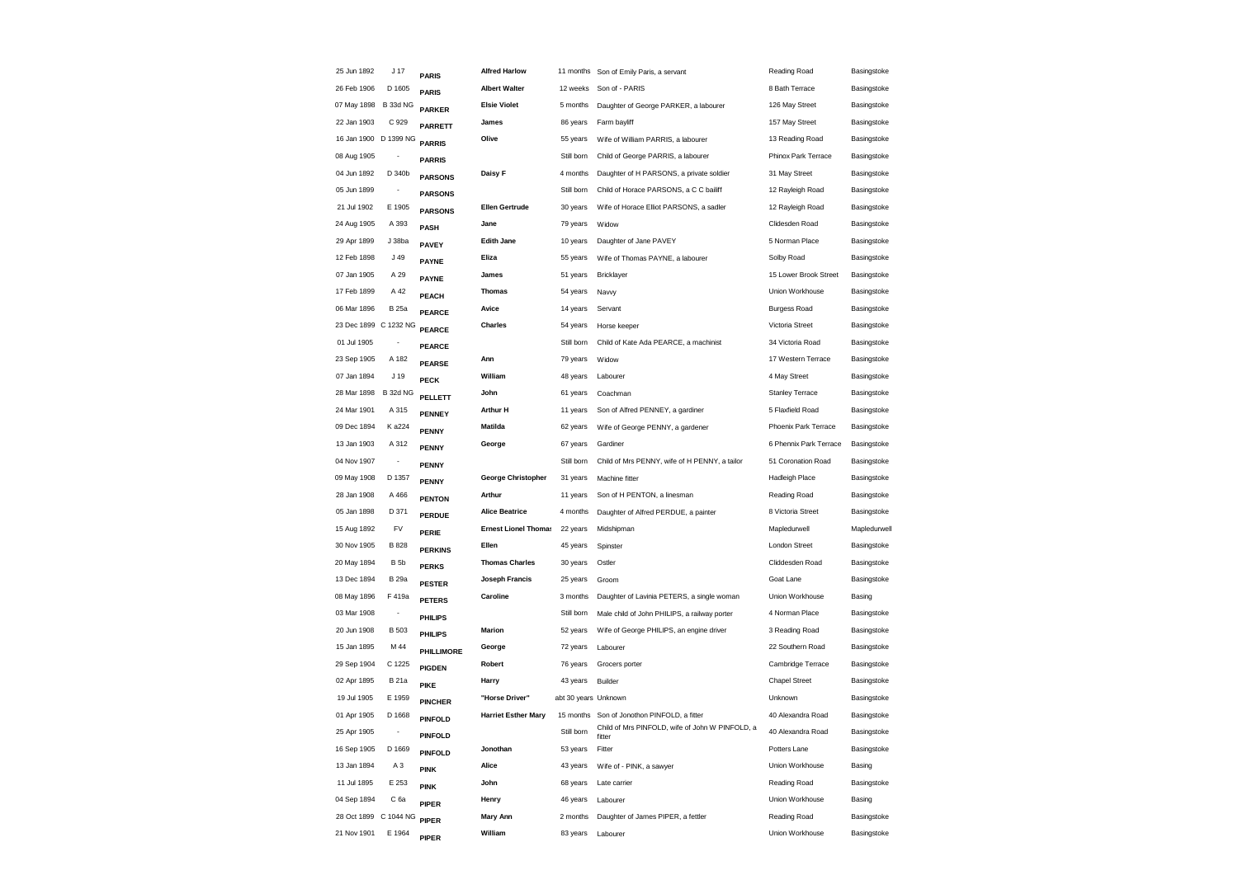| 25 Jun 1892           | J <sub>17</sub>              | <b>PARIS</b>   | <b>Alfred Harlow</b>        | 11 months            | Son of Emily Paris, a servant                             | Reading Road           | Basingstoke  |
|-----------------------|------------------------------|----------------|-----------------------------|----------------------|-----------------------------------------------------------|------------------------|--------------|
| 26 Feb 1906           | D 1605                       | <b>PARIS</b>   | <b>Albert Walter</b>        | 12 weeks             | Son of - PARIS                                            | 8 Bath Terrace         | Basingstoke  |
| 07 May 1898           | B 33d NG                     | <b>PARKER</b>  | <b>Elsie Violet</b>         | 5 months             | Daughter of George PARKER, a labourer                     | 126 May Street         | Basingstoke  |
| 22 Jan 1903           | C 929                        | <b>PARRETT</b> | James                       | 86 years             | Farm bayliff                                              | 157 May Street         | Basingstoke  |
| 16 Jan 1900 D 1399 NG |                              | <b>PARRIS</b>  | Olive                       | 55 years             | Wife of William PARRIS, a labourer                        | 13 Reading Road        | Basingstoke  |
| 08 Aug 1905           |                              | <b>PARRIS</b>  |                             | Still born           | Child of George PARRIS, a labourer                        | Phinox Park Terrace    | Basingstoke  |
| 04 Jun 1892           | D 340b                       | <b>PARSONS</b> | Daisy F                     | 4 months             | Daughter of H PARSONS, a private soldier                  | 31 May Street          | Basingstoke  |
| 05 Jun 1899           |                              | <b>PARSONS</b> |                             | Still born           | Child of Horace PARSONS, a C C bailiff                    | 12 Rayleigh Road       | Basingstoke  |
| 21 Jul 1902           | E 1905                       | <b>PARSONS</b> | <b>Ellen Gertrude</b>       | 30 years             | Wife of Horace Elliot PARSONS, a sadler                   | 12 Rayleigh Road       | Basingstoke  |
| 24 Aug 1905           | A 393                        | PASH           | Jane                        | 79 years             | Widow                                                     | Clidesden Road         | Basingstoke  |
| 29 Apr 1899           | J 38ba                       | <b>PAVEY</b>   | <b>Edith Jane</b>           | 10 years             | Daughter of Jane PAVEY                                    | 5 Norman Place         | Basingstoke  |
| 12 Feb 1898           | J 49                         | <b>PAYNE</b>   | Eliza                       | 55 years             | Wife of Thomas PAYNE, a labourer                          | Solby Road             | Basingstoke  |
| 07 Jan 1905           | A 29                         | <b>PAYNE</b>   | James                       | 51 years             | Bricklayer                                                | 15 Lower Brook Street  | Basingstoke  |
| 17 Feb 1899           | A 42                         | <b>PEACH</b>   | <b>Thomas</b>               | 54 years             | Navvy                                                     | Union Workhouse        | Basingstoke  |
| 06 Mar 1896           | <b>B</b> 25a                 | <b>PEARCE</b>  | Avice                       | 14 years             | Servant                                                   | <b>Burgess Road</b>    | Basingstoke  |
| 23 Dec 1899 C 1232 NG |                              | <b>PEARCE</b>  | Charles                     | 54 years             | Horse keeper                                              | Victoria Street        | Basingstoke  |
| 01 Jul 1905           |                              | <b>PEARCE</b>  |                             | Still born           | Child of Kate Ada PEARCE, a machinist                     | 34 Victoria Road       | Basingstoke  |
| 23 Sep 1905           | A 182                        | <b>PEARSE</b>  | Ann                         | 79 years             | Widow                                                     | 17 Western Terrace     | Basingstoke  |
| 07 Jan 1894           | J 19                         | <b>PECK</b>    | William                     | 48 years             | Labourer                                                  | 4 May Street           | Basingstoke  |
| 28 Mar 1898           | <b>B 32d NG</b>              | <b>PELLETT</b> | John                        | 61 years             | Coachman                                                  | <b>Stanley Terrace</b> | Basingstoke  |
| 24 Mar 1901           | A 315                        | <b>PENNEY</b>  | <b>Arthur H</b>             | 11 years             | Son of Alfred PENNEY, a gardiner                          | 5 Flaxfield Road       | Basingstoke  |
| 09 Dec 1894           | K a224                       | <b>PENNY</b>   | Matilda                     | 62 years             | Wife of George PENNY, a gardener                          | Phoenix Park Terrace   | Basingstoke  |
| 13 Jan 1903           | A 312                        | <b>PENNY</b>   | George                      | 67 years             | Gardiner                                                  | 6 Phennix Park Terrace | Basingstoke  |
| 04 Nov 1907           | $\overline{\phantom{a}}$     | <b>PENNY</b>   |                             | Still born           | Child of Mrs PENNY, wife of H PENNY, a tailor             | 51 Coronation Road     | Basingstoke  |
| 09 May 1908           | D 1357                       | <b>PENNY</b>   | <b>George Christopher</b>   | 31 years             | Machine fitter                                            | <b>Hadleigh Place</b>  | Basingstoke  |
| 28 Jan 1908           | A 466                        | <b>PENTON</b>  | Arthur                      | 11 years             | Son of H PENTON, a linesman                               | Reading Road           | Basingstoke  |
| 05 Jan 1898           | D 371                        | <b>PERDUE</b>  | <b>Alice Beatrice</b>       | 4 months             | Daughter of Alfred PERDUE, a painter                      | 8 Victoria Street      | Basingstoke  |
| 15 Aug 1892           | FV                           | <b>PERIE</b>   | <b>Ernest Lionel Thomas</b> | 22 years             | Midshipman                                                | Mapledurwell           | Mapledurwell |
| 30 Nov 1905           | B 828                        | <b>PERKINS</b> | Ellen                       | 45 years             | Spinster                                                  | London Street          | Basingstoke  |
| 20 May 1894           | B <sub>5</sub> b             | <b>PERKS</b>   | <b>Thomas Charles</b>       | 30 years             | Ostler                                                    | Cliddesden Road        | Basingstoke  |
| 13 Dec 1894           | <b>B</b> 29a                 | <b>PESTER</b>  | Joseph Francis              | 25 years             | Groom                                                     | Goat Lane              | Basingstoke  |
| 08 May 1896           | F 419a                       | <b>PETERS</b>  | Caroline                    | 3 months             | Daughter of Lavinia PETERS, a single woman                | Union Workhouse        | Basing       |
| 03 Mar 1908           |                              | <b>PHILIPS</b> |                             | Still born           | Male child of John PHILIPS, a railway porter              | 4 Norman Place         | Basingstoke  |
| 20 Jun 1908           | <b>B</b> 503                 | PHILIPS        | Marion                      | 52 years             | Wife of George PHILIPS, an engine driver                  | 3 Reading Road         | Basingstoke  |
| 15 Jan 1895           | M 44                         | PHILLIMORE     | George                      | 72 years             | Labourer                                                  | 22 Southern Road       | Basingstoke  |
| 29 Sep 1904           | C 1225                       | <b>PIGDEN</b>  | Robert                      | 76 years             | Grocers porter                                            | Cambridge Terrace      | Basingstoke  |
| 02 Apr 1895           | <b>B21a</b>                  | <b>PIKE</b>    | Harry                       | 43 years             | Builder                                                   | <b>Chapel Street</b>   | Basingstoke  |
| 19 Jul 1905           | E 1959                       | <b>PINCHER</b> | "Horse Driver"              | abt 30 years Unknown |                                                           | Unknown                | Basingstoke  |
| 01 Apr 1905           | D 1668                       | <b>PINFOLD</b> | <b>Harriet Esther Mary</b>  | 15 months            | Son of Jonothon PINFOLD, a fitter                         | 40 Alexandra Road      | Basingstoke  |
| 25 Apr 1905           | $\qquad \qquad \blacksquare$ | <b>PINFOLD</b> |                             | Still born           | Child of Mrs PINFOLD, wife of John W PINFOLD, a<br>fitter | 40 Alexandra Road      | Basingstoke  |
| 16 Sep 1905           | D 1669                       | <b>PINFOLD</b> | Jonothan                    | 53 years             | Fitter                                                    | Potters Lane           | Basingstoke  |
| 13 Jan 1894           | A <sub>3</sub>               | <b>PINK</b>    | Alice                       | 43 years             | Wife of - PINK, a sawyer                                  | Union Workhouse        | Basing       |
| 11 Jul 1895           | E 253                        | <b>PINK</b>    | John                        | 68 years             | Late carrier                                              | Reading Road           | Basingstoke  |
| 04 Sep 1894           | C 6a                         | <b>PIPER</b>   | Henry                       | 46 years             | Labourer                                                  | Union Workhouse        | Basing       |
| 28 Oct 1899           | C 1044 NG                    | <b>PIPER</b>   | <b>Mary Ann</b>             | 2 months             | Daughter of James PIPER, a fettler                        | Reading Road           | Basingstoke  |
| 21 Nov 1901           | E 1964                       | <b>PIPER</b>   | William                     | 83 years             | Labourer                                                  | Union Workhouse        | Basingstoke  |
|                       |                              |                |                             |                      |                                                           |                        |              |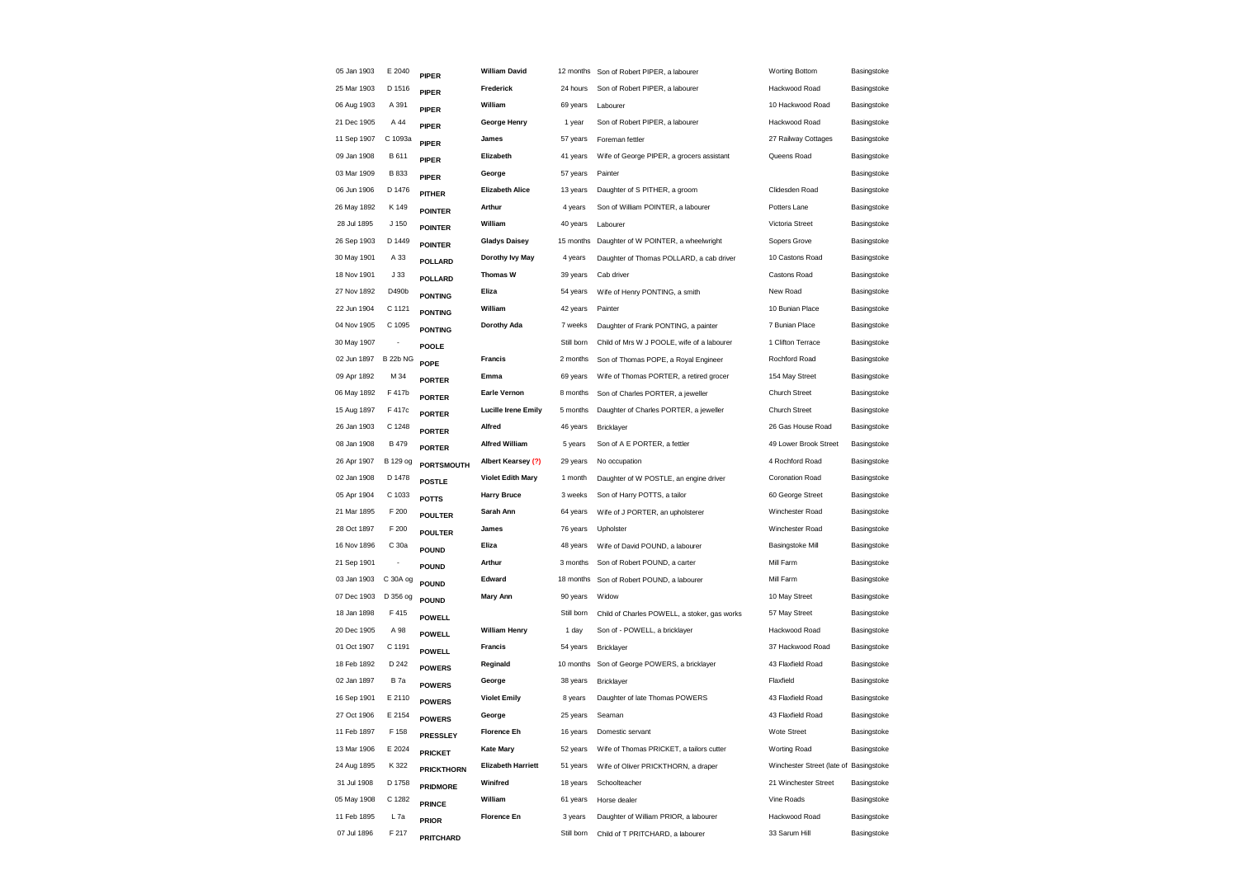| 05 Jan 1903 | E 2040          | <b>PIPER</b>      | <b>William David</b>       | 12 months  | Son of Robert PIPER, a labourer              | <b>Worting Bottom</b>                  | Basingstoke |
|-------------|-----------------|-------------------|----------------------------|------------|----------------------------------------------|----------------------------------------|-------------|
| 25 Mar 1903 | D 1516          | <b>PIPER</b>      | Frederick                  | 24 hours   | Son of Robert PIPER, a labourer              | Hackwood Road                          | Basingstoke |
| 06 Aug 1903 | A 391           | <b>PIPER</b>      | William                    | 69 years   | Labourer                                     | 10 Hackwood Road                       | Basingstoke |
| 21 Dec 1905 | A 44            | <b>PIPER</b>      | George Henry               | 1 year     | Son of Robert PIPER, a labourer              | Hackwood Road                          | Basingstoke |
| 11 Sep 1907 | C 1093a         | PIPER             | James                      | 57 years   | Foreman fettler                              | 27 Railway Cottages                    | Basingstoke |
| 09 Jan 1908 | B 611           | <b>PIPER</b>      | Elizabeth                  | 41 years   | Wife of George PIPER, a grocers assistant    | Queens Road                            | Basingstoke |
| 03 Mar 1909 | <b>B</b> 833    | <b>PIPER</b>      | George                     | 57 years   | Painter                                      |                                        | Basingstoke |
| 06 Jun 1906 | D 1476          | PITHER            | <b>Elizabeth Alice</b>     | 13 years   | Daughter of S PITHER, a groom                | Clidesden Road                         | Basingstoke |
| 26 May 1892 | K 149           | <b>POINTER</b>    | Arthur                     | 4 years    | Son of William POINTER, a labourer           | Potters Lane                           | Basingstoke |
| 28 Jul 1895 | J 150           | <b>POINTER</b>    | William                    | 40 years   | Labourer                                     | Victoria Street                        | Basingstoke |
| 26 Sep 1903 | D 1449          | <b>POINTER</b>    | <b>Gladys Daisey</b>       | 15 months  | Daughter of W POINTER, a wheelwright         | Sopers Grove                           | Basingstoke |
| 30 May 1901 | A 33            | <b>POLLARD</b>    | Dorothy lvy May            | 4 years    | Daughter of Thomas POLLARD, a cab driver     | 10 Castons Road                        | Basingstoke |
| 18 Nov 1901 | J33             | POLLARD           | <b>Thomas W</b>            | 39 years   | Cab driver                                   | Castons Road                           | Basingstoke |
| 27 Nov 1892 | D490b           | <b>PONTING</b>    | Eliza                      | 54 years   | Wife of Henry PONTING, a smith               | New Road                               | Basingstoke |
| 22 Jun 1904 | C 1121          | <b>PONTING</b>    | William                    | 42 years   | Painter                                      | 10 Bunian Place                        | Basingstoke |
| 04 Nov 1905 | C 1095          | <b>PONTING</b>    | Dorothy Ada                | 7 weeks    | Daughter of Frank PONTING, a painter         | 7 Bunian Place                         | Basingstoke |
| 30 May 1907 |                 | <b>POOLE</b>      |                            | Still born | Child of Mrs W J POOLE, wife of a labourer   | 1 Clifton Terrace                      | Basingstoke |
| 02 Jun 1897 | <b>B 22b NG</b> | POPE              | Francis                    | 2 months   | Son of Thomas POPE, a Royal Engineer         | Rochford Road                          | Basingstoke |
| 09 Apr 1892 | M 34            | <b>PORTER</b>     | Emma                       | 69 years   | Wife of Thomas PORTER, a retired grocer      | 154 May Street                         | Basingstoke |
| 06 May 1892 | F 417b          | <b>PORTER</b>     | <b>Earle Vernon</b>        | 8 months   | Son of Charles PORTER, a jeweller            | <b>Church Street</b>                   | Basingstoke |
| 15 Aug 1897 | F 417c          | <b>PORTER</b>     | <b>Lucille Irene Emily</b> | 5 months   | Daughter of Charles PORTER, a jeweller       | <b>Church Street</b>                   | Basingstoke |
| 26 Jan 1903 | C 1248          | <b>PORTER</b>     | Alfred                     | 46 years   | Bricklayer                                   | 26 Gas House Road                      | Basingstoke |
| 08 Jan 1908 | <b>B</b> 479    | <b>PORTER</b>     | <b>Alfred William</b>      | 5 years    | Son of A E PORTER, a fettler                 | 49 Lower Brook Street                  | Basingstoke |
| 26 Apr 1907 | B 129 og        | <b>PORTSMOUTH</b> | Albert Kearsey (?)         | 29 years   | No occupation                                | 4 Rochford Road                        | Basingstoke |
| 02 Jan 1908 | D 1478          | <b>POSTLE</b>     | <b>Violet Edith Mary</b>   | 1 month    | Daughter of W POSTLE, an engine driver       | Coronation Road                        | Basingstoke |
| 05 Apr 1904 | C 1033          | <b>POTTS</b>      | <b>Harry Bruce</b>         | 3 weeks    | Son of Harry POTTS, a tailor                 | 60 George Street                       | Basingstoke |
| 21 Mar 1895 | F 200           | <b>POULTER</b>    | Sarah Ann                  | 64 years   | Wife of J PORTER, an upholsterer             | Winchester Road                        | Basingstoke |
| 28 Oct 1897 | F 200           | <b>POULTER</b>    | James                      | 76 years   | Upholster                                    | Winchester Road                        | Basingstoke |
| 16 Nov 1896 | C 30a           | <b>POUND</b>      | Eliza                      | 48 years   | Wife of David POUND, a labourer              | <b>Basingstoke Mill</b>                | Basingstoke |
| 21 Sep 1901 |                 | <b>POUND</b>      | Arthur                     | 3 months   | Son of Robert POUND, a carter                | Mill Farm                              | Basingstoke |
| 03 Jan 1903 | C 30A og        | <b>POUND</b>      | Edward                     | 18 months  | Son of Robert POUND, a labourer              | Mill Farm                              | Basingstoke |
| 07 Dec 1903 | D 356 og        | <b>POUND</b>      | <b>Mary Ann</b>            | 90 years   | Widow                                        | 10 May Street                          | Basingstoke |
| 18 Jan 1898 | F 415           | <b>POWELL</b>     |                            | Still born | Child of Charles POWELL, a stoker, gas works | 57 May Street                          | Basingstoke |
| 20 Dec 1905 | A 98            | <b>POWELL</b>     | <b>William Henry</b>       | 1 day      | Son of - POWELL, a bricklayer                | Hackwood Road                          | Basingstoke |
| 01 Oct 1907 | C 1191          | <b>POWELL</b>     | <b>Francis</b>             | 54 years   | Bricklayer                                   | 37 Hackwood Road                       | Basingstoke |
| 18 Feb 1892 | D 242           | <b>POWERS</b>     | Reginald                   | 10 months  | Son of George POWERS, a bricklayer           | 43 Flaxfield Road                      | Basingstoke |
| 02 Jan 1897 | <b>B</b> 7a     | <b>POWERS</b>     | George                     | 38 years   | Bricklayer                                   | Flaxfield                              | Basingstoke |
| 16 Sep 1901 | E 2110          | <b>POWERS</b>     | <b>Violet Emily</b>        | 8 years    | Daughter of late Thomas POWERS               | 43 Flaxfield Road                      | Basingstoke |
| 27 Oct 1906 | E 2154          | <b>POWERS</b>     | George                     | 25 years   | Seaman                                       | 43 Flaxfield Road                      | Basingstoke |
| 11 Feb 1897 | F 158           | PRESSLEY          | <b>Florence Eh</b>         | 16 years   | Domestic servant                             | Wote Street                            | Basingstoke |
| 13 Mar 1906 | E 2024          | <b>PRICKET</b>    | <b>Kate Mary</b>           | 52 years   | Wife of Thomas PRICKET, a tailors cutter     | Worting Road                           | Basingstoke |
| 24 Aug 1895 | K 322           | <b>PRICKTHORN</b> | <b>Elizabeth Harriett</b>  | 51 years   | Wife of Oliver PRICKTHORN, a draper          | Winchester Street (late of Basingstoke |             |
| 31 Jul 1908 | D 1758          | <b>PRIDMORE</b>   | Winifred                   | 18 years   | Schoolteacher                                | 21 Winchester Street                   | Basingstoke |
| 05 May 1908 | C 1282          | <b>PRINCE</b>     | William                    | 61 years   | Horse dealer                                 | Vine Roads                             | Basingstoke |
| 11 Feb 1895 | L <sub>7a</sub> | <b>PRIOR</b>      | <b>Florence En</b>         | 3 years    | Daughter of William PRIOR, a labourer        | Hackwood Road                          | Basingstoke |
| 07 Jul 1896 | F 217           | PRITCHARD         |                            | Still born | Child of T PRITCHARD, a labourer             | 33 Sarum Hill                          | Basingstoke |
|             |                 |                   |                            |            |                                              |                                        |             |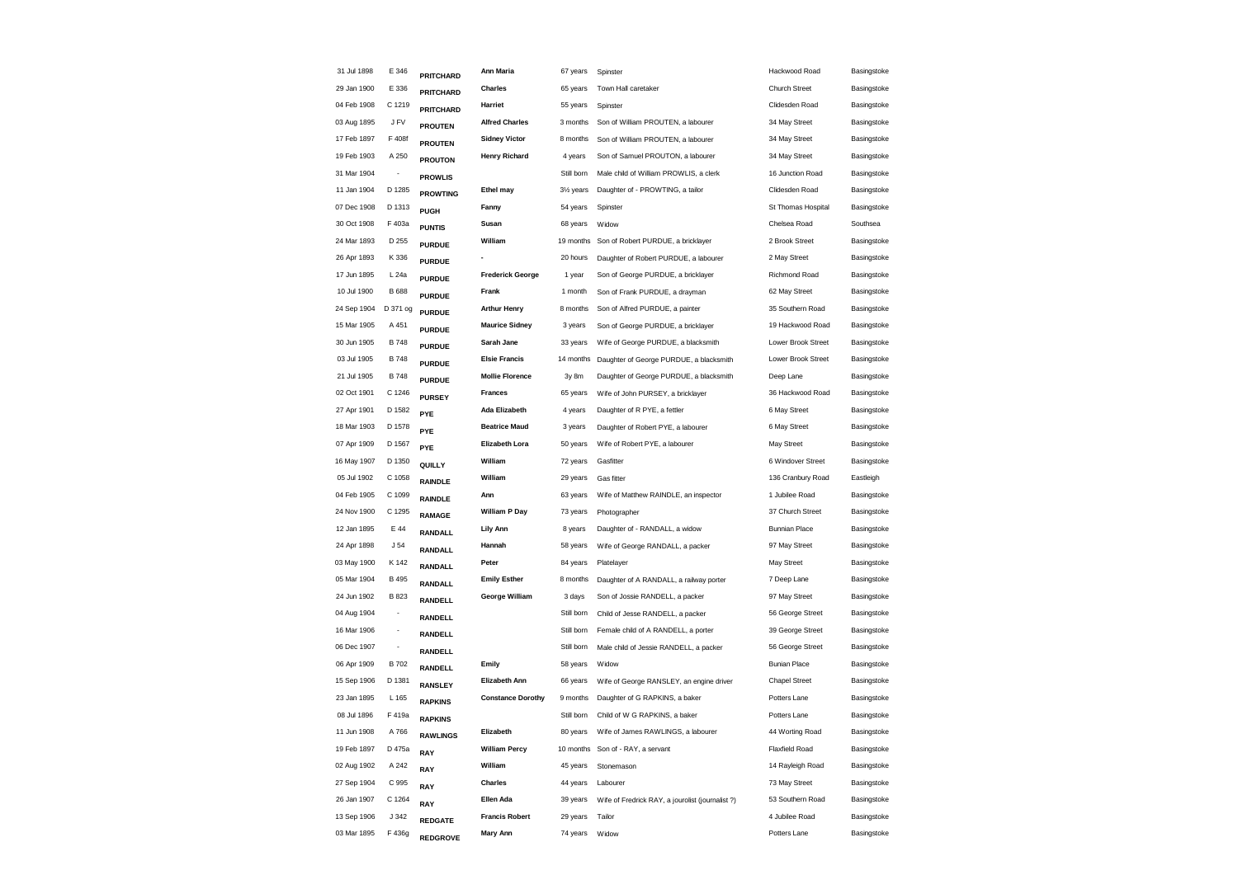| 31 Jul 1898 | E 346                    | PRITCHARD        | Ann Maria                                                                                                                                                                                                                                                                                                                | 67 years               | Spinster                                         | Hackwood Road        | Basingstoke |
|-------------|--------------------------|------------------|--------------------------------------------------------------------------------------------------------------------------------------------------------------------------------------------------------------------------------------------------------------------------------------------------------------------------|------------------------|--------------------------------------------------|----------------------|-------------|
| 29 Jan 1900 | E 336                    | <b>PRITCHARD</b> | <b>Charles</b>                                                                                                                                                                                                                                                                                                           | 65 years               | Town Hall caretaker                              | <b>Church Street</b> | Basingstoke |
| 04 Feb 1908 | C 1219                   | PRITCHARD        | Harriet                                                                                                                                                                                                                                                                                                                  | 55 years               | Spinster                                         | Clidesden Road       | Basingstoke |
| 03 Aug 1895 | J FV                     |                  | <b>Alfred Charles</b>                                                                                                                                                                                                                                                                                                    | 3 months               | Son of William PROUTEN, a labourer               | 34 May Street        | Basingstoke |
| 17 Feb 1897 | F 408f                   | <b>PROUTEN</b>   | <b>Sidney Victor</b>                                                                                                                                                                                                                                                                                                     | 8 months               | Son of William PROUTEN, a labourer               | 34 May Street        | Basingstoke |
| 19 Feb 1903 | A 250                    | <b>PROUTON</b>   | <b>Henry Richard</b>                                                                                                                                                                                                                                                                                                     | 4 years                | Son of Samuel PROUTON, a labourer                | 34 May Street        | Basingstoke |
| 31 Mar 1904 |                          |                  |                                                                                                                                                                                                                                                                                                                          | Still born             | Male child of William PROWLIS, a clerk           | 16 Junction Road     | Basingstoke |
| 11 Jan 1904 | D 1285                   |                  | Ethel may                                                                                                                                                                                                                                                                                                                | 31/ <sub>2</sub> years | Daughter of - PROWTING, a tailor                 | Clidesden Road       | Basingstoke |
| 07 Dec 1908 | D 1313                   |                  | Fanny                                                                                                                                                                                                                                                                                                                    | 54 years               | Spinster                                         | St Thomas Hospital   | Basingstoke |
| 30 Oct 1908 | F 403a                   |                  | Susan                                                                                                                                                                                                                                                                                                                    | 68 years               | Widow                                            | Chelsea Road         | Southsea    |
| 24 Mar 1893 | D 255                    |                  | William                                                                                                                                                                                                                                                                                                                  | 19 months              | Son of Robert PURDUE, a bricklayer               | 2 Brook Street       | Basingstoke |
| 26 Apr 1893 | K 336                    |                  |                                                                                                                                                                                                                                                                                                                          | 20 hours               | Daughter of Robert PURDUE, a labourer            | 2 May Street         | Basingstoke |
| 17 Jun 1895 | L 24a                    |                  | <b>Frederick George</b>                                                                                                                                                                                                                                                                                                  | 1 year                 | Son of George PURDUE, a bricklayer               | Richmond Road        | Basingstoke |
| 10 Jul 1900 | <b>B</b> 688             |                  | Frank                                                                                                                                                                                                                                                                                                                    | 1 month                | Son of Frank PURDUE, a drayman                   | 62 May Street        | Basingstoke |
| 24 Sep 1904 | D 371 og                 |                  | <b>Arthur Henry</b>                                                                                                                                                                                                                                                                                                      | 8 months               | Son of Alfred PURDUE, a painter                  | 35 Southern Road     | Basingstoke |
| 15 Mar 1905 | A 451                    |                  | <b>Maurice Sidney</b>                                                                                                                                                                                                                                                                                                    | 3 years                | Son of George PURDUE, a bricklayer               | 19 Hackwood Road     | Basingstoke |
| 30 Jun 1905 | <b>B748</b>              |                  | Sarah Jane                                                                                                                                                                                                                                                                                                               | 33 years               | Wife of George PURDUE, a blacksmith              | Lower Brook Street   | Basingstoke |
| 03 Jul 1905 | <b>B748</b>              |                  | <b>Elsie Francis</b>                                                                                                                                                                                                                                                                                                     | 14 months              | Daughter of George PURDUE, a blacksmith          | Lower Brook Street   | Basingstoke |
| 21 Jul 1905 | <b>B748</b>              |                  | <b>Mollie Florence</b>                                                                                                                                                                                                                                                                                                   | 3y 8m                  | Daughter of George PURDUE, a blacksmith          | Deep Lane            | Basingstoke |
| 02 Oct 1901 | C 1246                   |                  | <b>Frances</b>                                                                                                                                                                                                                                                                                                           | 65 years               | Wife of John PURSEY, a bricklayer                | 36 Hackwood Road     | Basingstoke |
| 27 Apr 1901 | D 1582                   |                  | <b>Ada Elizabeth</b>                                                                                                                                                                                                                                                                                                     | 4 years                | Daughter of R PYE, a fettler                     | 6 May Street         | Basingstoke |
| 18 Mar 1903 | D 1578                   |                  | <b>Beatrice Maud</b>                                                                                                                                                                                                                                                                                                     | 3 years                | Daughter of Robert PYE, a labourer               | 6 May Street         | Basingstoke |
| 07 Apr 1909 | D 1567                   |                  | <b>Elizabeth Lora</b>                                                                                                                                                                                                                                                                                                    | 50 years               | Wife of Robert PYE, a labourer                   | May Street           | Basingstoke |
| 16 May 1907 | D 1350                   |                  | William                                                                                                                                                                                                                                                                                                                  | 72 years               | Gasfitter                                        | 6 Windover Street    | Basingstoke |
| 05 Jul 1902 | C 1058                   | <b>RAINDLE</b>   | William                                                                                                                                                                                                                                                                                                                  | 29 years               | Gas fitter                                       | 136 Cranbury Road    | Eastleigh   |
| 04 Feb 1905 | C 1099                   |                  | Ann                                                                                                                                                                                                                                                                                                                      | 63 years               | Wife of Matthew RAINDLE, an inspector            | 1 Jubilee Road       | Basingstoke |
| 24 Nov 1900 | C 1295                   |                  | <b>William P Day</b>                                                                                                                                                                                                                                                                                                     | 73 years               | Photographer                                     | 37 Church Street     | Basingstoke |
| 12 Jan 1895 | E 44                     | RANDALL          | Lily Ann                                                                                                                                                                                                                                                                                                                 | 8 years                | Daughter of - RANDALL, a widow                   | <b>Bunnian Place</b> | Basingstoke |
| 24 Apr 1898 | J <sub>54</sub>          | RANDALL          | Hannah                                                                                                                                                                                                                                                                                                                   | 58 years               | Wife of George RANDALL, a packer                 | 97 May Street        | Basingstoke |
| 03 May 1900 | K 142                    | RANDALL          | Peter                                                                                                                                                                                                                                                                                                                    | 84 years               | Platelayer                                       | May Street           | Basingstoke |
| 05 Mar 1904 | B 495                    | <b>RANDALL</b>   | <b>Emily Esther</b>                                                                                                                                                                                                                                                                                                      | 8 months               | Daughter of A RANDALL, a railway porter          | 7 Deep Lane          | Basingstoke |
| 24 Jun 1902 | <b>B823</b>              | RANDELL          | George William                                                                                                                                                                                                                                                                                                           | 3 days                 | Son of Jossie RANDELL, a packer                  | 97 May Street        | Basingstoke |
| 04 Aug 1904 | $\overline{\phantom{a}}$ | RANDELL          |                                                                                                                                                                                                                                                                                                                          | Still born             | Child of Jesse RANDELL, a packer                 | 56 George Street     | Basingstoke |
| 16 Mar 1906 | $\overline{\phantom{a}}$ | RANDELL          |                                                                                                                                                                                                                                                                                                                          | Still born             | Female child of A RANDELL, a porter              | 39 George Street     | Basingstoke |
| 06 Dec 1907 | $\overline{\phantom{a}}$ | RANDELL          |                                                                                                                                                                                                                                                                                                                          | Still born             | Male child of Jessie RANDELL, a packer           | 56 George Street     | Basingstoke |
| 06 Apr 1909 | B 702                    | RANDELL          | Emily                                                                                                                                                                                                                                                                                                                    | 58 years               | Widow                                            | <b>Bunian Place</b>  | Basingstoke |
| 15 Sep 1906 | D 1381                   | RANSLEY          | <b>Elizabeth Ann</b>                                                                                                                                                                                                                                                                                                     | 66 years               | Wife of George RANSLEY, an engine driver         | <b>Chapel Street</b> | Basingstoke |
| 23 Jan 1895 | L 165                    | <b>RAPKINS</b>   | <b>Constance Dorothy</b>                                                                                                                                                                                                                                                                                                 | 9 months               | Daughter of G RAPKINS, a baker                   | Potters Lane         | Basingstoke |
| 08 Jul 1896 | F 419a                   | <b>RAPKINS</b>   |                                                                                                                                                                                                                                                                                                                          | Still born             | Child of W G RAPKINS, a baker                    | Potters Lane         | Basingstoke |
| 11 Jun 1908 | A 766                    | <b>RAWLINGS</b>  | Elizabeth                                                                                                                                                                                                                                                                                                                | 80 years               | Wife of James RAWLINGS, a labourer               | 44 Worting Road      | Basingstoke |
| 19 Feb 1897 | D 475a                   | RAY              | <b>William Percy</b>                                                                                                                                                                                                                                                                                                     | 10 months              | Son of - RAY, a servant                          | Flaxfield Road       | Basingstoke |
| 02 Aug 1902 | A 242                    | RAY              | William                                                                                                                                                                                                                                                                                                                  | 45 years               | Stonemason                                       | 14 Rayleigh Road     | Basingstoke |
| 27 Sep 1904 | C 995                    | RAY              | Charles                                                                                                                                                                                                                                                                                                                  | 44 years               | Labourer                                         | 73 May Street        | Basingstoke |
| 26 Jan 1907 | C 1264                   | RAY              | Ellen Ada                                                                                                                                                                                                                                                                                                                | 39 years               | Wife of Fredrick RAY, a jourolist (journalist ?) | 53 Southern Road     | Basingstoke |
| 13 Sep 1906 | J 342                    | <b>REDGATE</b>   | <b>Francis Robert</b>                                                                                                                                                                                                                                                                                                    | 29 years               | Tailor                                           | 4 Jubilee Road       | Basingstoke |
| 03 Mar 1895 | F 436g                   | <b>REDGROVE</b>  | Mary Ann                                                                                                                                                                                                                                                                                                                 | 74 years               | Widow                                            | Potters Lane         | Basingstoke |
|             |                          |                  | <b>PROUTEN</b><br><b>PROWLIS</b><br><b>PROWTING</b><br>PUGH<br><b>PUNTIS</b><br><b>PURDUE</b><br><b>PURDUE</b><br><b>PURDUE</b><br><b>PURDUE</b><br><b>PURDUE</b><br><b>PURDUE</b><br><b>PURDUE</b><br><b>PURDUE</b><br><b>PURDUE</b><br><b>PURSEY</b><br>PYE<br>PYE<br><b>PYE</b><br>QUILLY<br><b>RAINDLE</b><br>RAMAGE |                        |                                                  |                      |             |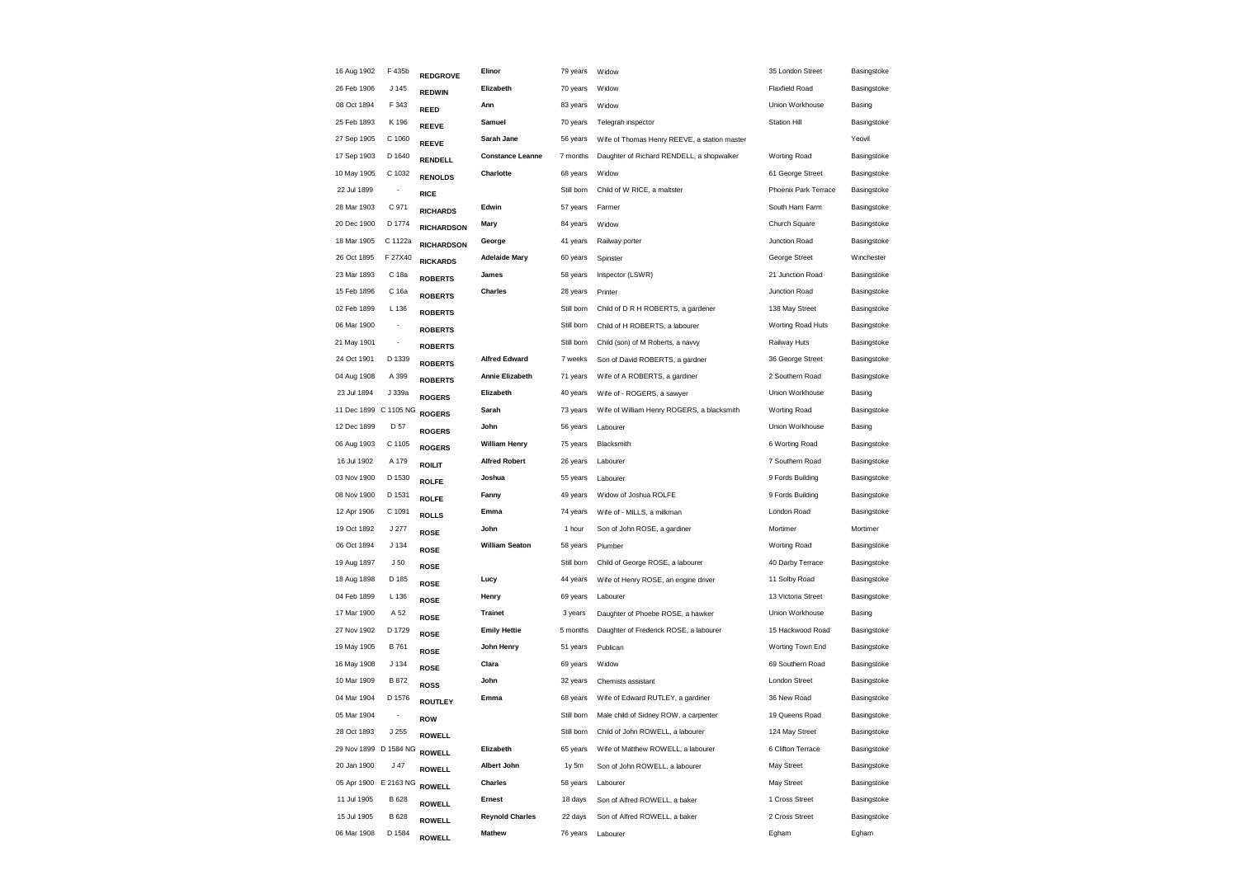| 16 Aug 1902           | F 435b                   | REDGROVE          | Elinor                  | 79 years   | Widow                                        | 35 London Street      | Basingstoke |
|-----------------------|--------------------------|-------------------|-------------------------|------------|----------------------------------------------|-----------------------|-------------|
| 26 Feb 1906           | J 145                    | <b>REDWIN</b>     | Elizabeth               | 70 years   | Widow                                        | <b>Flaxfield Road</b> | Basingstoke |
| 08 Oct 1894           | F 343                    | REED              | Ann                     | 83 years   | Widow                                        | Union Workhouse       | Basing      |
| 25 Feb 1893           | K 196                    | <b>REEVE</b>      | Samuel                  | 70 years   | Telegrah inspector                           | <b>Station Hill</b>   | Basingstoke |
| 27 Sep 1905           | C 1060                   | <b>REEVE</b>      | Sarah Jane              | 56 years   | Wife of Thomas Henry REEVE, a station master |                       | Yeovil      |
| 17 Sep 1903           | D 1640                   | RENDELL           | <b>Constance Leanne</b> | 7 months   | Daughter of Richard RENDELL, a shopwalker    | Worting Road          | Basingstoke |
| 10 May 1905           | C 1032                   | <b>RENOLDS</b>    | Charlotte               | 68 years   | Widow                                        | 61 George Street      | Basingstoke |
| 22 Jul 1899           | $\overline{\phantom{a}}$ | <b>RICE</b>       |                         | Still born | Child of W RICE, a maltster                  | Phoenix Park Terrace  | Basingstoke |
| 28 Mar 1903           | C 971                    | <b>RICHARDS</b>   | Edwin                   | 57 years   | Farmer                                       | South Ham Farm        | Basingstoke |
| 20 Dec 1900           | D 1774                   | <b>RICHARDSON</b> | Mary                    | 84 years   | Widow                                        | Church Square         | Basingstoke |
| 18 Mar 1905           | C 1122a                  | <b>RICHARDSON</b> | George                  | 41 years   | Railway porter                               | Junction Road         | Basingstoke |
| 26 Oct 1895           | F 27X40                  | <b>RICKARDS</b>   | <b>Adelaide Mary</b>    | 60 years   | Spinster                                     | George Street         | Winchester  |
| 23 Mar 1893           | C 18a                    | <b>ROBERTS</b>    | James                   | 58 years   | Inspector (LSWR)                             | 21 Junction Road      | Basingstoke |
| 15 Feb 1896           | C 16a                    | <b>ROBERTS</b>    | Charles                 | 28 years   | Printer                                      | Junction Road         | Basingstoke |
| 02 Feb 1899           | L 136                    | <b>ROBERTS</b>    |                         | Still born | Child of D R H ROBERTS, a gardener           | 138 May Street        | Basingstoke |
| 06 Mar 1900           | $\overline{a}$           | <b>ROBERTS</b>    |                         | Still born | Child of H ROBERTS, a labourer               | Worting Road Huts     | Basingstoke |
| 21 May 1901           |                          | <b>ROBERTS</b>    |                         | Still born | Child (son) of M Roberts, a navvy            | Railway Huts          | Basingstoke |
| 24 Oct 1901           | D 1339                   | <b>ROBERTS</b>    | <b>Alfred Edward</b>    | 7 weeks    | Son of David ROBERTS, a gardner              | 36 George Street      | Basingstoke |
| 04 Aug 1908           | A 399                    | <b>ROBERTS</b>    | <b>Annie Elizabeth</b>  | 71 years   | Wife of A ROBERTS, a gardiner                | 2 Southern Road       | Basingstoke |
| 23 Jul 1894           | J 339a                   | <b>ROGERS</b>     | Elizabeth               | 40 years   | Wife of - ROGERS, a sawyer                   | Union Workhouse       | Basing      |
| 11 Dec 1899           | C 1105 NG                | <b>ROGERS</b>     | Sarah                   | 73 years   | Wife of William Henry ROGERS, a blacksmith   | <b>Worting Road</b>   | Basingstoke |
| 12 Dec 1899           | D 57                     | <b>ROGERS</b>     | John                    | 56 years   | Labourer                                     | Union Workhouse       | Basing      |
| 06 Aug 1903           | C 1105                   | <b>ROGERS</b>     | <b>William Henry</b>    | 75 years   | Blacksmith                                   | 6 Worting Road        | Basingstoke |
| 16 Jul 1902           | A 179                    | <b>ROILIT</b>     | <b>Alfred Robert</b>    | 26 years   | Labourer                                     | 7 Southern Road       | Basingstoke |
| 03 Nov 1900           | D 1530                   | <b>ROLFE</b>      | Joshua                  | 55 years   | Labourer                                     | 9 Fords Building      | Basingstoke |
| 08 Nov 1900           | D 1531                   | <b>ROLFE</b>      | Fanny                   | 49 years   | Widow of Joshua ROLFE                        | 9 Fords Building      | Basingstoke |
| 12 Apr 1906           | C 1091                   | <b>ROLLS</b>      | Emma                    | 74 years   | Wife of - MILLS, a milkman                   | London Road           | Basingstoke |
| 19 Oct 1892           | J 277                    | <b>ROSE</b>       | John                    | 1 hour     | Son of John ROSE, a gardiner                 | Mortimer              | Mortimer    |
| 06 Oct 1894           | J 134                    | <b>ROSE</b>       | <b>William Seaton</b>   | 58 years   | Plumber                                      | <b>Worting Road</b>   | Basingstoke |
| 19 Aug 1897           | J <sub>50</sub>          | <b>ROSE</b>       |                         | Still born | Child of George ROSE, a labourer             | 40 Darby Terrace      | Basingstoke |
| 18 Aug 1898           | D 185                    | <b>ROSE</b>       | Lucy                    | 44 years   | Wife of Henry ROSE, an engine driver         | 11 Solby Road         | Basingstoke |
| 04 Feb 1899           | L 136                    | <b>ROSE</b>       | Henry                   | 69 years   | Labourer                                     | 13 Victoria Street    | Basingstoke |
| 17 Mar 1900           | A 52                     | <b>ROSE</b>       | <b>Trainet</b>          | 3 years    | Daughter of Phoebe ROSE, a hawker            | Union Workhouse       | Basing      |
| 27 Nov 1902           | D 1729                   | <b>ROSE</b>       | <b>Emily Hettie</b>     | 5 months   | Daughter of Frederick ROSE, a labourer       | 15 Hackwood Road      | Basingstoke |
| 19 May 1905           | B 761                    | <b>ROSE</b>       | John Henry              | 51 years   | Publican                                     | Worting Town End      | Basingstoke |
| 16 May 1908           | J 134                    | <b>ROSE</b>       | Clara                   | 69 years   | Widow                                        | 69 Southern Road      | Basingstoke |
| 10 Mar 1909           | B 872                    | <b>ROSS</b>       | John                    | 32 years   | Chemists assistant                           | <b>London Street</b>  | Basingstoke |
| 04 Mar 1904           | D 1576                   | <b>ROUTLEY</b>    | Emma                    | 68 years   | Wife of Edward RUTLEY, a gardiner            | 36 New Road           | Basingstoke |
| 05 Mar 1904           | $\overline{\phantom{a}}$ | <b>ROW</b>        |                         | Still born | Male child of Sidney ROW, a carpenter        | 19 Queens Road        | Basingstoke |
| 28 Oct 1893           | J 255                    | <b>ROWELL</b>     |                         | Still born | Child of John ROWELL, a labourer             | 124 May Street        | Basingstoke |
| 29 Nov 1899 D 1584 NG |                          | <b>ROWELL</b>     | Elizabeth               | 65 years   | Wife of Matthew ROWELL, a labourer           | 6 Clifton Terrace     | Basingstoke |
| 20 Jan 1900           | J <sub>47</sub>          | <b>ROWELL</b>     | Albert John             | 1y 5m      | Son of John ROWELL, a labourer               | May Street            | Basingstoke |
| 05 Apr 1900 E 2163 NG |                          | <b>ROWELL</b>     | Charles                 | 58 years   | Labourer                                     | May Street            | Basingstoke |
| 11 Jul 1905           | B 628                    | <b>ROWELL</b>     | Ernest                  | 18 days    | Son of Alfred ROWELL, a baker                | 1 Cross Street        | Basingstoke |
| 15 Jul 1905           | B 628                    | <b>ROWELL</b>     | <b>Reynold Charles</b>  | 22 days    | Son of Alfred ROWELL, a baker                | 2 Cross Street        | Basingstoke |
| 06 Mar 1908           | D 1584                   | <b>ROWELL</b>     | <b>Mathew</b>           | 76 years   | Labourer                                     | Egham                 | Egham       |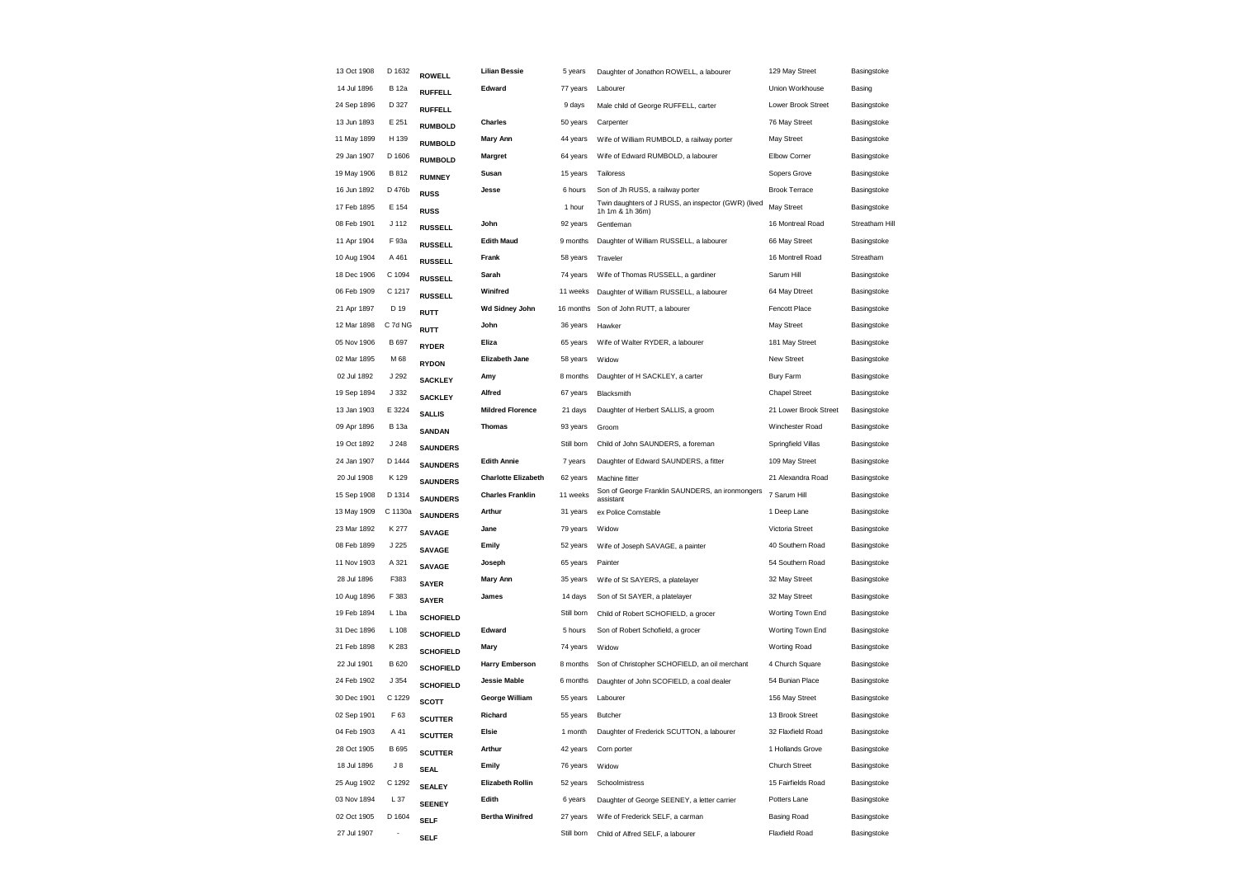| 13 Oct 1908 | D 1632           | <b>ROWELL</b>    | <b>Lilian Bessie</b>       | 5 years    | Daughter of Jonathon ROWELL, a labourer                                | 129 May Street        | Basingstoke    |
|-------------|------------------|------------------|----------------------------|------------|------------------------------------------------------------------------|-----------------------|----------------|
| 14 Jul 1896 | <b>B</b> 12a     | <b>RUFFELL</b>   | Edward                     | 77 years   | Labourer                                                               | Union Workhouse       | Basing         |
| 24 Sep 1896 | D 327            | <b>RUFFELL</b>   |                            | 9 days     | Male child of George RUFFELL, carter                                   | Lower Brook Street    | Basingstoke    |
| 13 Jun 1893 | E 251            | <b>RUMBOLD</b>   | <b>Charles</b>             | 50 years   | Carpenter                                                              | 76 May Street         | Basingstoke    |
| 11 May 1899 | H 139            | <b>RUMBOLD</b>   | Mary Ann                   | 44 years   | Wife of William RUMBOLD, a railway porter                              | May Street            | Basingstoke    |
| 29 Jan 1907 | D 1606           | <b>RUMBOLD</b>   | Margret                    | 64 years   | Wife of Edward RUMBOLD, a labourer                                     | Elbow Corner          | Basingstoke    |
| 19 May 1906 | B 812            | <b>RUMNEY</b>    | Susan                      | 15 years   | Tailoress                                                              | Sopers Grove          | Basingstoke    |
| 16 Jun 1892 | D 476b           | <b>RUSS</b>      | Jesse                      | 6 hours    | Son of Jh RUSS, a railway porter                                       | <b>Brook Terrace</b>  | Basingstoke    |
| 17 Feb 1895 | E 154            | <b>RUSS</b>      |                            | 1 hour     | Twin daughters of J RUSS, an inspector (GWR) (lived<br>1h 1m & 1h 36m) | May Street            | Basingstoke    |
| 08 Feb 1901 | J 112            | <b>RUSSELL</b>   | John                       | 92 years   | Gentleman                                                              | 16 Montreal Road      | Streatham Hill |
| 11 Apr 1904 | F 93a            | <b>RUSSELL</b>   | <b>Edith Maud</b>          | 9 months   | Daughter of William RUSSELL, a labourer                                | 66 May Street         | Basingstoke    |
| 10 Aug 1904 | A 461            | <b>RUSSELL</b>   | Frank                      | 58 years   | Traveler                                                               | 16 Montrell Road      | Streatham      |
| 18 Dec 1906 | C 1094           | <b>RUSSELL</b>   | Sarah                      | 74 years   | Wife of Thomas RUSSELL, a gardiner                                     | Sarum Hill            | Basingstoke    |
| 06 Feb 1909 | C 1217           | <b>RUSSELL</b>   | Winifred                   | 11 weeks   | Daughter of William RUSSELL, a labourer                                | 64 May Dtreet         | Basingstoke    |
| 21 Apr 1897 | D 19             | <b>RUTT</b>      | Wd Sidney John             | 16 months  | Son of John RUTT, a labourer                                           | Fencott Place         | Basingstoke    |
| 12 Mar 1898 | C 7d NG          | <b>RUTT</b>      | John                       | 36 years   | Hawker                                                                 | May Street            | Basingstoke    |
| 05 Nov 1906 | B 697            | <b>RYDER</b>     | Eliza                      | 65 years   | Wife of Walter RYDER, a labourer                                       | 181 May Street        | Basingstoke    |
| 02 Mar 1895 | M 68             | <b>RYDON</b>     | <b>Elizabeth Jane</b>      | 58 years   | Widow                                                                  | <b>New Street</b>     | Basingstoke    |
| 02 Jul 1892 | J 292            | <b>SACKLEY</b>   | Amy                        | 8 months   | Daughter of H SACKLEY, a carter                                        | <b>Bury Farm</b>      | Basingstoke    |
| 19 Sep 1894 | J 332            | <b>SACKLEY</b>   | Alfred                     | 67 years   | Blacksmith                                                             | <b>Chapel Street</b>  | Basingstoke    |
| 13 Jan 1903 | E 3224           | <b>SALLIS</b>    | <b>Mildred Florence</b>    | 21 days    | Daughter of Herbert SALLIS, a groom                                    | 21 Lower Brook Street | Basingstoke    |
| 09 Apr 1896 | <b>B</b> 13a     | <b>SANDAN</b>    | <b>Thomas</b>              | 93 years   | Groom                                                                  | Winchester Road       | Basingstoke    |
| 19 Oct 1892 | J248             | <b>SAUNDERS</b>  |                            | Still born | Child of John SAUNDERS, a foreman                                      | Springfield Villas    | Basingstoke    |
| 24 Jan 1907 | D 1444           | <b>SAUNDERS</b>  | <b>Edith Annie</b>         | 7 years    | Daughter of Edward SAUNDERS, a fitter                                  | 109 May Street        | Basingstoke    |
| 20 Jul 1908 | K 129            | <b>SAUNDERS</b>  | <b>Charlotte Elizabeth</b> | 62 years   | Machine fitter                                                         | 21 Alexandra Road     | Basingstoke    |
| 15 Sep 1908 | D 1314           | <b>SAUNDERS</b>  | <b>Charles Franklin</b>    | 11 weeks   | Son of George Franklin SAUNDERS, an ironmongers<br>assistant           | 7 Sarum Hill          | Basingstoke    |
| 13 May 1909 | C 1130a          | <b>SAUNDERS</b>  | Arthur                     | 31 years   | ex Police Comstable                                                    | 1 Deep Lane           | Basingstoke    |
| 23 Mar 1892 | K 277            | <b>SAVAGE</b>    | Jane                       | 79 years   | Widow                                                                  | Victoria Street       | Basingstoke    |
| 08 Feb 1899 | J 225            | <b>SAVAGE</b>    | Emily                      | 52 years   | Wife of Joseph SAVAGE, a painter                                       | 40 Southern Road      | Basingstoke    |
| 11 Nov 1903 | A 321            | <b>SAVAGE</b>    | Joseph                     | 65 years   | Painter                                                                | 54 Southern Road      | Basingstoke    |
| 28 Jul 1896 | F383             | <b>SAYER</b>     | <b>Mary Ann</b>            | 35 years   | Wife of St SAYERS, a platelayer                                        | 32 May Street         | Basingstoke    |
| 10 Aug 1896 | F 383            | <b>SAYER</b>     | James                      | 14 days    | Son of St SAYER, a platelayer                                          | 32 May Street         | Basingstoke    |
| 19 Feb 1894 | L <sub>1ba</sub> | <b>SCHOFIELD</b> |                            | Still born | Child of Robert SCHOFIELD, a grocer                                    | Worting Town End      | Basingstoke    |
| 31 Dec 1896 | L 108            | <b>SCHOFIELD</b> | Edward                     | 5 hours    | Son of Robert Schofield, a grocer                                      | Worting Town End      | Basingstoke    |
| 21 Feb 1898 | K 283            | <b>SCHOFIELD</b> | Mary                       | 74 years   | Widow                                                                  | Worting Road          | Basingstoke    |
| 22 Jul 1901 | B 620            | <b>SCHOFIELD</b> | <b>Harry Emberson</b>      | 8 months   | Son of Christopher SCHOFIELD, an oil merchant                          | 4 Church Square       | Basingstoke    |
| 24 Feb 1902 | J354             | <b>SCHOFIELD</b> | <b>Jessie Mable</b>        | 6 months   | Daughter of John SCOFIELD, a coal dealer                               | 54 Bunian Place       | Basingstoke    |
| 30 Dec 1901 | C 1229           | <b>SCOTT</b>     | George William             | 55 years   | Labourer                                                               | 156 May Street        | Basingstoke    |
| 02 Sep 1901 | F 63             | <b>SCUTTER</b>   | Richard                    | 55 years   | Butcher                                                                | 13 Brook Street       | Basingstoke    |
| 04 Feb 1903 | A 41             | <b>SCUTTER</b>   | Elsie                      | 1 month    | Daughter of Frederick SCUTTON, a labourer                              | 32 Flaxfield Road     | Basingstoke    |
| 28 Oct 1905 | B 695            | <b>SCUTTER</b>   | Arthur                     | 42 years   | Corn porter                                                            | 1 Hollands Grove      | Basingstoke    |
| 18 Jul 1896 | $J_8$            | <b>SEAL</b>      | Emily                      | 76 years   | Widow                                                                  | Church Street         | Basingstoke    |
| 25 Aug 1902 | C 1292           | <b>SEALEY</b>    | Elizabeth Rollin           | 52 years   | Schoolmistress                                                         | 15 Fairfields Road    | Basingstoke    |
| 03 Nov 1894 | L 37             | <b>SEENEY</b>    | Edith                      | 6 years    | Daughter of George SEENEY, a letter carrier                            | Potters Lane          | Basingstoke    |
| 02 Oct 1905 | D 1604           | <b>SELF</b>      | <b>Bertha Winifred</b>     | 27 years   | Wife of Frederick SELF, a carman                                       | <b>Basing Road</b>    | Basingstoke    |
| 27 Jul 1907 |                  | <b>SELF</b>      |                            | Still born | Child of Alfred SELF, a labourer                                       | <b>Flaxfield Road</b> | Basingstoke    |
|             |                  |                  |                            |            |                                                                        |                       |                |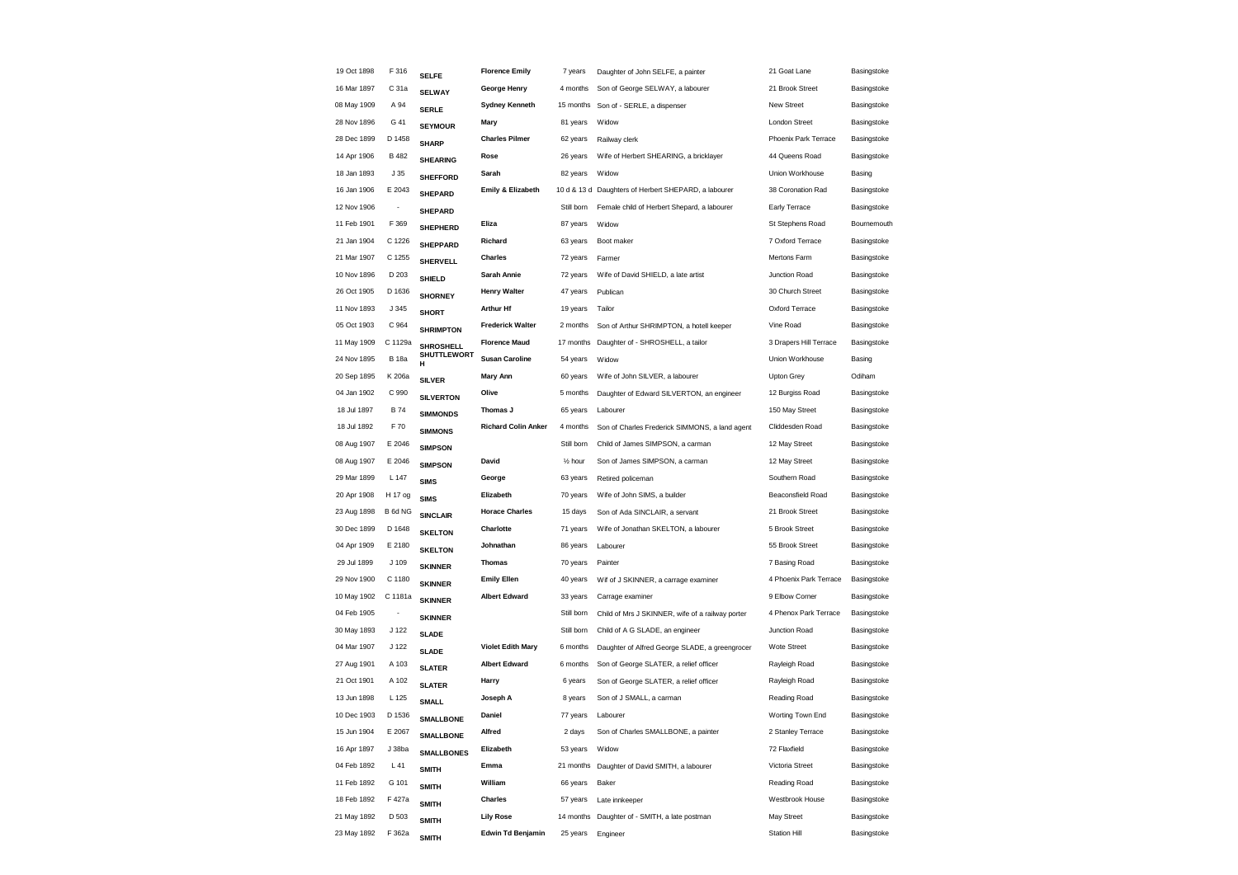| 19 Oct 1898                | F 316           | <b>SELFE</b>      | <b>Florence Emily</b>      | 7 years               | Daughter of John SELFE, a painter                    | 21 Goat Lane                    | Basingstoke |
|----------------------------|-----------------|-------------------|----------------------------|-----------------------|------------------------------------------------------|---------------------------------|-------------|
| 16 Mar 1897                | C 31a           | <b>SELWAY</b>     | George Henry               | 4 months              | Son of George SELWAY, a labourer                     | 21 Brook Street                 | Basingstoke |
| 08 May 1909                | A 94            | <b>SERLE</b>      | <b>Sydney Kenneth</b>      | 15 months             | Son of - SERLE, a dispenser                          | New Street                      | Basingstoke |
| 28 Nov 1896                | G 41            | <b>SEYMOUR</b>    | Mary                       | 81 years              | Widow                                                | <b>London Street</b>            | Basingstoke |
| 28 Dec 1899                | D 1458          | <b>SHARP</b>      | <b>Charles Pilmer</b>      | 62 years              | Railway clerk                                        | Phoenix Park Terrace            | Basingstoke |
| 14 Apr 1906                | <b>B</b> 482    | <b>SHEARING</b>   | Rose                       | 26 years              | Wife of Herbert SHEARING, a bricklayer               | 44 Queens Road                  | Basingstoke |
| 18 Jan 1893                | J <sub>35</sub> | <b>SHEFFORD</b>   | Sarah                      | 82 years              | Widow                                                | Union Workhouse                 | Basing      |
| 16 Jan 1906                | E 2043          | <b>SHEPARD</b>    | Emily & Elizabeth          |                       | 10 d & 13 d Daughters of Herbert SHEPARD, a labourer | 38 Coronation Rad               | Basingstoke |
| 12 Nov 1906                | ÷,              | <b>SHEPARD</b>    |                            | Still born            | Female child of Herbert Shepard, a labourer          | Early Terrace                   | Basingstoke |
| 11 Feb 1901                | F 369           | <b>SHEPHERD</b>   | Eliza                      | 87 years              | Widow                                                | St Stephens Road                | Bournemouth |
| 21 Jan 1904                | C 1226          | <b>SHEPPARD</b>   | Richard                    | 63 years              | Boot maker                                           | 7 Oxford Terrace                | Basingstoke |
| 21 Mar 1907                | C 1255          | <b>SHERVELL</b>   | Charles                    | 72 years              | Farmer                                               | Mertons Farm                    | Basingstoke |
| 10 Nov 1896                | D 203           | <b>SHIELD</b>     | Sarah Annie                | 72 years              | Wife of David SHIELD, a late artist                  | Junction Road                   | Basingstoke |
| 26 Oct 1905                | D 1636          | <b>SHORNEY</b>    | <b>Henry Walter</b>        | 47 years              | Publican                                             | 30 Church Street                | Basingstoke |
| 11 Nov 1893                | J 345           | <b>SHORT</b>      | <b>Arthur Hf</b>           | 19 years              | Tailor                                               | Oxford Terrace                  | Basingstoke |
| 05 Oct 1903                | C 964           | <b>SHRIMPTON</b>  | <b>Frederick Walter</b>    | 2 months              | Son of Arthur SHRIMPTON, a hotell keeper             | Vine Road                       | Basingstoke |
| 11 May 1909                | C 1129a         | SHROSHELL         | <b>Florence Maud</b>       | 17 months             | Daughter of - SHROSHELL, a tailor                    | 3 Drapers Hill Terrace          | Basingstoke |
| 24 Nov 1895                | <b>B</b> 18a    | SHUTTLEWORT<br>н  | <b>Susan Caroline</b>      | 54 years              | Widow                                                | Union Workhouse                 | Basing      |
| 20 Sep 1895                | K 206a          | <b>SILVER</b>     | Mary Ann                   | 60 years              | Wife of John SILVER, a labourer                      | Upton Grey                      | Odiham      |
| 04 Jan 1902                | C 990           | <b>SILVERTON</b>  | Olive                      | 5 months              | Daughter of Edward SILVERTON, an engineer            | 12 Burgiss Road                 | Basingstoke |
| 18 Jul 1897                | <b>B</b> 74     | <b>SIMMONDS</b>   | Thomas J                   | 65 years              | Labourer                                             | 150 May Street                  | Basingstoke |
| 18 Jul 1892                | F 70            | <b>SIMMONS</b>    | <b>Richard Colin Anker</b> | 4 months              | Son of Charles Frederick SIMMONS, a land agent       | Cliddesden Road                 | Basingstoke |
| 08 Aug 1907                | E 2046          | <b>SIMPSON</b>    |                            | Still born            | Child of James SIMPSON, a carman                     | 12 May Street                   | Basingstoke |
| 08 Aug 1907                | E 2046          | <b>SIMPSON</b>    | David                      | 1/ <sub>2</sub> hour  | Son of James SIMPSON, a carman                       | 12 May Street                   | Basingstoke |
| 29 Mar 1899                | L 147           | <b>SIMS</b>       | George                     | 63 years              | Retired policeman                                    | Southern Road                   | Basingstoke |
| 20 Apr 1908                | H 17 og         | <b>SIMS</b>       | Elizabeth                  | 70 years              | Wife of John SIMS, a builder                         | <b>Beaconsfield Road</b>        | Basingstoke |
| 23 Aug 1898                | B 6d NG         |                   | <b>Horace Charles</b>      | 15 days               | Son of Ada SINCLAIR, a servant                       | 21 Brook Street                 | Basingstoke |
| 30 Dec 1899                | D 1648          | <b>SINCLAIR</b>   | Charlotte                  | 71 years              | Wife of Jonathan SKELTON, a labourer                 | 5 Brook Street                  | Basingstoke |
| 04 Apr 1909                | E 2180          | <b>SKELTON</b>    | Johnathan                  | 86 years              | Labourer                                             | 55 Brook Street                 | Basingstoke |
| 29 Jul 1899                | J 109           | <b>SKELTON</b>    | <b>Thomas</b>              | 70 years              | Painter                                              | 7 Basing Road                   | Basingstoke |
| 29 Nov 1900                | C 1180          | <b>SKINNER</b>    | <b>Emily Ellen</b>         | 40 years              | Wif of J SKINNER, a carrage examiner                 | 4 Phoenix Park Terrace          | Basingstoke |
| 10 May 1902                | C 1181a         | <b>SKINNER</b>    | <b>Albert Edward</b>       | 33 years              | Carrage examiner                                     | 9 Elbow Corner                  | Basingstoke |
| 04 Feb 1905                |                 | <b>SKINNER</b>    |                            | Still born            | Child of Mrs J SKINNER, wife of a railway porter     | 4 Phenox Park Terrace           | Basingstoke |
| 30 May 1893                | J 122           | <b>SKINNER</b>    |                            | Still born            | Child of A G SLADE, an engineer                      | Junction Road                   | Basingstoke |
| 04 Mar 1907                | J 122           | <b>SLADE</b>      | <b>Violet Edith Mary</b>   | 6 months              | Daughter of Alfred George SLADE, a greengrocer       | <b>Wote Street</b>              | Basingstoke |
| 27 Aug 1901                | A 103           | <b>SLADE</b>      | <b>Albert Edward</b>       | 6 months              | Son of George SLATER, a relief officer               | Rayleigh Road                   | Basingstoke |
| 21 Oct 1901                | A 102           | <b>SLATER</b>     | Harry                      | 6 years               | Son of George SLATER, a relief officer               | Rayleigh Road                   | Basingstoke |
| 13 Jun 1898                | L 125           | <b>SLATER</b>     | Joseph A                   | 8 years               | Son of J SMALL, a carman                             | Reading Road                    | Basingstoke |
| 10 Dec 1903                | D 1536          | <b>SMALL</b>      | Daniel                     | 77 years              | Labourer                                             | Worting Town End                | Basingstoke |
| 15 Jun 1904                | E 2067          | <b>SMALLBONE</b>  | Alfred                     | 2 days                |                                                      | 2 Stanley Terrace               | Basingstoke |
|                            | J 38ba          | <b>SMALLBONE</b>  | Elizabeth                  |                       | Son of Charles SMALLBONE, a painter                  |                                 |             |
| 16 Apr 1897<br>04 Feb 1892 |                 | <b>SMALLBONES</b> | Emma                       | 53 years<br>21 months | Widow<br>Daughter of David SMITH, a labourer         | 72 Flaxfield<br>Victoria Street | Basingstoke |
|                            | L41             | <b>SMITH</b>      |                            |                       |                                                      |                                 | Basingstoke |
| 11 Feb 1892                | G 101           | <b>SMITH</b>      | William                    | 66 years              | Baker                                                | Reading Road                    | Basingstoke |
| 18 Feb 1892                | F 427a          | <b>SMITH</b>      | Charles                    | 57 years              | Late innkeeper                                       | Westbrook House                 | Basingstoke |
| 21 May 1892                | D 503           | <b>SMITH</b>      | <b>Lily Rose</b>           | 14 months             | Daughter of - SMITH, a late postman                  | May Street                      | Basingstoke |
| 23 May 1892                | F 362a          | <b>SMITH</b>      | <b>Edwin Td Benjamin</b>   | 25 years              | Engineer                                             | <b>Station Hill</b>             | Basingstoke |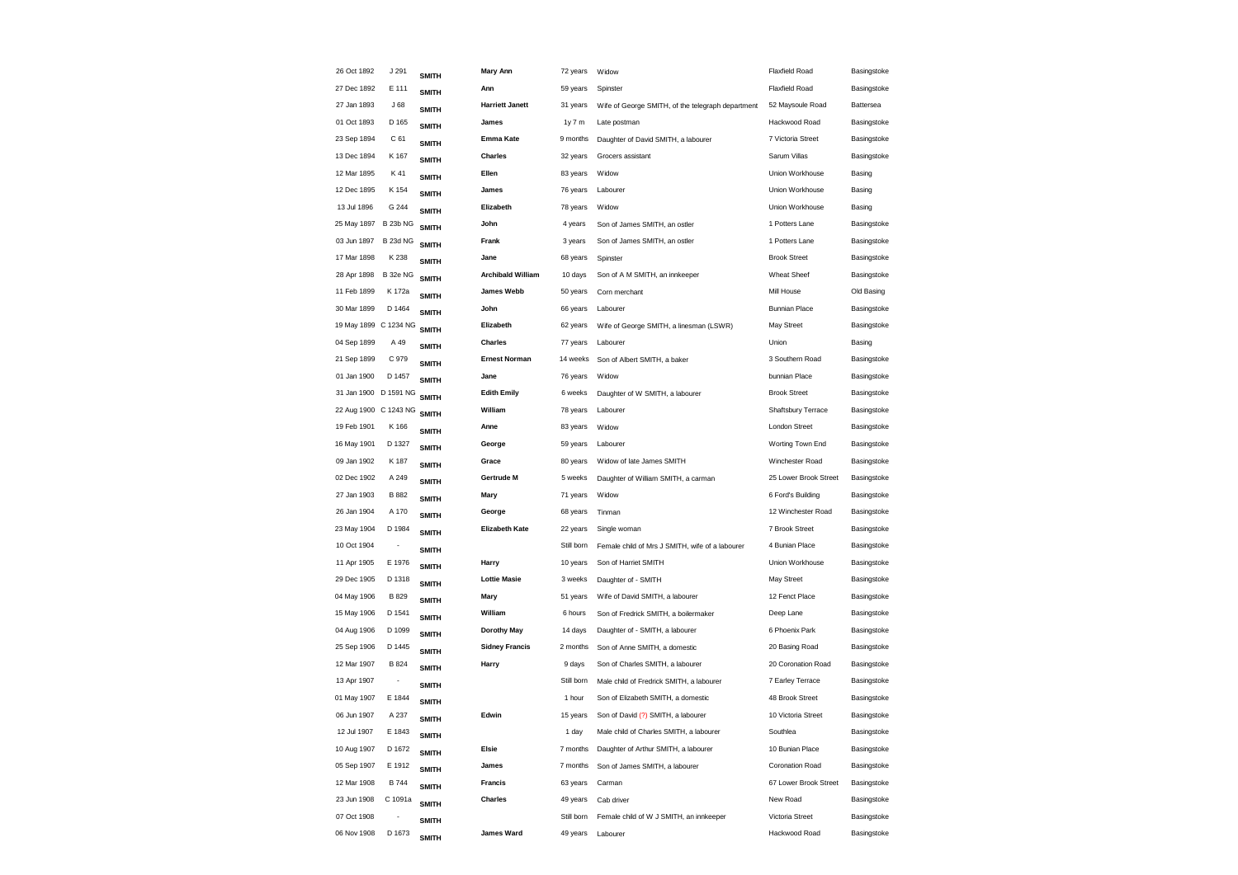| 26 Oct 1892           | J 291           | <b>SMITH</b> | <b>Mary Ann</b>          | 72 years   | Widow                                             | <b>Flaxfield Road</b> | Basingstoke |
|-----------------------|-----------------|--------------|--------------------------|------------|---------------------------------------------------|-----------------------|-------------|
| 27 Dec 1892           | E 111           | <b>SMITH</b> | Ann                      | 59 years   | Spinster                                          | <b>Flaxfield Road</b> | Basingstoke |
| 27 Jan 1893           | J68             | <b>SMITH</b> | <b>Harriett Janett</b>   | 31 years   | Wife of George SMITH, of the telegraph department | 52 Maysoule Road      | Battersea   |
| 01 Oct 1893           | D 165           | <b>SMITH</b> | James                    | 1y7m       | Late postman                                      | Hackwood Road         | Basingstoke |
| 23 Sep 1894           | C 61            | <b>SMITH</b> | Emma Kate                | 9 months   | Daughter of David SMITH, a labourer               | 7 Victoria Street     | Basingstoke |
| 13 Dec 1894           | K 167           | <b>SMITH</b> | Charles                  | 32 years   | Grocers assistant                                 | Sarum Villas          | Basingstoke |
| 12 Mar 1895           | K 41            | <b>SMITH</b> | Ellen                    | 83 years   | Widow                                             | Union Workhouse       | Basing      |
| 12 Dec 1895           | K 154           | <b>SMITH</b> | James                    | 76 years   | Labourer                                          | Union Workhouse       | Basing      |
| 13 Jul 1896           | G 244           | <b>SMITH</b> | Elizabeth                | 78 years   | Widow                                             | Union Workhouse       | Basing      |
| 25 May 1897           | <b>B 23b NG</b> | <b>SMITH</b> | John                     | 4 years    | Son of James SMITH, an ostler                     | 1 Potters Lane        | Basingstoke |
| 03 Jun 1897           | <b>B 23d NG</b> | <b>SMITH</b> | Frank                    | 3 years    | Son of James SMITH, an ostler                     | 1 Potters Lane        | Basingstoke |
| 17 Mar 1898           | K 238           | <b>SMITH</b> | Jane                     | 68 years   | Spinster                                          | <b>Brook Street</b>   | Basingstoke |
| 28 Apr 1898           | B 32e NG        | <b>SMITH</b> | <b>Archibald William</b> | 10 days    | Son of A M SMITH, an innkeeper                    | Wheat Sheef           | Basingstoke |
| 11 Feb 1899           | K 172a          | <b>SMITH</b> | <b>James Webb</b>        | 50 years   | Corn merchant                                     | Mill House            | Old Basing  |
| 30 Mar 1899           | D 1464          | <b>SMITH</b> | John                     | 66 years   | Labourer                                          | <b>Bunnian Place</b>  | Basingstoke |
| 19 May 1899 C 1234 NG |                 | <b>SMITH</b> | Elizabeth                | 62 years   | Wife of George SMITH, a linesman (LSWR)           | May Street            | Basingstoke |
| 04 Sep 1899           | A 49            | <b>SMITH</b> | <b>Charles</b>           | 77 years   | Labourer                                          | Union                 | Basing      |
| 21 Sep 1899           | C 979           | <b>SMITH</b> | <b>Ernest Norman</b>     | 14 weeks   | Son of Albert SMITH, a baker                      | 3 Southern Road       | Basingstoke |
| 01 Jan 1900           | D 1457          | <b>SMITH</b> | Jane                     | 76 years   | Widow                                             | bunnian Place         | Basingstoke |
| 31 Jan 1900 D 1591 NG |                 | <b>SMITH</b> | <b>Edith Emily</b>       | 6 weeks    | Daughter of W SMITH, a labourer                   | <b>Brook Street</b>   | Basingstoke |
| 22 Aug 1900 C 1243 NG |                 | <b>SMITH</b> | William                  | 78 years   | Labourer                                          | Shaftsbury Terrace    | Basingstoke |
| 19 Feb 1901           | K 166           | <b>SMITH</b> | Anne                     | 83 years   | Widow                                             | <b>London Street</b>  | Basingstoke |
| 16 May 1901           | D 1327          | <b>SMITH</b> | George                   | 59 years   | Labourer                                          | Worting Town End      | Basingstoke |
| 09 Jan 1902           | K 187           | <b>SMITH</b> | Grace                    | 80 years   | Widow of late James SMITH                         | Winchester Road       | Basingstoke |
| 02 Dec 1902           | A 249           | <b>SMITH</b> | Gertrude M               | 5 weeks    | Daughter of William SMITH, a carman               | 25 Lower Brook Street | Basingstoke |
| 27 Jan 1903           | <b>B</b> 882    | <b>SMITH</b> | Mary                     | 71 years   | Widow                                             | 6 Ford's Building     | Basingstoke |
| 26 Jan 1904           | A 170           | <b>SMITH</b> | George                   | 68 years   | Tinman                                            | 12 Winchester Road    | Basingstoke |
| 23 May 1904           | D 1984          | <b>SMITH</b> | <b>Elizabeth Kate</b>    | 22 years   | Single woman                                      | 7 Brook Street        | Basingstoke |
| 10 Oct 1904           |                 | <b>SMITH</b> |                          | Still born | Female child of Mrs J SMITH, wife of a labourer   | 4 Bunian Place        | Basingstoke |
| 11 Apr 1905           | E 1976          | <b>SMITH</b> | Harry                    | 10 years   | Son of Harriet SMITH                              | Union Workhouse       | Basingstoke |
| 29 Dec 1905           | D 1318          | <b>SMITH</b> | <b>Lottie Masie</b>      | 3 weeks    | Daughter of - SMITH                               | <b>May Street</b>     | Basingstoke |
| 04 May 1906           | <b>B829</b>     | <b>SMITH</b> | Mary                     | 51 years   | Wife of David SMITH, a labourer                   | 12 Fenct Place        | Basingstoke |
| 15 May 1906           | D 1541          | <b>SMITH</b> | William                  | 6 hours    | Son of Fredrick SMITH, a boilermaker              | Deep Lane             | Basingstoke |
| 04 Aug 1906           | D 1099          | <b>SMITH</b> | Dorothy May              | 14 days    | Daughter of - SMITH, a labourer                   | 6 Phoenix Park        | Basingstoke |
| 25 Sep 1906           | D 1445          | <b>SMITH</b> | <b>Sidney Francis</b>    | 2 months   | Son of Anne SMITH, a domestic                     | 20 Basing Road        | Basingstoke |
| 12 Mar 1907           | B 824           | <b>SMITH</b> | Harry                    | 9 days     | Son of Charles SMITH, a labourer                  | 20 Coronation Road    | Basingstoke |
| 13 Apr 1907           | ÷,              | <b>SMITH</b> |                          | Still born | Male child of Fredrick SMITH, a labourer          | 7 Earley Terrace      | Basingstoke |
| 01 May 1907           | E 1844          | <b>SMITH</b> |                          | 1 hour     | Son of Elizabeth SMITH, a domestic                | 48 Brook Street       | Basingstoke |
| 06 Jun 1907           | A 237           | <b>SMITH</b> | Edwin                    | 15 years   | Son of David (?) SMITH, a labourer                | 10 Victoria Street    | Basingstoke |
| 12 Jul 1907           | E 1843          | <b>SMITH</b> |                          | 1 day      | Male child of Charles SMITH, a labourer           | Southlea              | Basingstoke |
| 10 Aug 1907           | D 1672          | <b>SMITH</b> | Elsie                    | 7 months   | Daughter of Arthur SMITH, a labourer              | 10 Bunian Place       | Basingstoke |
| 05 Sep 1907           | E 1912          | <b>SMITH</b> | James                    | 7 months   | Son of James SMITH, a labourer                    | Coronation Road       | Basingstoke |
| 12 Mar 1908           | <b>B744</b>     | <b>SMITH</b> | <b>Francis</b>           | 63 years   | Carman                                            | 67 Lower Brook Street | Basingstoke |
| 23 Jun 1908           | C 1091a         | <b>SMITH</b> | Charles                  | 49 years   | Cab driver                                        | New Road              | Basingstoke |
| 07 Oct 1908           |                 | <b>SMITH</b> |                          | Still born | Female child of W J SMITH, an innkeeper           | Victoria Street       | Basingstoke |
| 06 Nov 1908           | D 1673          | <b>SMITH</b> | James Ward               | 49 years   | Labourer                                          | Hackwood Road         | Basingstoke |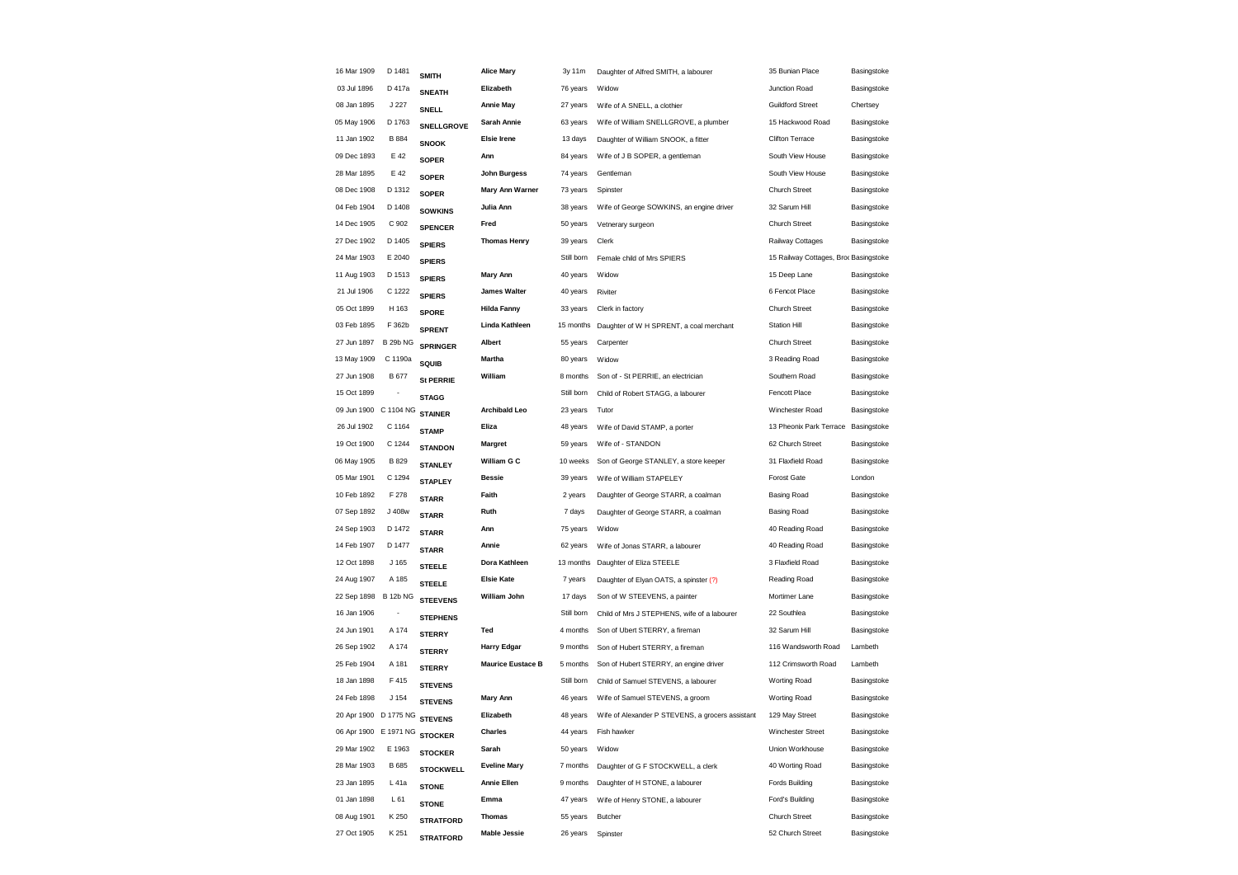| 16 Mar 1909           | D 1481           | <b>SMITH</b>      | <b>Alice Mary</b>        | 3y 11m     | Daughter of Alfred SMITH, a labourer             | 35 Bunian Place                       | Basingstoke |
|-----------------------|------------------|-------------------|--------------------------|------------|--------------------------------------------------|---------------------------------------|-------------|
| 03 Jul 1896           | D 417a           | <b>SNEATH</b>     | Elizabeth                | 76 years   | Widow                                            | Junction Road                         | Basingstoke |
| 08 Jan 1895           | J 227            | SNELL             | <b>Annie May</b>         | 27 years   | Wife of A SNELL, a clothier                      | <b>Guildford Street</b>               | Chertsey    |
| 05 May 1906           | D 1763           | <b>SNELLGROVE</b> | Sarah Annie              | 63 years   | Wife of William SNELLGROVE, a plumber            | 15 Hackwood Road                      | Basingstoke |
| 11 Jan 1902           | B 884            | <b>SNOOK</b>      | <b>Elsie Irene</b>       | 13 days    | Daughter of William SNOOK, a fitter              | Clifton Terrace                       | Basingstoke |
| 09 Dec 1893           | E 42             | <b>SOPER</b>      | Ann                      | 84 years   | Wife of J B SOPER, a gentleman                   | South View House                      | Basingstoke |
| 28 Mar 1895           | E 42             | <b>SOPER</b>      | John Burgess             | 74 years   | Gentleman                                        | South View House                      | Basingstoke |
| 08 Dec 1908           | D 1312           | <b>SOPER</b>      | <b>Mary Ann Warner</b>   | 73 years   | Spinster                                         | <b>Church Street</b>                  | Basingstoke |
| 04 Feb 1904           | D 1408           | <b>SOWKINS</b>    | Julia Ann                | 38 years   | Wife of George SOWKINS, an engine driver         | 32 Sarum Hill                         | Basingstoke |
| 14 Dec 1905           | C 902            | <b>SPENCER</b>    | Fred                     | 50 years   | Vetnerary surgeon                                | <b>Church Street</b>                  | Basingstoke |
| 27 Dec 1902           | D 1405           | <b>SPIERS</b>     | <b>Thomas Henry</b>      | 39 years   | Clerk                                            | Railway Cottages                      | Basingstoke |
| 24 Mar 1903           | E 2040           | <b>SPIERS</b>     |                          | Still born | Female child of Mrs SPIERS                       | 15 Railway Cottages, Broc Basingstoke |             |
| 11 Aug 1903           | D 1513           | <b>SPIERS</b>     | Mary Ann                 | 40 years   | Widow                                            | 15 Deep Lane                          | Basingstoke |
| 21 Jul 1906           | C 1222           | <b>SPIERS</b>     | <b>James Walter</b>      | 40 years   | Riviter                                          | 6 Fencot Place                        | Basingstoke |
| 05 Oct 1899           | H 163            | <b>SPORE</b>      | <b>Hilda Fanny</b>       | 33 years   | Clerk in factory                                 | <b>Church Street</b>                  | Basingstoke |
| 03 Feb 1895           | F 362b           | <b>SPRENT</b>     | Linda Kathleen           | 15 months  | Daughter of W H SPRENT, a coal merchant          | <b>Station Hill</b>                   | Basingstoke |
| 27 Jun 1897           | <b>B 29b NG</b>  | <b>SPRINGER</b>   | Albert                   | 55 years   | Carpenter                                        | <b>Church Street</b>                  | Basingstoke |
| 13 May 1909           | C 1190a          | <b>SQUIB</b>      | Martha                   | 80 years   | Widow                                            | 3 Reading Road                        | Basingstoke |
| 27 Jun 1908           | B 677            | <b>St PERRIE</b>  | William                  | 8 months   | Son of - St PERRIE, an electrician               | Southern Road                         | Basingstoke |
| 15 Oct 1899           |                  | <b>STAGG</b>      |                          | Still born | Child of Robert STAGG, a labourer                | Fencott Place                         | Basingstoke |
| 09 Jun 1900           | C 1104 NG        | <b>STAINER</b>    | Archibald Leo            | 23 years   | Tutor                                            | Winchester Road                       | Basingstoke |
| 26 Jul 1902           | C 1164           | <b>STAMP</b>      | Eliza                    | 48 years   | Wife of David STAMP, a porter                    | 13 Pheonix Park Terrace               | Basingstoke |
| 19 Oct 1900           | C 1244           | <b>STANDON</b>    | Margret                  | 59 years   | Wife of - STANDON                                | 62 Church Street                      | Basingstoke |
| 06 May 1905           | B 829            | <b>STANLEY</b>    | William G C              | 10 weeks   | Son of George STANLEY, a store keeper            | 31 Flaxfield Road                     | Basingstoke |
| 05 Mar 1901           | C 1294           | <b>STAPLEY</b>    | <b>Bessie</b>            | 39 years   | Wife of William STAPELEY                         | Forost Gate                           | London      |
| 10 Feb 1892           | F 278            | <b>STARR</b>      | Faith                    | 2 years    | Daughter of George STARR, a coalman              | <b>Basing Road</b>                    | Basingstoke |
| 07 Sep 1892           | J 408w           | <b>STARR</b>      | Ruth                     | 7 days     | Daughter of George STARR, a coalman              | <b>Basing Road</b>                    | Basingstoke |
| 24 Sep 1903           | D 1472           | <b>STARR</b>      | Ann                      | 75 years   | Widow                                            | 40 Reading Road                       | Basingstoke |
| 14 Feb 1907           | D 1477           | <b>STARR</b>      | Annie                    | 62 years   | Wife of Jonas STARR, a labourer                  | 40 Reading Road                       | Basingstoke |
| 12 Oct 1898           | J 165            | <b>STEELE</b>     | Dora Kathleen            | 13 months  | Daughter of Eliza STEELE                         | 3 Flaxfield Road                      | Basingstoke |
| 24 Aug 1907           | A 185            | <b>STEELE</b>     | <b>Elsie Kate</b>        | 7 years    | Daughter of Elyan OATS, a spinster (?)           | Reading Road                          | Basingstoke |
| 22 Sep 1898           | <b>B 12b NG</b>  | <b>STEEVENS</b>   | William John             | 17 days    | Son of W STEEVENS, a painter                     | Mortimer Lane                         | Basingstoke |
| 16 Jan 1906           | ÷                | <b>STEPHENS</b>   |                          | Still born | Child of Mrs J STEPHENS, wife of a labourer      | 22 Southlea                           | Basingstoke |
| 24 Jun 1901           | A 174            | <b>STERRY</b>     | Ted                      | 4 months   | Son of Ubert STERRY, a fireman                   | 32 Sarum Hill                         | Basingstoke |
| 26 Sep 1902           | A 174            | <b>STERRY</b>     | <b>Harry Edgar</b>       | 9 months   | Son of Hubert STERRY, a fireman                  | 116 Wandsworth Road                   | Lambeth     |
| 25 Feb 1904           | A 181            | <b>STERRY</b>     | <b>Maurice Eustace B</b> | 5 months   | Son of Hubert STERRY, an engine driver           | 112 Crimsworth Road                   | Lambeth     |
| 18 Jan 1898           | F415             | <b>STEVENS</b>    |                          | Still born | Child of Samuel STEVENS, a labourer              | Worting Road                          | Basingstoke |
| 24 Feb 1898           | J <sub>154</sub> | <b>STEVENS</b>    | Mary Ann                 | 46 years   | Wife of Samuel STEVENS, a groom                  | Worting Road                          | Basingstoke |
| 20 Apr 1900 D 1775 NG |                  | <b>STEVENS</b>    | Elizabeth                | 48 years   | Wife of Alexander P STEVENS, a grocers assistant | 129 May Street                        | Basingstoke |
| 06 Apr 1900 E 1971 NG |                  | <b>STOCKER</b>    | Charles                  | 44 years   | Fish hawker                                      | Winchester Street                     | Basingstoke |
| 29 Mar 1902           | E 1963           | <b>STOCKER</b>    | Sarah                    | 50 years   | Widow                                            | Union Workhouse                       | Basingstoke |
| 28 Mar 1903           | B 685            | <b>STOCKWELL</b>  | <b>Eveline Mary</b>      | 7 months   | Daughter of G F STOCKWELL, a clerk               | 40 Worting Road                       | Basingstoke |
| 23 Jan 1895           | L 41a            | <b>STONE</b>      | <b>Annie Ellen</b>       | 9 months   | Daughter of H STONE, a labourer                  | Fords Building                        | Basingstoke |
| 01 Jan 1898           | L61              | <b>STONE</b>      | Emma                     | 47 years   | Wife of Henry STONE, a labourer                  | Ford's Building                       | Basingstoke |
| 08 Aug 1901           | K 250            | <b>STRATFORD</b>  | <b>Thomas</b>            | 55 years   | Butcher                                          | Church Street                         | Basingstoke |
| 27 Oct 1905           | K 251            | <b>STRATFORD</b>  | <b>Mable Jessie</b>      | 26 years   | Spinster                                         | 52 Church Street                      | Basingstoke |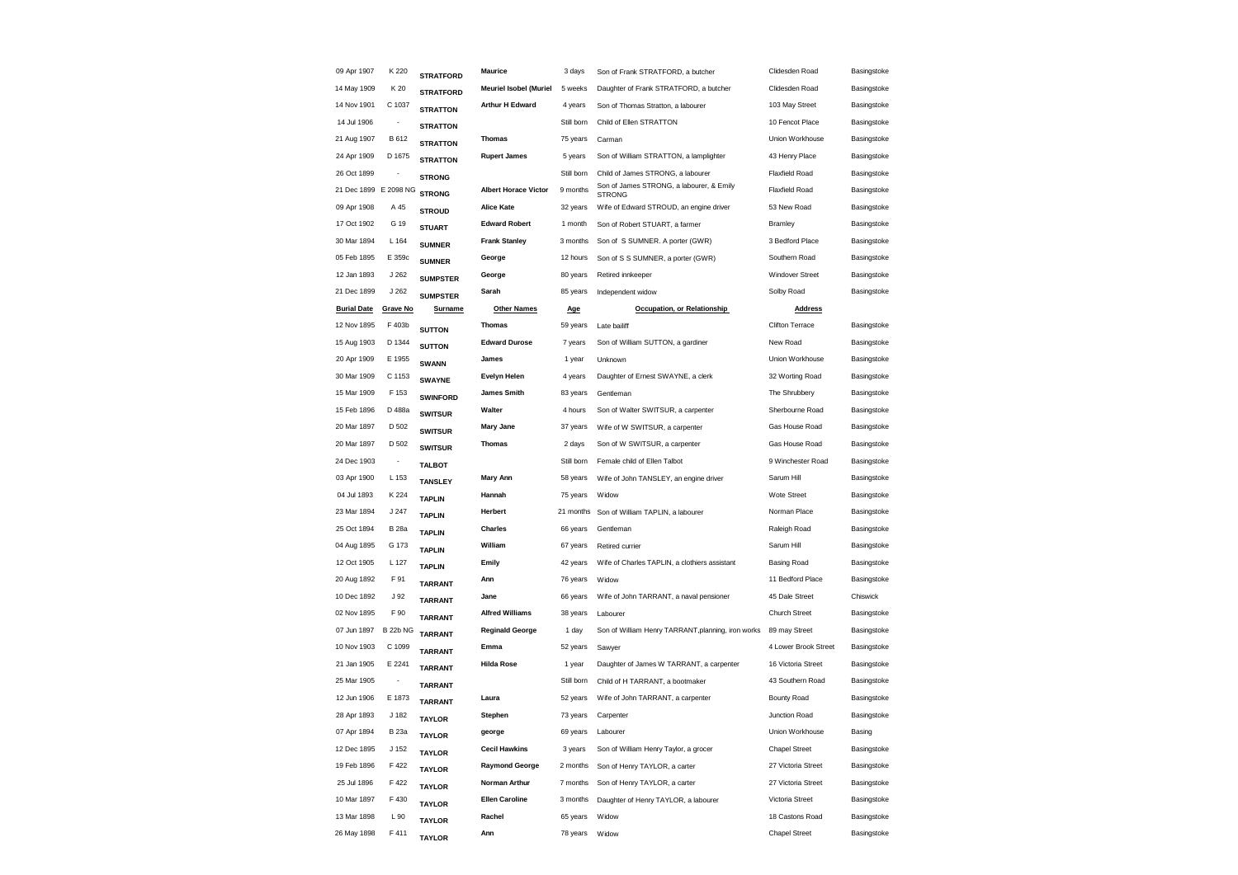| 09 Apr 1907           | K 220                    | <b>STRATFORD</b> | <b>Maurice</b>                | 3 days               | Son of Frank STRATFORD, a butcher                         | Clidesden Road                     | Basingstoke                |
|-----------------------|--------------------------|------------------|-------------------------------|----------------------|-----------------------------------------------------------|------------------------------------|----------------------------|
| 14 May 1909           | K 20                     | <b>STRATFORD</b> | <b>Meuriel Isobel (Muriel</b> | 5 weeks              | Daughter of Frank STRATFORD, a butcher                    | Clidesden Road                     | Basingstoke                |
| 14 Nov 1901           | C 1037                   | <b>STRATTON</b>  | <b>Arthur H Edward</b>        | 4 years              | Son of Thomas Stratton, a labourer                        | 103 May Street                     | Basingstoke                |
| 14 Jul 1906           |                          | <b>STRATTON</b>  |                               | Still born           | Child of Ellen STRATTON                                   | 10 Fencot Place                    | Basingstoke                |
| 21 Aug 1907           | B 612                    | <b>STRATTON</b>  | <b>Thomas</b>                 | 75 years             | Carman                                                    | Union Workhouse                    | Basingstoke                |
| 24 Apr 1909           | D 1675                   | <b>STRATTON</b>  | <b>Rupert James</b>           | 5 years              | Son of William STRATTON, a lamplighter                    | 43 Henry Place                     | Basingstoke                |
| 26 Oct 1899           |                          | <b>STRONG</b>    |                               | Still born           | Child of James STRONG, a labourer                         | <b>Flaxfield Road</b>              | Basingstoke                |
| 21 Dec 1899 E 2098 NG |                          | <b>STRONG</b>    | <b>Albert Horace Victor</b>   | 9 months             | Son of James STRONG, a labourer, & Emily<br><b>STRONG</b> | <b>Flaxfield Road</b>              | Basingstoke                |
| 09 Apr 1908           | A 45                     | <b>STROUD</b>    | <b>Alice Kate</b>             | 32 years             | Wife of Edward STROUD, an engine driver                   | 53 New Road                        | Basingstoke                |
| 17 Oct 1902           | G 19                     | <b>STUART</b>    | <b>Edward Robert</b>          | 1 month              | Son of Robert STUART, a farmer                            | Bramley                            | Basingstoke                |
| 30 Mar 1894           | L 164                    | <b>SUMNER</b>    | <b>Frank Stanley</b>          | 3 months             | Son of S SUMNER. A porter (GWR)                           | 3 Bedford Place                    | Basingstoke                |
| 05 Feb 1895           | E 359c                   | <b>SUMNER</b>    | George                        | 12 hours             | Son of S S SUMNER, a porter (GWR)                         | Southern Road                      | Basingstoke                |
| 12 Jan 1893           | J 262                    | <b>SUMPSTER</b>  | George                        | 80 years             | Retired innkeeper                                         | <b>Windover Street</b>             | Basingstoke                |
| 21 Dec 1899           | J262                     | <b>SUMPSTER</b>  | Sarah                         | 85 years             | Independent widow                                         | Solby Road                         | Basingstoke                |
| <b>Burial Date</b>    | <b>Grave No</b>          | Surname          | <b>Other Names</b>            | Age                  | Occupation, or Relationship                               | <b>Address</b>                     |                            |
| 12 Nov 1895           | F 403b                   | <b>SUTTON</b>    | <b>Thomas</b>                 | 59 years             | Late bailiff                                              | <b>Clifton Terrace</b>             | Basingstoke                |
| 15 Aug 1903           | D 1344                   | <b>SUTTON</b>    | <b>Edward Durose</b>          | 7 years              | Son of William SUTTON, a gardiner                         | New Road                           | Basingstoke                |
| 20 Apr 1909           | E 1955                   | <b>SWANN</b>     | James                         | 1 year               | Unknown                                                   | Union Workhouse                    | Basingstoke                |
| 30 Mar 1909           | C 1153                   | <b>SWAYNE</b>    | <b>Evelyn Helen</b>           | 4 years              | Daughter of Ernest SWAYNE, a clerk                        | 32 Worting Road                    | Basingstoke                |
| 15 Mar 1909           | F 153                    | <b>SWINFORD</b>  | <b>James Smith</b>            | 83 years             | Gentleman                                                 | The Shrubbery                      | Basingstoke                |
| 15 Feb 1896           | D 488a                   | <b>SWITSUR</b>   | Walter                        | 4 hours              | Son of Walter SWITSUR, a carpenter                        | Sherbourne Road                    | Basingstoke                |
| 20 Mar 1897           | D 502                    | <b>SWITSUR</b>   | <b>Mary Jane</b>              | 37 years             | Wife of W SWITSUR, a carpenter                            | Gas House Road                     | Basingstoke                |
| 20 Mar 1897           | D 502                    | <b>SWITSUR</b>   | <b>Thomas</b>                 | 2 days               | Son of W SWITSUR, a carpenter                             | Gas House Road                     | Basingstoke                |
| 24 Dec 1903           | $\overline{\phantom{a}}$ | <b>TALBOT</b>    |                               | Still born           | Female child of Ellen Talbot                              | 9 Winchester Road                  | Basingstoke                |
| 03 Apr 1900           | L 153                    | <b>TANSLEY</b>   | <b>Mary Ann</b>               | 58 years             | Wife of John TANSLEY, an engine driver                    | Sarum Hill                         | Basingstoke                |
| 04 Jul 1893           | K 224                    | <b>TAPLIN</b>    | Hannah                        | 75 years             | Widow                                                     | Wote Street                        | Basingstoke                |
| 23 Mar 1894           | J 247                    | <b>TAPLIN</b>    | Herbert                       | 21 months            | Son of William TAPLIN, a labourer                         | Norman Place                       | Basingstoke                |
| 25 Oct 1894           | <b>B</b> 28a             | <b>TAPLIN</b>    | Charles                       | 66 years             | Gentleman                                                 | Raleigh Road                       | Basingstoke                |
| 04 Aug 1895           | G 173                    | <b>TAPLIN</b>    | William                       | 67 years             | Retired currier                                           | Sarum Hill                         | Basingstoke                |
| 12 Oct 1905           | L 127                    | <b>TAPLIN</b>    | Emily                         | 42 years             | Wife of Charles TAPLIN, a clothiers assistant             | <b>Basing Road</b>                 | Basingstoke                |
| 20 Aug 1892           | F 91                     | <b>TARRANT</b>   | Ann                           | 76 years             | Widow                                                     | 11 Bedford Place                   | Basingstoke                |
| 10 Dec 1892           | J <sub>92</sub>          | <b>TARRANT</b>   | Jane                          | 66 years             | Wife of John TARRANT, a naval pensioner                   | 45 Dale Street                     | Chiswick                   |
| 02 Nov 1895           | F 90                     | <b>TARRANT</b>   | <b>Alfred Williams</b>        | 38 years             | Labourer                                                  | <b>Church Street</b>               | Basingstoke                |
| 07 Jun 1897           | <b>B 22b NG</b>          | <b>TARRANT</b>   | <b>Reginald George</b>        | 1 day                | Son of William Henry TARRANT, planning, iron works        | 89 may Street                      | Basingstoke                |
| 10 Nov 1903           | C 1099                   | <b>TARRANT</b>   | Emma                          | 52 years             | Sawyer                                                    | 4 Lower Brook Street               | Basingstoke                |
| 21 Jan 1905           | E 2241                   | <b>TARRANT</b>   | <b>Hilda Rose</b>             | 1 year               | Daughter of James W TARRANT, a carpenter                  | 16 Victoria Street                 | Basingstoke                |
| 25 Mar 1905           | $\overline{\phantom{a}}$ | <b>TARRANT</b>   |                               | Still born           | Child of H TARRANT, a bootmaker                           | 43 Southern Road                   | Basingstoke                |
| 12 Jun 1906           | E 1873                   | <b>TARRANT</b>   | Laura                         | 52 years             | Wife of John TARRANT, a carpenter                         | <b>Bounty Road</b>                 | Basingstoke                |
| 28 Apr 1893           | J 182                    | <b>TAYLOR</b>    | Stephen                       | 73 years             | Carpenter                                                 | Junction Road                      | Basingstoke                |
| 07 Apr 1894           | <b>B</b> 23a             | <b>TAYLOR</b>    | george                        | 69 years             | Labourer                                                  | Union Workhouse                    | Basing                     |
| 12 Dec 1895           | J 152                    | <b>TAYLOR</b>    | <b>Cecil Hawkins</b>          | 3 years              | Son of William Henry Taylor, a grocer                     | <b>Chapel Street</b>               | Basingstoke                |
| 19 Feb 1896           | F 422                    | <b>TAYLOR</b>    | <b>Raymond George</b>         | 2 months             | Son of Henry TAYLOR, a carter                             | 27 Victoria Street                 | Basingstoke                |
| 25 Jul 1896           | F 422                    | <b>TAYLOR</b>    | Norman Arthur                 | 7 months             | Son of Henry TAYLOR, a carter                             | 27 Victoria Street                 | Basingstoke                |
| 10 Mar 1897           | F 430                    | <b>TAYLOR</b>    | <b>Ellen Caroline</b>         | 3 months<br>65 years | Daughter of Henry TAYLOR, a labourer                      | Victoria Street<br>18 Castons Road | Basingstoke<br>Basingstoke |
| 13 Mar 1898           | L 90                     | <b>TAYLOR</b>    | Rachel                        |                      | Widow                                                     |                                    |                            |
| 26 May 1898           | F411                     | <b>TAYLOR</b>    | Ann                           | 78 years             | Widow                                                     | <b>Chapel Street</b>               | Basingstoke                |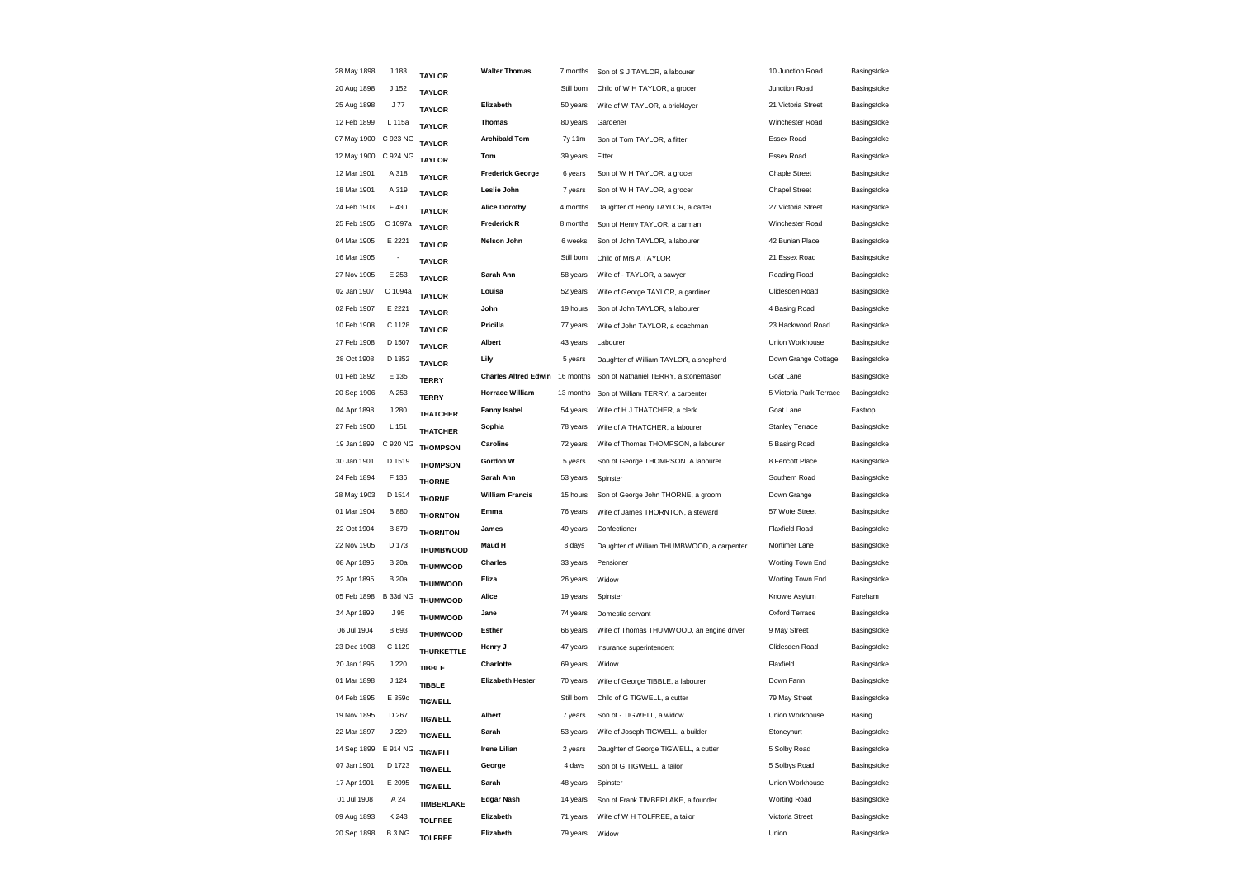| 28 May 1898          | J 183            | <b>TAYLOR</b>                    | <b>Walter Thomas</b>        | 7 months   | Son of S J TAYLOR, a labourer              | 10 Junction Road        | Basingstoke |
|----------------------|------------------|----------------------------------|-----------------------------|------------|--------------------------------------------|-------------------------|-------------|
| 20 Aug 1898          | J <sub>152</sub> | <b>TAYLOR</b>                    |                             | Still born | Child of W H TAYLOR, a grocer              | Junction Road           | Basingstoke |
| 25 Aug 1898          | J77              | <b>TAYLOR</b>                    | Elizabeth                   | 50 years   | Wife of W TAYLOR, a bricklayer             | 21 Victoria Street      | Basingstoke |
| 12 Feb 1899          | L 115a           | <b>TAYLOR</b>                    | <b>Thomas</b>               | 80 years   | Gardener                                   | Winchester Road         | Basingstoke |
| 07 May 1900 C 923 NG |                  | <b>TAYLOR</b>                    | <b>Archibald Tom</b>        | 7y 11m     | Son of Tom TAYLOR, a fitter                | Essex Road              | Basingstoke |
| 12 May 1900 C 924 NG |                  | <b>TAYLOR</b>                    | Tom                         | 39 years   | Fitter                                     | Essex Road              | Basingstoke |
| 12 Mar 1901          | A 318            | <b>TAYLOR</b>                    | <b>Frederick George</b>     | 6 years    | Son of W H TAYLOR, a grocer                | <b>Chaple Street</b>    | Basingstoke |
| 18 Mar 1901          | A 319            | <b>TAYLOR</b>                    | Leslie John                 | 7 years    | Son of W H TAYLOR, a grocer                | <b>Chapel Street</b>    | Basingstoke |
| 24 Feb 1903          | F430             | <b>TAYLOR</b>                    | <b>Alice Dorothy</b>        | 4 months   | Daughter of Henry TAYLOR, a carter         | 27 Victoria Street      | Basingstoke |
| 25 Feb 1905          | C 1097a          | <b>TAYLOR</b>                    | <b>Frederick R</b>          | 8 months   | Son of Henry TAYLOR, a carman              | Winchester Road         | Basingstoke |
| 04 Mar 1905          | E 2221           | <b>TAYLOR</b>                    | Nelson John                 | 6 weeks    | Son of John TAYLOR, a labourer             | 42 Bunian Place         | Basingstoke |
| 16 Mar 1905          | ÷,               | <b>TAYLOR</b>                    |                             | Still born | Child of Mrs A TAYLOR                      | 21 Essex Road           | Basingstoke |
| 27 Nov 1905          | E 253            | <b>TAYLOR</b>                    | Sarah Ann                   | 58 years   | Wife of - TAYLOR, a sawyer                 | Reading Road            | Basingstoke |
| 02 Jan 1907          | C 1094a          | <b>TAYLOR</b>                    | Louisa                      | 52 years   | Wife of George TAYLOR, a gardiner          | Clidesden Road          | Basingstoke |
| 02 Feb 1907          | E 2221           | <b>TAYLOR</b>                    | John                        | 19 hours   | Son of John TAYLOR, a labourer             | 4 Basing Road           | Basingstoke |
| 10 Feb 1908          | C 1128           | <b>TAYLOR</b>                    | Pricilla                    | 77 years   | Wife of John TAYLOR, a coachman            | 23 Hackwood Road        | Basingstoke |
| 27 Feb 1908          | D 1507           | <b>TAYLOR</b>                    | Albert                      | 43 years   | Labourer                                   | Union Workhouse         | Basingstoke |
| 28 Oct 1908          | D 1352           | <b>TAYLOR</b>                    | Lily                        | 5 years    | Daughter of William TAYLOR, a shepherd     | Down Grange Cottage     | Basingstoke |
| 01 Feb 1892          | E 135            | <b>TERRY</b>                     | <b>Charles Alfred Edwin</b> | 16 months  | Son of Nathaniel TERRY, a stonemason       | Goat Lane               | Basingstoke |
| 20 Sep 1906          | A 253            | <b>TERRY</b>                     | <b>Horrace William</b>      | 13 months  | Son of William TERRY, a carpenter          | 5 Victoria Park Terrace | Basingstoke |
| 04 Apr 1898          | J 280            | <b>THATCHER</b>                  | <b>Fanny Isabel</b>         | 54 years   | Wife of H J THATCHER, a clerk              | Goat Lane               | Eastrop     |
| 27 Feb 1900          | L 151            | <b>THATCHER</b>                  | Sophia                      | 78 years   | Wife of A THATCHER, a labourer             | <b>Stanley Terrace</b>  | Basingstoke |
| 19 Jan 1899          | C 920 NG         | <b>THOMPSON</b>                  | Caroline                    | 72 years   | Wife of Thomas THOMPSON, a labourer        | 5 Basing Road           | Basingstoke |
| 30 Jan 1901          | D 1519           |                                  | Gordon W                    | 5 years    | Son of George THOMPSON. A labourer         | 8 Fencott Place         | Basingstoke |
| 24 Feb 1894          | F 136            | <b>THOMPSON</b><br><b>THORNE</b> | Sarah Ann                   | 53 years   | Spinster                                   | Southern Road           | Basingstoke |
| 28 May 1903          | D 1514           | <b>THORNE</b>                    | <b>William Francis</b>      | 15 hours   | Son of George John THORNE, a groom         | Down Grange             | Basingstoke |
| 01 Mar 1904          | <b>B</b> 880     | <b>THORNTON</b>                  | Emma                        | 76 years   | Wife of James THORNTON, a steward          | 57 Wote Street          | Basingstoke |
| 22 Oct 1904          | B 879            | <b>THORNTON</b>                  | James                       | 49 years   | Confectioner                               | <b>Flaxfield Road</b>   | Basingstoke |
| 22 Nov 1905          | D 173            | <b>THUMBWOOD</b>                 | <b>Maud H</b>               | 8 days     | Daughter of William THUMBWOOD, a carpenter | Mortimer Lane           | Basingstoke |
| 08 Apr 1895          | <b>B</b> 20a     | <b>THUMWOOD</b>                  | Charles                     | 33 years   | Pensioner                                  | Worting Town End        | Basingstoke |
| 22 Apr 1895          | <b>B</b> 20a     | <b>THUMWOOD</b>                  | Eliza                       | 26 years   | Widow                                      | Worting Town End        | Basingstoke |
| 05 Feb 1898          | <b>B 33d NG</b>  | <b>THUMWOOD</b>                  | Alice                       | 19 years   | Spinster                                   | Knowle Asylum           | Fareham     |
| 24 Apr 1899          | J 95             | <b>THUMWOOD</b>                  | Jane                        | 74 years   | Domestic servant                           | Oxford Terrace          | Basingstoke |
| 06 Jul 1904          | B 693            | <b>THUMWOOD</b>                  | Esther                      | 66 years   | Wife of Thomas THUMWOOD, an engine driver  | 9 May Street            | Basingstoke |
| 23 Dec 1908          | C 1129           | THURKETTLE                       | Henry J                     | 47 years   | Insurance superintendent                   | Clidesden Road          | Basingstoke |
| 20 Jan 1895          | J 220            | <b>TIBBLE</b>                    | Charlotte                   | 69 years   | Widow                                      | Flaxfield               | Basingstoke |
| 01 Mar 1898          | J 124            | <b>TIBBLE</b>                    | <b>Elizabeth Hester</b>     | 70 years   | Wife of George TIBBLE, a labourer          | Down Farm               | Basingstoke |
| 04 Feb 1895          | E 359c           | <b>TIGWELL</b>                   |                             | Still born | Child of G TIGWELL, a cutter               | 79 May Street           | Basingstoke |
| 19 Nov 1895          | D 267            | <b>TIGWELL</b>                   | Albert                      | 7 years    | Son of - TIGWELL, a widow                  | Union Workhouse         | Basing      |
| 22 Mar 1897          | J 229            | <b>TIGWELL</b>                   | Sarah                       | 53 years   | Wife of Joseph TIGWELL, a builder          | Stoneyhurt              | Basingstoke |
| 14 Sep 1899          | E 914 NG         | <b>TIGWELL</b>                   | <b>Irene Lilian</b>         | 2 years    | Daughter of George TIGWELL, a cutter       | 5 Solby Road            | Basingstoke |
| 07 Jan 1901          | D 1723           | <b>TIGWELL</b>                   | George                      | 4 days     | Son of G TIGWELL, a tailor                 | 5 Solbys Road           | Basingstoke |
| 17 Apr 1901          | E 2095           | <b>TIGWELL</b>                   | Sarah                       | 48 years   | Spinster                                   | Union Workhouse         | Basingstoke |
| 01 Jul 1908          | A 24             | <b>TIMBERLAKE</b>                | <b>Edgar Nash</b>           | 14 years   | Son of Frank TIMBERLAKE, a founder         | <b>Worting Road</b>     | Basingstoke |
| 09 Aug 1893          | K 243            | <b>TOLFREE</b>                   | Elizabeth                   | 71 years   | Wife of W H TOLFREE, a tailor              | Victoria Street         | Basingstoke |
| 20 Sep 1898          | B 3 NG           | <b>TOLFREE</b>                   | Elizabeth                   | 79 years   | Widow                                      | Union                   | Basingstoke |
|                      |                  |                                  |                             |            |                                            |                         |             |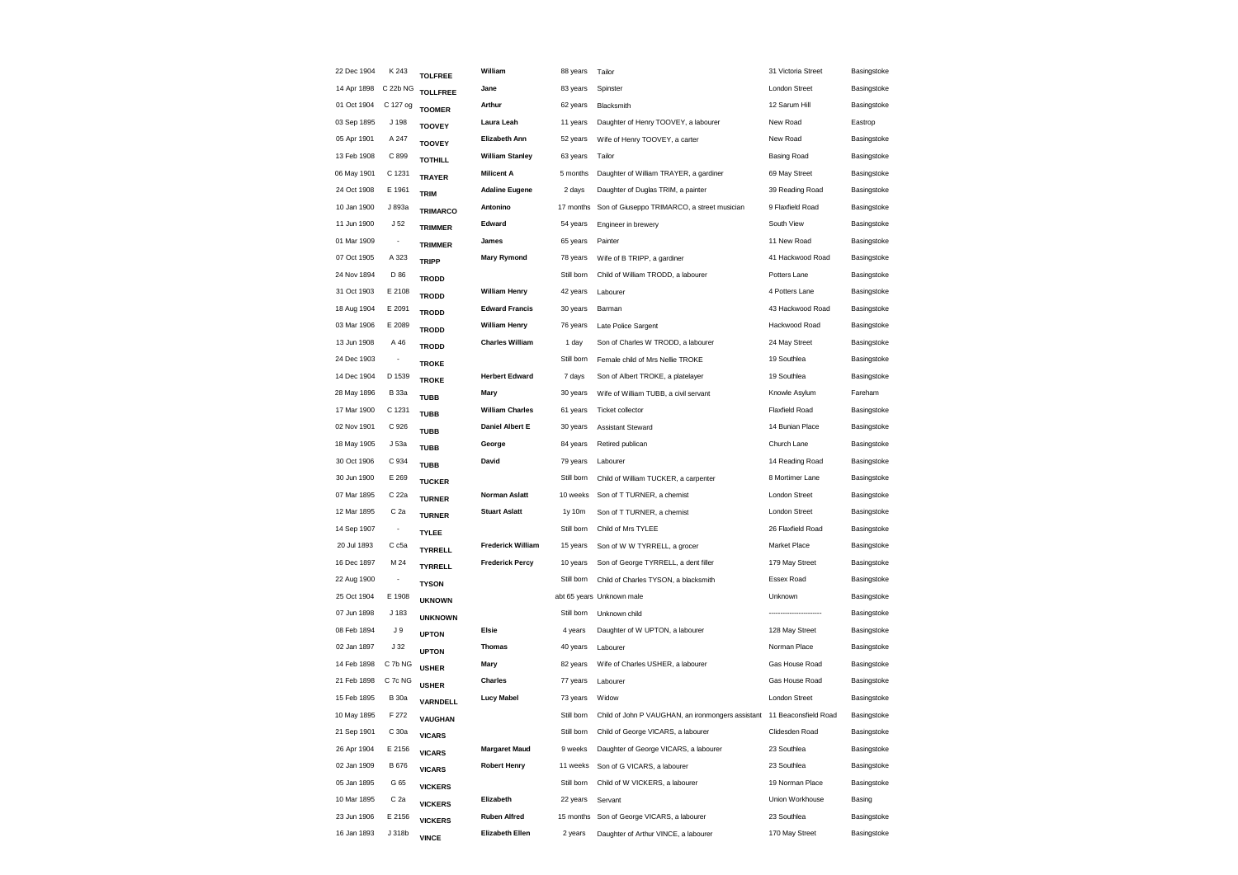| 22 Dec 1904 | K 243                    | <b>TOLFREE</b>  | William                  | 88 years   | Tailor                                            | 31 Victoria Street    | Basingstoke |
|-------------|--------------------------|-----------------|--------------------------|------------|---------------------------------------------------|-----------------------|-------------|
| 14 Apr 1898 | C 22b NG                 | <b>TOLLFREE</b> | Jane                     | 83 years   | Spinster                                          | <b>London Street</b>  | Basingstoke |
| 01 Oct 1904 | C 127 og                 | <b>TOOMER</b>   | Arthur                   | 62 years   | Blacksmith                                        | 12 Sarum Hill         | Basingstoke |
| 03 Sep 1895 | J 198                    | <b>TOOVEY</b>   | Laura Leah               | 11 years   | Daughter of Henry TOOVEY, a labourer              | New Road              | Eastrop     |
| 05 Apr 1901 | A 247                    | <b>TOOVEY</b>   | Elizabeth Ann            | 52 years   | Wife of Henry TOOVEY, a carter                    | New Road              | Basingstoke |
| 13 Feb 1908 | C 899                    | <b>TOTHILL</b>  | <b>William Stanley</b>   | 63 years   | Tailor                                            | <b>Basing Road</b>    | Basingstoke |
| 06 May 1901 | C 1231                   | <b>TRAYER</b>   | <b>Milicent A</b>        | 5 months   | Daughter of William TRAYER, a gardiner            | 69 May Street         | Basingstoke |
| 24 Oct 1908 | E 1961                   | <b>TRIM</b>     | <b>Adaline Eugene</b>    | 2 days     | Daughter of Duglas TRIM, a painter                | 39 Reading Road       | Basingstoke |
| 10 Jan 1900 | J 893a                   | <b>TRIMARCO</b> | Antonino                 | 17 months  | Son of Giuseppo TRIMARCO, a street musician       | 9 Flaxfield Road      | Basingstoke |
| 11 Jun 1900 | J <sub>52</sub>          | <b>TRIMMER</b>  | Edward                   | 54 years   | Engineer in brewery                               | South View            | Basingstoke |
| 01 Mar 1909 | $\overline{\phantom{a}}$ | <b>TRIMMER</b>  | James                    | 65 years   | Painter                                           | 11 New Road           | Basingstoke |
| 07 Oct 1905 | A 323                    | <b>TRIPP</b>    | <b>Mary Rymond</b>       | 78 years   | Wife of B TRIPP, a gardiner                       | 41 Hackwood Road      | Basingstoke |
| 24 Nov 1894 | D 86                     | <b>TRODD</b>    |                          | Still born | Child of William TRODD, a labourer                | Potters Lane          | Basingstoke |
| 31 Oct 1903 | E 2108                   | <b>TRODD</b>    | <b>William Henry</b>     | 42 years   | Labourer                                          | 4 Potters Lane        | Basingstoke |
| 18 Aug 1904 | E 2091                   | <b>TRODD</b>    | <b>Edward Francis</b>    | 30 years   | Barman                                            | 43 Hackwood Road      | Basingstoke |
| 03 Mar 1906 | E 2089                   | <b>TRODD</b>    | <b>William Henry</b>     | 76 years   | Late Police Sargent                               | Hackwood Road         | Basingstoke |
| 13 Jun 1908 | A 46                     | <b>TRODD</b>    | <b>Charles William</b>   | 1 day      | Son of Charles W TRODD, a labourer                | 24 May Street         | Basingstoke |
| 24 Dec 1903 |                          | <b>TROKE</b>    |                          | Still born | Female child of Mrs Nellie TROKE                  | 19 Southlea           | Basingstoke |
| 14 Dec 1904 | D 1539                   | <b>TROKE</b>    | <b>Herbert Edward</b>    | 7 days     | Son of Albert TROKE, a platelayer                 | 19 Southlea           | Basingstoke |
| 28 May 1896 | <b>B</b> 33a             | <b>TUBB</b>     | Mary                     | 30 years   | Wife of William TUBB, a civil servant             | Knowle Asylum         | Fareham     |
| 17 Mar 1900 | C 1231                   | <b>TUBB</b>     | <b>William Charles</b>   | 61 years   | <b>Ticket collector</b>                           | <b>Flaxfield Road</b> | Basingstoke |
| 02 Nov 1901 | C 926                    | <b>TUBB</b>     | Daniel Albert E          | 30 years   | <b>Assistant Steward</b>                          | 14 Bunian Place       | Basingstoke |
| 18 May 1905 | J 53a                    | <b>TUBB</b>     | George                   | 84 years   | Retired publican                                  | Church Lane           | Basingstoke |
| 30 Oct 1906 | C 934                    | <b>TUBB</b>     | David                    | 79 years   | Labourer                                          | 14 Reading Road       | Basingstoke |
| 30 Jun 1900 | E 269                    | <b>TUCKER</b>   |                          | Still born | Child of William TUCKER, a carpenter              | 8 Mortimer Lane       | Basingstoke |
| 07 Mar 1895 | C 22a                    | <b>TURNER</b>   | <b>Norman Aslatt</b>     | 10 weeks   | Son of T TURNER, a chemist                        | London Street         | Basingstoke |
| 12 Mar 1895 | C <sub>2a</sub>          | <b>TURNER</b>   | <b>Stuart Aslatt</b>     | 1y 10m     | Son of T TURNER, a chemist                        | London Street         | Basingstoke |
| 14 Sep 1907 | $\overline{\phantom{a}}$ | <b>TYLEE</b>    |                          | Still born | Child of Mrs TYLEE                                | 26 Flaxfield Road     | Basingstoke |
| 20 Jul 1893 | C c <sub>5a</sub>        | <b>TYRRELL</b>  | <b>Frederick William</b> | 15 years   | Son of W W TYRRELL, a grocer                      | Market Place          | Basingstoke |
| 16 Dec 1897 | M 24                     | <b>TYRRELL</b>  | <b>Frederick Percy</b>   | 10 years   | Son of George TYRRELL, a dent filler              | 179 May Street        | Basingstoke |
| 22 Aug 1900 |                          | <b>TYSON</b>    |                          | Still born | Child of Charles TYSON, a blacksmith              | Essex Road            | Basingstoke |
| 25 Oct 1904 | E 1908                   | <b>UKNOWN</b>   |                          |            | abt 65 years Unknown male                         | Unknown               | Basingstoke |
| 07 Jun 1898 | J 183                    | <b>UNKNOWN</b>  |                          | Still born | Unknown child                                     |                       | Basingstoke |
| 08 Feb 1894 | J 9                      | <b>UPTON</b>    | Elsie                    | 4 years    | Daughter of W UPTON, a labourer                   | 128 May Street        | Basingstoke |
| 02 Jan 1897 | J <sub>32</sub>          | <b>UPTON</b>    | <b>Thomas</b>            | 40 years   | Labourer                                          | Norman Place          | Basingstoke |
| 14 Feb 1898 | C 7b NG                  | <b>USHER</b>    | Mary                     | 82 years   | Wife of Charles USHER, a labourer                 | Gas House Road        | Basingstoke |
| 21 Feb 1898 | C 7c NG                  | <b>USHER</b>    | <b>Charles</b>           | 77 years   | Labourer                                          | Gas House Road        | Basingstoke |
| 15 Feb 1895 | <b>B</b> 30a             | VARNDELL        | <b>Lucy Mabel</b>        | 73 years   | Widow                                             | <b>London Street</b>  | Basingstoke |
| 10 May 1895 | F 272                    | VAUGHAN         |                          | Still born | Child of John P VAUGHAN, an ironmongers assistant | 11 Beaconsfield Road  | Basingstoke |
| 21 Sep 1901 | C 30a                    | <b>VICARS</b>   |                          | Still born | Child of George VICARS, a labourer                | Clidesden Road        | Basingstoke |
| 26 Apr 1904 | E 2156                   | <b>VICARS</b>   | <b>Margaret Maud</b>     | 9 weeks    | Daughter of George VICARS, a labourer             | 23 Southlea           | Basingstoke |
| 02 Jan 1909 | <b>B676</b>              | <b>VICARS</b>   | <b>Robert Henry</b>      | 11 weeks   | Son of G VICARS, a labourer                       | 23 Southlea           | Basingstoke |
| 05 Jan 1895 | G 65                     |                 |                          | Still born | Child of W VICKERS, a labourer                    | 19 Norman Place       | Basingstoke |
| 10 Mar 1895 | C 2a                     | <b>VICKERS</b>  | Elizabeth                | 22 years   | Servant                                           | Union Workhouse       | Basing      |
| 23 Jun 1906 | E 2156                   | <b>VICKERS</b>  | <b>Ruben Alfred</b>      | 15 months  | Son of George VICARS, a labourer                  | 23 Southlea           | Basingstoke |
| 16 Jan 1893 | J 318b                   | <b>VICKERS</b>  | <b>Elizabeth Ellen</b>   | 2 years    | Daughter of Arthur VINCE, a labourer              | 170 May Street        | Basingstoke |
|             |                          | <b>VINCE</b>    |                          |            |                                                   |                       |             |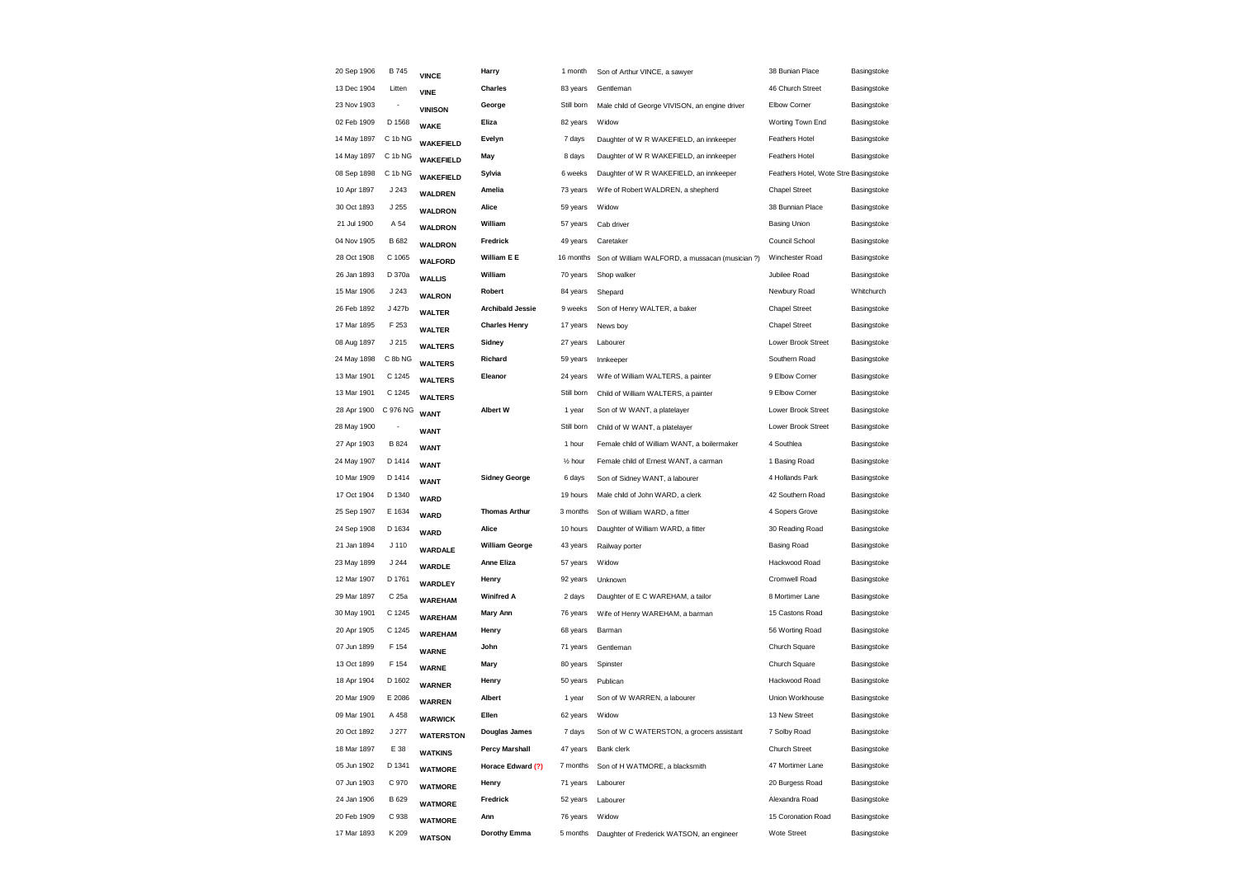| 20 Sep 1906 | B 745            | <b>VINCE</b>     | Harry                   | 1 month              | Son of Arthur VINCE, a sawyer                   | 38 Bunian Place                       | Basingstoke |
|-------------|------------------|------------------|-------------------------|----------------------|-------------------------------------------------|---------------------------------------|-------------|
| 13 Dec 1904 | Litten           | <b>VINE</b>      | <b>Charles</b>          | 83 years             | Gentleman                                       | 46 Church Street                      | Basingstoke |
| 23 Nov 1903 | $\frac{1}{2}$    | <b>VINISON</b>   | George                  | Still born           | Male child of George VIVISON, an engine driver  | Elbow Corner                          | Basingstoke |
| 02 Feb 1909 | D 1568           | <b>WAKE</b>      | Eliza                   | 82 years             | Widow                                           | Worting Town End                      | Basingstoke |
| 14 May 1897 | C 1b NG          | <b>WAKEFIELD</b> | Evelyn                  | 7 days               | Daughter of W R WAKEFIELD, an innkeeper         | <b>Feathers Hotel</b>                 | Basingstoke |
| 14 May 1897 | C 1b NG          | <b>WAKEFIELD</b> | May                     | 8 days               | Daughter of W R WAKEFIELD, an innkeeper         | <b>Feathers Hotel</b>                 | Basingstoke |
| 08 Sep 1898 | C 1b NG          | <b>WAKEFIELD</b> | Sylvia                  | 6 weeks              | Daughter of W R WAKEFIELD, an innkeeper         | Feathers Hotel, Wote Stre Basingstoke |             |
| 10 Apr 1897 | J 243            | WALDREN          | Amelia                  | 73 years             | Wife of Robert WALDREN, a shepherd              | <b>Chapel Street</b>                  | Basingstoke |
| 30 Oct 1893 | J 255            | <b>WALDRON</b>   | Alice                   | 59 years             | Widow                                           | 38 Bunnian Place                      | Basingstoke |
| 21 Jul 1900 | A 54             | <b>WALDRON</b>   | William                 | 57 years             | Cab driver                                      | <b>Basing Union</b>                   | Basingstoke |
| 04 Nov 1905 | B 682            | <b>WALDRON</b>   | Fredrick                | 49 years             | Caretaker                                       | Council School                        | Basingstoke |
| 28 Oct 1908 | C 1065           | <b>WALFORD</b>   | William E E             | 16 months            | Son of William WALFORD, a mussacan (musician ?) | Winchester Road                       | Basingstoke |
| 26 Jan 1893 | D 370a           | <b>WALLIS</b>    | William                 | 70 years             | Shop walker                                     | Jubilee Road                          | Basingstoke |
| 15 Mar 1906 | J 243            | <b>WALRON</b>    | Robert                  | 84 years             | Shepard                                         | Newbury Road                          | Whitchurch  |
| 26 Feb 1892 | J 427b           | <b>WALTER</b>    | <b>Archibald Jessie</b> | 9 weeks              | Son of Henry WALTER, a baker                    | <b>Chapel Street</b>                  | Basingstoke |
| 17 Mar 1895 | F 253            | <b>WALTER</b>    | <b>Charles Henry</b>    | 17 years             | News boy                                        | <b>Chapel Street</b>                  | Basingstoke |
| 08 Aug 1897 | J 215            | <b>WALTERS</b>   | Sidney                  | 27 years             | Labourer                                        | Lower Brook Street                    | Basingstoke |
| 24 May 1898 | C 8b NG          | <b>WALTERS</b>   | Richard                 | 59 years             | Innkeeper                                       | Southern Road                         | Basingstoke |
| 13 Mar 1901 | C 1245           | <b>WALTERS</b>   | Eleanor                 | 24 years             | Wife of William WALTERS, a painter              | 9 Elbow Corner                        | Basingstoke |
| 13 Mar 1901 | C 1245           | <b>WALTERS</b>   |                         | Still born           | Child of William WALTERS, a painter             | 9 Elbow Corner                        | Basingstoke |
| 28 Apr 1900 | C 976 NG         | <b>WANT</b>      | <b>Albert W</b>         | 1 year               | Son of W WANT, a platelayer                     | Lower Brook Street                    | Basingstoke |
| 28 May 1900 | ٠                | <b>WANT</b>      |                         | Still born           | Child of W WANT, a platelayer                   | Lower Brook Street                    | Basingstoke |
| 27 Apr 1903 | <b>B</b> 824     | <b>WANT</b>      |                         | 1 hour               | Female child of William WANT, a boilermaker     | 4 Southlea                            | Basingstoke |
| 24 May 1907 | D 1414           | <b>WANT</b>      |                         | 1/ <sub>2</sub> hour | Female child of Ernest WANT, a carman           | 1 Basing Road                         | Basingstoke |
| 10 Mar 1909 | D 1414           | <b>WANT</b>      | <b>Sidney George</b>    | 6 days               | Son of Sidney WANT, a labourer                  | 4 Hollands Park                       | Basingstoke |
| 17 Oct 1904 | D 1340           | <b>WARD</b>      |                         | 19 hours             | Male child of John WARD, a clerk                | 42 Southern Road                      | Basingstoke |
| 25 Sep 1907 | E 1634           | <b>WARD</b>      | <b>Thomas Arthur</b>    | 3 months             | Son of William WARD, a fitter                   | 4 Sopers Grove                        | Basingstoke |
| 24 Sep 1908 | D 1634           | <b>WARD</b>      | Alice                   | 10 hours             | Daughter of William WARD, a fitter              | 30 Reading Road                       | Basingstoke |
| 21 Jan 1894 | J <sub>110</sub> | WARDALE          | <b>William George</b>   | 43 years             | Railway porter                                  | Basing Road                           | Basingstoke |
| 23 May 1899 | J 244            | WARDLE           | Anne Eliza              | 57 years             | Widow                                           | Hackwood Road                         | Basingstoke |
| 12 Mar 1907 | D 1761           | WARDLEY          | Henry                   | 92 years             | Unknown                                         | Cromwell Road                         | Basingstoke |
| 29 Mar 1897 | C 25a            | <b>WAREHAM</b>   | <b>Winifred A</b>       | 2 days               | Daughter of E C WAREHAM, a tailor               | 8 Mortimer Lane                       | Basingstoke |
| 30 May 1901 | C 1245           | <b>WAREHAM</b>   | <b>Mary Ann</b>         | 76 years             | Wife of Henry WAREHAM, a barman                 | 15 Castons Road                       | Basingstoke |
| 20 Apr 1905 | C 1245           | <b>WAREHAM</b>   | Henry                   | 68 years             | Barman                                          | 56 Worting Road                       | Basingstoke |
| 07 Jun 1899 | F 154            | <b>WARNE</b>     | John                    | 71 years             | Gentleman                                       | Church Square                         | Basingstoke |
| 13 Oct 1899 | F 154            | <b>WARNE</b>     | Mary                    | 80 years             | Spinster                                        | Church Square                         | Basingstoke |
| 18 Apr 1904 | D 1602           | <b>WARNER</b>    | Henry                   | 50 years             | Publican                                        | Hackwood Road                         | Basingstoke |
| 20 Mar 1909 | E 2086           | <b>WARREN</b>    | Albert                  | 1 year               | Son of W WARREN, a labourer                     | Union Workhouse                       | Basingstoke |
| 09 Mar 1901 | A 458            | <b>WARWICK</b>   | Ellen                   | 62 years             | Widow                                           | 13 New Street                         | Basingstoke |
| 20 Oct 1892 | J 277            | <b>WATERSTON</b> | Douglas James           | 7 days               | Son of W C WATERSTON, a grocers assistant       | 7 Solby Road                          | Basingstoke |
| 18 Mar 1897 | E 38             | <b>WATKINS</b>   | <b>Percy Marshall</b>   | 47 years             | Bank clerk                                      | <b>Church Street</b>                  | Basingstoke |
| 05 Jun 1902 | D 1341           | <b>WATMORE</b>   | Horace Edward (?)       | 7 months             | Son of H WATMORE, a blacksmith                  | 47 Mortimer Lane                      | Basingstoke |
| 07 Jun 1903 | C 970            | <b>WATMORE</b>   | Henry                   | 71 years             | Labourer                                        | 20 Burgess Road                       | Basingstoke |
| 24 Jan 1906 | B 629            | <b>WATMORE</b>   | Fredrick                | 52 years             | Labourer                                        | Alexandra Road                        | Basingstoke |
| 20 Feb 1909 | C 938            | <b>WATMORE</b>   | Ann                     | 76 years             | Widow                                           | 15 Coronation Road                    | Basingstoke |
| 17 Mar 1893 | K 209            | <b>WATSON</b>    | Dorothy Emma            | 5 months             | Daughter of Frederick WATSON, an engineer       | Wote Street                           | Basingstoke |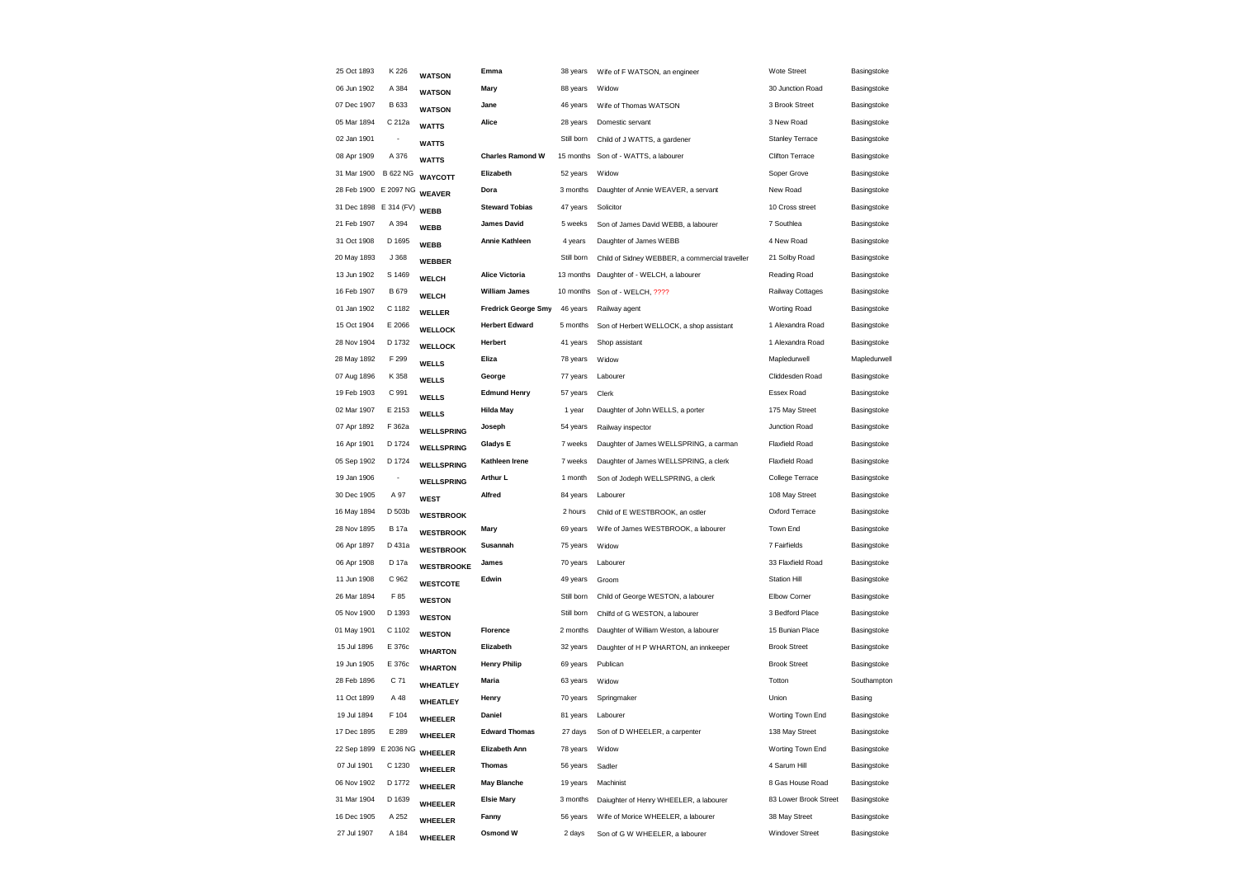| 25 Oct 1893            | K 226                    | <b>WATSON</b>     | Emma                       | 38 years   | Wife of F WATSON, an engineer                  | Wote Street            | Basingstoke  |
|------------------------|--------------------------|-------------------|----------------------------|------------|------------------------------------------------|------------------------|--------------|
| 06 Jun 1902            | A 384                    | <b>WATSON</b>     | Mary                       | 88 years   | Widow                                          | 30 Junction Road       | Basingstoke  |
| 07 Dec 1907            | <b>B</b> 633             | <b>WATSON</b>     | Jane                       | 46 years   | Wife of Thomas WATSON                          | 3 Brook Street         | Basingstoke  |
| 05 Mar 1894            | C 212a                   | <b>WATTS</b>      | Alice                      | 28 years   | Domestic servant                               | 3 New Road             | Basingstoke  |
| 02 Jan 1901            |                          | <b>WATTS</b>      |                            | Still born | Child of J WATTS, a gardener                   | <b>Stanley Terrace</b> | Basingstoke  |
| 08 Apr 1909            | A 376                    | <b>WATTS</b>      | <b>Charles Ramond W</b>    | 15 months  | Son of - WATTS, a labourer                     | Clifton Terrace        | Basingstoke  |
| 31 Mar 1900 B 622 NG   |                          | <b>WAYCOTT</b>    | Elizabeth                  | 52 years   | Widow                                          | Soper Grove            | Basingstoke  |
| 28 Feb 1900 E 2097 NG  |                          | <b>WEAVER</b>     | Dora                       | 3 months   | Daughter of Annie WEAVER, a servant            | New Road               | Basingstoke  |
| 31 Dec 1898 E 314 (FV) |                          | <b>WEBB</b>       | <b>Steward Tobias</b>      | 47 years   | Solicitor                                      | 10 Cross street        | Basingstoke  |
| 21 Feb 1907            | A 394                    | <b>WEBB</b>       | <b>James David</b>         | 5 weeks    | Son of James David WEBB, a labourer            | 7 Southlea             | Basingstoke  |
| 31 Oct 1908            | D 1695                   | <b>WEBB</b>       | <b>Annie Kathleen</b>      | 4 years    | Daughter of James WEBB                         | 4 New Road             | Basingstoke  |
| 20 May 1893            | J 368                    | <b>WEBBER</b>     |                            | Still born | Child of Sidney WEBBER, a commercial traveller | 21 Solby Road          | Basingstoke  |
| 13 Jun 1902            | S 1469                   | <b>WELCH</b>      | <b>Alice Victoria</b>      | 13 months  | Daughter of - WELCH, a labourer                | Reading Road           | Basingstoke  |
| 16 Feb 1907            | B 679                    | <b>WELCH</b>      | <b>William James</b>       | 10 months  | Son of - WELCH, ????                           | Railway Cottages       | Basingstoke  |
| 01 Jan 1902            | C 1182                   | <b>WELLER</b>     | <b>Fredrick George Smy</b> | 46 years   | Railway agent                                  | <b>Worting Road</b>    | Basingstoke  |
| 15 Oct 1904            | E 2066                   | <b>WELLOCK</b>    | <b>Herbert Edward</b>      | 5 months   | Son of Herbert WELLOCK, a shop assistant       | 1 Alexandra Road       | Basingstoke  |
| 28 Nov 1904            | D 1732                   | <b>WELLOCK</b>    | Herbert                    | 41 years   | Shop assistant                                 | 1 Alexandra Road       | Basingstoke  |
| 28 May 1892            | F 299                    | <b>WELLS</b>      | Eliza                      | 78 years   | Widow                                          | Mapledurwell           | Mapledurwell |
| 07 Aug 1896            | K 358                    | <b>WELLS</b>      | George                     | 77 years   | Labourer                                       | Cliddesden Road        | Basingstoke  |
| 19 Feb 1903            | C 991                    | <b>WELLS</b>      | <b>Edmund Henry</b>        | 57 years   | Clerk                                          | Essex Road             | Basingstoke  |
| 02 Mar 1907            | E 2153                   | <b>WELLS</b>      | <b>Hilda May</b>           | 1 year     | Daughter of John WELLS, a porter               | 175 May Street         | Basingstoke  |
| 07 Apr 1892            | F 362a                   | <b>WELLSPRING</b> | Joseph                     | 54 years   | Railway inspector                              | Junction Road          | Basingstoke  |
| 16 Apr 1901            | D 1724                   | <b>WELLSPRING</b> | Gladys E                   | 7 weeks    | Daughter of James WELLSPRING, a carman         | <b>Flaxfield Road</b>  | Basingstoke  |
| 05 Sep 1902            | D 1724                   | <b>WELLSPRING</b> | Kathleen Irene             | 7 weeks    | Daughter of James WELLSPRING, a clerk          | <b>Flaxfield Road</b>  | Basingstoke  |
| 19 Jan 1906            | $\overline{\phantom{a}}$ | <b>WELLSPRING</b> | Arthur L                   | 1 month    | Son of Jodeph WELLSPRING, a clerk              | College Terrace        | Basingstoke  |
| 30 Dec 1905            | A 97                     | <b>WEST</b>       | Alfred                     | 84 years   | Labourer                                       | 108 May Street         | Basingstoke  |
| 16 May 1894            | D 503b                   | <b>WESTBROOK</b>  |                            | 2 hours    | Child of E WESTBROOK, an ostler                | Oxford Terrace         | Basingstoke  |
| 28 Nov 1895            | <b>B</b> 17a             | <b>WESTBROOK</b>  | Mary                       | 69 years   | Wife of James WESTBROOK, a labourer            | Town End               | Basingstoke  |
| 06 Apr 1897            | D 431a                   | <b>WESTBROOK</b>  | Susannah                   | 75 years   | Widow                                          | 7 Fairfields           | Basingstoke  |
| 06 Apr 1908            | D 17a                    | <b>WESTBROOKE</b> | James                      | 70 years   | Labourer                                       | 33 Flaxfield Road      | Basingstoke  |
| 11 Jun 1908            | C 962                    | <b>WESTCOTE</b>   | Edwin                      | 49 years   | Groom                                          | <b>Station Hill</b>    | Basingstoke  |
| 26 Mar 1894            | F 85                     | <b>WESTON</b>     |                            | Still born | Child of George WESTON, a labourer             | Elbow Corner           | Basingstoke  |
| 05 Nov 1900            | D 1393                   | <b>WESTON</b>     |                            | Still born | Chilfd of G WESTON, a labourer                 | 3 Bedford Place        | Basingstoke  |
| 01 May 1901            | C 1102                   | <b>WESTON</b>     | Florence                   | 2 months   | Daughter of William Weston, a labourer         | 15 Bunian Place        | Basingstoke  |
| 15 Jul 1896            | E 376c                   | <b>WHARTON</b>    | Elizabeth                  | 32 years   | Daughter of H P WHARTON, an innkeeper          | <b>Brook Street</b>    | Basingstoke  |
| 19 Jun 1905            | E 376c                   | <b>WHARTON</b>    | <b>Henry Philip</b>        | 69 years   | Publican                                       | <b>Brook Street</b>    | Basingstoke  |
| 28 Feb 1896            | C 71                     | WHEATLEY          | Maria                      | 63 years   | Widow                                          | Totton                 | Southampton  |
| 11 Oct 1899            | A 48                     | WHEATLEY          | Henry                      | 70 years   | Springmaker                                    | Union                  | Basing       |
| 19 Jul 1894            | F 104                    | <b>WHEELER</b>    | Daniel                     | 81 years   | Labourer                                       | Worting Town End       | Basingstoke  |
| 17 Dec 1895            | E 289                    | <b>WHEELER</b>    | <b>Edward Thomas</b>       | 27 days    | Son of D WHEELER, a carpenter                  | 138 May Street         | Basingstoke  |
| 22 Sep 1899 E 2036 NG  |                          | <b>WHEELER</b>    | Elizabeth Ann              | 78 years   | Widow                                          | Worting Town End       | Basingstoke  |
| 07 Jul 1901            | C 1230                   | WHEELER           | <b>Thomas</b>              | 56 years   | Sadler                                         | 4 Sarum Hill           | Basingstoke  |
| 06 Nov 1902            | D 1772                   | <b>WHEELER</b>    | <b>May Blanche</b>         | 19 years   | Machinist                                      | 8 Gas House Road       | Basingstoke  |
| 31 Mar 1904            | D 1639                   | <b>WHEELER</b>    | <b>Elsie Mary</b>          | 3 months   | Daiughter of Henry WHEELER, a labourer         | 83 Lower Brook Street  | Basingstoke  |
| 16 Dec 1905            | A 252                    | <b>WHEELER</b>    | Fanny                      | 56 years   | Wife of Morice WHEELER, a labourer             | 38 May Street          | Basingstoke  |
| 27 Jul 1907            | A 184                    | <b>WHEELER</b>    | Osmond W                   | 2 days     | Son of G W WHEELER, a labourer                 | <b>Windover Street</b> | Basingstoke  |
|                        |                          |                   |                            |            |                                                |                        |              |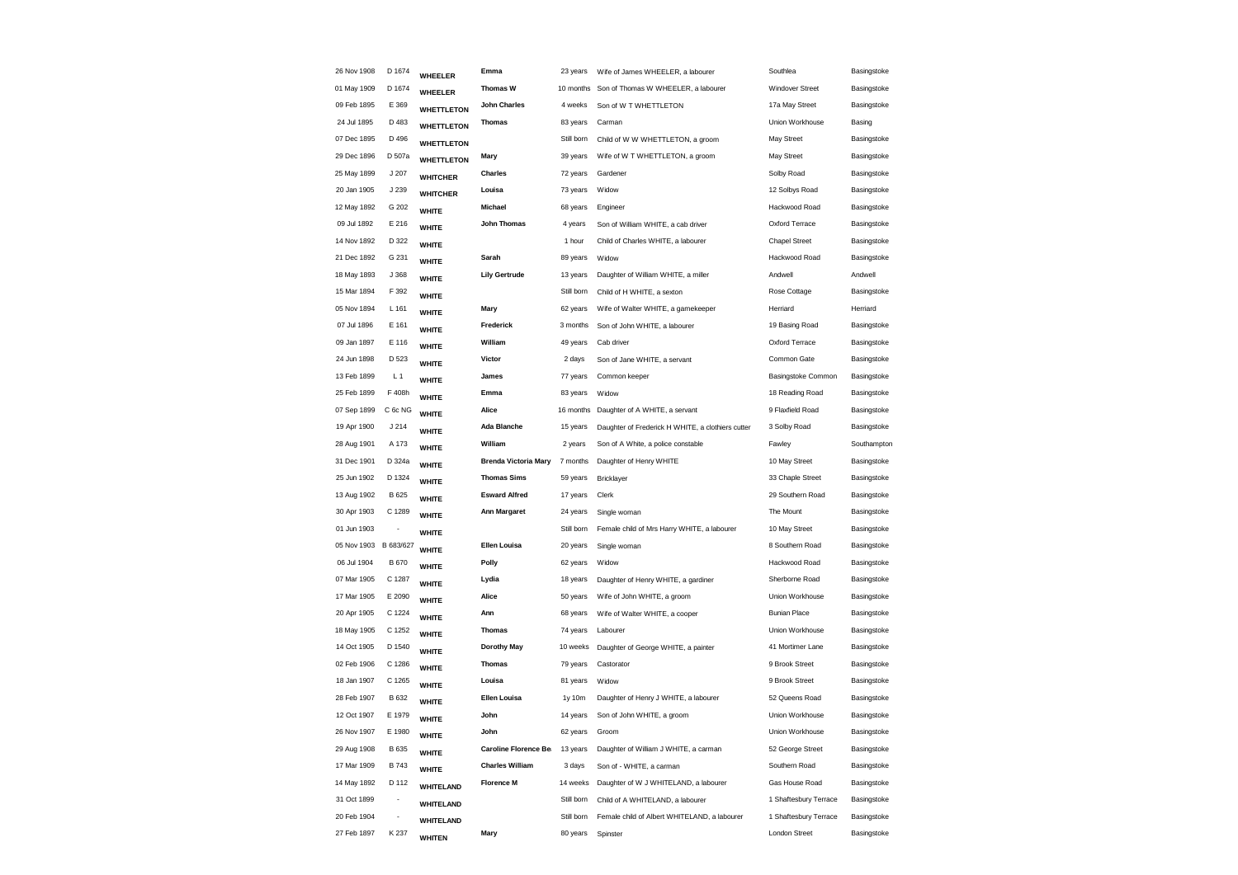| 26 Nov 1908 | D 1674                   | WHEELER           | Emma                         | 23 years   | Wife of James WHEELER, a labourer                 | Southlea               | Basingstoke |
|-------------|--------------------------|-------------------|------------------------------|------------|---------------------------------------------------|------------------------|-------------|
| 01 May 1909 | D 1674                   | WHEELER           | <b>Thomas W</b>              | 10 months  | Son of Thomas W WHEELER, a labourer               | <b>Windover Street</b> | Basingstoke |
| 09 Feb 1895 | E 369                    | <b>WHETTLETON</b> | <b>John Charles</b>          | 4 weeks    | Son of W T WHETTLETON                             | 17a May Street         | Basingstoke |
| 24 Jul 1895 | D 483                    | <b>WHETTLETON</b> | <b>Thomas</b>                | 83 years   | Carman                                            | Union Workhouse        | Basing      |
| 07 Dec 1895 | D 496                    | <b>WHETTLETON</b> |                              | Still born | Child of W W WHETTLETON, a groom                  | May Street             | Basingstoke |
| 29 Dec 1896 | D 507a                   | <b>WHETTLETON</b> | Mary                         | 39 years   | Wife of W T WHETTLETON, a groom                   | May Street             | Basingstoke |
| 25 May 1899 | J 207                    | <b>WHITCHER</b>   | <b>Charles</b>               | 72 years   | Gardener                                          | Solby Road             | Basingstoke |
| 20 Jan 1905 | J 239                    | <b>WHITCHER</b>   | Louisa                       | 73 years   | Widow                                             | 12 Solbys Road         | Basingstoke |
| 12 May 1892 | G 202                    | <b>WHITE</b>      | Michael                      | 68 years   | Engineer                                          | Hackwood Road          | Basingstoke |
| 09 Jul 1892 | E 216                    | <b>WHITE</b>      | <b>John Thomas</b>           | 4 years    | Son of William WHITE, a cab driver                | Oxford Terrace         | Basingstoke |
| 14 Nov 1892 | D 322                    | <b>WHITE</b>      |                              | 1 hour     | Child of Charles WHITE, a labourer                | <b>Chapel Street</b>   | Basingstoke |
| 21 Dec 1892 | G 231                    | <b>WHITE</b>      | Sarah                        | 89 years   | Widow                                             | Hackwood Road          | Basingstoke |
| 18 May 1893 | J 368                    | <b>WHITE</b>      | <b>Lily Gertrude</b>         | 13 years   | Daughter of William WHITE, a miller               | Andwell                | Andwell     |
| 15 Mar 1894 | F 392                    | <b>WHITE</b>      |                              | Still born | Child of H WHITE, a sexton                        | Rose Cottage           | Basingstoke |
| 05 Nov 1894 | L 161                    | <b>WHITE</b>      | Mary                         | 62 years   | Wife of Walter WHITE, a gamekeeper                | Herriard               | Herriard    |
| 07 Jul 1896 | E 161                    | <b>WHITE</b>      | Frederick                    | 3 months   | Son of John WHITE, a labourer                     | 19 Basing Road         | Basingstoke |
| 09 Jan 1897 | E 116                    | <b>WHITE</b>      | William                      | 49 years   | Cab driver                                        | Oxford Terrace         | Basingstoke |
| 24 Jun 1898 | D 523                    | <b>WHITE</b>      | Victor                       | 2 days     | Son of Jane WHITE, a servant                      | Common Gate            | Basingstoke |
| 13 Feb 1899 | L <sub>1</sub>           | <b>WHITE</b>      | James                        | 77 years   | Common keeper                                     | Basingstoke Common     | Basingstoke |
| 25 Feb 1899 | F 408h                   | <b>WHITE</b>      | Emma                         | 83 years   | Widow                                             | 18 Reading Road        | Basingstoke |
| 07 Sep 1899 | C 6c NG                  | <b>WHITE</b>      | Alice                        | 16 months  | Daughter of A WHITE, a servant                    | 9 Flaxfield Road       | Basingstoke |
| 19 Apr 1900 | J214                     | <b>WHITE</b>      | <b>Ada Blanche</b>           | 15 years   | Daughter of Frederick H WHITE, a clothiers cutter | 3 Solby Road           | Basingstoke |
| 28 Aug 1901 | A 173                    | <b>WHITE</b>      | William                      | 2 years    | Son of A White, a police constable                | Fawley                 | Southampton |
| 31 Dec 1901 | D 324a                   | <b>WHITE</b>      | <b>Brenda Victoria Mary</b>  | 7 months   | Daughter of Henry WHITE                           | 10 May Street          | Basingstoke |
| 25 Jun 1902 | D 1324                   | <b>WHITE</b>      | <b>Thomas Sims</b>           | 59 years   | Bricklayer                                        | 33 Chaple Street       | Basingstoke |
| 13 Aug 1902 | B 625                    | <b>WHITE</b>      | <b>Esward Alfred</b>         | 17 years   | Clerk                                             | 29 Southern Road       | Basingstoke |
| 30 Apr 1903 | C 1289                   | <b>WHITE</b>      | <b>Ann Margaret</b>          | 24 years   | Single woman                                      | The Mount              | Basingstoke |
| 01 Jun 1903 | $\overline{\phantom{a}}$ | <b>WHITE</b>      |                              | Still born | Female child of Mrs Harry WHITE, a labourer       | 10 May Street          | Basingstoke |
| 05 Nov 1903 | B 683/627                | <b>WHITE</b>      | Ellen Louisa                 | 20 years   | Single woman                                      | 8 Southern Road        | Basingstoke |
| 06 Jul 1904 | <b>B670</b>              | <b>WHITE</b>      | Polly                        | 62 years   | Widow                                             | Hackwood Road          | Basingstoke |
| 07 Mar 1905 | C 1287                   | <b>WHITE</b>      | Lydia                        | 18 years   | Daughter of Henry WHITE, a gardiner               | Sherborne Road         | Basingstoke |
| 17 Mar 1905 | E 2090                   | <b>WHITE</b>      | Alice                        | 50 years   | Wife of John WHITE, a groom                       | Union Workhouse        | Basingstoke |
| 20 Apr 1905 | C 1224                   | <b>WHITE</b>      | Ann                          | 68 years   | Wife of Walter WHITE, a cooper                    | <b>Bunian Place</b>    | Basingstoke |
| 18 May 1905 | C 1252                   | <b>WHITE</b>      | Thomas                       | 74 years   | Labourer                                          | Union Workhouse        | Basingstoke |
| 14 Oct 1905 | D 1540                   | <b>WHITE</b>      | <b>Dorothy May</b>           | 10 weeks   | Daughter of George WHITE, a painter               | 41 Mortimer Lane       | Basingstoke |
| 02 Feb 1906 | C 1286                   | <b>WHITE</b>      | <b>Thomas</b>                | 79 years   | Castorator                                        | 9 Brook Street         | Basingstoke |
| 18 Jan 1907 | C 1265                   | <b>WHITE</b>      | Louisa                       | 81 years   | Widow                                             | 9 Brook Street         | Basingstoke |
| 28 Feb 1907 | B 632                    | <b>WHITE</b>      | <b>Ellen Louisa</b>          | 1y 10m     | Daughter of Henry J WHITE, a labourer             | 52 Queens Road         | Basingstoke |
| 12 Oct 1907 | E 1979                   | <b>WHITE</b>      | John                         | 14 years   | Son of John WHITE, a groom                        | Union Workhouse        | Basingstoke |
| 26 Nov 1907 | E 1980                   | <b>WHITE</b>      | John                         | 62 years   | Groom                                             | Union Workhouse        | Basingstoke |
| 29 Aug 1908 | B 635                    | <b>WHITE</b>      | <b>Caroline Florence Be:</b> | 13 years   | Daughter of William J WHITE, a carman             | 52 George Street       | Basingstoke |
| 17 Mar 1909 | <b>B743</b>              | <b>WHITE</b>      | <b>Charles William</b>       | 3 days     | Son of - WHITE, a carman                          | Southern Road          | Basingstoke |
| 14 May 1892 | D 112                    | <b>WHITELAND</b>  | <b>Florence M</b>            | 14 weeks   | Daughter of W J WHITELAND, a labourer             | Gas House Road         | Basingstoke |
| 31 Oct 1899 | $\overline{\phantom{a}}$ | <b>WHITELAND</b>  |                              | Still born | Child of A WHITELAND, a labourer                  | 1 Shaftesbury Terrace  | Basingstoke |
| 20 Feb 1904 | $\overline{\phantom{a}}$ | <b>WHITELAND</b>  |                              | Still born | Female child of Albert WHITELAND, a labourer      | 1 Shaftesbury Terrace  | Basingstoke |
| 27 Feb 1897 | K 237                    | <b>WHITEN</b>     | Mary                         | 80 years   | Spinster                                          | London Street          | Basingstoke |
|             |                          |                   |                              |            |                                                   |                        |             |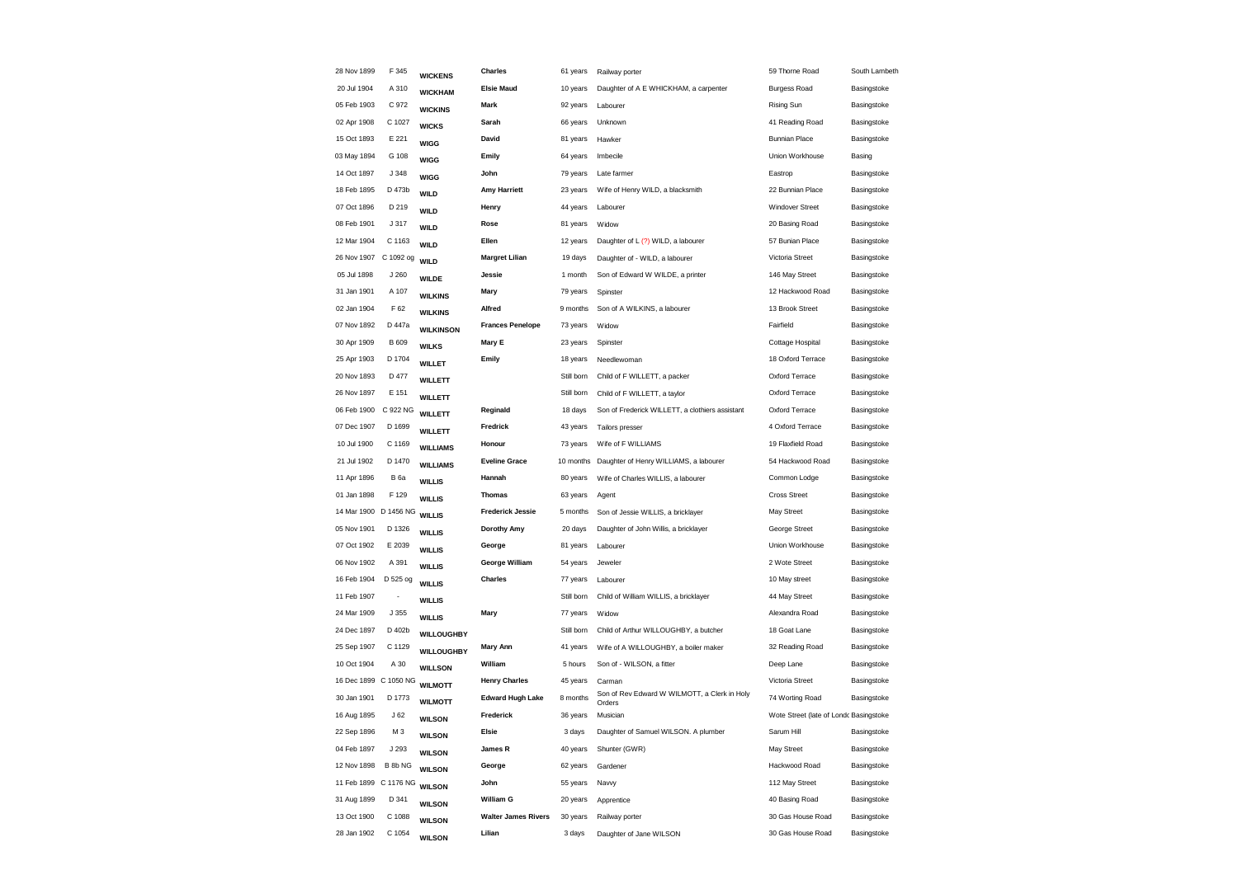| 28 Nov 1899           | F 345           | <b>WICKENS</b>    | Charles                    | 61 years   | Railway porter                                         | 59 Thorne Road                         | South Lambeth |
|-----------------------|-----------------|-------------------|----------------------------|------------|--------------------------------------------------------|----------------------------------------|---------------|
| 20 Jul 1904           | A 310           | <b>WICKHAM</b>    | <b>Elsie Maud</b>          | 10 years   | Daughter of A E WHICKHAM, a carpenter                  | <b>Burgess Road</b>                    | Basingstoke   |
| 05 Feb 1903           | C 972           | <b>WICKINS</b>    | <b>Mark</b>                | 92 years   | Labourer                                               | <b>Rising Sun</b>                      | Basingstoke   |
| 02 Apr 1908           | C 1027          | <b>WICKS</b>      | Sarah                      | 66 years   | Unknown                                                | 41 Reading Road                        | Basingstoke   |
| 15 Oct 1893           | E 221           | <b>WIGG</b>       | David                      | 81 years   | Hawker                                                 | <b>Bunnian Place</b>                   | Basingstoke   |
| 03 May 1894           | G 108           | <b>WIGG</b>       | Emily                      | 64 years   | Imbecile                                               | Union Workhouse                        | Basing        |
| 14 Oct 1897           | J 348           | <b>WIGG</b>       | John                       | 79 years   | Late farmer                                            | Eastrop                                | Basingstoke   |
| 18 Feb 1895           | D 473b          | WILD              | <b>Amy Harriett</b>        | 23 years   | Wife of Henry WILD, a blacksmith                       | 22 Bunnian Place                       | Basingstoke   |
| 07 Oct 1896           | D 219           | <b>WILD</b>       | Henry                      | 44 years   | Labourer                                               | Windover Street                        | Basingstoke   |
| 08 Feb 1901           | J 317           | WILD              | Rose                       | 81 years   | Widow                                                  | 20 Basing Road                         | Basingstoke   |
| 12 Mar 1904           | C 1163          | <b>WILD</b>       | Ellen                      | 12 years   | Daughter of L (?) WILD, a labourer                     | 57 Bunian Place                        | Basingstoke   |
| 26 Nov 1907           | C 1092 og       | <b>WILD</b>       | <b>Margret Lilian</b>      | 19 days    | Daughter of - WILD, a labourer                         | Victoria Street                        | Basingstoke   |
| 05 Jul 1898           | J 260           | <b>WILDE</b>      | Jessie                     | 1 month    | Son of Edward W WILDE, a printer                       | 146 May Street                         | Basingstoke   |
| 31 Jan 1901           | A 107           | <b>WILKINS</b>    | Mary                       | 79 years   | Spinster                                               | 12 Hackwood Road                       | Basingstoke   |
| 02 Jan 1904           | F 62            | <b>WILKINS</b>    | Alfred                     | 9 months   | Son of A WILKINS, a labourer                           | 13 Brook Street                        | Basingstoke   |
| 07 Nov 1892           | D 447a          | <b>WILKINSON</b>  | <b>Frances Penelope</b>    | 73 years   | Widow                                                  | Fairfield                              | Basingstoke   |
| 30 Apr 1909           | B 609           | <b>WILKS</b>      | Mary E                     | 23 years   | Spinster                                               | Cottage Hospital                       | Basingstoke   |
| 25 Apr 1903           | D 1704          | <b>WILLET</b>     | Emily                      | 18 years   | Needlewoman                                            | 18 Oxford Terrace                      | Basingstoke   |
| 20 Nov 1893           | D 477           | <b>WILLETT</b>    |                            | Still born | Child of F WILLETT, a packer                           | Oxford Terrace                         | Basingstoke   |
| 26 Nov 1897           | E 151           | <b>WILLETT</b>    |                            | Still born | Child of F WILLETT, a taylor                           | Oxford Terrace                         | Basingstoke   |
| 06 Feb 1900           | C 922 NG        | <b>WILLETT</b>    | Reginald                   | 18 days    | Son of Frederick WILLETT, a clothiers assistant        | Oxford Terrace                         | Basingstoke   |
| 07 Dec 1907           | D 1699          | <b>WILLETT</b>    | Fredrick                   | 43 years   | Tailors presser                                        | 4 Oxford Terrace                       | Basingstoke   |
| 10 Jul 1900           | C 1169          | <b>WILLIAMS</b>   | Honour                     | 73 years   | Wife of F WILLIAMS                                     | 19 Flaxfield Road                      | Basingstoke   |
| 21 Jul 1902           | D 1470          | <b>WILLIAMS</b>   | <b>Eveline Grace</b>       | 10 months  | Daughter of Henry WILLIAMS, a labourer                 | 54 Hackwood Road                       | Basingstoke   |
| 11 Apr 1896           | <b>B</b> 6a     | <b>WILLIS</b>     | Hannah                     | 80 years   | Wife of Charles WILLIS, a labourer                     | Common Lodge                           | Basingstoke   |
| 01 Jan 1898           | F 129           | <b>WILLIS</b>     | <b>Thomas</b>              | 63 years   | Agent                                                  | <b>Cross Street</b>                    | Basingstoke   |
| 14 Mar 1900 D 1456 NG |                 | <b>WILLIS</b>     | <b>Frederick Jessie</b>    | 5 months   | Son of Jessie WILLIS, a bricklayer                     | May Street                             | Basingstoke   |
| 05 Nov 1901           | D 1326          | <b>WILLIS</b>     | <b>Dorothy Amy</b>         | 20 days    | Daughter of John Willis, a bricklayer                  | George Street                          | Basingstoke   |
| 07 Oct 1902           | E 2039          | <b>WILLIS</b>     | George                     | 81 years   | Labourer                                               | Union Workhouse                        | Basingstoke   |
| 06 Nov 1902           | A 391           | <b>WILLIS</b>     | George William             | 54 years   | Jeweler                                                | 2 Wote Street                          | Basingstoke   |
| 16 Feb 1904           | D 525 og        | <b>WILLIS</b>     | <b>Charles</b>             | 77 years   | Labourer                                               | 10 May street                          | Basingstoke   |
| 11 Feb 1907           |                 | <b>WILLIS</b>     |                            | Still born | Child of William WILLIS, a bricklayer                  | 44 May Street                          | Basingstoke   |
| 24 Mar 1909           | J 355           | <b>WILLIS</b>     | Mary                       | 77 years   | Widow                                                  | Alexandra Road                         | Basingstoke   |
| 24 Dec 1897           | D 402b          | <b>WILLOUGHBY</b> |                            | Still born | Child of Arthur WILLOUGHBY, a butcher                  | 18 Goat Lane                           | Basingstoke   |
| 25 Sep 1907           | C 1129          | <b>WILLOUGHBY</b> | <b>Mary Ann</b>            | 41 years   | Wife of A WILLOUGHBY, a boiler maker                   | 32 Reading Road                        | Basingstoke   |
| 10 Oct 1904           | A 30            | <b>WILLSON</b>    | William                    | 5 hours    | Son of - WILSON, a fitter                              | Deep Lane                              | Basingstoke   |
| 16 Dec 1899 C 1050 NG |                 | <b>WILMOTT</b>    | <b>Henry Charles</b>       | 45 years   | Carman                                                 | Victoria Street                        | Basingstoke   |
| 30 Jan 1901           | D 1773          | <b>WILMOTT</b>    | <b>Edward Hugh Lake</b>    | 8 months   | Son of Rev Edward W WILMOTT, a Clerk in Holy<br>Orders | 74 Worting Road                        | Basingstoke   |
| 16 Aug 1895           | J <sub>62</sub> | <b>WILSON</b>     | Frederick                  | 36 years   | Musician                                               | Wote Street (late of Londc Basingstoke |               |
| 22 Sep 1896           | M3              | <b>WILSON</b>     | Elsie                      | 3 days     | Daughter of Samuel WILSON. A plumber                   | Sarum Hill                             | Basingstoke   |
| 04 Feb 1897           | J 293           | <b>WILSON</b>     | James R                    | 40 years   | Shunter (GWR)                                          | May Street                             | Basingstoke   |
| 12 Nov 1898           | B 8b NG         | <b>WILSON</b>     | George                     | 62 years   | Gardener                                               | Hackwood Road                          | Basingstoke   |
| 11 Feb 1899 C 1176 NG |                 | <b>WILSON</b>     | John                       | 55 years   | Navvy                                                  | 112 May Street                         | Basingstoke   |
| 31 Aug 1899           | D 341           | <b>WILSON</b>     | William G                  | 20 years   | Apprentice                                             | 40 Basing Road                         | Basingstoke   |
| 13 Oct 1900           | C 1088          | <b>WILSON</b>     | <b>Walter James Rivers</b> | 30 years   | Railway porter                                         | 30 Gas House Road                      | Basingstoke   |
| 28 Jan 1902           | C 1054          | <b>WILSON</b>     | Lilian                     | 3 days     | Daughter of Jane WILSON                                | 30 Gas House Road                      | Basingstoke   |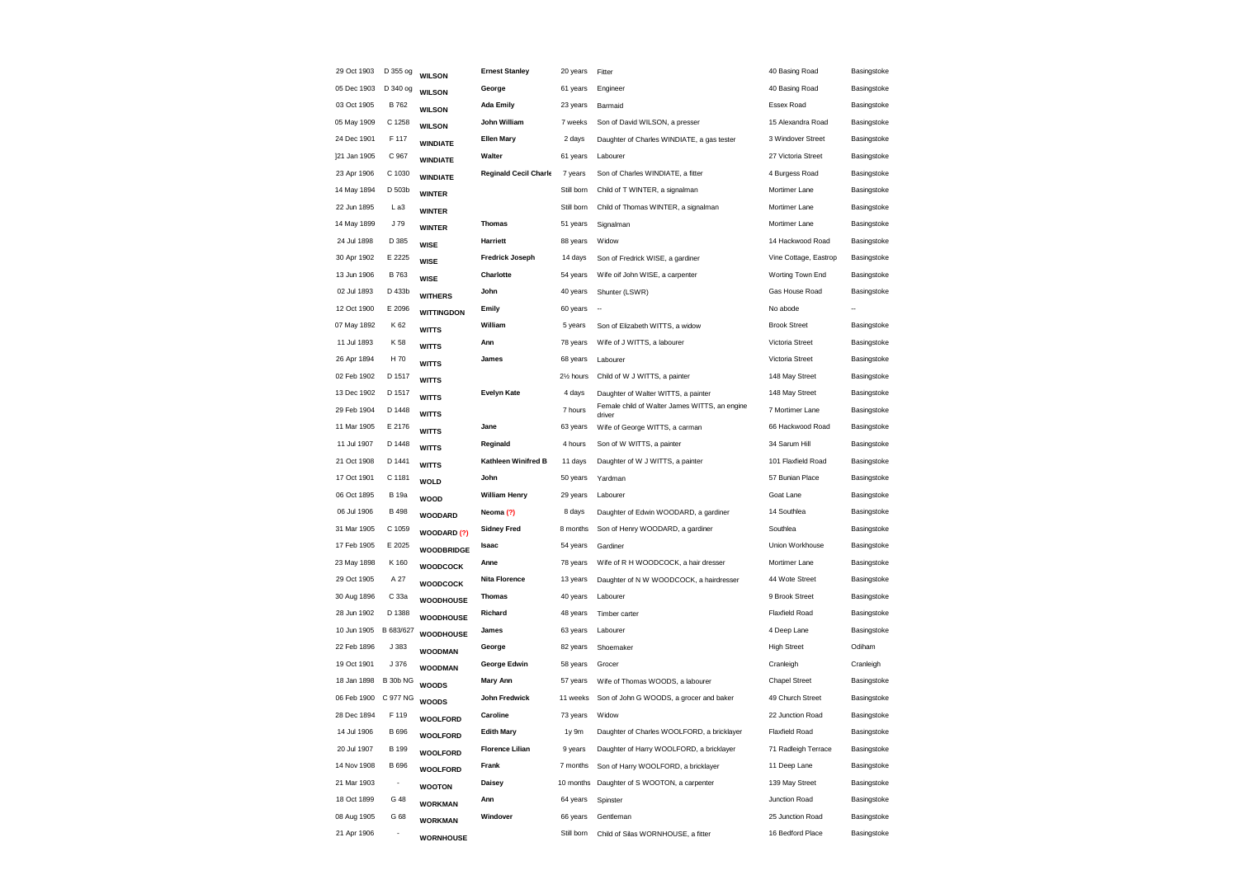| Basingstoke<br>Basingstoke<br>Basingstoke<br>Basingstoke<br>Basingstoke<br>Basingstoke<br>Basingstoke<br>Basingstoke |
|----------------------------------------------------------------------------------------------------------------------|
|                                                                                                                      |
|                                                                                                                      |
|                                                                                                                      |
|                                                                                                                      |
|                                                                                                                      |
|                                                                                                                      |
|                                                                                                                      |
|                                                                                                                      |
| Basingstoke                                                                                                          |
| Basingstoke                                                                                                          |
| Basingstoke                                                                                                          |
| Basingstoke                                                                                                          |
| Basingstoke                                                                                                          |
|                                                                                                                      |
| Basingstoke                                                                                                          |
| Basingstoke                                                                                                          |
| Basingstoke                                                                                                          |
| Basingstoke                                                                                                          |
| Basingstoke                                                                                                          |
| Basingstoke                                                                                                          |
| Basingstoke                                                                                                          |
| Basingstoke                                                                                                          |
| Basingstoke                                                                                                          |
| Basingstoke                                                                                                          |
| Basingstoke                                                                                                          |
| Basingstoke                                                                                                          |
| Basingstoke                                                                                                          |
| Basingstoke                                                                                                          |
| Basingstoke                                                                                                          |
| Basingstoke                                                                                                          |
| Basingstoke                                                                                                          |
| Basingstoke                                                                                                          |
| Basingstoke                                                                                                          |
| Odiham                                                                                                               |
| Cranleigh                                                                                                            |
| Basingstoke                                                                                                          |
| Basingstoke                                                                                                          |
| Basingstoke                                                                                                          |
| Basingstoke                                                                                                          |
| Basingstoke                                                                                                          |
| Basingstoke                                                                                                          |
| Basingstoke                                                                                                          |
| Basingstoke                                                                                                          |
| Basingstoke                                                                                                          |
| Basingstoke                                                                                                          |
| Vine Cottage, Eastrop                                                                                                |